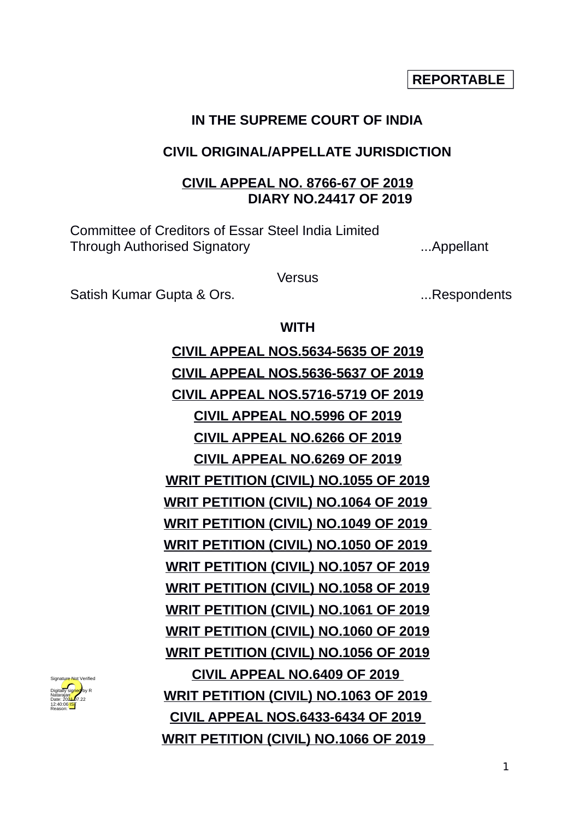**REPORTABLE**

# **IN THE SUPREME COURT OF INDIA**

# **CIVIL ORIGINAL/APPELLATE JURISDICTION**

# **CIVIL APPEAL NO. 8766-67 OF 2019 DIARY NO.24417 OF 2019**

Committee of Creditors of Essar Steel India Limited Through Authorised Signatory ...Appellant

**Versus** 

Satish Kumar Gupta & Ors. ...Respondents

## **WITH**

**CIVIL APPEAL NOS.5634-5635 OF 2019 CIVIL APPEAL NOS.5636-5637 OF 2019 CIVIL APPEAL NOS.5716-5719 OF 2019 CIVIL APPEAL NO.5996 OF 2019 CIVIL APPEAL NO.6266 OF 2019 CIVIL APPEAL NO.6269 OF 2019 WRIT PETITION (CIVIL) NO.1055 OF 2019 WRIT PETITION (CIVIL) NO.1064 OF 2019 WRIT PETITION (CIVIL) NO.1049 OF 2019 WRIT PETITION (CIVIL) NO.1050 OF 2019 WRIT PETITION (CIVIL) NO.1057 OF 2019 WRIT PETITION (CIVIL) NO.1058 OF 2019 WRIT PETITION (CIVIL) NO.1061 OF 2019 WRIT PETITION (CIVIL) NO.1060 OF 2019 WRIT PETITION (CIVIL) NO.1056 OF 2019 CIVIL APPEAL NO.6409 OF 2019 WRIT PETITION (CIVIL) NO.1063 OF 2019 CIVIL APPEAL NOS.6433-6434 OF 2019 WRIT PETITION (CIVIL) NO.1066 OF 2019** 

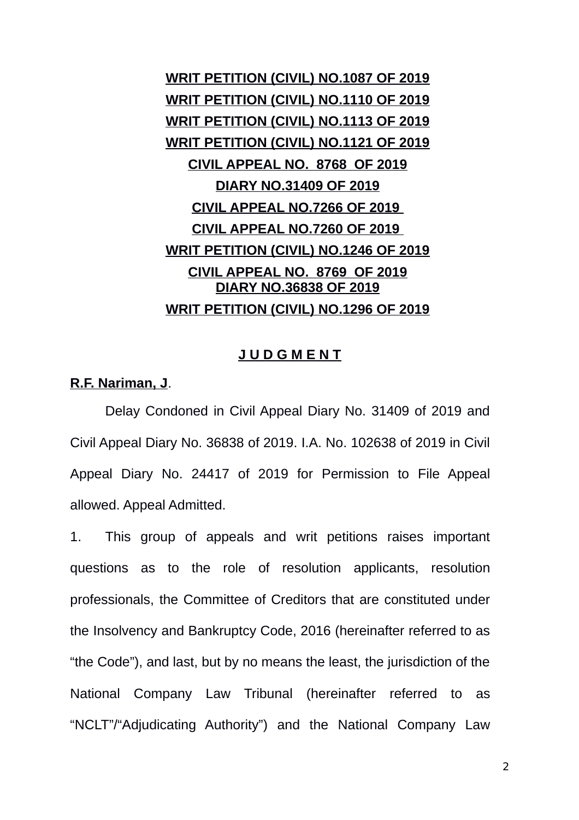**WRIT PETITION (CIVIL) NO.1087 OF 2019 WRIT PETITION (CIVIL) NO.1110 OF 2019 WRIT PETITION (CIVIL) NO.1113 OF 2019 WRIT PETITION (CIVIL) NO.1121 OF 2019 CIVIL APPEAL NO.\_8768\_OF 2019 DIARY NO.31409 OF 2019 CIVIL APPEAL NO.7266 OF 2019 CIVIL APPEAL NO.7260 OF 2019 WRIT PETITION (CIVIL) NO.1246 OF 2019 CIVIL APPEAL NO.\_8769\_OF 2019 DIARY NO.36838 OF 2019 WRIT PETITION (CIVIL) NO.1296 OF 2019**

#### **J U D G M E N T**

## **R.F. Nariman, J**.

Delay Condoned in Civil Appeal Diary No. 31409 of 2019 and Civil Appeal Diary No. 36838 of 2019. I.A. No. 102638 of 2019 in Civil Appeal Diary No. 24417 of 2019 for Permission to File Appeal allowed. Appeal Admitted.

1. This group of appeals and writ petitions raises important questions as to the role of resolution applicants, resolution professionals, the Committee of Creditors that are constituted under the Insolvency and Bankruptcy Code, 2016 (hereinafter referred to as "the Code"), and last, but by no means the least, the jurisdiction of the National Company Law Tribunal (hereinafter referred to as "NCLT"/"Adjudicating Authority") and the National Company Law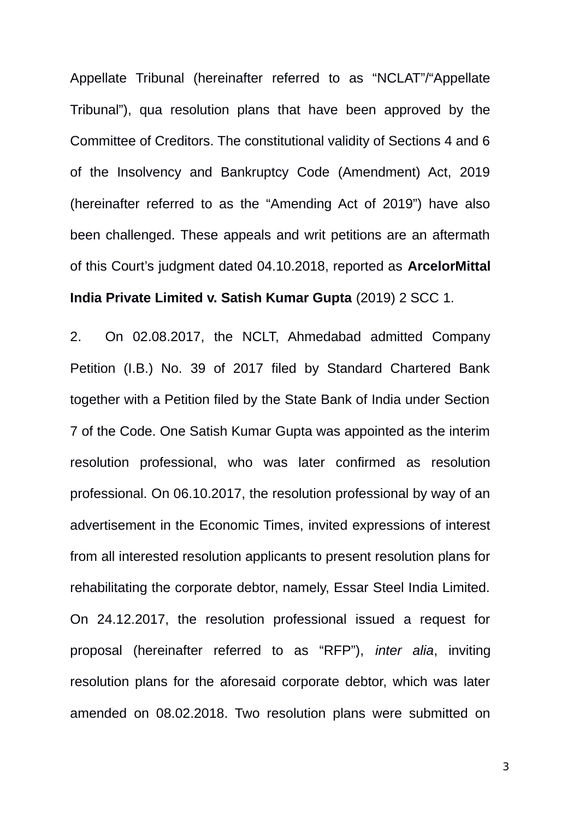Appellate Tribunal (hereinafter referred to as "NCLAT"/"Appellate Tribunal"), qua resolution plans that have been approved by the Committee of Creditors. The constitutional validity of Sections 4 and 6 of the Insolvency and Bankruptcy Code (Amendment) Act, 2019 (hereinafter referred to as the "Amending Act of 2019") have also been challenged. These appeals and writ petitions are an aftermath of this Court's judgment dated 04.10.2018, reported as **ArcelorMittal India Private Limited v. Satish Kumar Gupta** (2019) 2 SCC 1.

2. On 02.08.2017, the NCLT, Ahmedabad admitted Company Petition (I.B.) No. 39 of 2017 filed by Standard Chartered Bank together with a Petition filed by the State Bank of India under Section 7 of the Code. One Satish Kumar Gupta was appointed as the interim resolution professional, who was later confirmed as resolution professional. On 06.10.2017, the resolution professional by way of an advertisement in the Economic Times, invited expressions of interest from all interested resolution applicants to present resolution plans for rehabilitating the corporate debtor, namely, Essar Steel India Limited. On 24.12.2017, the resolution professional issued a request for proposal (hereinafter referred to as "RFP"), *inter alia*, inviting resolution plans for the aforesaid corporate debtor, which was later amended on 08.02.2018. Two resolution plans were submitted on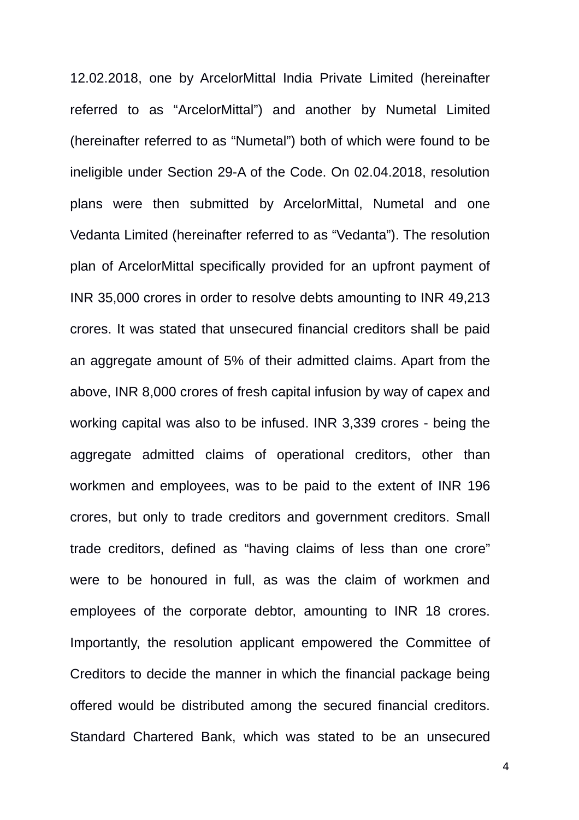12.02.2018, one by ArcelorMittal India Private Limited (hereinafter referred to as "ArcelorMittal") and another by Numetal Limited (hereinafter referred to as "Numetal") both of which were found to be ineligible under Section 29-A of the Code. On 02.04.2018, resolution plans were then submitted by ArcelorMittal, Numetal and one Vedanta Limited (hereinafter referred to as "Vedanta"). The resolution plan of ArcelorMittal specifically provided for an upfront payment of INR 35,000 crores in order to resolve debts amounting to INR 49,213 crores. It was stated that unsecured financial creditors shall be paid an aggregate amount of 5% of their admitted claims. Apart from the above, INR 8,000 crores of fresh capital infusion by way of capex and working capital was also to be infused. INR 3,339 crores - being the aggregate admitted claims of operational creditors, other than workmen and employees, was to be paid to the extent of INR 196 crores, but only to trade creditors and government creditors. Small trade creditors, defined as "having claims of less than one crore" were to be honoured in full, as was the claim of workmen and employees of the corporate debtor, amounting to INR 18 crores. Importantly, the resolution applicant empowered the Committee of Creditors to decide the manner in which the financial package being offered would be distributed among the secured financial creditors. Standard Chartered Bank, which was stated to be an unsecured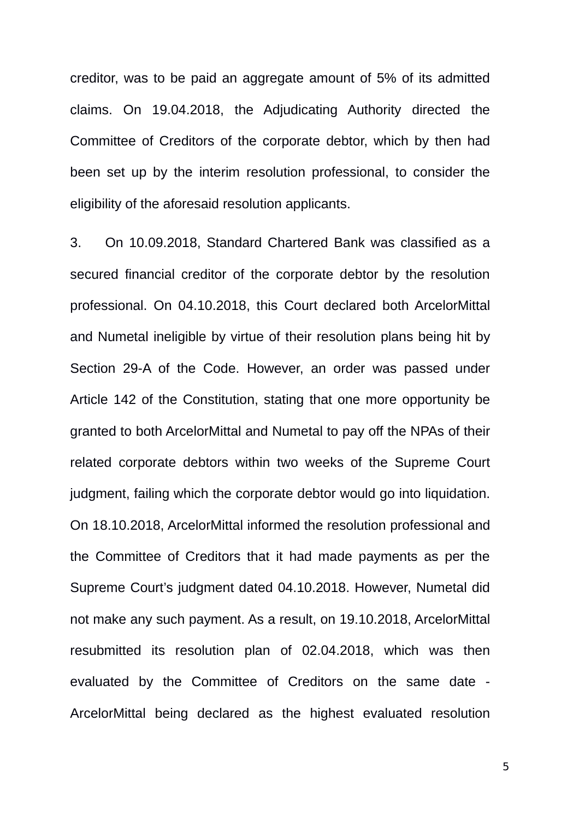creditor, was to be paid an aggregate amount of 5% of its admitted claims. On 19.04.2018, the Adjudicating Authority directed the Committee of Creditors of the corporate debtor, which by then had been set up by the interim resolution professional, to consider the eligibility of the aforesaid resolution applicants.

3. On 10.09.2018, Standard Chartered Bank was classified as a secured financial creditor of the corporate debtor by the resolution professional. On 04.10.2018, this Court declared both ArcelorMittal and Numetal ineligible by virtue of their resolution plans being hit by Section 29-A of the Code. However, an order was passed under Article 142 of the Constitution, stating that one more opportunity be granted to both ArcelorMittal and Numetal to pay off the NPAs of their related corporate debtors within two weeks of the Supreme Court judgment, failing which the corporate debtor would go into liquidation. On 18.10.2018, ArcelorMittal informed the resolution professional and the Committee of Creditors that it had made payments as per the Supreme Court's judgment dated 04.10.2018. However, Numetal did not make any such payment. As a result, on 19.10.2018, ArcelorMittal resubmitted its resolution plan of 02.04.2018, which was then evaluated by the Committee of Creditors on the same date - ArcelorMittal being declared as the highest evaluated resolution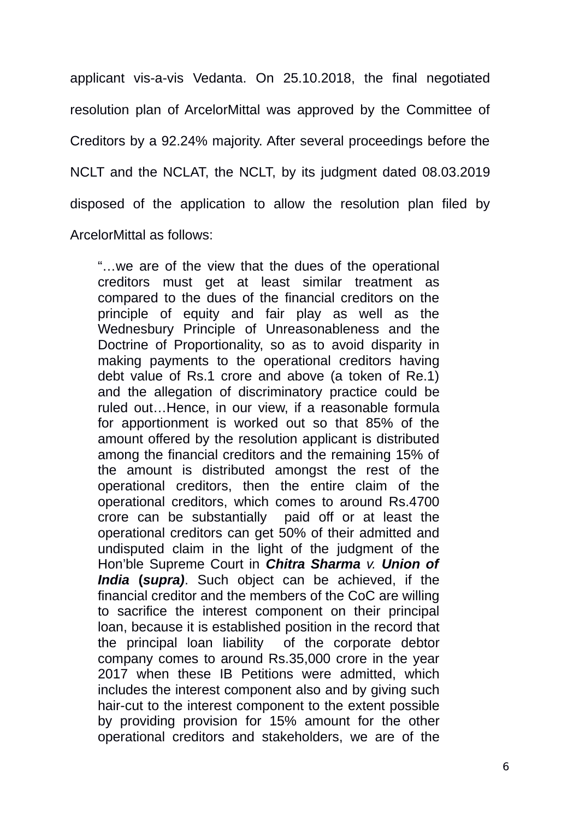applicant vis-a-vis Vedanta. On 25.10.2018, the final negotiated resolution plan of ArcelorMittal was approved by the Committee of Creditors by a 92.24% majority. After several proceedings before the NCLT and the NCLAT, the NCLT, by its judgment dated 08.03.2019 disposed of the application to allow the resolution plan filed by ArcelorMittal as follows:

"…we are of the view that the dues of the operational creditors must get at least similar treatment as compared to the dues of the financial creditors on the principle of equity and fair play as well as the Wednesbury Principle of Unreasonableness and the Doctrine of Proportionality, so as to avoid disparity in making payments to the operational creditors having debt value of Rs.1 crore and above (a token of Re.1) and the allegation of discriminatory practice could be ruled out…Hence, in our view, if a reasonable formula for apportionment is worked out so that 85% of the amount offered by the resolution applicant is distributed among the financial creditors and the remaining 15% of the amount is distributed amongst the rest of the operational creditors, then the entire claim of the operational creditors, which comes to around Rs.4700 crore can be substantially paid off or at least the operational creditors can get 50% of their admitted and undisputed claim in the light of the judgment of the Hon'ble Supreme Court in *Chitra Sharma v. Union of India* **(***supra)*. Such object can be achieved, if the financial creditor and the members of the CoC are willing to sacrifice the interest component on their principal loan, because it is established position in the record that the principal loan liability of the corporate debtor company comes to around Rs.35,000 crore in the year 2017 when these IB Petitions were admitted, which includes the interest component also and by giving such hair-cut to the interest component to the extent possible by providing provision for 15% amount for the other operational creditors and stakeholders, we are of the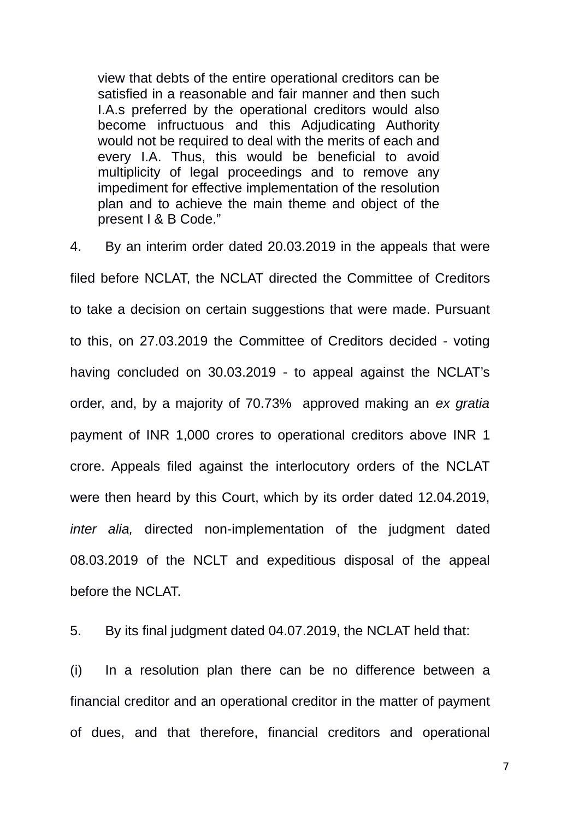view that debts of the entire operational creditors can be satisfied in a reasonable and fair manner and then such I.A.s preferred by the operational creditors would also become infructuous and this Adjudicating Authority would not be required to deal with the merits of each and every I.A. Thus, this would be beneficial to avoid multiplicity of legal proceedings and to remove any impediment for effective implementation of the resolution plan and to achieve the main theme and object of the present I & B Code."

4. By an interim order dated 20.03.2019 in the appeals that were filed before NCLAT, the NCLAT directed the Committee of Creditors to take a decision on certain suggestions that were made. Pursuant to this, on 27.03.2019 the Committee of Creditors decided - voting having concluded on 30.03.2019 - to appeal against the NCLAT's order, and, by a majority of 70.73% approved making an *ex gratia* payment of INR 1,000 crores to operational creditors above INR 1 crore. Appeals filed against the interlocutory orders of the NCLAT were then heard by this Court, which by its order dated 12.04.2019, *inter alia,* directed non-implementation of the judgment dated 08.03.2019 of the NCLT and expeditious disposal of the appeal before the NCLAT.

5. By its final judgment dated 04.07.2019, the NCLAT held that:

(i) In a resolution plan there can be no difference between a financial creditor and an operational creditor in the matter of payment of dues, and that therefore, financial creditors and operational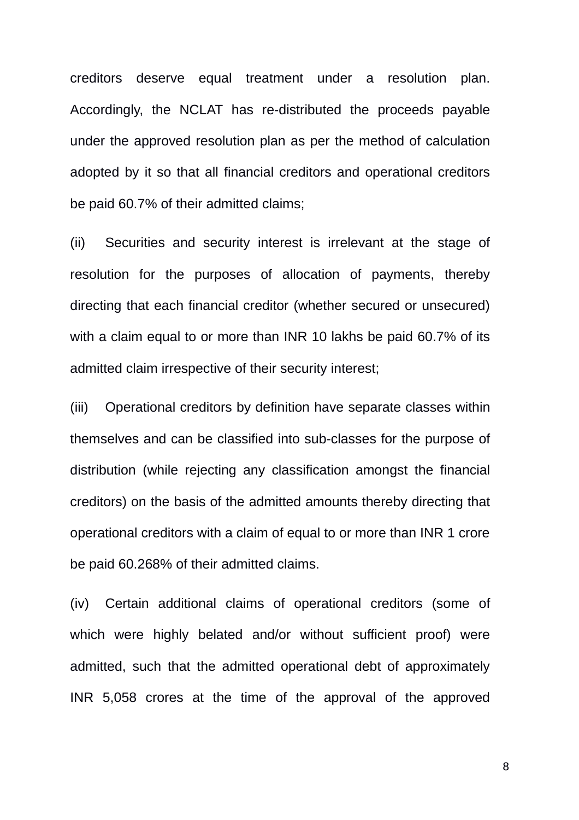creditors deserve equal treatment under a resolution plan. Accordingly, the NCLAT has re-distributed the proceeds payable under the approved resolution plan as per the method of calculation adopted by it so that all financial creditors and operational creditors be paid 60.7% of their admitted claims;

(ii) Securities and security interest is irrelevant at the stage of resolution for the purposes of allocation of payments, thereby directing that each financial creditor (whether secured or unsecured) with a claim equal to or more than INR 10 lakhs be paid 60.7% of its admitted claim irrespective of their security interest;

(iii) Operational creditors by definition have separate classes within themselves and can be classified into sub-classes for the purpose of distribution (while rejecting any classification amongst the financial creditors) on the basis of the admitted amounts thereby directing that operational creditors with a claim of equal to or more than INR 1 crore be paid 60.268% of their admitted claims.

(iv) Certain additional claims of operational creditors (some of which were highly belated and/or without sufficient proof) were admitted, such that the admitted operational debt of approximately INR 5,058 crores at the time of the approval of the approved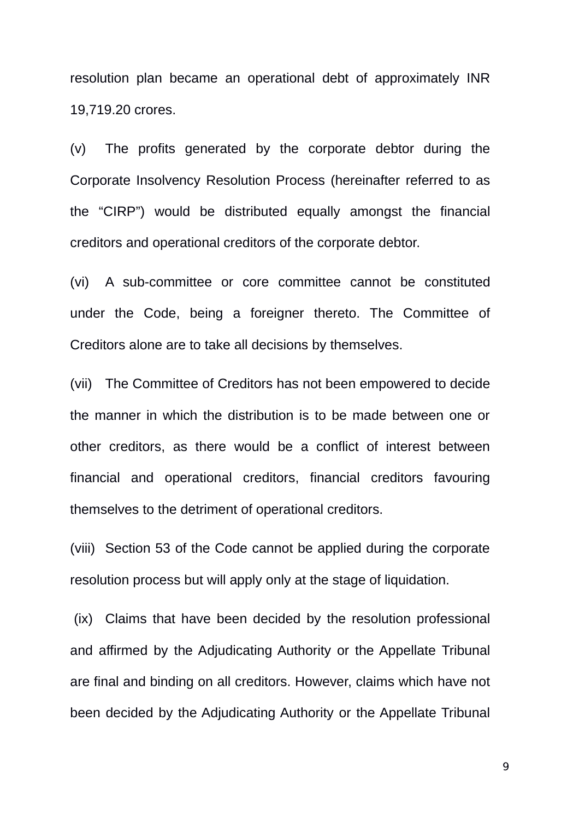resolution plan became an operational debt of approximately INR 19,719.20 crores.

(v) The profits generated by the corporate debtor during the Corporate Insolvency Resolution Process (hereinafter referred to as the "CIRP") would be distributed equally amongst the financial creditors and operational creditors of the corporate debtor.

(vi) A sub-committee or core committee cannot be constituted under the Code, being a foreigner thereto. The Committee of Creditors alone are to take all decisions by themselves.

(vii) The Committee of Creditors has not been empowered to decide the manner in which the distribution is to be made between one or other creditors, as there would be a conflict of interest between financial and operational creditors, financial creditors favouring themselves to the detriment of operational creditors.

(viii) Section 53 of the Code cannot be applied during the corporate resolution process but will apply only at the stage of liquidation.

 (ix) Claims that have been decided by the resolution professional and affirmed by the Adjudicating Authority or the Appellate Tribunal are final and binding on all creditors. However, claims which have not been decided by the Adjudicating Authority or the Appellate Tribunal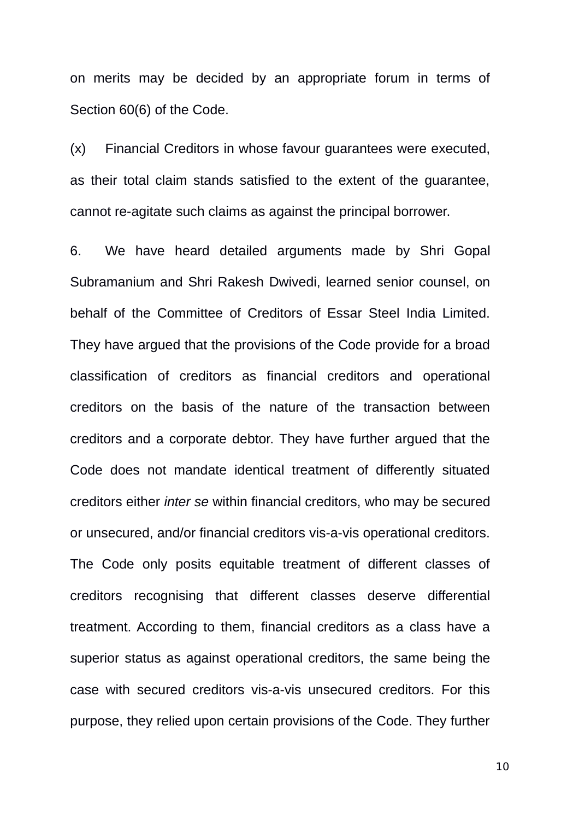on merits may be decided by an appropriate forum in terms of Section 60(6) of the Code.

(x) Financial Creditors in whose favour guarantees were executed, as their total claim stands satisfied to the extent of the guarantee, cannot re-agitate such claims as against the principal borrower.

6. We have heard detailed arguments made by Shri Gopal Subramanium and Shri Rakesh Dwivedi, learned senior counsel, on behalf of the Committee of Creditors of Essar Steel India Limited. They have argued that the provisions of the Code provide for a broad classification of creditors as financial creditors and operational creditors on the basis of the nature of the transaction between creditors and a corporate debtor. They have further argued that the Code does not mandate identical treatment of differently situated creditors either *inter se* within financial creditors, who may be secured or unsecured, and/or financial creditors vis-a-vis operational creditors. The Code only posits equitable treatment of different classes of creditors recognising that different classes deserve differential treatment. According to them, financial creditors as a class have a superior status as against operational creditors, the same being the case with secured creditors vis-a-vis unsecured creditors. For this purpose, they relied upon certain provisions of the Code. They further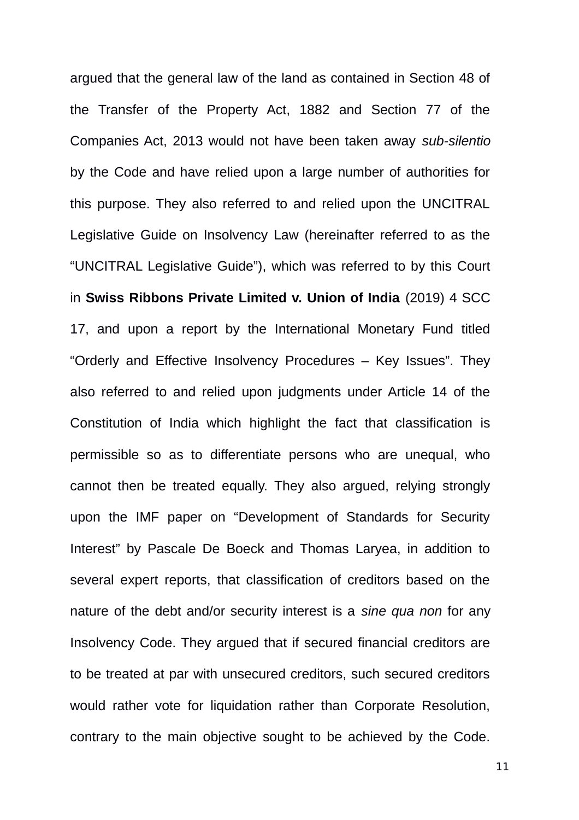argued that the general law of the land as contained in Section 48 of the Transfer of the Property Act, 1882 and Section 77 of the Companies Act, 2013 would not have been taken away *sub-silentio* by the Code and have relied upon a large number of authorities for this purpose. They also referred to and relied upon the UNCITRAL Legislative Guide on Insolvency Law (hereinafter referred to as the "UNCITRAL Legislative Guide"), which was referred to by this Court in **Swiss Ribbons Private Limited v. Union of India** (2019) 4 SCC 17, and upon a report by the International Monetary Fund titled "Orderly and Effective Insolvency Procedures – Key Issues". They also referred to and relied upon judgments under Article 14 of the Constitution of India which highlight the fact that classification is permissible so as to differentiate persons who are unequal, who cannot then be treated equally. They also argued, relying strongly upon the IMF paper on "Development of Standards for Security Interest" by Pascale De Boeck and Thomas Laryea, in addition to several expert reports, that classification of creditors based on the nature of the debt and/or security interest is a *sine qua non* for any Insolvency Code. They argued that if secured financial creditors are to be treated at par with unsecured creditors, such secured creditors would rather vote for liquidation rather than Corporate Resolution, contrary to the main objective sought to be achieved by the Code.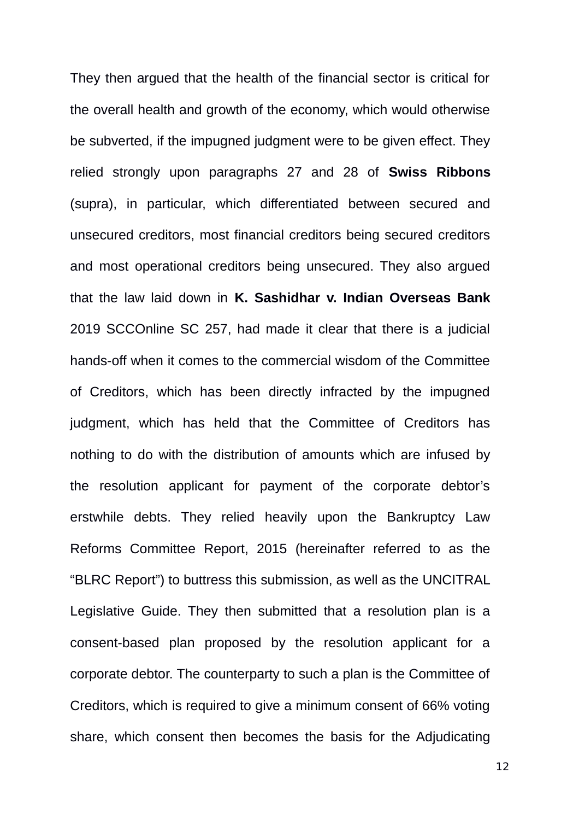They then argued that the health of the financial sector is critical for the overall health and growth of the economy, which would otherwise be subverted, if the impugned judgment were to be given effect. They relied strongly upon paragraphs 27 and 28 of **Swiss Ribbons** (supra), in particular, which differentiated between secured and unsecured creditors, most financial creditors being secured creditors and most operational creditors being unsecured. They also argued that the law laid down in **K. Sashidhar v. Indian Overseas Bank** 2019 SCCOnline SC 257, had made it clear that there is a judicial hands-off when it comes to the commercial wisdom of the Committee of Creditors, which has been directly infracted by the impugned judgment, which has held that the Committee of Creditors has nothing to do with the distribution of amounts which are infused by the resolution applicant for payment of the corporate debtor's erstwhile debts. They relied heavily upon the Bankruptcy Law Reforms Committee Report, 2015 (hereinafter referred to as the "BLRC Report") to buttress this submission, as well as the UNCITRAL Legislative Guide. They then submitted that a resolution plan is a consent-based plan proposed by the resolution applicant for a corporate debtor. The counterparty to such a plan is the Committee of Creditors, which is required to give a minimum consent of 66% voting share, which consent then becomes the basis for the Adjudicating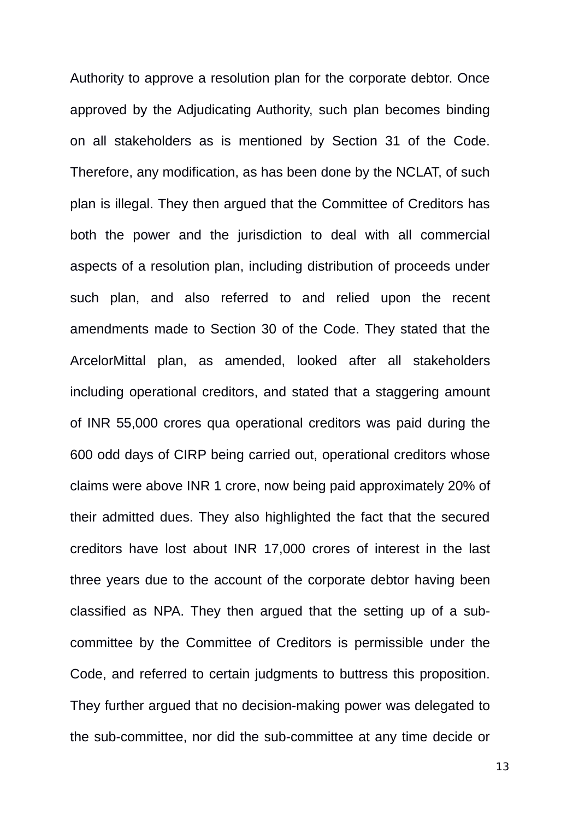Authority to approve a resolution plan for the corporate debtor. Once approved by the Adjudicating Authority, such plan becomes binding on all stakeholders as is mentioned by Section 31 of the Code. Therefore, any modification, as has been done by the NCLAT, of such plan is illegal. They then argued that the Committee of Creditors has both the power and the jurisdiction to deal with all commercial aspects of a resolution plan, including distribution of proceeds under such plan, and also referred to and relied upon the recent amendments made to Section 30 of the Code. They stated that the ArcelorMittal plan, as amended, looked after all stakeholders including operational creditors, and stated that a staggering amount of INR 55,000 crores qua operational creditors was paid during the 600 odd days of CIRP being carried out, operational creditors whose claims were above INR 1 crore, now being paid approximately 20% of their admitted dues. They also highlighted the fact that the secured creditors have lost about INR 17,000 crores of interest in the last three years due to the account of the corporate debtor having been classified as NPA. They then argued that the setting up of a subcommittee by the Committee of Creditors is permissible under the Code, and referred to certain judgments to buttress this proposition. They further argued that no decision-making power was delegated to the sub-committee, nor did the sub-committee at any time decide or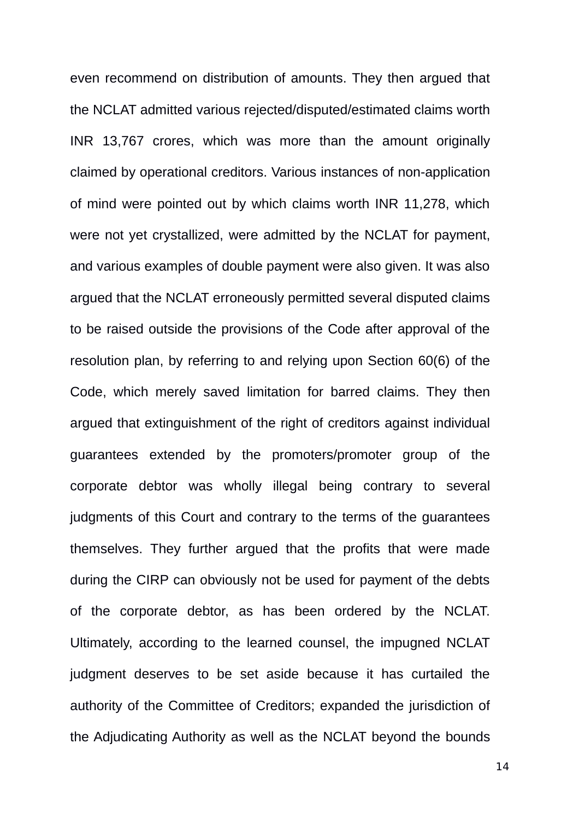even recommend on distribution of amounts. They then argued that the NCLAT admitted various rejected/disputed/estimated claims worth INR 13,767 crores, which was more than the amount originally claimed by operational creditors. Various instances of non-application of mind were pointed out by which claims worth INR 11,278, which were not yet crystallized, were admitted by the NCLAT for payment, and various examples of double payment were also given. It was also argued that the NCLAT erroneously permitted several disputed claims to be raised outside the provisions of the Code after approval of the resolution plan, by referring to and relying upon Section 60(6) of the Code, which merely saved limitation for barred claims. They then argued that extinguishment of the right of creditors against individual guarantees extended by the promoters/promoter group of the corporate debtor was wholly illegal being contrary to several judgments of this Court and contrary to the terms of the guarantees themselves. They further argued that the profits that were made during the CIRP can obviously not be used for payment of the debts of the corporate debtor, as has been ordered by the NCLAT. Ultimately, according to the learned counsel, the impugned NCLAT judgment deserves to be set aside because it has curtailed the authority of the Committee of Creditors; expanded the jurisdiction of the Adjudicating Authority as well as the NCLAT beyond the bounds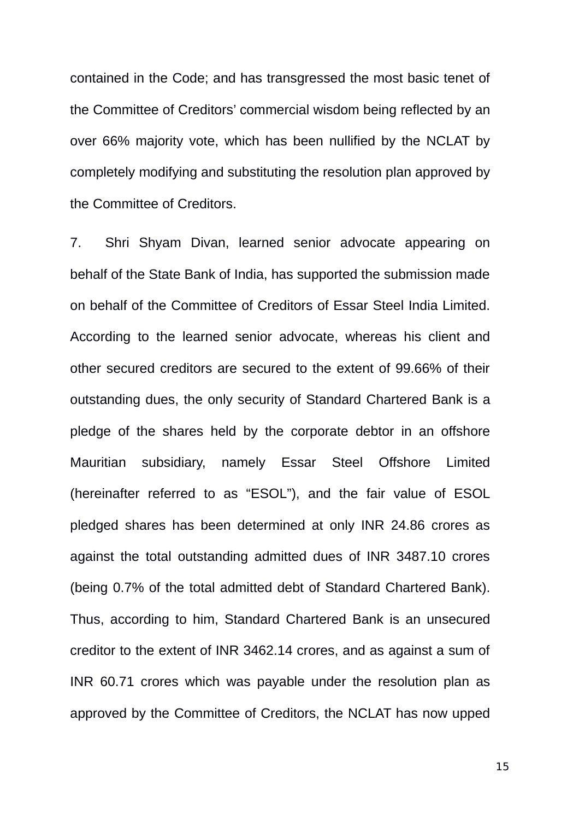contained in the Code; and has transgressed the most basic tenet of the Committee of Creditors' commercial wisdom being reflected by an over 66% majority vote, which has been nullified by the NCLAT by completely modifying and substituting the resolution plan approved by the Committee of Creditors.

7. Shri Shyam Divan, learned senior advocate appearing on behalf of the State Bank of India, has supported the submission made on behalf of the Committee of Creditors of Essar Steel India Limited. According to the learned senior advocate, whereas his client and other secured creditors are secured to the extent of 99.66% of their outstanding dues, the only security of Standard Chartered Bank is a pledge of the shares held by the corporate debtor in an offshore Mauritian subsidiary, namely Essar Steel Offshore Limited (hereinafter referred to as "ESOL"), and the fair value of ESOL pledged shares has been determined at only INR 24.86 crores as against the total outstanding admitted dues of INR 3487.10 crores (being 0.7% of the total admitted debt of Standard Chartered Bank). Thus, according to him, Standard Chartered Bank is an unsecured creditor to the extent of INR 3462.14 crores, and as against a sum of INR 60.71 crores which was payable under the resolution plan as approved by the Committee of Creditors, the NCLAT has now upped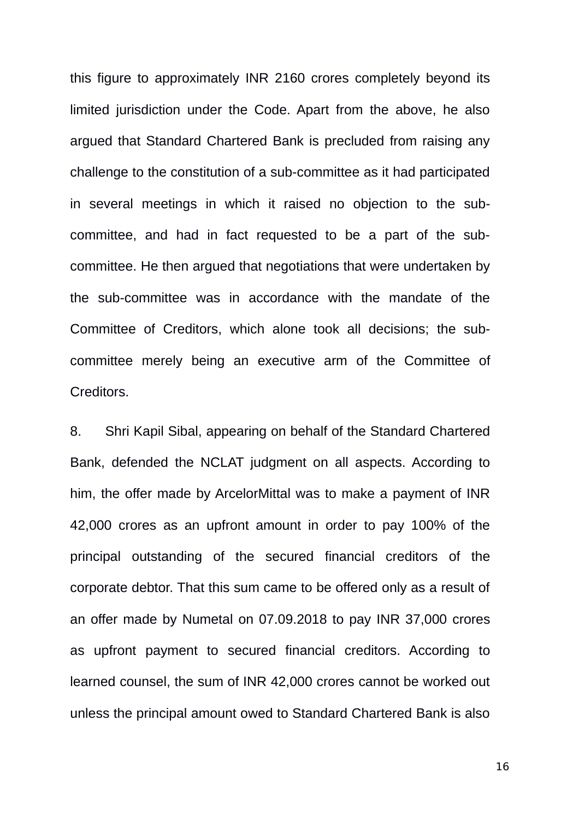this figure to approximately INR 2160 crores completely beyond its limited jurisdiction under the Code. Apart from the above, he also argued that Standard Chartered Bank is precluded from raising any challenge to the constitution of a sub-committee as it had participated in several meetings in which it raised no objection to the subcommittee, and had in fact requested to be a part of the subcommittee. He then argued that negotiations that were undertaken by the sub-committee was in accordance with the mandate of the Committee of Creditors, which alone took all decisions; the subcommittee merely being an executive arm of the Committee of Creditors.

8. Shri Kapil Sibal, appearing on behalf of the Standard Chartered Bank, defended the NCLAT judgment on all aspects. According to him, the offer made by ArcelorMittal was to make a payment of INR 42,000 crores as an upfront amount in order to pay 100% of the principal outstanding of the secured financial creditors of the corporate debtor. That this sum came to be offered only as a result of an offer made by Numetal on 07.09.2018 to pay INR 37,000 crores as upfront payment to secured financial creditors. According to learned counsel, the sum of INR 42,000 crores cannot be worked out unless the principal amount owed to Standard Chartered Bank is also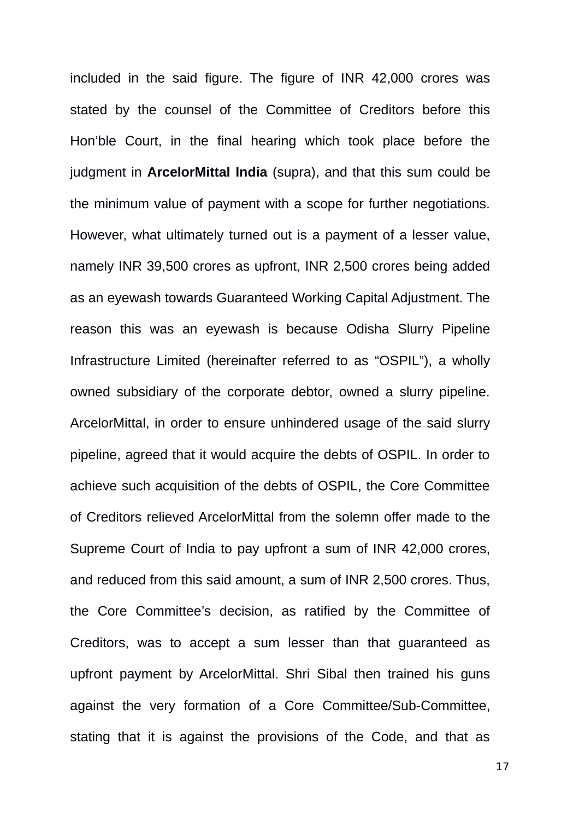included in the said figure. The figure of INR 42,000 crores was stated by the counsel of the Committee of Creditors before this Hon'ble Court, in the final hearing which took place before the judgment in **ArcelorMittal India** (supra), and that this sum could be the minimum value of payment with a scope for further negotiations. However, what ultimately turned out is a payment of a lesser value, namely INR 39,500 crores as upfront, INR 2,500 crores being added as an eyewash towards Guaranteed Working Capital Adjustment. The reason this was an eyewash is because Odisha Slurry Pipeline Infrastructure Limited (hereinafter referred to as "OSPIL"), a wholly owned subsidiary of the corporate debtor, owned a slurry pipeline. ArcelorMittal, in order to ensure unhindered usage of the said slurry pipeline, agreed that it would acquire the debts of OSPIL. In order to achieve such acquisition of the debts of OSPIL, the Core Committee of Creditors relieved ArcelorMittal from the solemn offer made to the Supreme Court of India to pay upfront a sum of INR 42,000 crores, and reduced from this said amount, a sum of INR 2,500 crores. Thus, the Core Committee's decision, as ratified by the Committee of Creditors, was to accept a sum lesser than that guaranteed as upfront payment by ArcelorMittal. Shri Sibal then trained his guns against the very formation of a Core Committee/Sub-Committee, stating that it is against the provisions of the Code, and that as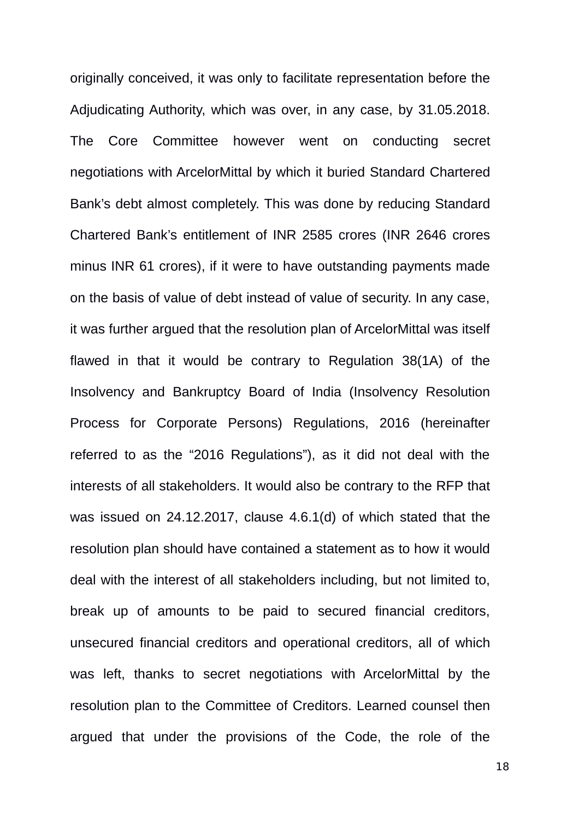originally conceived, it was only to facilitate representation before the Adjudicating Authority, which was over, in any case, by 31.05.2018. The Core Committee however went on conducting secret negotiations with ArcelorMittal by which it buried Standard Chartered Bank's debt almost completely. This was done by reducing Standard Chartered Bank's entitlement of INR 2585 crores (INR 2646 crores minus INR 61 crores), if it were to have outstanding payments made on the basis of value of debt instead of value of security. In any case, it was further argued that the resolution plan of ArcelorMittal was itself flawed in that it would be contrary to Regulation 38(1A) of the Insolvency and Bankruptcy Board of India (Insolvency Resolution Process for Corporate Persons) Regulations, 2016 (hereinafter referred to as the "2016 Regulations"), as it did not deal with the interests of all stakeholders. It would also be contrary to the RFP that was issued on 24.12.2017, clause 4.6.1(d) of which stated that the resolution plan should have contained a statement as to how it would deal with the interest of all stakeholders including, but not limited to, break up of amounts to be paid to secured financial creditors, unsecured financial creditors and operational creditors, all of which was left, thanks to secret negotiations with ArcelorMittal by the resolution plan to the Committee of Creditors. Learned counsel then argued that under the provisions of the Code, the role of the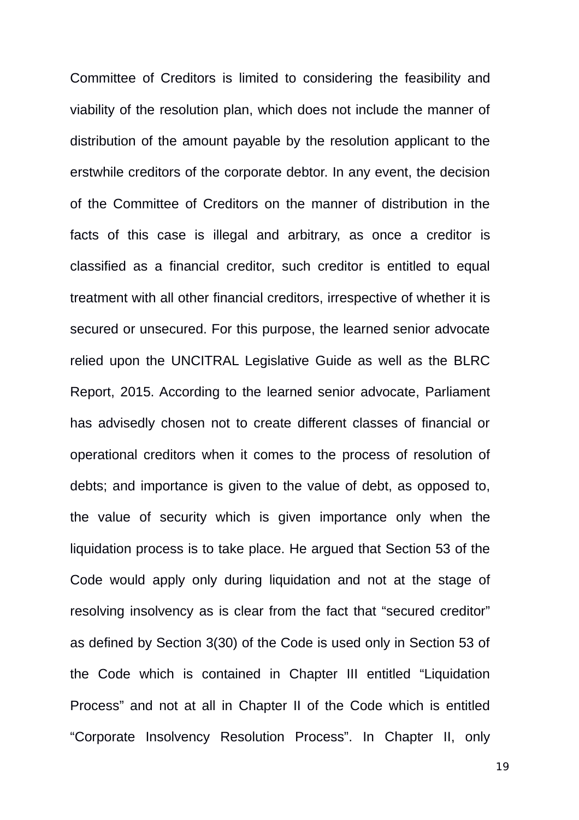Committee of Creditors is limited to considering the feasibility and viability of the resolution plan, which does not include the manner of distribution of the amount payable by the resolution applicant to the erstwhile creditors of the corporate debtor. In any event, the decision of the Committee of Creditors on the manner of distribution in the facts of this case is illegal and arbitrary, as once a creditor is classified as a financial creditor, such creditor is entitled to equal treatment with all other financial creditors, irrespective of whether it is secured or unsecured. For this purpose, the learned senior advocate relied upon the UNCITRAL Legislative Guide as well as the BLRC Report, 2015. According to the learned senior advocate, Parliament has advisedly chosen not to create different classes of financial or operational creditors when it comes to the process of resolution of debts; and importance is given to the value of debt, as opposed to, the value of security which is given importance only when the liquidation process is to take place. He argued that Section 53 of the Code would apply only during liquidation and not at the stage of resolving insolvency as is clear from the fact that "secured creditor" as defined by Section 3(30) of the Code is used only in Section 53 of the Code which is contained in Chapter III entitled "Liquidation Process" and not at all in Chapter II of the Code which is entitled "Corporate Insolvency Resolution Process". In Chapter II, only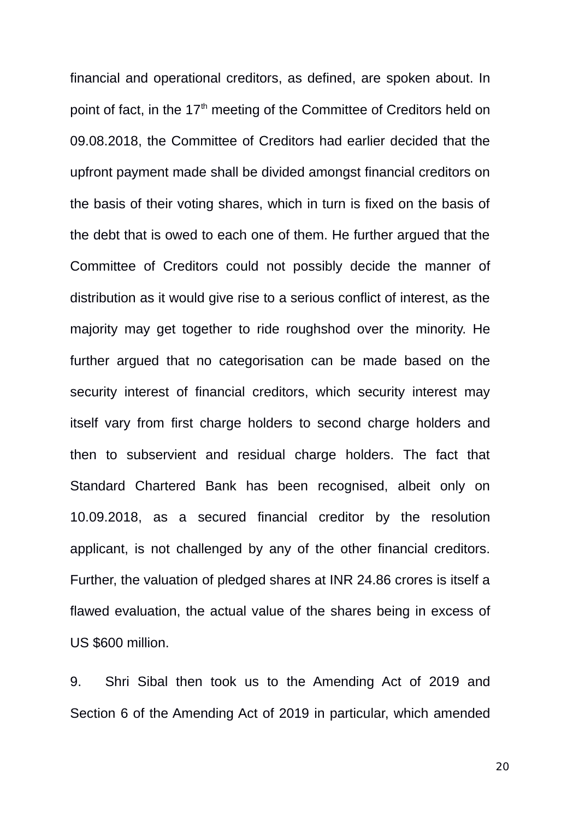financial and operational creditors, as defined, are spoken about. In point of fact, in the 17<sup>th</sup> meeting of the Committee of Creditors held on 09.08.2018, the Committee of Creditors had earlier decided that the upfront payment made shall be divided amongst financial creditors on the basis of their voting shares, which in turn is fixed on the basis of the debt that is owed to each one of them. He further argued that the Committee of Creditors could not possibly decide the manner of distribution as it would give rise to a serious conflict of interest, as the majority may get together to ride roughshod over the minority. He further argued that no categorisation can be made based on the security interest of financial creditors, which security interest may itself vary from first charge holders to second charge holders and then to subservient and residual charge holders. The fact that Standard Chartered Bank has been recognised, albeit only on 10.09.2018, as a secured financial creditor by the resolution applicant, is not challenged by any of the other financial creditors. Further, the valuation of pledged shares at INR 24.86 crores is itself a flawed evaluation, the actual value of the shares being in excess of US \$600 million.

9. Shri Sibal then took us to the Amending Act of 2019 and Section 6 of the Amending Act of 2019 in particular, which amended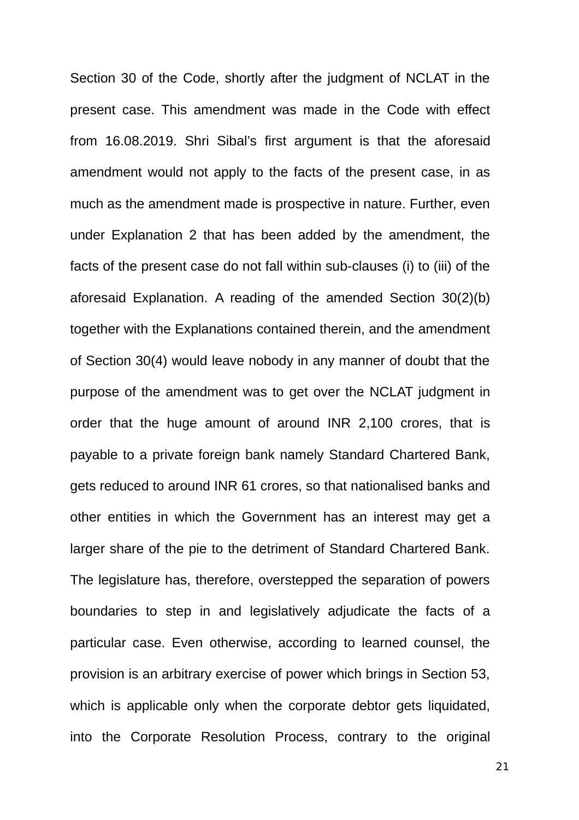Section 30 of the Code, shortly after the judgment of NCLAT in the present case. This amendment was made in the Code with effect from 16.08.2019. Shri Sibal's first argument is that the aforesaid amendment would not apply to the facts of the present case, in as much as the amendment made is prospective in nature. Further, even under Explanation 2 that has been added by the amendment, the facts of the present case do not fall within sub-clauses (i) to (iii) of the aforesaid Explanation. A reading of the amended Section 30(2)(b) together with the Explanations contained therein, and the amendment of Section 30(4) would leave nobody in any manner of doubt that the purpose of the amendment was to get over the NCLAT judgment in order that the huge amount of around INR 2,100 crores, that is payable to a private foreign bank namely Standard Chartered Bank, gets reduced to around INR 61 crores, so that nationalised banks and other entities in which the Government has an interest may get a larger share of the pie to the detriment of Standard Chartered Bank. The legislature has, therefore, overstepped the separation of powers boundaries to step in and legislatively adjudicate the facts of a particular case. Even otherwise, according to learned counsel, the provision is an arbitrary exercise of power which brings in Section 53, which is applicable only when the corporate debtor gets liquidated, into the Corporate Resolution Process, contrary to the original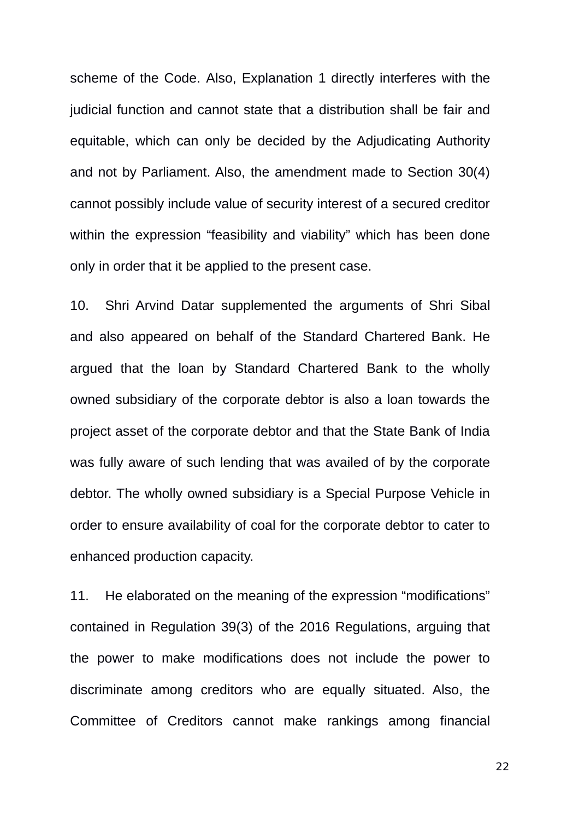scheme of the Code. Also, Explanation 1 directly interferes with the judicial function and cannot state that a distribution shall be fair and equitable, which can only be decided by the Adjudicating Authority and not by Parliament. Also, the amendment made to Section 30(4) cannot possibly include value of security interest of a secured creditor within the expression "feasibility and viability" which has been done only in order that it be applied to the present case.

10. Shri Arvind Datar supplemented the arguments of Shri Sibal and also appeared on behalf of the Standard Chartered Bank. He argued that the loan by Standard Chartered Bank to the wholly owned subsidiary of the corporate debtor is also a loan towards the project asset of the corporate debtor and that the State Bank of India was fully aware of such lending that was availed of by the corporate debtor. The wholly owned subsidiary is a Special Purpose Vehicle in order to ensure availability of coal for the corporate debtor to cater to enhanced production capacity.

11. He elaborated on the meaning of the expression "modifications" contained in Regulation 39(3) of the 2016 Regulations, arguing that the power to make modifications does not include the power to discriminate among creditors who are equally situated. Also, the Committee of Creditors cannot make rankings among financial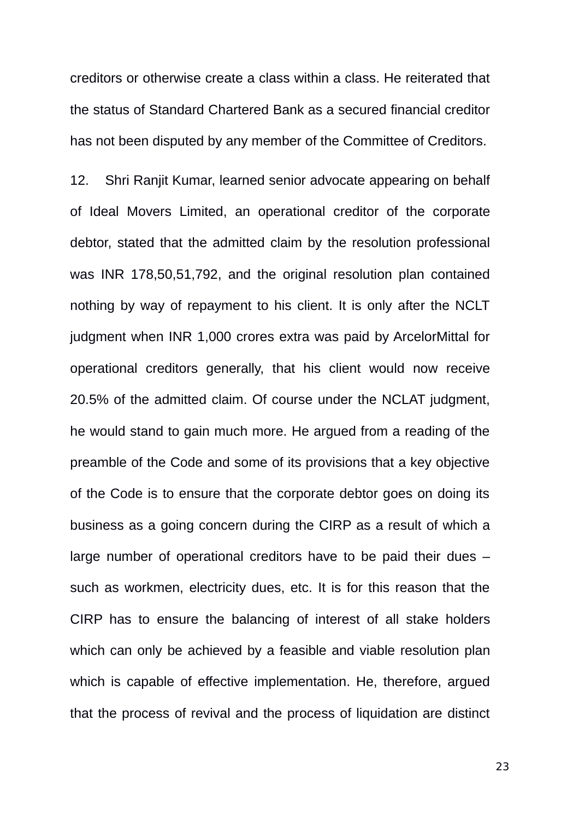creditors or otherwise create a class within a class. He reiterated that the status of Standard Chartered Bank as a secured financial creditor has not been disputed by any member of the Committee of Creditors.

12. Shri Ranjit Kumar, learned senior advocate appearing on behalf of Ideal Movers Limited, an operational creditor of the corporate debtor, stated that the admitted claim by the resolution professional was INR 178,50,51,792, and the original resolution plan contained nothing by way of repayment to his client. It is only after the NCLT judgment when INR 1,000 crores extra was paid by ArcelorMittal for operational creditors generally, that his client would now receive 20.5% of the admitted claim. Of course under the NCLAT judgment, he would stand to gain much more. He argued from a reading of the preamble of the Code and some of its provisions that a key objective of the Code is to ensure that the corporate debtor goes on doing its business as a going concern during the CIRP as a result of which a large number of operational creditors have to be paid their dues – such as workmen, electricity dues, etc. It is for this reason that the CIRP has to ensure the balancing of interest of all stake holders which can only be achieved by a feasible and viable resolution plan which is capable of effective implementation. He, therefore, argued that the process of revival and the process of liquidation are distinct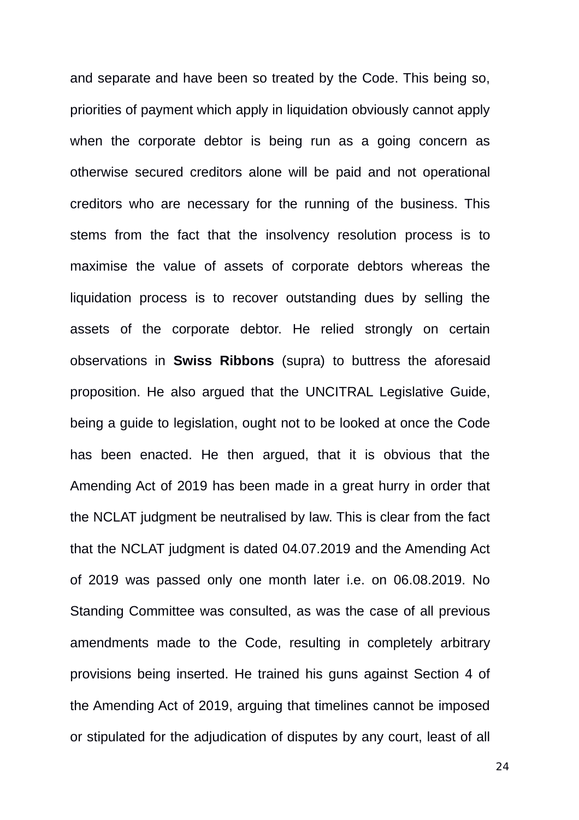and separate and have been so treated by the Code. This being so, priorities of payment which apply in liquidation obviously cannot apply when the corporate debtor is being run as a going concern as otherwise secured creditors alone will be paid and not operational creditors who are necessary for the running of the business. This stems from the fact that the insolvency resolution process is to maximise the value of assets of corporate debtors whereas the liquidation process is to recover outstanding dues by selling the assets of the corporate debtor. He relied strongly on certain observations in **Swiss Ribbons** (supra) to buttress the aforesaid proposition. He also argued that the UNCITRAL Legislative Guide, being a guide to legislation, ought not to be looked at once the Code has been enacted. He then argued, that it is obvious that the Amending Act of 2019 has been made in a great hurry in order that the NCLAT judgment be neutralised by law. This is clear from the fact that the NCLAT judgment is dated 04.07.2019 and the Amending Act of 2019 was passed only one month later i.e. on 06.08.2019. No Standing Committee was consulted, as was the case of all previous amendments made to the Code, resulting in completely arbitrary provisions being inserted. He trained his guns against Section 4 of the Amending Act of 2019, arguing that timelines cannot be imposed or stipulated for the adjudication of disputes by any court, least of all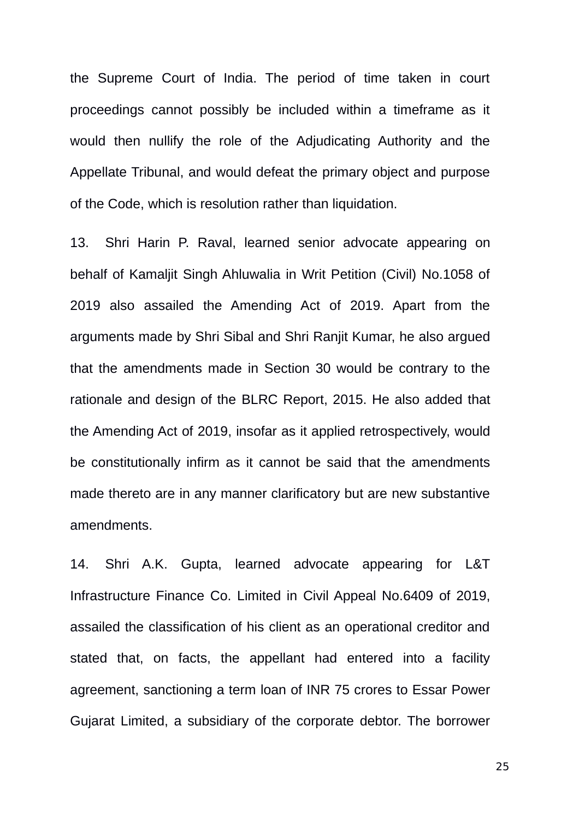the Supreme Court of India. The period of time taken in court proceedings cannot possibly be included within a timeframe as it would then nullify the role of the Adjudicating Authority and the Appellate Tribunal, and would defeat the primary object and purpose of the Code, which is resolution rather than liquidation.

13. Shri Harin P. Raval, learned senior advocate appearing on behalf of Kamaljit Singh Ahluwalia in Writ Petition (Civil) No.1058 of 2019 also assailed the Amending Act of 2019. Apart from the arguments made by Shri Sibal and Shri Ranjit Kumar, he also argued that the amendments made in Section 30 would be contrary to the rationale and design of the BLRC Report, 2015. He also added that the Amending Act of 2019, insofar as it applied retrospectively, would be constitutionally infirm as it cannot be said that the amendments made thereto are in any manner clarificatory but are new substantive amendments.

14. Shri A.K. Gupta, learned advocate appearing for L&T Infrastructure Finance Co. Limited in Civil Appeal No.6409 of 2019, assailed the classification of his client as an operational creditor and stated that, on facts, the appellant had entered into a facility agreement, sanctioning a term loan of INR 75 crores to Essar Power Gujarat Limited, a subsidiary of the corporate debtor. The borrower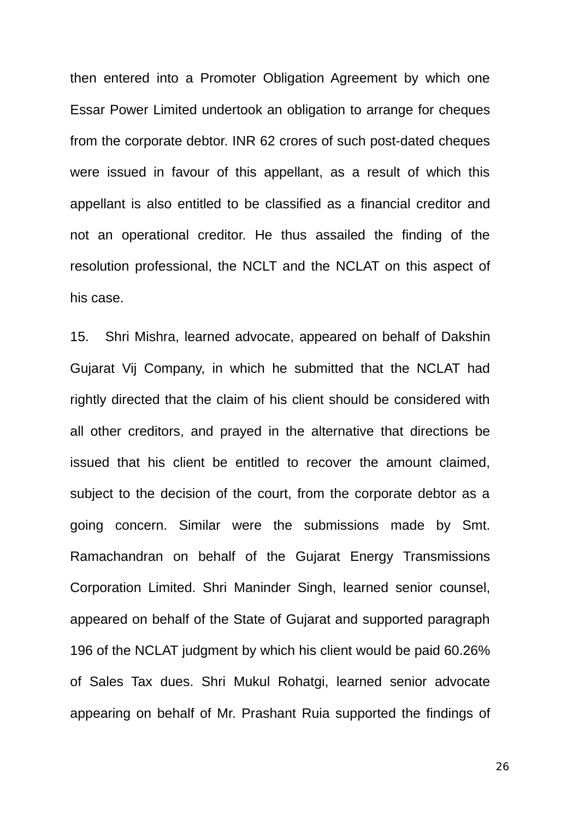then entered into a Promoter Obligation Agreement by which one Essar Power Limited undertook an obligation to arrange for cheques from the corporate debtor. INR 62 crores of such post-dated cheques were issued in favour of this appellant, as a result of which this appellant is also entitled to be classified as a financial creditor and not an operational creditor. He thus assailed the finding of the resolution professional, the NCLT and the NCLAT on this aspect of his case.

15. Shri Mishra, learned advocate, appeared on behalf of Dakshin Gujarat Vij Company, in which he submitted that the NCLAT had rightly directed that the claim of his client should be considered with all other creditors, and prayed in the alternative that directions be issued that his client be entitled to recover the amount claimed, subject to the decision of the court, from the corporate debtor as a going concern. Similar were the submissions made by Smt. Ramachandran on behalf of the Gujarat Energy Transmissions Corporation Limited. Shri Maninder Singh, learned senior counsel, appeared on behalf of the State of Gujarat and supported paragraph 196 of the NCLAT judgment by which his client would be paid 60.26% of Sales Tax dues. Shri Mukul Rohatgi, learned senior advocate appearing on behalf of Mr. Prashant Ruia supported the findings of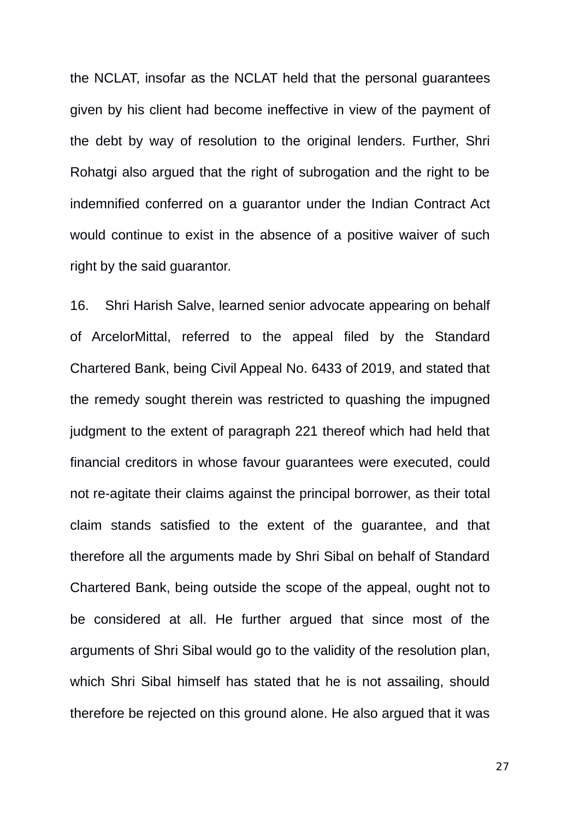the NCLAT, insofar as the NCLAT held that the personal guarantees given by his client had become ineffective in view of the payment of the debt by way of resolution to the original lenders. Further, Shri Rohatgi also argued that the right of subrogation and the right to be indemnified conferred on a guarantor under the Indian Contract Act would continue to exist in the absence of a positive waiver of such right by the said guarantor.

16. Shri Harish Salve, learned senior advocate appearing on behalf of ArcelorMittal, referred to the appeal filed by the Standard Chartered Bank, being Civil Appeal No. 6433 of 2019, and stated that the remedy sought therein was restricted to quashing the impugned judgment to the extent of paragraph 221 thereof which had held that financial creditors in whose favour guarantees were executed, could not re-agitate their claims against the principal borrower, as their total claim stands satisfied to the extent of the guarantee, and that therefore all the arguments made by Shri Sibal on behalf of Standard Chartered Bank, being outside the scope of the appeal, ought not to be considered at all. He further argued that since most of the arguments of Shri Sibal would go to the validity of the resolution plan, which Shri Sibal himself has stated that he is not assailing, should therefore be rejected on this ground alone. He also argued that it was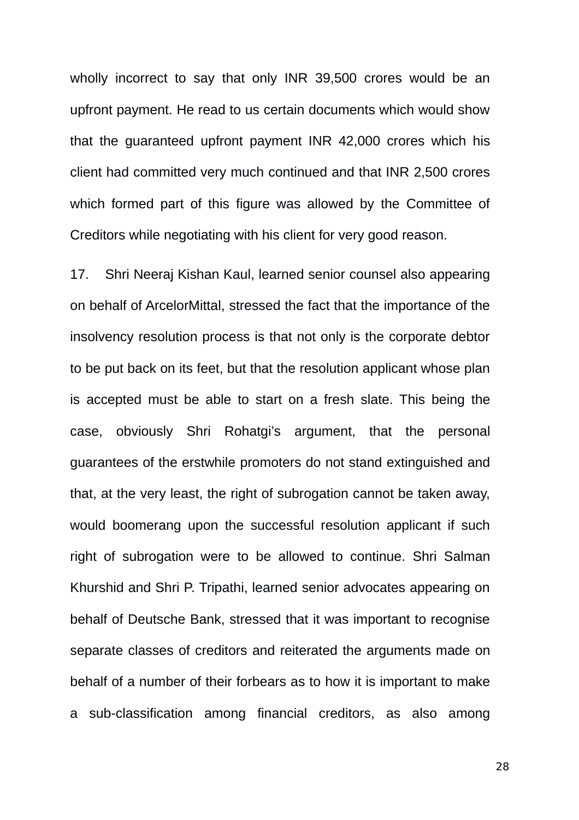wholly incorrect to say that only INR 39,500 crores would be an upfront payment. He read to us certain documents which would show that the guaranteed upfront payment INR 42,000 crores which his client had committed very much continued and that INR 2,500 crores which formed part of this figure was allowed by the Committee of Creditors while negotiating with his client for very good reason.

17. Shri Neeraj Kishan Kaul, learned senior counsel also appearing on behalf of ArcelorMittal, stressed the fact that the importance of the insolvency resolution process is that not only is the corporate debtor to be put back on its feet, but that the resolution applicant whose plan is accepted must be able to start on a fresh slate. This being the case, obviously Shri Rohatgi's argument, that the personal guarantees of the erstwhile promoters do not stand extinguished and that, at the very least, the right of subrogation cannot be taken away, would boomerang upon the successful resolution applicant if such right of subrogation were to be allowed to continue. Shri Salman Khurshid and Shri P. Tripathi, learned senior advocates appearing on behalf of Deutsche Bank, stressed that it was important to recognise separate classes of creditors and reiterated the arguments made on behalf of a number of their forbears as to how it is important to make a sub-classification among financial creditors, as also among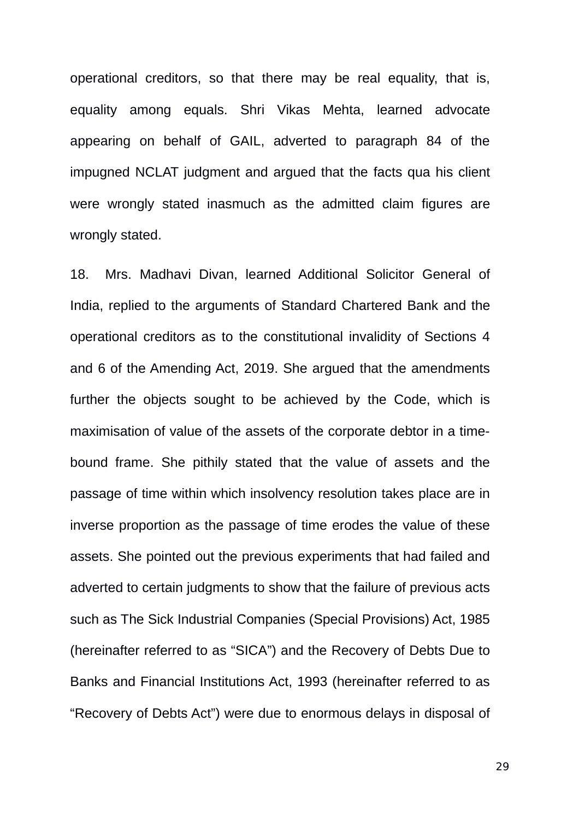operational creditors, so that there may be real equality, that is, equality among equals. Shri Vikas Mehta, learned advocate appearing on behalf of GAIL, adverted to paragraph 84 of the impugned NCLAT judgment and argued that the facts qua his client were wrongly stated inasmuch as the admitted claim figures are wrongly stated.

18. Mrs. Madhavi Divan, learned Additional Solicitor General of India, replied to the arguments of Standard Chartered Bank and the operational creditors as to the constitutional invalidity of Sections 4 and 6 of the Amending Act, 2019. She argued that the amendments further the objects sought to be achieved by the Code, which is maximisation of value of the assets of the corporate debtor in a timebound frame. She pithily stated that the value of assets and the passage of time within which insolvency resolution takes place are in inverse proportion as the passage of time erodes the value of these assets. She pointed out the previous experiments that had failed and adverted to certain judgments to show that the failure of previous acts such as The Sick Industrial Companies (Special Provisions) Act, 1985 (hereinafter referred to as "SICA") and the Recovery of Debts Due to Banks and Financial Institutions Act, 1993 (hereinafter referred to as "Recovery of Debts Act") were due to enormous delays in disposal of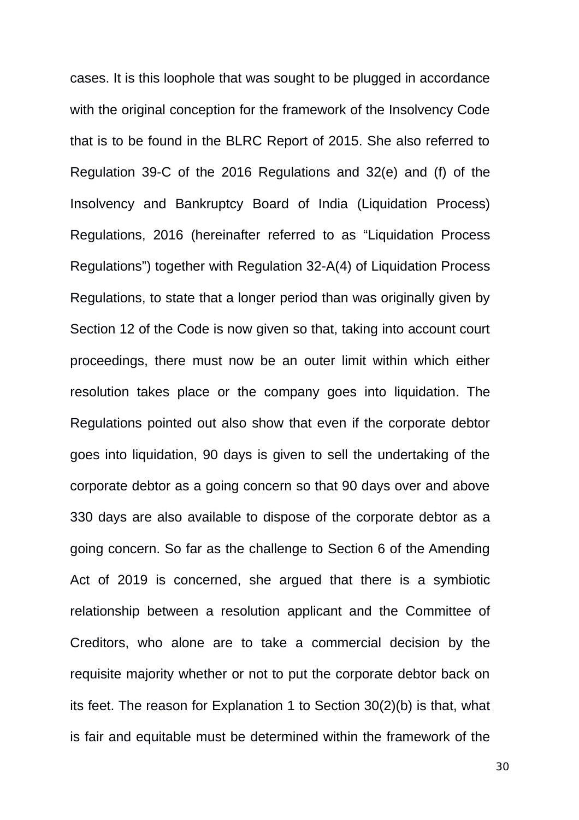cases. It is this loophole that was sought to be plugged in accordance with the original conception for the framework of the Insolvency Code that is to be found in the BLRC Report of 2015. She also referred to Regulation 39-C of the 2016 Regulations and 32(e) and (f) of the Insolvency and Bankruptcy Board of India (Liquidation Process) Regulations, 2016 (hereinafter referred to as "Liquidation Process Regulations") together with Regulation 32-A(4) of Liquidation Process Regulations, to state that a longer period than was originally given by Section 12 of the Code is now given so that, taking into account court proceedings, there must now be an outer limit within which either resolution takes place or the company goes into liquidation. The Regulations pointed out also show that even if the corporate debtor goes into liquidation, 90 days is given to sell the undertaking of the corporate debtor as a going concern so that 90 days over and above 330 days are also available to dispose of the corporate debtor as a going concern. So far as the challenge to Section 6 of the Amending Act of 2019 is concerned, she argued that there is a symbiotic relationship between a resolution applicant and the Committee of Creditors, who alone are to take a commercial decision by the requisite majority whether or not to put the corporate debtor back on its feet. The reason for Explanation 1 to Section 30(2)(b) is that, what is fair and equitable must be determined within the framework of the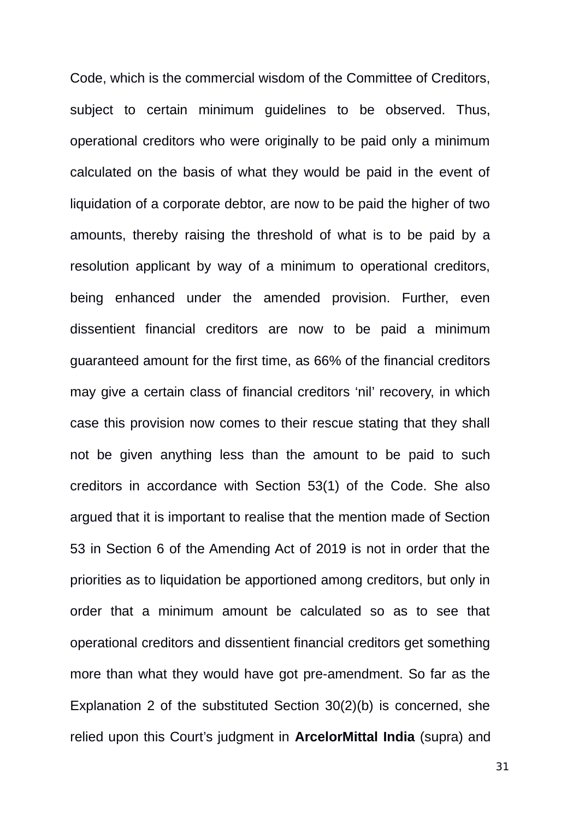Code, which is the commercial wisdom of the Committee of Creditors, subject to certain minimum guidelines to be observed. Thus, operational creditors who were originally to be paid only a minimum calculated on the basis of what they would be paid in the event of liquidation of a corporate debtor, are now to be paid the higher of two amounts, thereby raising the threshold of what is to be paid by a resolution applicant by way of a minimum to operational creditors, being enhanced under the amended provision. Further, even dissentient financial creditors are now to be paid a minimum guaranteed amount for the first time, as 66% of the financial creditors may give a certain class of financial creditors 'nil' recovery, in which case this provision now comes to their rescue stating that they shall not be given anything less than the amount to be paid to such creditors in accordance with Section 53(1) of the Code. She also argued that it is important to realise that the mention made of Section 53 in Section 6 of the Amending Act of 2019 is not in order that the priorities as to liquidation be apportioned among creditors, but only in order that a minimum amount be calculated so as to see that operational creditors and dissentient financial creditors get something more than what they would have got pre-amendment. So far as the Explanation 2 of the substituted Section 30(2)(b) is concerned, she relied upon this Court's judgment in **ArcelorMittal India** (supra) and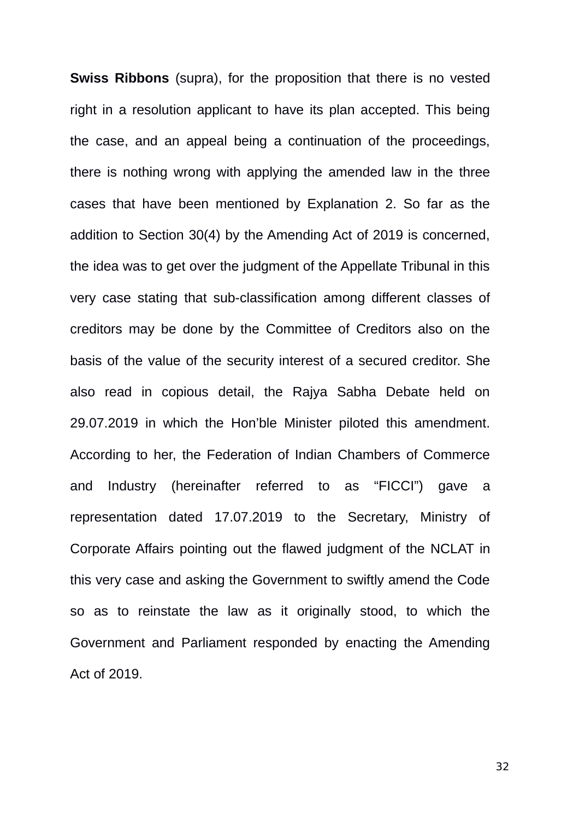**Swiss Ribbons** (supra), for the proposition that there is no vested right in a resolution applicant to have its plan accepted. This being the case, and an appeal being a continuation of the proceedings, there is nothing wrong with applying the amended law in the three cases that have been mentioned by Explanation 2. So far as the addition to Section 30(4) by the Amending Act of 2019 is concerned, the idea was to get over the judgment of the Appellate Tribunal in this very case stating that sub-classification among different classes of creditors may be done by the Committee of Creditors also on the basis of the value of the security interest of a secured creditor. She also read in copious detail, the Rajya Sabha Debate held on 29.07.2019 in which the Hon'ble Minister piloted this amendment. According to her, the Federation of Indian Chambers of Commerce and Industry (hereinafter referred to as "FICCI") gave a representation dated 17.07.2019 to the Secretary, Ministry of Corporate Affairs pointing out the flawed judgment of the NCLAT in this very case and asking the Government to swiftly amend the Code so as to reinstate the law as it originally stood, to which the Government and Parliament responded by enacting the Amending Act of 2019.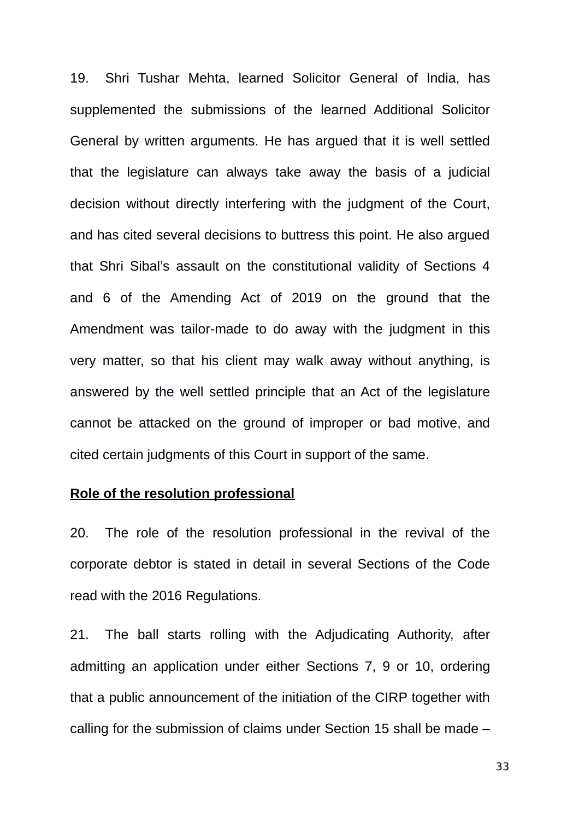19. Shri Tushar Mehta, learned Solicitor General of India, has supplemented the submissions of the learned Additional Solicitor General by written arguments. He has argued that it is well settled that the legislature can always take away the basis of a judicial decision without directly interfering with the judgment of the Court, and has cited several decisions to buttress this point. He also argued that Shri Sibal's assault on the constitutional validity of Sections 4 and 6 of the Amending Act of 2019 on the ground that the Amendment was tailor-made to do away with the judgment in this very matter, so that his client may walk away without anything, is answered by the well settled principle that an Act of the legislature cannot be attacked on the ground of improper or bad motive, and cited certain judgments of this Court in support of the same.

### **Role of the resolution professional**

20. The role of the resolution professional in the revival of the corporate debtor is stated in detail in several Sections of the Code read with the 2016 Regulations.

21. The ball starts rolling with the Adjudicating Authority, after admitting an application under either Sections 7, 9 or 10, ordering that a public announcement of the initiation of the CIRP together with calling for the submission of claims under Section 15 shall be made –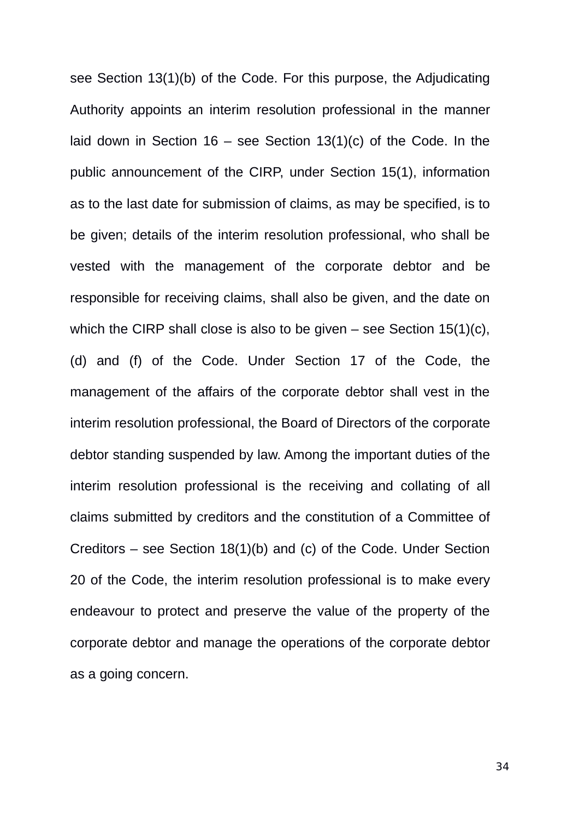see Section 13(1)(b) of the Code. For this purpose, the Adjudicating Authority appoints an interim resolution professional in the manner laid down in Section  $16$  – see Section  $13(1)(c)$  of the Code. In the public announcement of the CIRP, under Section 15(1), information as to the last date for submission of claims, as may be specified, is to be given; details of the interim resolution professional, who shall be vested with the management of the corporate debtor and be responsible for receiving claims, shall also be given, and the date on which the CIRP shall close is also to be given – see Section 15(1)(c), (d) and (f) of the Code. Under Section 17 of the Code, the management of the affairs of the corporate debtor shall vest in the interim resolution professional, the Board of Directors of the corporate debtor standing suspended by law. Among the important duties of the interim resolution professional is the receiving and collating of all claims submitted by creditors and the constitution of a Committee of Creditors – see Section 18(1)(b) and (c) of the Code. Under Section 20 of the Code, the interim resolution professional is to make every endeavour to protect and preserve the value of the property of the corporate debtor and manage the operations of the corporate debtor as a going concern.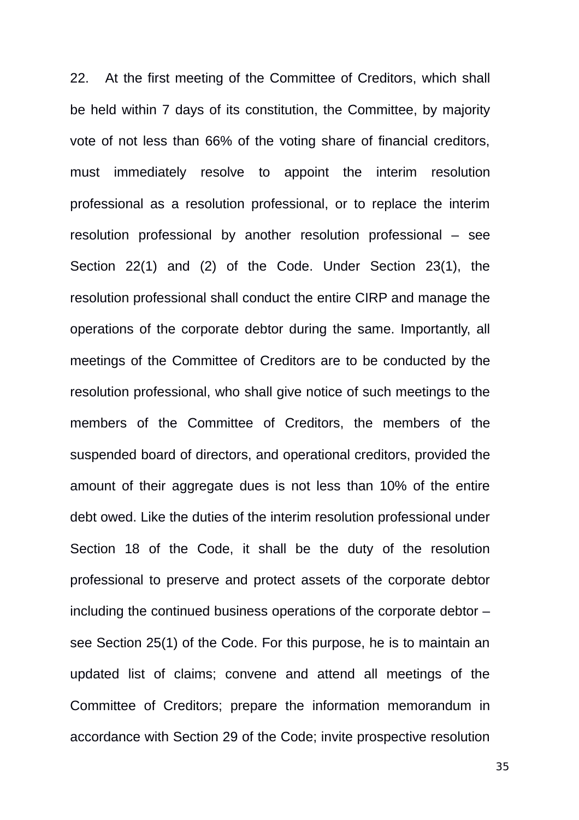22. At the first meeting of the Committee of Creditors, which shall be held within 7 days of its constitution, the Committee, by majority vote of not less than 66% of the voting share of financial creditors, must immediately resolve to appoint the interim resolution professional as a resolution professional, or to replace the interim resolution professional by another resolution professional – see Section 22(1) and (2) of the Code. Under Section 23(1), the resolution professional shall conduct the entire CIRP and manage the operations of the corporate debtor during the same. Importantly, all meetings of the Committee of Creditors are to be conducted by the resolution professional, who shall give notice of such meetings to the members of the Committee of Creditors, the members of the suspended board of directors, and operational creditors, provided the amount of their aggregate dues is not less than 10% of the entire debt owed. Like the duties of the interim resolution professional under Section 18 of the Code, it shall be the duty of the resolution professional to preserve and protect assets of the corporate debtor including the continued business operations of the corporate debtor – see Section 25(1) of the Code. For this purpose, he is to maintain an updated list of claims; convene and attend all meetings of the Committee of Creditors; prepare the information memorandum in accordance with Section 29 of the Code; invite prospective resolution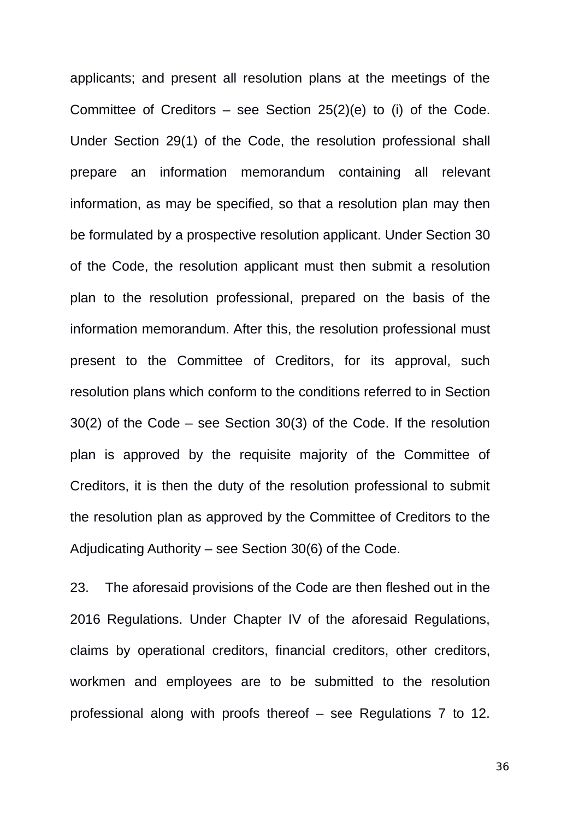applicants; and present all resolution plans at the meetings of the Committee of Creditors – see Section 25(2)(e) to (i) of the Code. Under Section 29(1) of the Code, the resolution professional shall prepare an information memorandum containing all relevant information, as may be specified, so that a resolution plan may then be formulated by a prospective resolution applicant. Under Section 30 of the Code, the resolution applicant must then submit a resolution plan to the resolution professional, prepared on the basis of the information memorandum. After this, the resolution professional must present to the Committee of Creditors, for its approval, such resolution plans which conform to the conditions referred to in Section 30(2) of the Code – see Section 30(3) of the Code. If the resolution plan is approved by the requisite majority of the Committee of Creditors, it is then the duty of the resolution professional to submit the resolution plan as approved by the Committee of Creditors to the Adjudicating Authority – see Section 30(6) of the Code.

23. The aforesaid provisions of the Code are then fleshed out in the 2016 Regulations. Under Chapter IV of the aforesaid Regulations, claims by operational creditors, financial creditors, other creditors, workmen and employees are to be submitted to the resolution professional along with proofs thereof – see Regulations 7 to 12.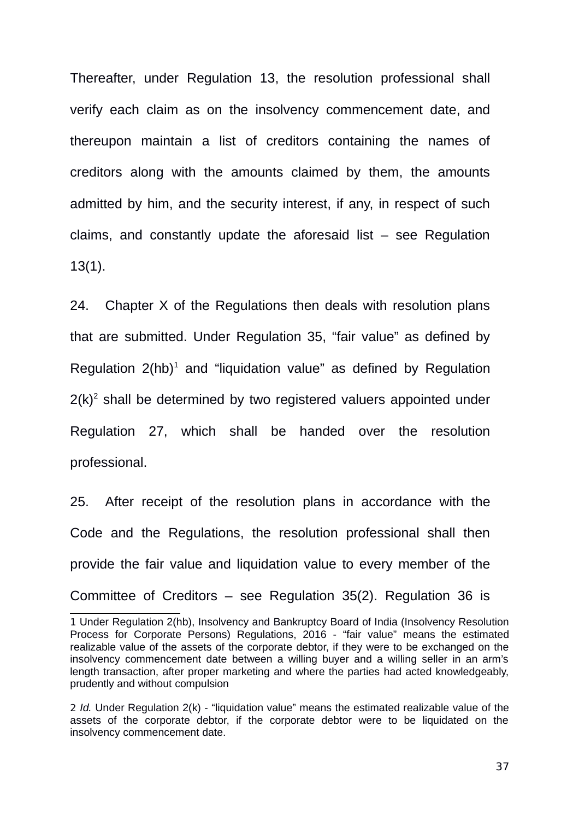Thereafter, under Regulation 13, the resolution professional shall verify each claim as on the insolvency commencement date, and thereupon maintain a list of creditors containing the names of creditors along with the amounts claimed by them, the amounts admitted by him, and the security interest, if any, in respect of such claims, and constantly update the aforesaid list – see Regulation 13(1).

24. Chapter X of the Regulations then deals with resolution plans that are submitted. Under Regulation 35, "fair value" as defined by Regulation  $2(hb)^1$  $2(hb)^1$  and "liquidation value" as defined by Regulation  $2(k)^2$  $2(k)^2$  shall be determined by two registered valuers appointed under Regulation 27, which shall be handed over the resolution professional.

25. After receipt of the resolution plans in accordance with the Code and the Regulations, the resolution professional shall then provide the fair value and liquidation value to every member of the Committee of Creditors – see Regulation 35(2). Regulation 36 is

<span id="page-36-0"></span><sup>1</sup> Under Regulation 2(hb), Insolvency and Bankruptcy Board of India (Insolvency Resolution Process for Corporate Persons) Regulations, 2016 - "fair value" means the estimated realizable value of the assets of the corporate debtor, if they were to be exchanged on the insolvency commencement date between a willing buyer and a willing seller in an arm's length transaction, after proper marketing and where the parties had acted knowledgeably, prudently and without compulsion

<span id="page-36-1"></span><sup>2</sup> *Id.* Under Regulation 2(k) - "liquidation value" means the estimated realizable value of the assets of the corporate debtor, if the corporate debtor were to be liquidated on the insolvency commencement date.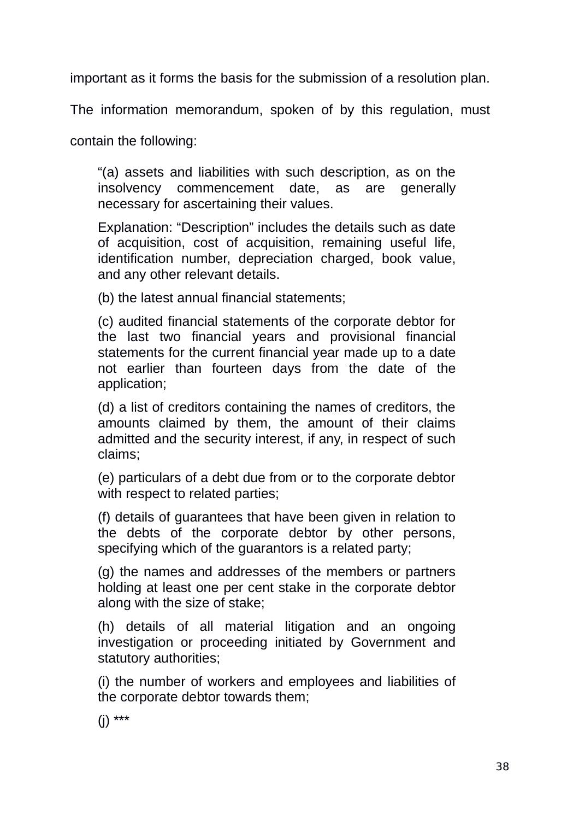important as it forms the basis for the submission of a resolution plan.

The information memorandum, spoken of by this regulation, must

contain the following:

"(a) assets and liabilities with such description, as on the insolvency commencement date, as are generally necessary for ascertaining their values.

Explanation: "Description" includes the details such as date of acquisition, cost of acquisition, remaining useful life, identification number, depreciation charged, book value, and any other relevant details.

(b) the latest annual financial statements;

(c) audited financial statements of the corporate debtor for the last two financial years and provisional financial statements for the current financial year made up to a date not earlier than fourteen days from the date of the application;

(d) a list of creditors containing the names of creditors, the amounts claimed by them, the amount of their claims admitted and the security interest, if any, in respect of such claims;

(e) particulars of a debt due from or to the corporate debtor with respect to related parties;

(f) details of guarantees that have been given in relation to the debts of the corporate debtor by other persons, specifying which of the guarantors is a related party;

(g) the names and addresses of the members or partners holding at least one per cent stake in the corporate debtor along with the size of stake;

(h) details of all material litigation and an ongoing investigation or proceeding initiated by Government and statutory authorities;

(i) the number of workers and employees and liabilities of the corporate debtor towards them;

 $(i)$  \*\*\*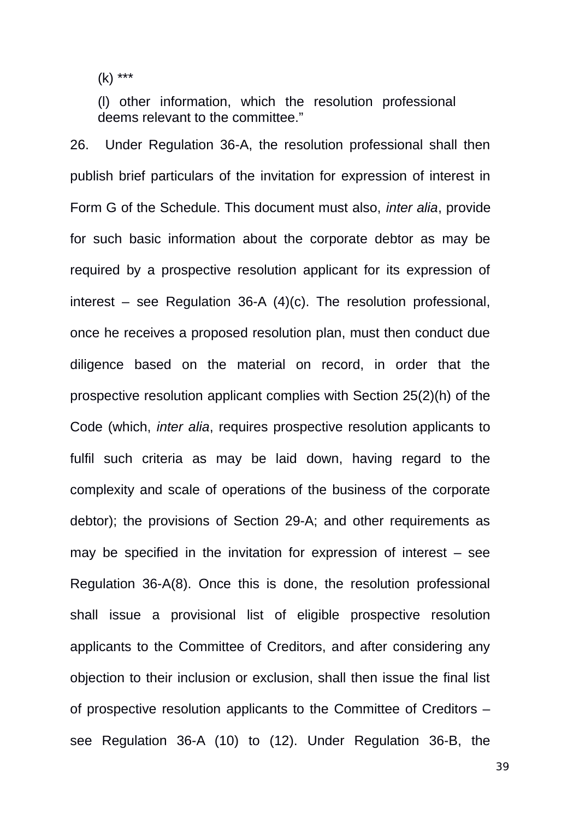(k) \*\*\*

(l) other information, which the resolution professional deems relevant to the committee."

26. Under Regulation 36-A, the resolution professional shall then publish brief particulars of the invitation for expression of interest in Form G of the Schedule. This document must also, *inter alia*, provide for such basic information about the corporate debtor as may be required by a prospective resolution applicant for its expression of interest – see Regulation 36-A (4)(c). The resolution professional, once he receives a proposed resolution plan, must then conduct due diligence based on the material on record, in order that the prospective resolution applicant complies with Section 25(2)(h) of the Code (which, *inter alia*, requires prospective resolution applicants to fulfil such criteria as may be laid down, having regard to the complexity and scale of operations of the business of the corporate debtor); the provisions of Section 29-A; and other requirements as may be specified in the invitation for expression of interest – see Regulation 36-A(8). Once this is done, the resolution professional shall issue a provisional list of eligible prospective resolution applicants to the Committee of Creditors, and after considering any objection to their inclusion or exclusion, shall then issue the final list of prospective resolution applicants to the Committee of Creditors – see Regulation 36-A (10) to (12). Under Regulation 36-B, the

39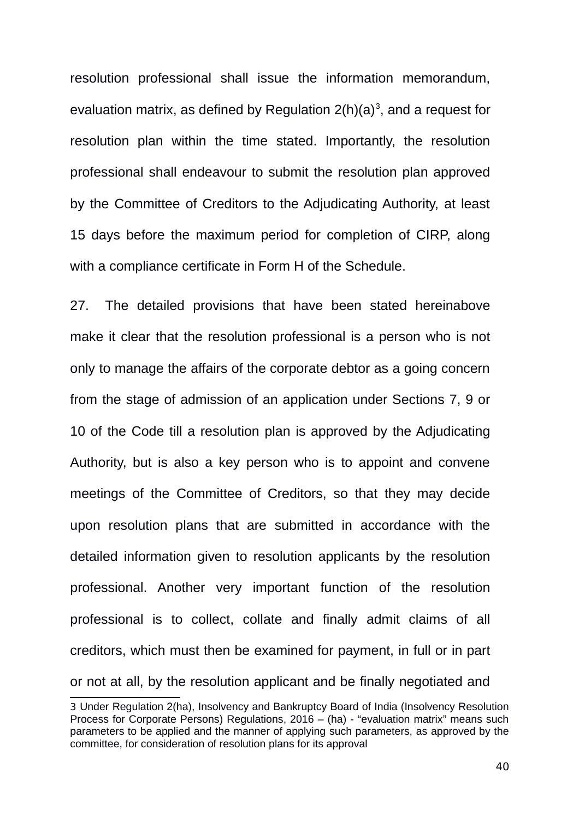resolution professional shall issue the information memorandum, evaluation matrix, as defined by Regulation 2(h)(a) $^3$  $^3$ , and a request for resolution plan within the time stated. Importantly, the resolution professional shall endeavour to submit the resolution plan approved by the Committee of Creditors to the Adjudicating Authority, at least 15 days before the maximum period for completion of CIRP, along with a compliance certificate in Form H of the Schedule.

27. The detailed provisions that have been stated hereinabove make it clear that the resolution professional is a person who is not only to manage the affairs of the corporate debtor as a going concern from the stage of admission of an application under Sections 7, 9 or 10 of the Code till a resolution plan is approved by the Adjudicating Authority, but is also a key person who is to appoint and convene meetings of the Committee of Creditors, so that they may decide upon resolution plans that are submitted in accordance with the detailed information given to resolution applicants by the resolution professional. Another very important function of the resolution professional is to collect, collate and finally admit claims of all creditors, which must then be examined for payment, in full or in part or not at all, by the resolution applicant and be finally negotiated and

<span id="page-39-0"></span><sup>3</sup> Under Regulation 2(ha), Insolvency and Bankruptcy Board of India (Insolvency Resolution Process for Corporate Persons) Regulations, 2016 – (ha) - "evaluation matrix" means such parameters to be applied and the manner of applying such parameters, as approved by the committee, for consideration of resolution plans for its approval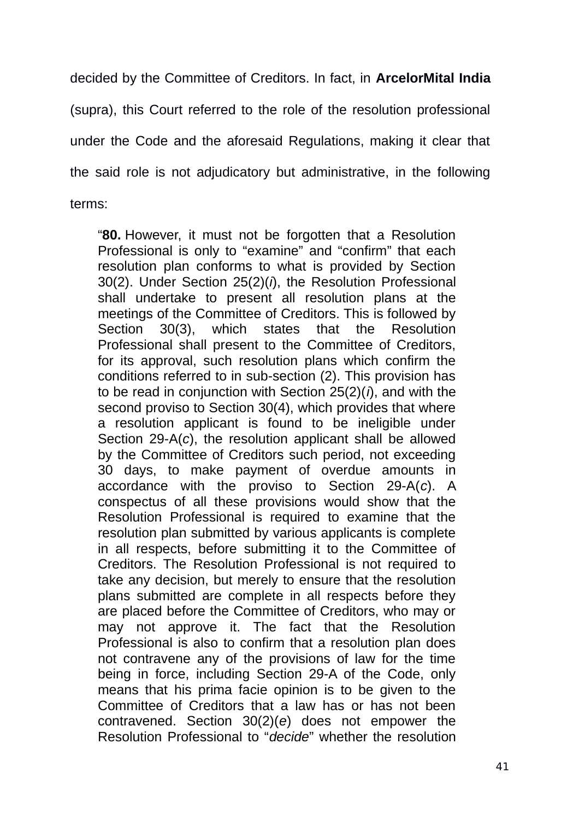decided by the Committee of Creditors. In fact, in **ArcelorMital India** (supra), this Court referred to the role of the resolution professional under the Code and the aforesaid Regulations, making it clear that the said role is not adjudicatory but administrative, in the following terms:

"**80.** However, it must not be forgotten that a Resolution Professional is only to "examine" and "confirm" that each resolution plan conforms to what is provided by Section 30(2). Under Section 25(2)(*i*), the Resolution Professional shall undertake to present all resolution plans at the meetings of the Committee of Creditors. This is followed by Section 30(3), which states that the Resolution Professional shall present to the Committee of Creditors, for its approval, such resolution plans which confirm the conditions referred to in sub-section (2). This provision has to be read in conjunction with Section 25(2)(*i*), and with the second proviso to Section 30(4), which provides that where a resolution applicant is found to be ineligible under Section 29-A(*c*), the resolution applicant shall be allowed by the Committee of Creditors such period, not exceeding 30 days, to make payment of overdue amounts in accordance with the proviso to Section 29-A(*c*). A conspectus of all these provisions would show that the Resolution Professional is required to examine that the resolution plan submitted by various applicants is complete in all respects, before submitting it to the Committee of Creditors. The Resolution Professional is not required to take any decision, but merely to ensure that the resolution plans submitted are complete in all respects before they are placed before the Committee of Creditors, who may or may not approve it. The fact that the Resolution Professional is also to confirm that a resolution plan does not contravene any of the provisions of law for the time being in force, including Section 29-A of the Code, only means that his prima facie opinion is to be given to the Committee of Creditors that a law has or has not been contravened. Section 30(2)(*e*) does not empower the Resolution Professional to "*decide*" whether the resolution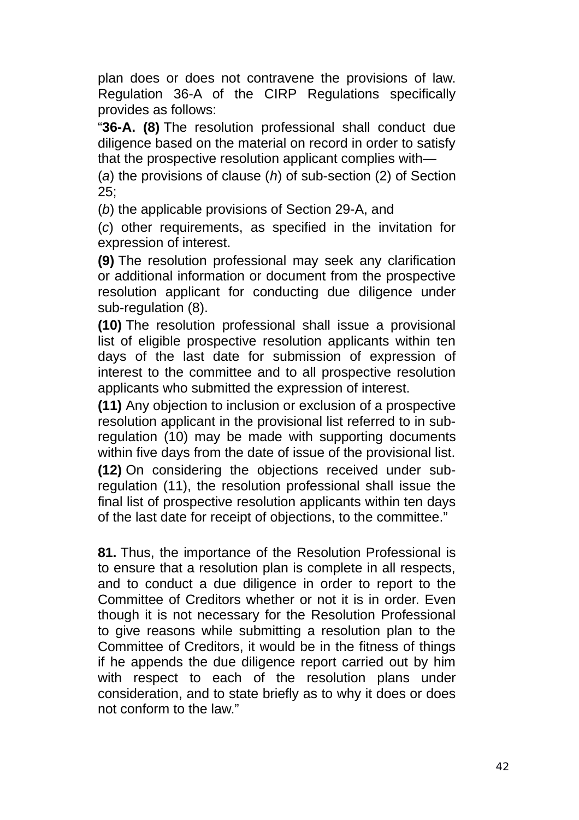plan does or does not contravene the provisions of law. Regulation 36-A of the CIRP Regulations specifically provides as follows:

"**36-A. (8)** The resolution professional shall conduct due diligence based on the material on record in order to satisfy that the prospective resolution applicant complies with—

(*a*) the provisions of clause (*h*) of sub-section (2) of Section 25;

(*b*) the applicable provisions of Section 29-A, and

(*c*) other requirements, as specified in the invitation for expression of interest.

**(9)** The resolution professional may seek any clarification or additional information or document from the prospective resolution applicant for conducting due diligence under sub-regulation (8).

**(10)** The resolution professional shall issue a provisional list of eligible prospective resolution applicants within ten days of the last date for submission of expression of interest to the committee and to all prospective resolution applicants who submitted the expression of interest.

**(11)** Any objection to inclusion or exclusion of a prospective resolution applicant in the provisional list referred to in subregulation (10) may be made with supporting documents within five days from the date of issue of the provisional list. **(12)** On considering the objections received under subregulation (11), the resolution professional shall issue the final list of prospective resolution applicants within ten days of the last date for receipt of objections, to the committee."

**81.** Thus, the importance of the Resolution Professional is to ensure that a resolution plan is complete in all respects, and to conduct a due diligence in order to report to the Committee of Creditors whether or not it is in order. Even though it is not necessary for the Resolution Professional to give reasons while submitting a resolution plan to the Committee of Creditors, it would be in the fitness of things if he appends the due diligence report carried out by him with respect to each of the resolution plans under consideration, and to state briefly as to why it does or does not conform to the law."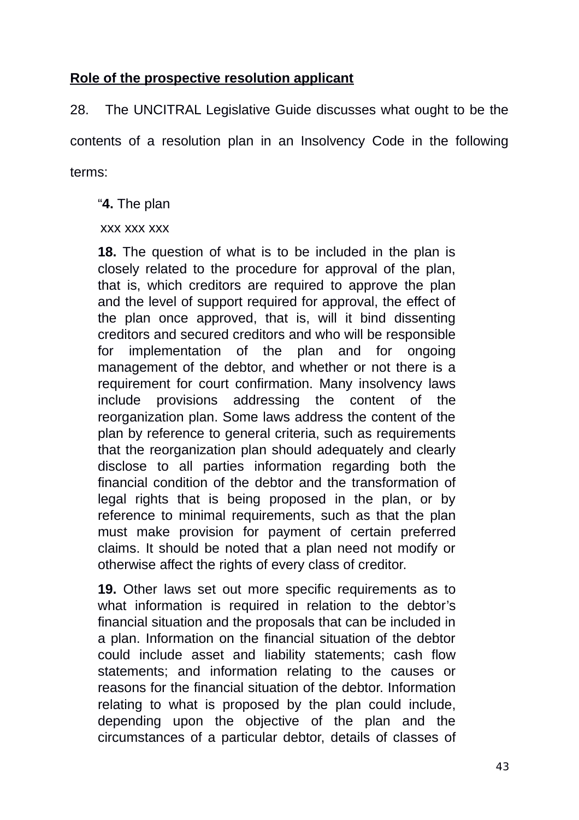# **Role of the prospective resolution applicant**

28. The UNCITRAL Legislative Guide discusses what ought to be the contents of a resolution plan in an Insolvency Code in the following terms:

"**4.** The plan

xxx xxx xxx

**18.** The question of what is to be included in the plan is closely related to the procedure for approval of the plan, that is, which creditors are required to approve the plan and the level of support required for approval, the effect of the plan once approved, that is, will it bind dissenting creditors and secured creditors and who will be responsible for implementation of the plan and for ongoing management of the debtor, and whether or not there is a requirement for court confirmation. Many insolvency laws include provisions addressing the content of the reorganization plan. Some laws address the content of the plan by reference to general criteria, such as requirements that the reorganization plan should adequately and clearly disclose to all parties information regarding both the financial condition of the debtor and the transformation of legal rights that is being proposed in the plan, or by reference to minimal requirements, such as that the plan must make provision for payment of certain preferred claims. It should be noted that a plan need not modify or otherwise affect the rights of every class of creditor.

**19.** Other laws set out more specific requirements as to what information is required in relation to the debtor's financial situation and the proposals that can be included in a plan. Information on the financial situation of the debtor could include asset and liability statements; cash flow statements; and information relating to the causes or reasons for the financial situation of the debtor. Information relating to what is proposed by the plan could include, depending upon the objective of the plan and the circumstances of a particular debtor, details of classes of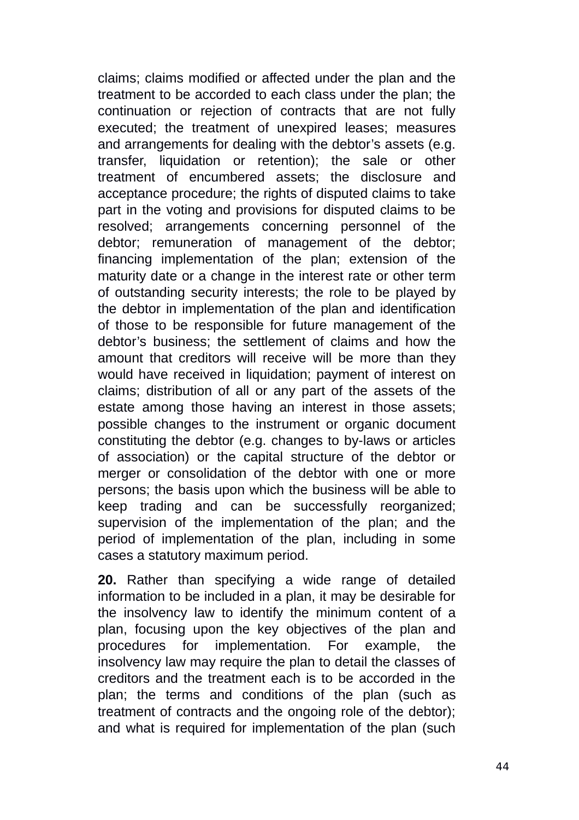claims; claims modified or affected under the plan and the treatment to be accorded to each class under the plan; the continuation or rejection of contracts that are not fully executed; the treatment of unexpired leases; measures and arrangements for dealing with the debtor's assets (e.g. transfer, liquidation or retention); the sale or other treatment of encumbered assets; the disclosure and acceptance procedure; the rights of disputed claims to take part in the voting and provisions for disputed claims to be resolved; arrangements concerning personnel of the debtor; remuneration of management of the debtor; financing implementation of the plan; extension of the maturity date or a change in the interest rate or other term of outstanding security interests; the role to be played by the debtor in implementation of the plan and identification of those to be responsible for future management of the debtor's business; the settlement of claims and how the amount that creditors will receive will be more than they would have received in liquidation; payment of interest on claims; distribution of all or any part of the assets of the estate among those having an interest in those assets; possible changes to the instrument or organic document constituting the debtor (e.g. changes to by-laws or articles of association) or the capital structure of the debtor or merger or consolidation of the debtor with one or more persons; the basis upon which the business will be able to keep trading and can be successfully reorganized; supervision of the implementation of the plan; and the period of implementation of the plan, including in some cases a statutory maximum period.

**20.** Rather than specifying a wide range of detailed information to be included in a plan, it may be desirable for the insolvency law to identify the minimum content of a plan, focusing upon the key objectives of the plan and procedures for implementation. For example, the insolvency law may require the plan to detail the classes of creditors and the treatment each is to be accorded in the plan; the terms and conditions of the plan (such as treatment of contracts and the ongoing role of the debtor); and what is required for implementation of the plan (such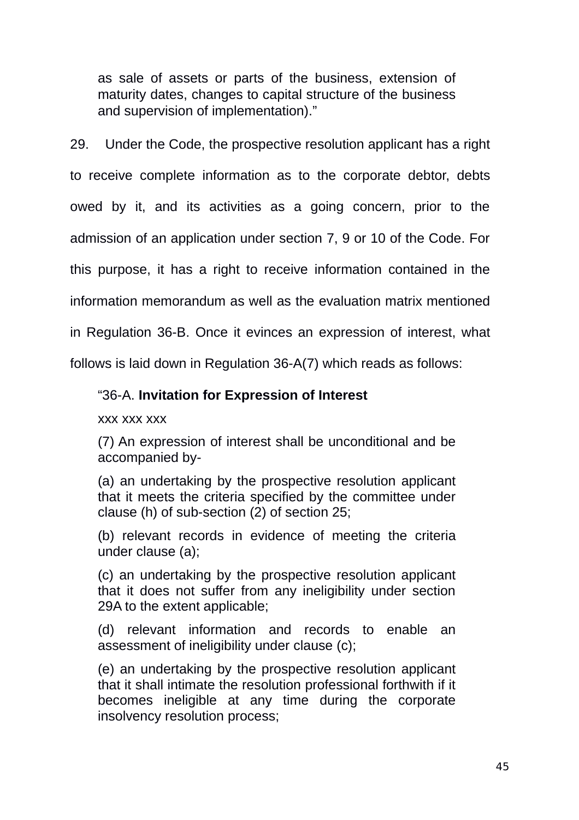as sale of assets or parts of the business, extension of maturity dates, changes to capital structure of the business and supervision of implementation)."

29. Under the Code, the prospective resolution applicant has a right

to receive complete information as to the corporate debtor, debts

owed by it, and its activities as a going concern, prior to the

admission of an application under section 7, 9 or 10 of the Code. For

this purpose, it has a right to receive information contained in the

information memorandum as well as the evaluation matrix mentioned

in Regulation 36-B. Once it evinces an expression of interest, what

follows is laid down in Regulation 36-A(7) which reads as follows:

# "36-A. **Invitation for Expression of Interest**

xxx xxx xxx

(7) An expression of interest shall be unconditional and be accompanied by-

(a) an undertaking by the prospective resolution applicant that it meets the criteria specified by the committee under clause (h) of sub-section (2) of section 25;

(b) relevant records in evidence of meeting the criteria under clause (a);

(c) an undertaking by the prospective resolution applicant that it does not suffer from any ineligibility under section 29A to the extent applicable;

(d) relevant information and records to enable an assessment of ineligibility under clause (c);

(e) an undertaking by the prospective resolution applicant that it shall intimate the resolution professional forthwith if it becomes ineligible at any time during the corporate insolvency resolution process;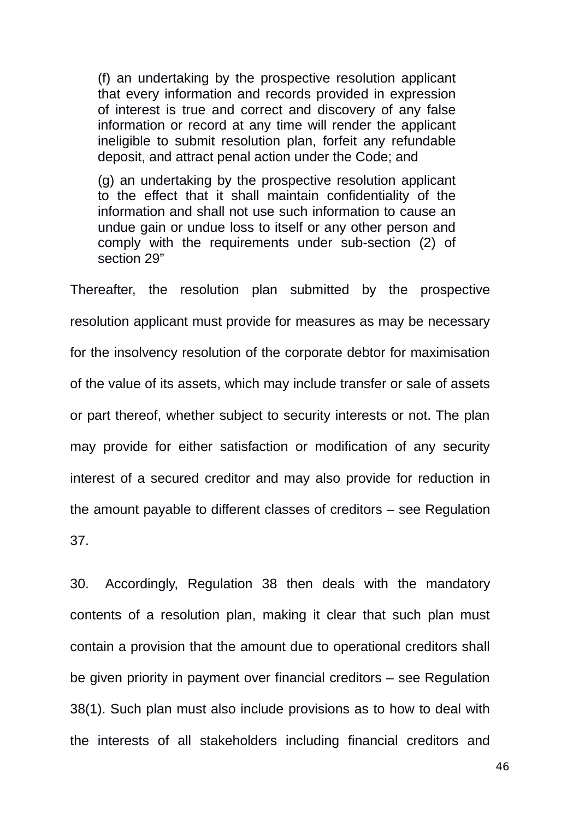(f) an undertaking by the prospective resolution applicant that every information and records provided in expression of interest is true and correct and discovery of any false information or record at any time will render the applicant ineligible to submit resolution plan, forfeit any refundable deposit, and attract penal action under the Code; and

(g) an undertaking by the prospective resolution applicant to the effect that it shall maintain confidentiality of the information and shall not use such information to cause an undue gain or undue loss to itself or any other person and comply with the requirements under sub-section (2) of section 29"

Thereafter, the resolution plan submitted by the prospective resolution applicant must provide for measures as may be necessary for the insolvency resolution of the corporate debtor for maximisation of the value of its assets, which may include transfer or sale of assets or part thereof, whether subject to security interests or not. The plan may provide for either satisfaction or modification of any security interest of a secured creditor and may also provide for reduction in the amount payable to different classes of creditors – see Regulation 37.

30. Accordingly, Regulation 38 then deals with the mandatory contents of a resolution plan, making it clear that such plan must contain a provision that the amount due to operational creditors shall be given priority in payment over financial creditors – see Regulation 38(1). Such plan must also include provisions as to how to deal with the interests of all stakeholders including financial creditors and

46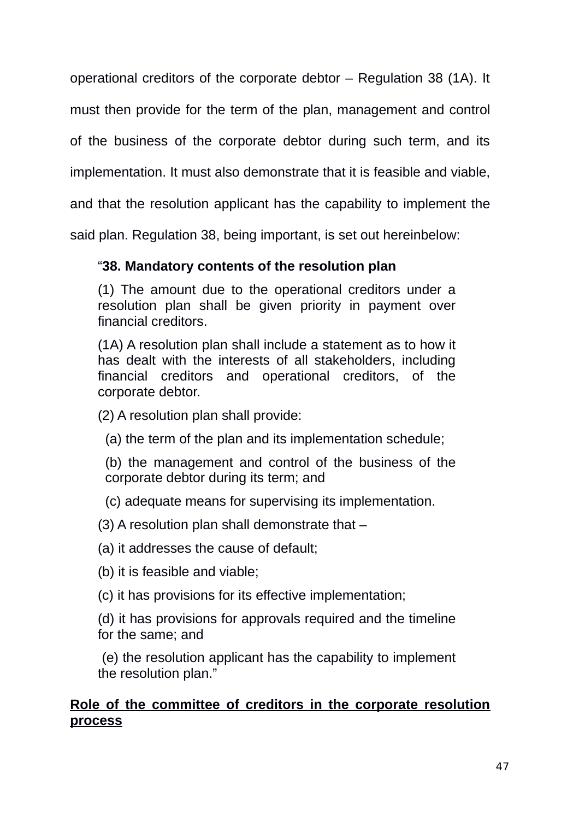operational creditors of the corporate debtor – Regulation 38 (1A). It

must then provide for the term of the plan, management and control

of the business of the corporate debtor during such term, and its

implementation. It must also demonstrate that it is feasible and viable,

and that the resolution applicant has the capability to implement the

said plan. Regulation 38, being important, is set out hereinbelow:

# "**38. Mandatory contents of the resolution plan**

(1) The amount due to the operational creditors under a resolution plan shall be given priority in payment over financial creditors.

(1A) A resolution plan shall include a statement as to how it has dealt with the interests of all stakeholders, including financial creditors and operational creditors, of the corporate debtor.

(2) A resolution plan shall provide:

(a) the term of the plan and its implementation schedule;

(b) the management and control of the business of the corporate debtor during its term; and

- (c) adequate means for supervising its implementation.
- (3) A resolution plan shall demonstrate that –
- (a) it addresses the cause of default;
- (b) it is feasible and viable;
- (c) it has provisions for its effective implementation;
- (d) it has provisions for approvals required and the timeline for the same; and

 (e) the resolution applicant has the capability to implement the resolution plan."

# **Role of the committee of creditors in the corporate resolution process**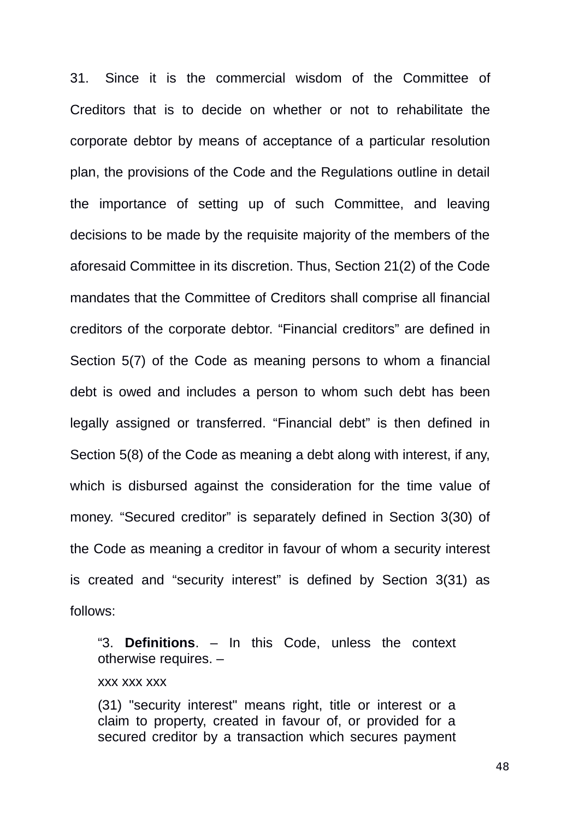31. Since it is the commercial wisdom of the Committee of Creditors that is to decide on whether or not to rehabilitate the corporate debtor by means of acceptance of a particular resolution plan, the provisions of the Code and the Regulations outline in detail the importance of setting up of such Committee, and leaving decisions to be made by the requisite majority of the members of the aforesaid Committee in its discretion. Thus, Section 21(2) of the Code mandates that the Committee of Creditors shall comprise all financial creditors of the corporate debtor. "Financial creditors" are defined in Section 5(7) of the Code as meaning persons to whom a financial debt is owed and includes a person to whom such debt has been legally assigned or transferred. "Financial debt" is then defined in Section 5(8) of the Code as meaning a debt along with interest, if any, which is disbursed against the consideration for the time value of money. "Secured creditor" is separately defined in Section 3(30) of the Code as meaning a creditor in favour of whom a security interest is created and "security interest" is defined by Section 3(31) as follows:

"3. **Definitions**. – In this Code, unless the context otherwise requires. –

#### xxx xxx xxx

(31) "security interest" means right, title or interest or a claim to property, created in favour of, or provided for a secured creditor by a transaction which secures payment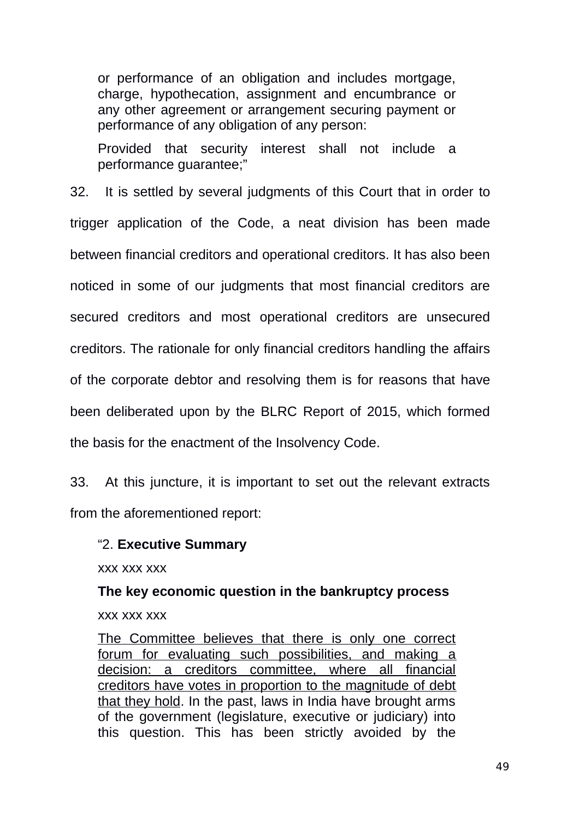or performance of an obligation and includes mortgage, charge, hypothecation, assignment and encumbrance or any other agreement or arrangement securing payment or performance of any obligation of any person:

Provided that security interest shall not include a performance guarantee;"

32. It is settled by several judgments of this Court that in order to trigger application of the Code, a neat division has been made between financial creditors and operational creditors. It has also been noticed in some of our judgments that most financial creditors are secured creditors and most operational creditors are unsecured creditors. The rationale for only financial creditors handling the affairs of the corporate debtor and resolving them is for reasons that have been deliberated upon by the BLRC Report of 2015, which formed the basis for the enactment of the Insolvency Code.

33. At this juncture, it is important to set out the relevant extracts from the aforementioned report:

### "2. **Executive Summary**

xxx xxx xxx

## **The key economic question in the bankruptcy process**

#### xxx xxx xxx

The Committee believes that there is only one correct forum for evaluating such possibilities, and making a decision: a creditors committee, where all financial creditors have votes in proportion to the magnitude of debt that they hold. In the past, laws in India have brought arms of the government (legislature, executive or judiciary) into this question. This has been strictly avoided by the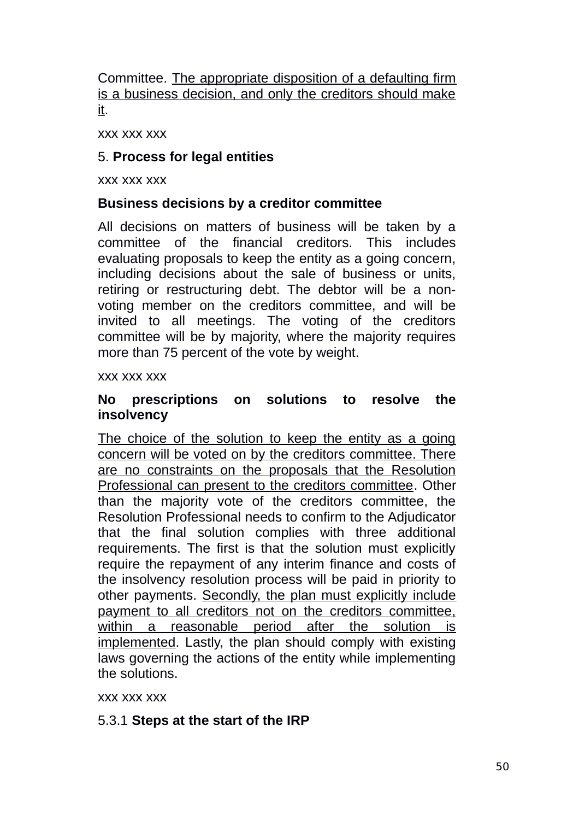Committee. The appropriate disposition of a defaulting firm is a business decision, and only the creditors should make it.

xxx xxx xxx

### 5. **Process for legal entities**

xxx xxx xxx

#### **Business decisions by a creditor committee**

All decisions on matters of business will be taken by a committee of the financial creditors. This includes evaluating proposals to keep the entity as a going concern, including decisions about the sale of business or units, retiring or restructuring debt. The debtor will be a nonvoting member on the creditors committee, and will be invited to all meetings. The voting of the creditors committee will be by majority, where the majority requires more than 75 percent of the vote by weight.

#### xxx xxx xxx

### **No prescriptions on solutions to resolve the insolvency**

The choice of the solution to keep the entity as a going concern will be voted on by the creditors committee. There are no constraints on the proposals that the Resolution Professional can present to the creditors committee. Other than the majority vote of the creditors committee, the Resolution Professional needs to confirm to the Adjudicator that the final solution complies with three additional requirements. The first is that the solution must explicitly require the repayment of any interim finance and costs of the insolvency resolution process will be paid in priority to other payments. Secondly, the plan must explicitly include payment to all creditors not on the creditors committee, within a reasonable period after the solution is implemented. Lastly, the plan should comply with existing laws governing the actions of the entity while implementing the solutions.

xxx xxx xxx

### 5.3.1 **Steps at the start of the IRP**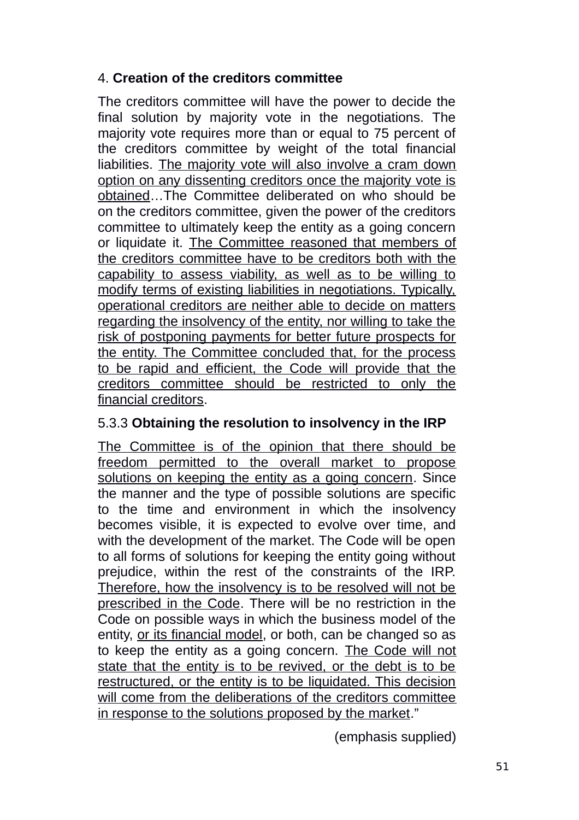# 4. **Creation of the creditors committee**

The creditors committee will have the power to decide the final solution by majority vote in the negotiations. The majority vote requires more than or equal to 75 percent of the creditors committee by weight of the total financial liabilities. The majority vote will also involve a cram down option on any dissenting creditors once the majority vote is obtained…The Committee deliberated on who should be on the creditors committee, given the power of the creditors committee to ultimately keep the entity as a going concern or liquidate it. The Committee reasoned that members of the creditors committee have to be creditors both with the capability to assess viability, as well as to be willing to modify terms of existing liabilities in negotiations. Typically, operational creditors are neither able to decide on matters regarding the insolvency of the entity, nor willing to take the risk of postponing payments for better future prospects for the entity. The Committee concluded that, for the process to be rapid and efficient, the Code will provide that the creditors committee should be restricted to only the financial creditors.

## 5.3.3 **Obtaining the resolution to insolvency in the IRP**

The Committee is of the opinion that there should be freedom permitted to the overall market to propose solutions on keeping the entity as a going concern. Since the manner and the type of possible solutions are specific to the time and environment in which the insolvency becomes visible, it is expected to evolve over time, and with the development of the market. The Code will be open to all forms of solutions for keeping the entity going without prejudice, within the rest of the constraints of the IRP. Therefore, how the insolvency is to be resolved will not be prescribed in the Code. There will be no restriction in the Code on possible ways in which the business model of the entity, or its financial model, or both, can be changed so as to keep the entity as a going concern. The Code will not state that the entity is to be revived, or the debt is to be restructured, or the entity is to be liquidated. This decision will come from the deliberations of the creditors committee in response to the solutions proposed by the market."

(emphasis supplied)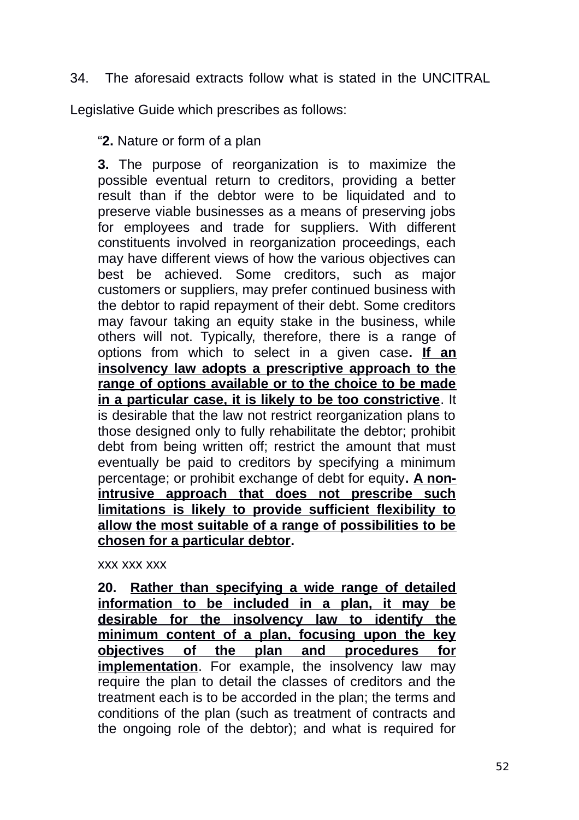## 34. The aforesaid extracts follow what is stated in the UNCITRAL

Legislative Guide which prescribes as follows:

### "**2.** Nature or form of a plan

**3.** The purpose of reorganization is to maximize the possible eventual return to creditors, providing a better result than if the debtor were to be liquidated and to preserve viable businesses as a means of preserving jobs for employees and trade for suppliers. With different constituents involved in reorganization proceedings, each may have different views of how the various objectives can best be achieved. Some creditors, such as major customers or suppliers, may prefer continued business with the debtor to rapid repayment of their debt. Some creditors may favour taking an equity stake in the business, while others will not. Typically, therefore, there is a range of options from which to select in a given case**. If an insolvency law adopts a prescriptive approach to the range of options available or to the choice to be made in a particular case, it is likely to be too constrictive**. It is desirable that the law not restrict reorganization plans to those designed only to fully rehabilitate the debtor; prohibit debt from being written off; restrict the amount that must eventually be paid to creditors by specifying a minimum percentage; or prohibit exchange of debt for equity**. A nonintrusive approach that does not prescribe such limitations is likely to provide sufficient flexibility to allow the most suitable of a range of possibilities to be chosen for a particular debtor.**

#### xxx xxx xxx

**20. Rather than specifying a wide range of detailed information to be included in a plan, it may be desirable for the insolvency law to identify the minimum content of a plan, focusing upon the key objectives of the plan and procedures for implementation**. For example, the insolvency law may require the plan to detail the classes of creditors and the treatment each is to be accorded in the plan; the terms and conditions of the plan (such as treatment of contracts and the ongoing role of the debtor); and what is required for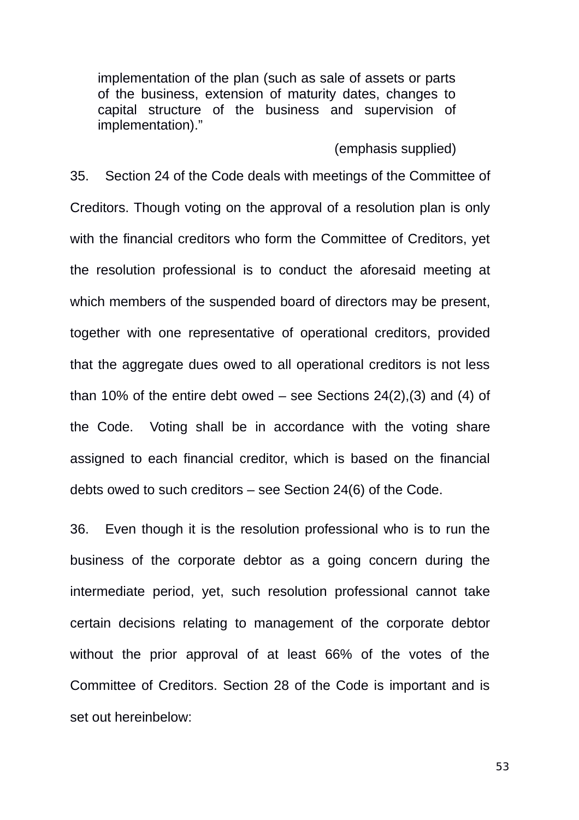implementation of the plan (such as sale of assets or parts of the business, extension of maturity dates, changes to capital structure of the business and supervision of implementation)."

(emphasis supplied)

35. Section 24 of the Code deals with meetings of the Committee of Creditors. Though voting on the approval of a resolution plan is only with the financial creditors who form the Committee of Creditors, yet the resolution professional is to conduct the aforesaid meeting at which members of the suspended board of directors may be present, together with one representative of operational creditors, provided that the aggregate dues owed to all operational creditors is not less than 10% of the entire debt owed  $-$  see Sections 24(2), (3) and (4) of the Code. Voting shall be in accordance with the voting share assigned to each financial creditor, which is based on the financial debts owed to such creditors – see Section 24(6) of the Code.

36. Even though it is the resolution professional who is to run the business of the corporate debtor as a going concern during the intermediate period, yet, such resolution professional cannot take certain decisions relating to management of the corporate debtor without the prior approval of at least 66% of the votes of the Committee of Creditors. Section 28 of the Code is important and is set out hereinbelow:

53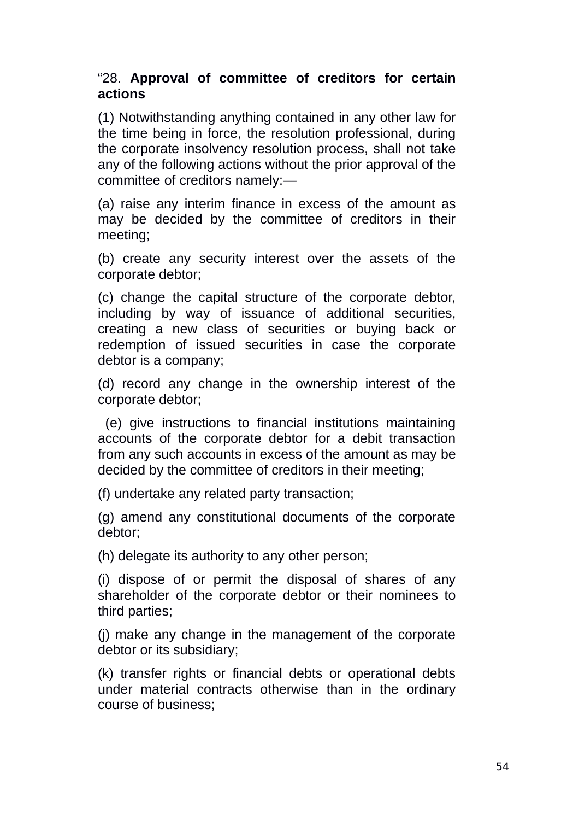## "28. **Approval of committee of creditors for certain actions**

(1) Notwithstanding anything contained in any other law for the time being in force, the resolution professional, during the corporate insolvency resolution process, shall not take any of the following actions without the prior approval of the committee of creditors namely:—

(a) raise any interim finance in excess of the amount as may be decided by the committee of creditors in their meeting;

(b) create any security interest over the assets of the corporate debtor;

(c) change the capital structure of the corporate debtor, including by way of issuance of additional securities, creating a new class of securities or buying back or redemption of issued securities in case the corporate debtor is a company;

(d) record any change in the ownership interest of the corporate debtor;

 (e) give instructions to financial institutions maintaining accounts of the corporate debtor for a debit transaction from any such accounts in excess of the amount as may be decided by the committee of creditors in their meeting;

(f) undertake any related party transaction;

(g) amend any constitutional documents of the corporate debtor;

(h) delegate its authority to any other person;

(i) dispose of or permit the disposal of shares of any shareholder of the corporate debtor or their nominees to third parties;

(j) make any change in the management of the corporate debtor or its subsidiary;

(k) transfer rights or financial debts or operational debts under material contracts otherwise than in the ordinary course of business;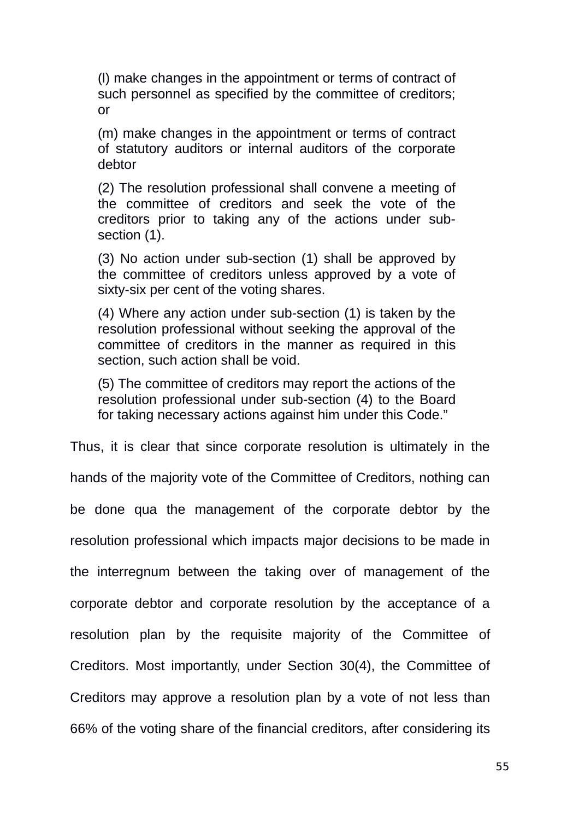(l) make changes in the appointment or terms of contract of such personnel as specified by the committee of creditors; or

(m) make changes in the appointment or terms of contract of statutory auditors or internal auditors of the corporate debtor

(2) The resolution professional shall convene a meeting of the committee of creditors and seek the vote of the creditors prior to taking any of the actions under subsection  $(1)$ .

(3) No action under sub-section (1) shall be approved by the committee of creditors unless approved by a vote of sixty-six per cent of the voting shares.

(4) Where any action under sub-section (1) is taken by the resolution professional without seeking the approval of the committee of creditors in the manner as required in this section, such action shall be void.

(5) The committee of creditors may report the actions of the resolution professional under sub-section (4) to the Board for taking necessary actions against him under this Code."

Thus, it is clear that since corporate resolution is ultimately in the hands of the majority vote of the Committee of Creditors, nothing can be done qua the management of the corporate debtor by the resolution professional which impacts major decisions to be made in the interregnum between the taking over of management of the corporate debtor and corporate resolution by the acceptance of a resolution plan by the requisite majority of the Committee of Creditors. Most importantly, under Section 30(4), the Committee of Creditors may approve a resolution plan by a vote of not less than 66% of the voting share of the financial creditors, after considering its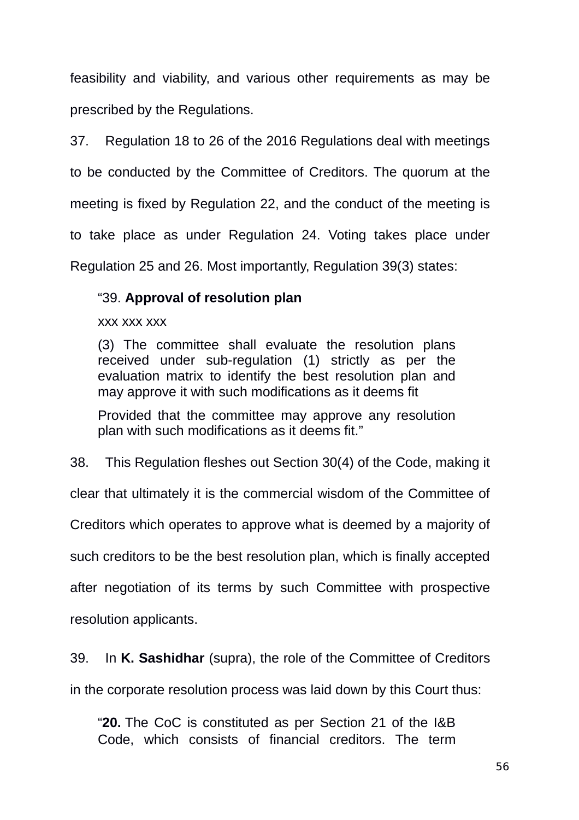feasibility and viability, and various other requirements as may be prescribed by the Regulations.

37. Regulation 18 to 26 of the 2016 Regulations deal with meetings to be conducted by the Committee of Creditors. The quorum at the meeting is fixed by Regulation 22, and the conduct of the meeting is to take place as under Regulation 24. Voting takes place under Regulation 25 and 26. Most importantly, Regulation 39(3) states:

#### "39. **Approval of resolution plan**

xxx xxx xxx

(3) The committee shall evaluate the resolution plans received under sub-regulation (1) strictly as per the evaluation matrix to identify the best resolution plan and may approve it with such modifications as it deems fit

Provided that the committee may approve any resolution plan with such modifications as it deems fit."

38. This Regulation fleshes out Section 30(4) of the Code, making it clear that ultimately it is the commercial wisdom of the Committee of Creditors which operates to approve what is deemed by a majority of such creditors to be the best resolution plan, which is finally accepted after negotiation of its terms by such Committee with prospective resolution applicants.

39. In **K. Sashidhar** (supra), the role of the Committee of Creditors in the corporate resolution process was laid down by this Court thus:

"**20.** The CoC is constituted as per Section 21 of the I&B Code, which consists of financial creditors. The term

56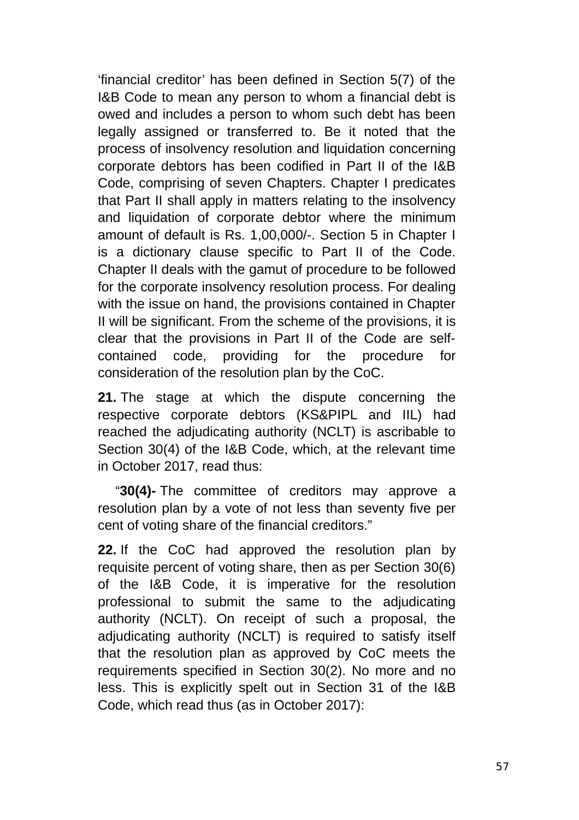'financial creditor' has been defined in Section 5(7) of the I&B Code to mean any person to whom a financial debt is owed and includes a person to whom such debt has been legally assigned or transferred to. Be it noted that the process of insolvency resolution and liquidation concerning corporate debtors has been codified in Part II of the I&B Code, comprising of seven Chapters. Chapter I predicates that Part II shall apply in matters relating to the insolvency and liquidation of corporate debtor where the minimum amount of default is Rs. 1,00,000/-. Section 5 in Chapter I is a dictionary clause specific to Part II of the Code. Chapter II deals with the gamut of procedure to be followed for the corporate insolvency resolution process. For dealing with the issue on hand, the provisions contained in Chapter II will be significant. From the scheme of the provisions, it is clear that the provisions in Part II of the Code are selfcontained code, providing for the procedure for consideration of the resolution plan by the CoC.

**21.** The stage at which the dispute concerning the respective corporate debtors (KS&PIPL and IIL) had reached the adjudicating authority (NCLT) is ascribable to Section 30(4) of the I&B Code, which, at the relevant time in October 2017, read thus:

"**30(4)-** The committee of creditors may approve a resolution plan by a vote of not less than seventy five per cent of voting share of the financial creditors."

**22.** If the CoC had approved the resolution plan by requisite percent of voting share, then as per Section 30(6) of the I&B Code, it is imperative for the resolution professional to submit the same to the adjudicating authority (NCLT). On receipt of such a proposal, the adjudicating authority (NCLT) is required to satisfy itself that the resolution plan as approved by CoC meets the requirements specified in Section 30(2). No more and no less. This is explicitly spelt out in Section 31 of the I&B Code, which read thus (as in October 2017):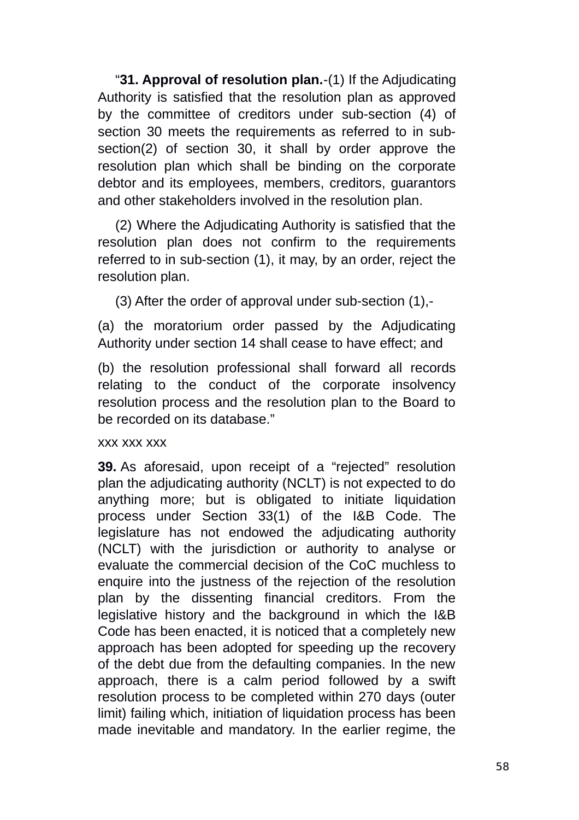"**31. Approval of resolution plan.**-(1) If the Adjudicating Authority is satisfied that the resolution plan as approved by the committee of creditors under sub-section (4) of section 30 meets the requirements as referred to in subsection(2) of section 30, it shall by order approve the resolution plan which shall be binding on the corporate debtor and its employees, members, creditors, guarantors and other stakeholders involved in the resolution plan.

(2) Where the Adjudicating Authority is satisfied that the resolution plan does not confirm to the requirements referred to in sub-section (1), it may, by an order, reject the resolution plan.

(3) After the order of approval under sub-section (1),-

(a) the moratorium order passed by the Adjudicating Authority under section 14 shall cease to have effect; and

(b) the resolution professional shall forward all records relating to the conduct of the corporate insolvency resolution process and the resolution plan to the Board to be recorded on its database."

## xxx xxx xxx

**39.** As aforesaid, upon receipt of a "rejected" resolution plan the adjudicating authority (NCLT) is not expected to do anything more; but is obligated to initiate liquidation process under Section 33(1) of the I&B Code. The legislature has not endowed the adjudicating authority (NCLT) with the jurisdiction or authority to analyse or evaluate the commercial decision of the CoC muchless to enquire into the justness of the rejection of the resolution plan by the dissenting financial creditors. From the legislative history and the background in which the I&B Code has been enacted, it is noticed that a completely new approach has been adopted for speeding up the recovery of the debt due from the defaulting companies. In the new approach, there is a calm period followed by a swift resolution process to be completed within 270 days (outer limit) failing which, initiation of liquidation process has been made inevitable and mandatory. In the earlier regime, the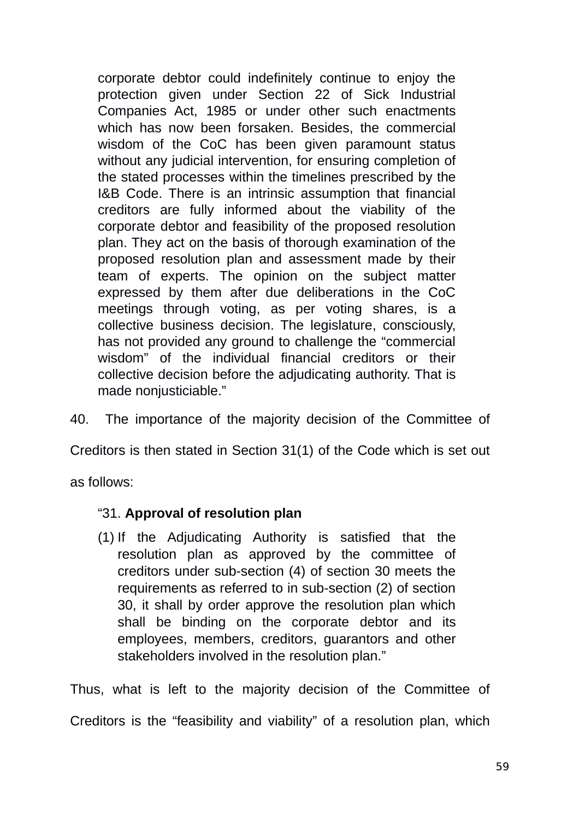corporate debtor could indefinitely continue to enjoy the protection given under Section 22 of Sick Industrial Companies Act, 1985 or under other such enactments which has now been forsaken. Besides, the commercial wisdom of the CoC has been given paramount status without any judicial intervention, for ensuring completion of the stated processes within the timelines prescribed by the I&B Code. There is an intrinsic assumption that financial creditors are fully informed about the viability of the corporate debtor and feasibility of the proposed resolution plan. They act on the basis of thorough examination of the proposed resolution plan and assessment made by their team of experts. The opinion on the subject matter expressed by them after due deliberations in the CoC meetings through voting, as per voting shares, is a collective business decision. The legislature, consciously, has not provided any ground to challenge the "commercial wisdom" of the individual financial creditors or their collective decision before the adjudicating authority. That is made nonjusticiable."

40. The importance of the majority decision of the Committee of

Creditors is then stated in Section 31(1) of the Code which is set out

as follows:

### "31. **Approval of resolution plan**

(1) If the Adjudicating Authority is satisfied that the resolution plan as approved by the committee of creditors under sub-section (4) of section 30 meets the requirements as referred to in sub-section (2) of section 30, it shall by order approve the resolution plan which shall be binding on the corporate debtor and its employees, members, creditors, guarantors and other stakeholders involved in the resolution plan."

Thus, what is left to the majority decision of the Committee of Creditors is the "feasibility and viability" of a resolution plan, which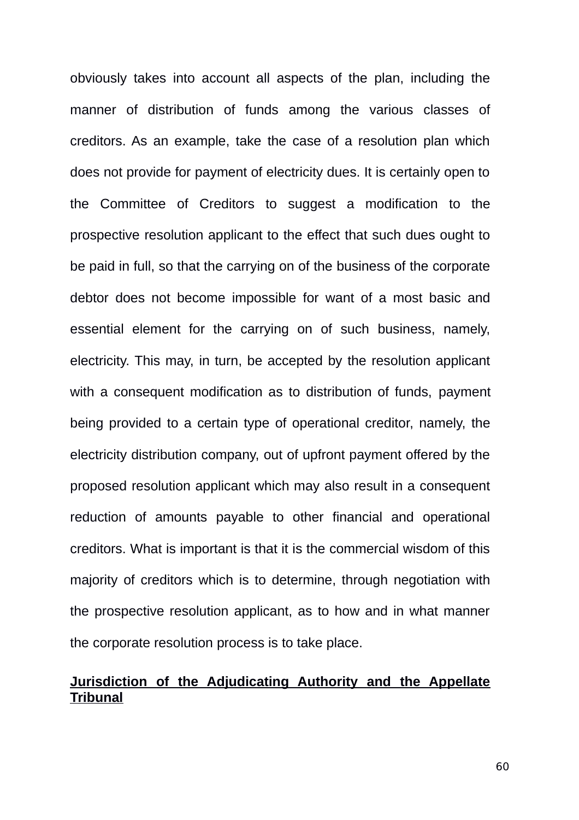obviously takes into account all aspects of the plan, including the manner of distribution of funds among the various classes of creditors. As an example, take the case of a resolution plan which does not provide for payment of electricity dues. It is certainly open to the Committee of Creditors to suggest a modification to the prospective resolution applicant to the effect that such dues ought to be paid in full, so that the carrying on of the business of the corporate debtor does not become impossible for want of a most basic and essential element for the carrying on of such business, namely, electricity. This may, in turn, be accepted by the resolution applicant with a consequent modification as to distribution of funds, payment being provided to a certain type of operational creditor, namely, the electricity distribution company, out of upfront payment offered by the proposed resolution applicant which may also result in a consequent reduction of amounts payable to other financial and operational creditors. What is important is that it is the commercial wisdom of this majority of creditors which is to determine, through negotiation with the prospective resolution applicant, as to how and in what manner the corporate resolution process is to take place.

# **Jurisdiction of the Adjudicating Authority and the Appellate Tribunal**

60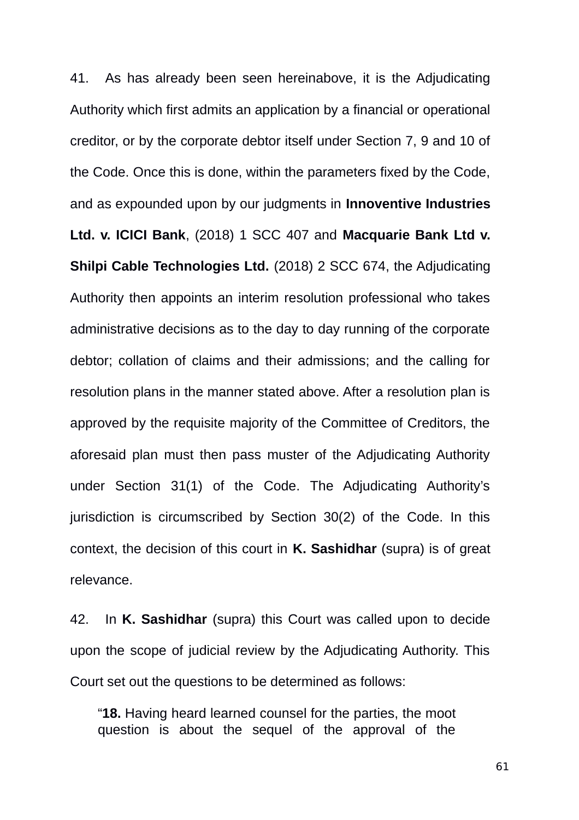41. As has already been seen hereinabove, it is the Adjudicating Authority which first admits an application by a financial or operational creditor, or by the corporate debtor itself under Section 7, 9 and 10 of the Code. Once this is done, within the parameters fixed by the Code, and as expounded upon by our judgments in **Innoventive Industries Ltd. v. ICICI Bank**, (2018) 1 SCC 407 and **Macquarie Bank Ltd v. Shilpi Cable Technologies Ltd.** (2018) 2 SCC 674, the Adjudicating Authority then appoints an interim resolution professional who takes administrative decisions as to the day to day running of the corporate debtor; collation of claims and their admissions; and the calling for resolution plans in the manner stated above. After a resolution plan is approved by the requisite majority of the Committee of Creditors, the aforesaid plan must then pass muster of the Adjudicating Authority under Section 31(1) of the Code. The Adjudicating Authority's jurisdiction is circumscribed by Section 30(2) of the Code. In this context, the decision of this court in **K. Sashidhar** (supra) is of great relevance.

42. In **K. Sashidhar** (supra) this Court was called upon to decide upon the scope of judicial review by the Adjudicating Authority. This Court set out the questions to be determined as follows:

"**18.** Having heard learned counsel for the parties, the moot question is about the sequel of the approval of the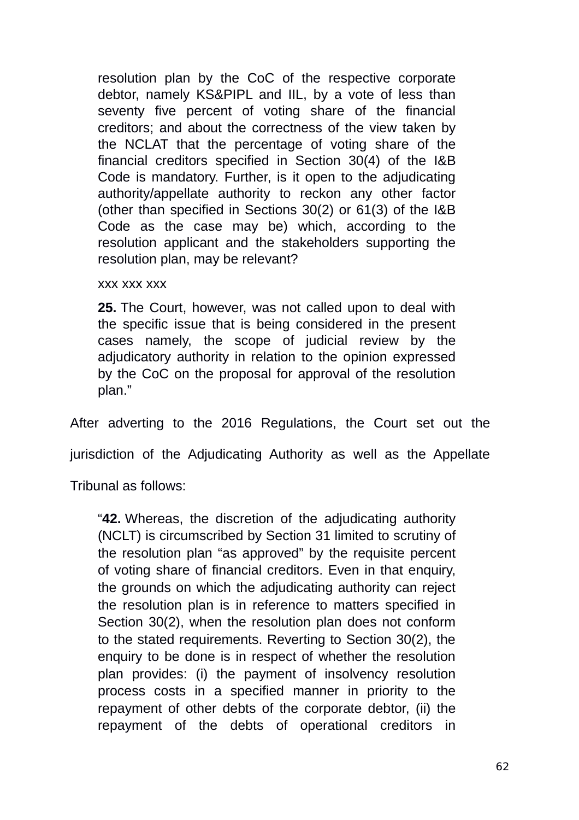resolution plan by the CoC of the respective corporate debtor, namely KS&PIPL and IIL, by a vote of less than seventy five percent of voting share of the financial creditors; and about the correctness of the view taken by the NCLAT that the percentage of voting share of the financial creditors specified in Section 30(4) of the I&B Code is mandatory. Further, is it open to the adjudicating authority/appellate authority to reckon any other factor (other than specified in Sections 30(2) or 61(3) of the I&B Code as the case may be) which, according to the resolution applicant and the stakeholders supporting the resolution plan, may be relevant?

#### xxx xxx xxx

**25.** The Court, however, was not called upon to deal with the specific issue that is being considered in the present cases namely, the scope of judicial review by the adjudicatory authority in relation to the opinion expressed by the CoC on the proposal for approval of the resolution plan."

After adverting to the 2016 Regulations, the Court set out the

jurisdiction of the Adjudicating Authority as well as the Appellate

Tribunal as follows:

"**42.** Whereas, the discretion of the adjudicating authority (NCLT) is circumscribed by Section 31 limited to scrutiny of the resolution plan "as approved" by the requisite percent of voting share of financial creditors. Even in that enquiry, the grounds on which the adjudicating authority can reject the resolution plan is in reference to matters specified in Section 30(2), when the resolution plan does not conform to the stated requirements. Reverting to Section 30(2), the enquiry to be done is in respect of whether the resolution plan provides: (i) the payment of insolvency resolution process costs in a specified manner in priority to the repayment of other debts of the corporate debtor, (ii) the repayment of the debts of operational creditors in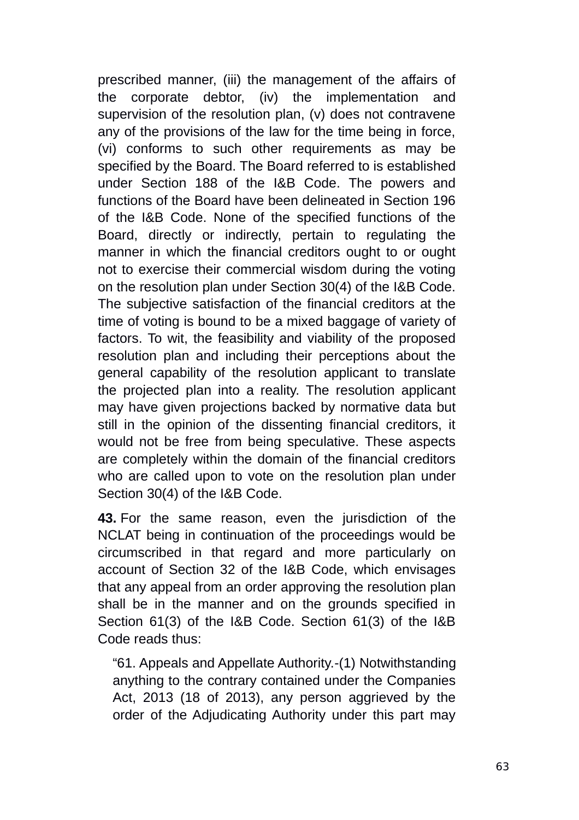prescribed manner, (iii) the management of the affairs of the corporate debtor, (iv) the implementation and supervision of the resolution plan, (v) does not contravene any of the provisions of the law for the time being in force, (vi) conforms to such other requirements as may be specified by the Board. The Board referred to is established under Section 188 of the I&B Code. The powers and functions of the Board have been delineated in Section 196 of the I&B Code. None of the specified functions of the Board, directly or indirectly, pertain to regulating the manner in which the financial creditors ought to or ought not to exercise their commercial wisdom during the voting on the resolution plan under Section 30(4) of the I&B Code. The subjective satisfaction of the financial creditors at the time of voting is bound to be a mixed baggage of variety of factors. To wit, the feasibility and viability of the proposed resolution plan and including their perceptions about the general capability of the resolution applicant to translate the projected plan into a reality. The resolution applicant may have given projections backed by normative data but still in the opinion of the dissenting financial creditors, it would not be free from being speculative. These aspects are completely within the domain of the financial creditors who are called upon to vote on the resolution plan under Section 30(4) of the I&B Code.

**43.** For the same reason, even the jurisdiction of the NCLAT being in continuation of the proceedings would be circumscribed in that regard and more particularly on account of Section 32 of the I&B Code, which envisages that any appeal from an order approving the resolution plan shall be in the manner and on the grounds specified in Section 61(3) of the I&B Code. Section 61(3) of the I&B Code reads thus:

"61. Appeals and Appellate Authority.-(1) Notwithstanding anything to the contrary contained under the Companies Act, 2013 (18 of 2013), any person aggrieved by the order of the Adjudicating Authority under this part may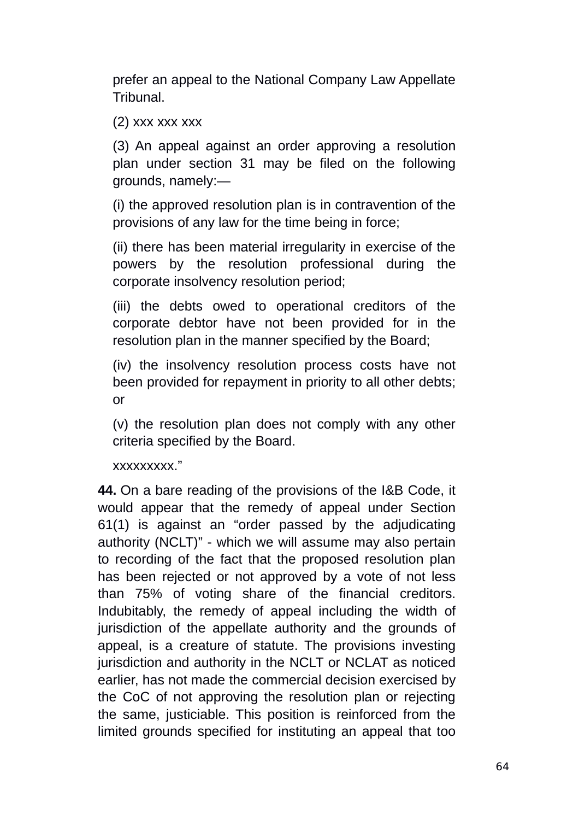prefer an appeal to the National Company Law Appellate Tribunal.

(2) xxx xxx xxx

(3) An appeal against an order approving a resolution plan under section 31 may be filed on the following grounds, namely:—

(i) the approved resolution plan is in contravention of the provisions of any law for the time being in force;

(ii) there has been material irregularity in exercise of the powers by the resolution professional during the corporate insolvency resolution period;

(iii) the debts owed to operational creditors of the corporate debtor have not been provided for in the resolution plan in the manner specified by the Board;

(iv) the insolvency resolution process costs have not been provided for repayment in priority to all other debts; or

(v) the resolution plan does not comply with any other criteria specified by the Board.

xxxxxxxxx."

**44.** On a bare reading of the provisions of the I&B Code, it would appear that the remedy of appeal under Section 61(1) is against an "order passed by the adjudicating authority (NCLT)" - which we will assume may also pertain to recording of the fact that the proposed resolution plan has been rejected or not approved by a vote of not less than 75% of voting share of the financial creditors. Indubitably, the remedy of appeal including the width of jurisdiction of the appellate authority and the grounds of appeal, is a creature of statute. The provisions investing jurisdiction and authority in the NCLT or NCLAT as noticed earlier, has not made the commercial decision exercised by the CoC of not approving the resolution plan or rejecting the same, justiciable. This position is reinforced from the limited grounds specified for instituting an appeal that too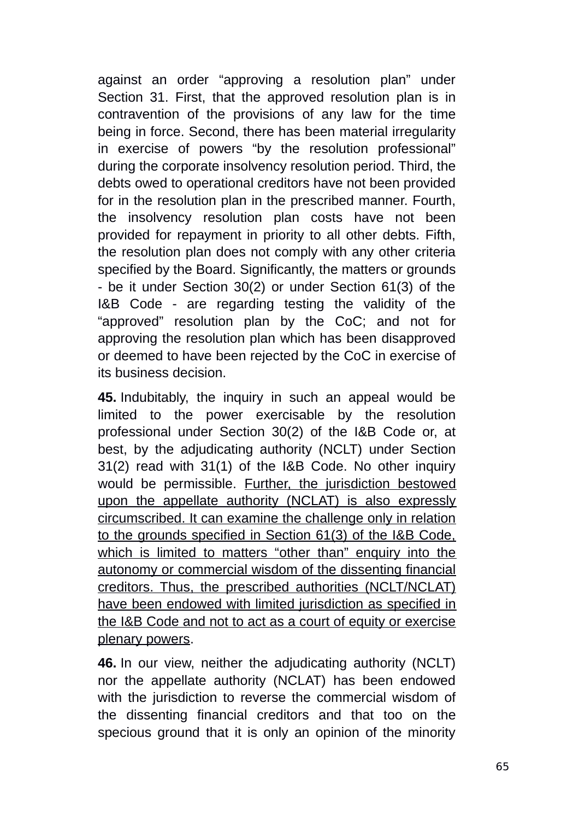against an order "approving a resolution plan" under Section 31. First, that the approved resolution plan is in contravention of the provisions of any law for the time being in force. Second, there has been material irregularity in exercise of powers "by the resolution professional" during the corporate insolvency resolution period. Third, the debts owed to operational creditors have not been provided for in the resolution plan in the prescribed manner. Fourth, the insolvency resolution plan costs have not been provided for repayment in priority to all other debts. Fifth, the resolution plan does not comply with any other criteria specified by the Board. Significantly, the matters or grounds - be it under Section 30(2) or under Section 61(3) of the I&B Code - are regarding testing the validity of the "approved" resolution plan by the CoC; and not for approving the resolution plan which has been disapproved or deemed to have been rejected by the CoC in exercise of its business decision.

**45.** Indubitably, the inquiry in such an appeal would be limited to the power exercisable by the resolution professional under Section 30(2) of the I&B Code or, at best, by the adjudicating authority (NCLT) under Section 31(2) read with 31(1) of the I&B Code. No other inquiry would be permissible. Further, the jurisdiction bestowed upon the appellate authority (NCLAT) is also expressly circumscribed. It can examine the challenge only in relation to the grounds specified in Section 61(3) of the I&B Code, which is limited to matters "other than" enquiry into the autonomy or commercial wisdom of the dissenting financial creditors. Thus, the prescribed authorities (NCLT/NCLAT) have been endowed with limited jurisdiction as specified in the I&B Code and not to act as a court of equity or exercise plenary powers.

**46.** In our view, neither the adjudicating authority (NCLT) nor the appellate authority (NCLAT) has been endowed with the jurisdiction to reverse the commercial wisdom of the dissenting financial creditors and that too on the specious ground that it is only an opinion of the minority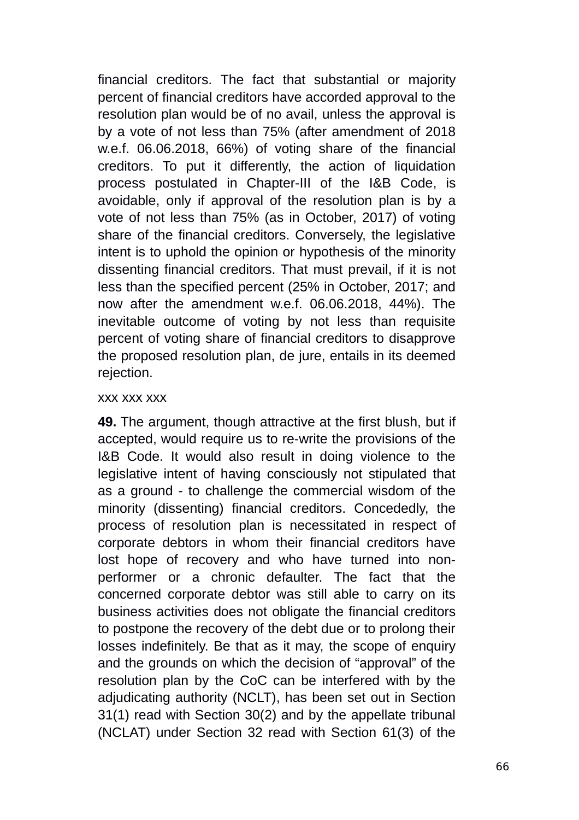financial creditors. The fact that substantial or majority percent of financial creditors have accorded approval to the resolution plan would be of no avail, unless the approval is by a vote of not less than 75% (after amendment of 2018 w.e.f. 06.06.2018, 66%) of voting share of the financial creditors. To put it differently, the action of liquidation process postulated in Chapter-III of the I&B Code, is avoidable, only if approval of the resolution plan is by a vote of not less than 75% (as in October, 2017) of voting share of the financial creditors. Conversely, the legislative intent is to uphold the opinion or hypothesis of the minority dissenting financial creditors. That must prevail, if it is not less than the specified percent (25% in October, 2017; and now after the amendment w.e.f. 06.06.2018, 44%). The inevitable outcome of voting by not less than requisite percent of voting share of financial creditors to disapprove the proposed resolution plan, de jure, entails in its deemed rejection.

#### xxx xxx xxx

**49.** The argument, though attractive at the first blush, but if accepted, would require us to re-write the provisions of the I&B Code. It would also result in doing violence to the legislative intent of having consciously not stipulated that as a ground - to challenge the commercial wisdom of the minority (dissenting) financial creditors. Concededly, the process of resolution plan is necessitated in respect of corporate debtors in whom their financial creditors have lost hope of recovery and who have turned into nonperformer or a chronic defaulter. The fact that the concerned corporate debtor was still able to carry on its business activities does not obligate the financial creditors to postpone the recovery of the debt due or to prolong their losses indefinitely. Be that as it may, the scope of enquiry and the grounds on which the decision of "approval" of the resolution plan by the CoC can be interfered with by the adjudicating authority (NCLT), has been set out in Section 31(1) read with Section 30(2) and by the appellate tribunal (NCLAT) under Section 32 read with Section 61(3) of the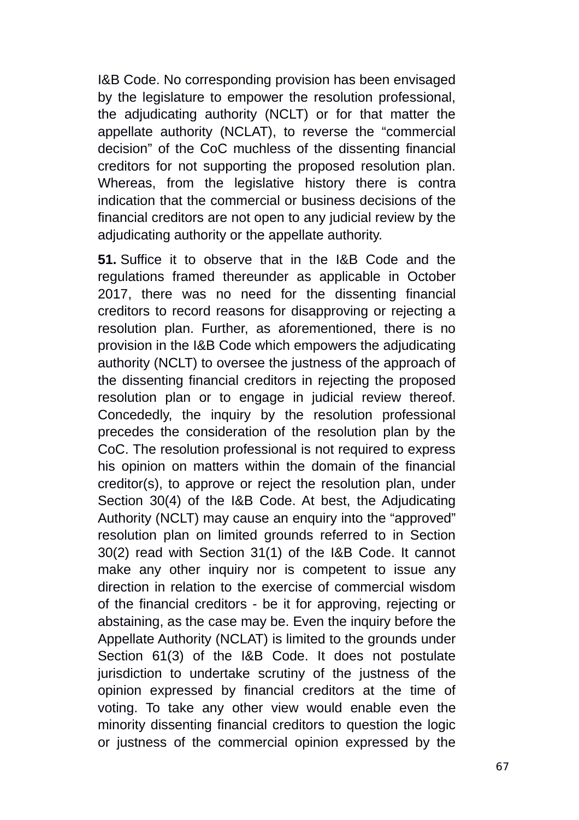I&B Code. No corresponding provision has been envisaged by the legislature to empower the resolution professional, the adjudicating authority (NCLT) or for that matter the appellate authority (NCLAT), to reverse the "commercial decision" of the CoC muchless of the dissenting financial creditors for not supporting the proposed resolution plan. Whereas, from the legislative history there is contra indication that the commercial or business decisions of the financial creditors are not open to any judicial review by the adjudicating authority or the appellate authority.

**51.** Suffice it to observe that in the I&B Code and the regulations framed thereunder as applicable in October 2017, there was no need for the dissenting financial creditors to record reasons for disapproving or rejecting a resolution plan. Further, as aforementioned, there is no provision in the I&B Code which empowers the adjudicating authority (NCLT) to oversee the justness of the approach of the dissenting financial creditors in rejecting the proposed resolution plan or to engage in judicial review thereof. Concededly, the inquiry by the resolution professional precedes the consideration of the resolution plan by the CoC. The resolution professional is not required to express his opinion on matters within the domain of the financial creditor(s), to approve or reject the resolution plan, under Section 30(4) of the I&B Code. At best, the Adjudicating Authority (NCLT) may cause an enquiry into the "approved" resolution plan on limited grounds referred to in Section 30(2) read with Section 31(1) of the I&B Code. It cannot make any other inquiry nor is competent to issue any direction in relation to the exercise of commercial wisdom of the financial creditors - be it for approving, rejecting or abstaining, as the case may be. Even the inquiry before the Appellate Authority (NCLAT) is limited to the grounds under Section 61(3) of the I&B Code. It does not postulate jurisdiction to undertake scrutiny of the justness of the opinion expressed by financial creditors at the time of voting. To take any other view would enable even the minority dissenting financial creditors to question the logic or justness of the commercial opinion expressed by the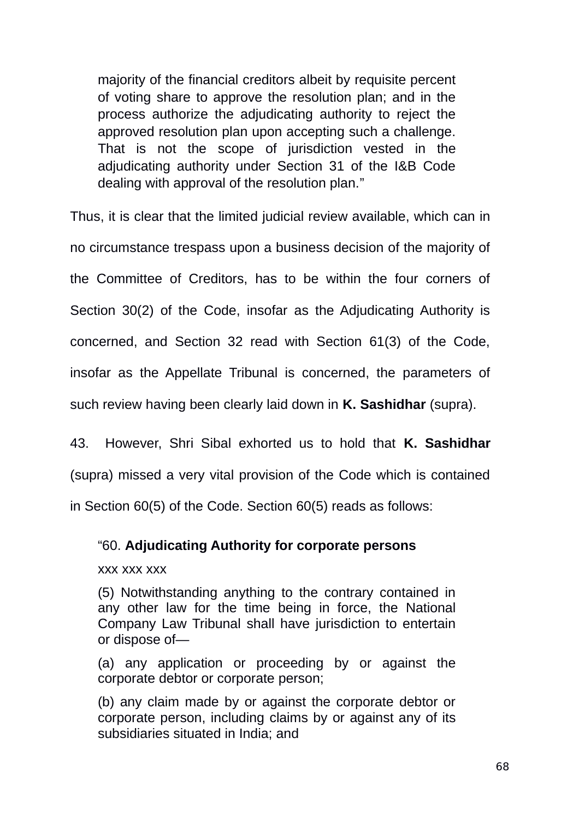majority of the financial creditors albeit by requisite percent of voting share to approve the resolution plan; and in the process authorize the adjudicating authority to reject the approved resolution plan upon accepting such a challenge. That is not the scope of jurisdiction vested in the adjudicating authority under Section 31 of the I&B Code dealing with approval of the resolution plan."

Thus, it is clear that the limited judicial review available, which can in no circumstance trespass upon a business decision of the majority of the Committee of Creditors, has to be within the four corners of Section 30(2) of the Code, insofar as the Adjudicating Authority is concerned, and Section 32 read with Section 61(3) of the Code, insofar as the Appellate Tribunal is concerned, the parameters of such review having been clearly laid down in **K. Sashidhar** (supra).

43. However, Shri Sibal exhorted us to hold that **K. Sashidhar** (supra) missed a very vital provision of the Code which is contained in Section 60(5) of the Code. Section 60(5) reads as follows:

### "60. **Adjudicating Authority for corporate persons**

xxx xxx xxx

(5) Notwithstanding anything to the contrary contained in any other law for the time being in force, the National Company Law Tribunal shall have jurisdiction to entertain or dispose of—

(a) any application or proceeding by or against the corporate debtor or corporate person;

(b) any claim made by or against the corporate debtor or corporate person, including claims by or against any of its subsidiaries situated in India; and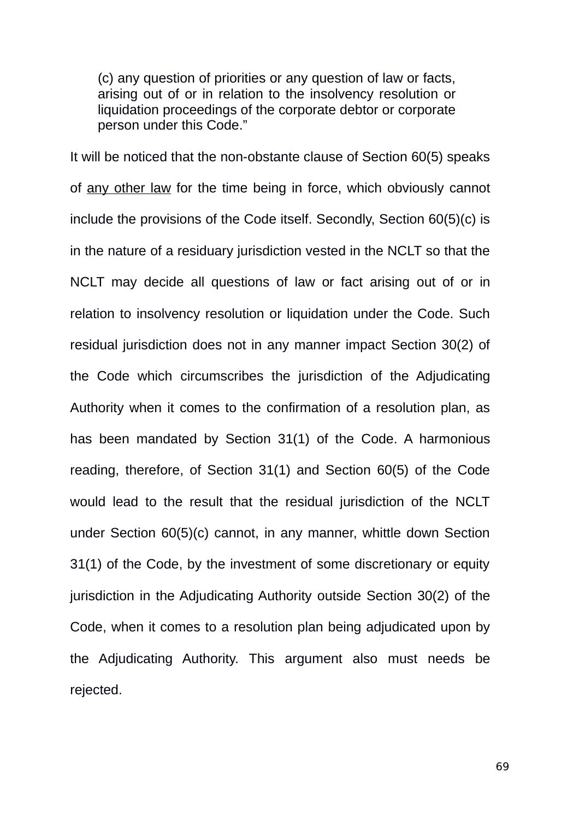(c) any question of priorities or any question of law or facts, arising out of or in relation to the insolvency resolution or liquidation proceedings of the corporate debtor or corporate person under this Code."

It will be noticed that the non-obstante clause of Section 60(5) speaks of any other law for the time being in force, which obviously cannot include the provisions of the Code itself. Secondly, Section 60(5)(c) is in the nature of a residuary jurisdiction vested in the NCLT so that the NCLT may decide all questions of law or fact arising out of or in relation to insolvency resolution or liquidation under the Code. Such residual jurisdiction does not in any manner impact Section 30(2) of the Code which circumscribes the jurisdiction of the Adjudicating Authority when it comes to the confirmation of a resolution plan, as has been mandated by Section 31(1) of the Code. A harmonious reading, therefore, of Section 31(1) and Section 60(5) of the Code would lead to the result that the residual jurisdiction of the NCLT under Section 60(5)(c) cannot, in any manner, whittle down Section 31(1) of the Code, by the investment of some discretionary or equity jurisdiction in the Adjudicating Authority outside Section 30(2) of the Code, when it comes to a resolution plan being adjudicated upon by the Adjudicating Authority. This argument also must needs be rejected.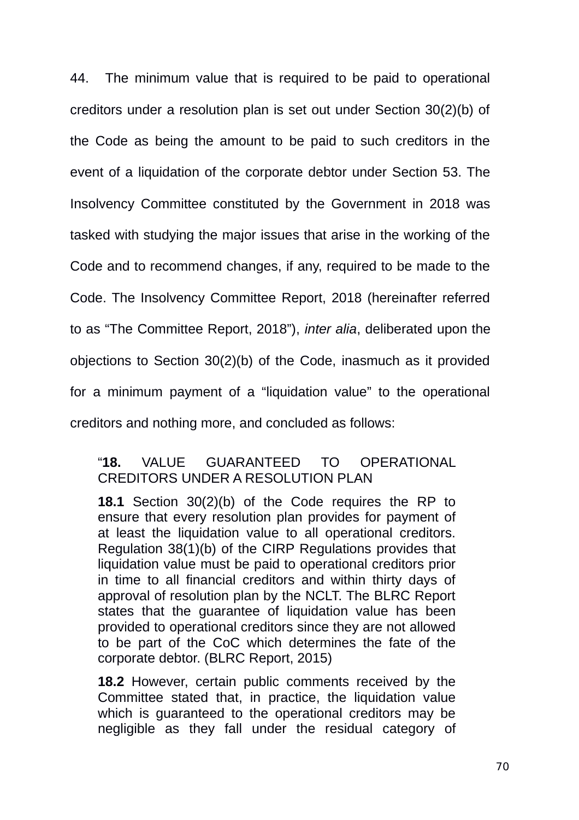44. The minimum value that is required to be paid to operational creditors under a resolution plan is set out under Section 30(2)(b) of the Code as being the amount to be paid to such creditors in the event of a liquidation of the corporate debtor under Section 53. The Insolvency Committee constituted by the Government in 2018 was tasked with studying the major issues that arise in the working of the Code and to recommend changes, if any, required to be made to the Code. The Insolvency Committee Report, 2018 (hereinafter referred to as "The Committee Report, 2018"), *inter alia*, deliberated upon the objections to Section 30(2)(b) of the Code, inasmuch as it provided for a minimum payment of a "liquidation value" to the operational creditors and nothing more, and concluded as follows:

#### "**18.** VALUE GUARANTEED TO OPERATIONAL CREDITORS UNDER A RESOLUTION PLAN

**18.1** Section 30(2)(b) of the Code requires the RP to ensure that every resolution plan provides for payment of at least the liquidation value to all operational creditors. Regulation 38(1)(b) of the CIRP Regulations provides that liquidation value must be paid to operational creditors prior in time to all financial creditors and within thirty days of approval of resolution plan by the NCLT. The BLRC Report states that the guarantee of liquidation value has been provided to operational creditors since they are not allowed to be part of the CoC which determines the fate of the corporate debtor. (BLRC Report, 2015)

**18.2** However, certain public comments received by the Committee stated that, in practice, the liquidation value which is guaranteed to the operational creditors may be negligible as they fall under the residual category of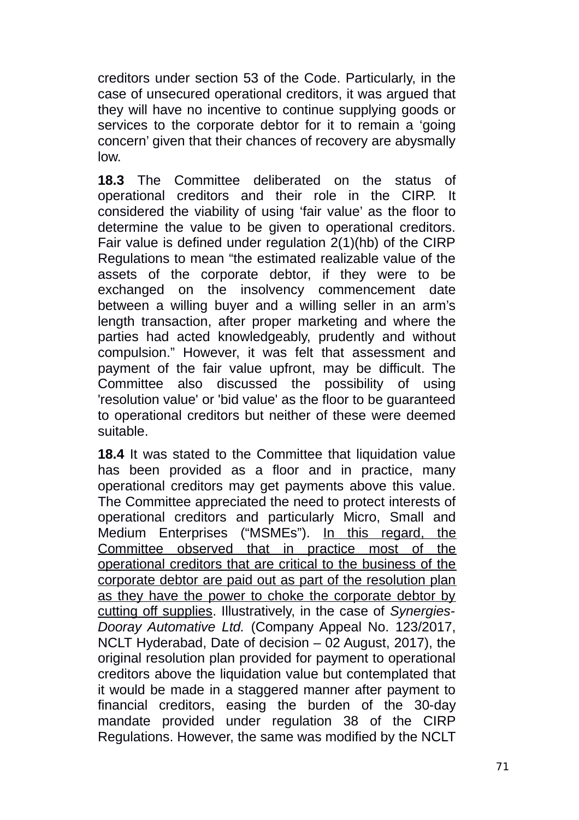creditors under section 53 of the Code. Particularly, in the case of unsecured operational creditors, it was argued that they will have no incentive to continue supplying goods or services to the corporate debtor for it to remain a 'going concern' given that their chances of recovery are abysmally low.

**18.3** The Committee deliberated on the status of operational creditors and their role in the CIRP. It considered the viability of using 'fair value' as the floor to determine the value to be given to operational creditors. Fair value is defined under regulation 2(1)(hb) of the CIRP Regulations to mean "the estimated realizable value of the assets of the corporate debtor, if they were to be exchanged on the insolvency commencement date between a willing buyer and a willing seller in an arm's length transaction, after proper marketing and where the parties had acted knowledgeably, prudently and without compulsion." However, it was felt that assessment and payment of the fair value upfront, may be difficult. The Committee also discussed the possibility of using 'resolution value' or 'bid value' as the floor to be guaranteed to operational creditors but neither of these were deemed suitable.

**18.4** It was stated to the Committee that liquidation value has been provided as a floor and in practice, many operational creditors may get payments above this value. The Committee appreciated the need to protect interests of operational creditors and particularly Micro, Small and Medium Enterprises ("MSMEs"). In this regard, the Committee observed that in practice most of the operational creditors that are critical to the business of the corporate debtor are paid out as part of the resolution plan as they have the power to choke the corporate debtor by cutting off supplies. Illustratively, in the case of *Synergies-Dooray Automative Ltd.* (Company Appeal No. 123/2017, NCLT Hyderabad, Date of decision – 02 August, 2017), the original resolution plan provided for payment to operational creditors above the liquidation value but contemplated that it would be made in a staggered manner after payment to financial creditors, easing the burden of the 30-day mandate provided under regulation 38 of the CIRP Regulations. However, the same was modified by the NCLT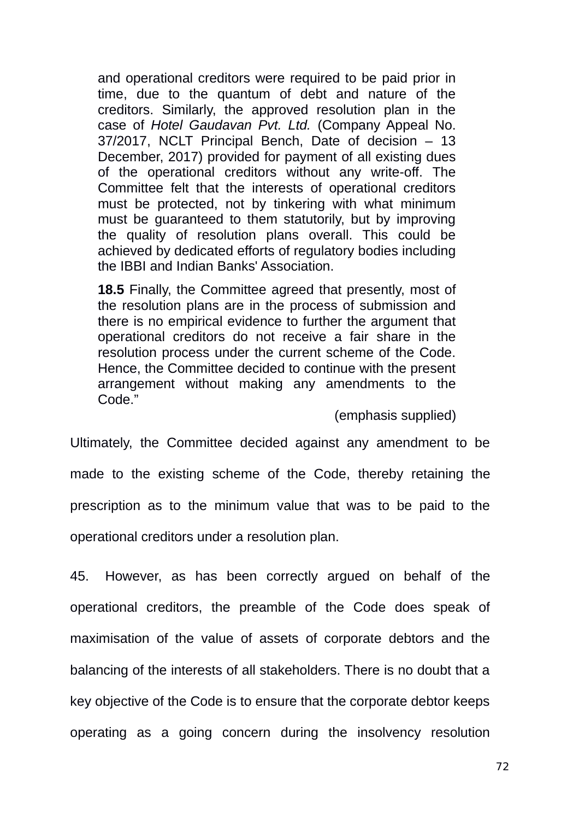and operational creditors were required to be paid prior in time, due to the quantum of debt and nature of the creditors. Similarly, the approved resolution plan in the case of *Hotel Gaudavan Pvt. Ltd.* (Company Appeal No. 37/2017, NCLT Principal Bench, Date of decision – 13 December, 2017) provided for payment of all existing dues of the operational creditors without any write-off. The Committee felt that the interests of operational creditors must be protected, not by tinkering with what minimum must be guaranteed to them statutorily, but by improving the quality of resolution plans overall. This could be achieved by dedicated efforts of regulatory bodies including the IBBI and Indian Banks' Association.

**18.5** Finally, the Committee agreed that presently, most of the resolution plans are in the process of submission and there is no empirical evidence to further the argument that operational creditors do not receive a fair share in the resolution process under the current scheme of the Code. Hence, the Committee decided to continue with the present arrangement without making any amendments to the Code."

#### (emphasis supplied)

Ultimately, the Committee decided against any amendment to be made to the existing scheme of the Code, thereby retaining the prescription as to the minimum value that was to be paid to the operational creditors under a resolution plan.

45. However, as has been correctly argued on behalf of the operational creditors, the preamble of the Code does speak of maximisation of the value of assets of corporate debtors and the balancing of the interests of all stakeholders. There is no doubt that a key objective of the Code is to ensure that the corporate debtor keeps operating as a going concern during the insolvency resolution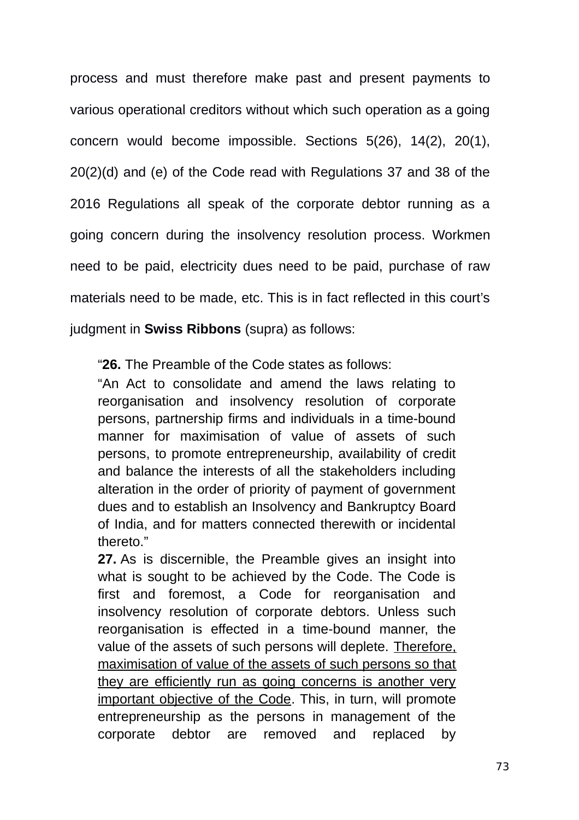process and must therefore make past and present payments to various operational creditors without which such operation as a going concern would become impossible. Sections 5(26), 14(2), 20(1), 20(2)(d) and (e) of the Code read with Regulations 37 and 38 of the 2016 Regulations all speak of the corporate debtor running as a going concern during the insolvency resolution process. Workmen need to be paid, electricity dues need to be paid, purchase of raw materials need to be made, etc. This is in fact reflected in this court's judgment in **Swiss Ribbons** (supra) as follows:

"**26.** The Preamble of the Code states as follows:

"An Act to consolidate and amend the laws relating to reorganisation and insolvency resolution of corporate persons, partnership firms and individuals in a time-bound manner for maximisation of value of assets of such persons, to promote entrepreneurship, availability of credit and balance the interests of all the stakeholders including alteration in the order of priority of payment of government dues and to establish an Insolvency and Bankruptcy Board of India, and for matters connected therewith or incidental thereto."

**27.** As is discernible, the Preamble gives an insight into what is sought to be achieved by the Code. The Code is first and foremost, a Code for reorganisation and insolvency resolution of corporate debtors. Unless such reorganisation is effected in a time-bound manner, the value of the assets of such persons will deplete. Therefore, maximisation of value of the assets of such persons so that they are efficiently run as going concerns is another very important objective of the Code. This, in turn, will promote entrepreneurship as the persons in management of the corporate debtor are removed and replaced by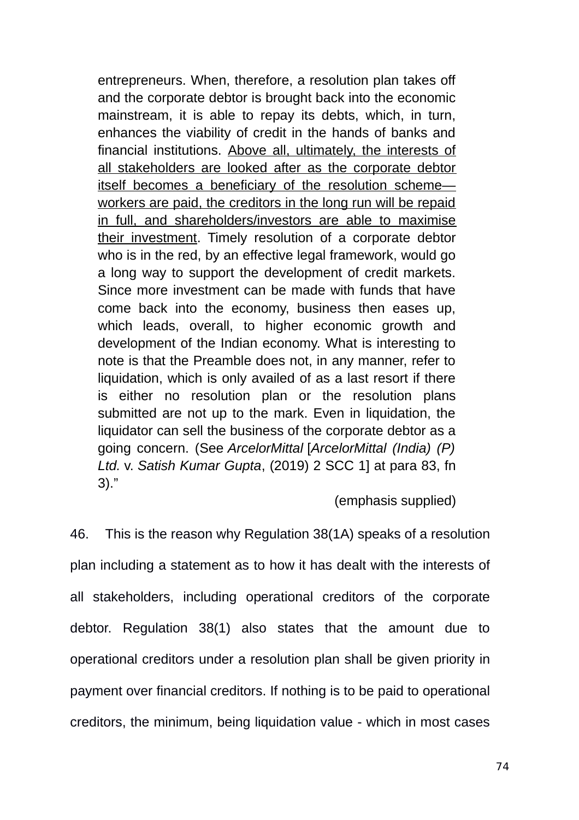entrepreneurs. When, therefore, a resolution plan takes off and the corporate debtor is brought back into the economic mainstream, it is able to repay its debts, which, in turn, enhances the viability of credit in the hands of banks and financial institutions. Above all, ultimately, the interests of all stakeholders are looked after as the corporate debtor itself becomes a beneficiary of the resolution scheme workers are paid, the creditors in the long run will be repaid in full, and shareholders/investors are able to maximise their investment. Timely resolution of a corporate debtor who is in the red, by an effective legal framework, would go a long way to support the development of credit markets. Since more investment can be made with funds that have come back into the economy, business then eases up, which leads, overall, to higher economic growth and development of the Indian economy. What is interesting to note is that the Preamble does not, in any manner, refer to liquidation, which is only availed of as a last resort if there is either no resolution plan or the resolution plans submitted are not up to the mark. Even in liquidation, the liquidator can sell the business of the corporate debtor as a going concern. (See *ArcelorMittal* [*ArcelorMittal (India) (P) Ltd.* v. *Satish Kumar Gupta*, (2019) 2 SCC 1] at para 83, fn 3)."

(emphasis supplied)

46. This is the reason why Regulation 38(1A) speaks of a resolution plan including a statement as to how it has dealt with the interests of all stakeholders, including operational creditors of the corporate debtor. Regulation 38(1) also states that the amount due to operational creditors under a resolution plan shall be given priority in payment over financial creditors. If nothing is to be paid to operational creditors, the minimum, being liquidation value - which in most cases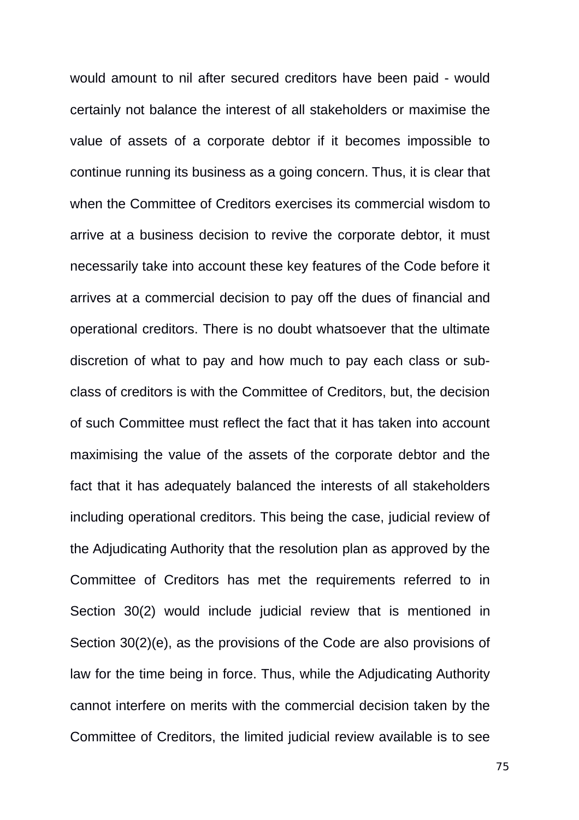would amount to nil after secured creditors have been paid - would certainly not balance the interest of all stakeholders or maximise the value of assets of a corporate debtor if it becomes impossible to continue running its business as a going concern. Thus, it is clear that when the Committee of Creditors exercises its commercial wisdom to arrive at a business decision to revive the corporate debtor, it must necessarily take into account these key features of the Code before it arrives at a commercial decision to pay off the dues of financial and operational creditors. There is no doubt whatsoever that the ultimate discretion of what to pay and how much to pay each class or subclass of creditors is with the Committee of Creditors, but, the decision of such Committee must reflect the fact that it has taken into account maximising the value of the assets of the corporate debtor and the fact that it has adequately balanced the interests of all stakeholders including operational creditors. This being the case, judicial review of the Adjudicating Authority that the resolution plan as approved by the Committee of Creditors has met the requirements referred to in Section 30(2) would include judicial review that is mentioned in Section 30(2)(e), as the provisions of the Code are also provisions of law for the time being in force. Thus, while the Adjudicating Authority cannot interfere on merits with the commercial decision taken by the Committee of Creditors, the limited judicial review available is to see

75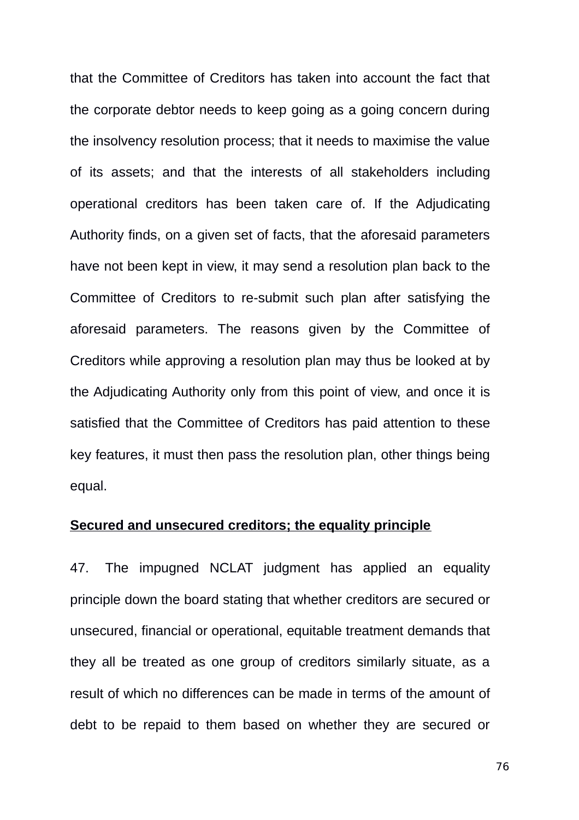that the Committee of Creditors has taken into account the fact that the corporate debtor needs to keep going as a going concern during the insolvency resolution process; that it needs to maximise the value of its assets; and that the interests of all stakeholders including operational creditors has been taken care of. If the Adjudicating Authority finds, on a given set of facts, that the aforesaid parameters have not been kept in view, it may send a resolution plan back to the Committee of Creditors to re-submit such plan after satisfying the aforesaid parameters. The reasons given by the Committee of Creditors while approving a resolution plan may thus be looked at by the Adjudicating Authority only from this point of view, and once it is satisfied that the Committee of Creditors has paid attention to these key features, it must then pass the resolution plan, other things being equal.

#### **Secured and unsecured creditors; the equality principle**

47. The impugned NCLAT judgment has applied an equality principle down the board stating that whether creditors are secured or unsecured, financial or operational, equitable treatment demands that they all be treated as one group of creditors similarly situate, as a result of which no differences can be made in terms of the amount of debt to be repaid to them based on whether they are secured or

76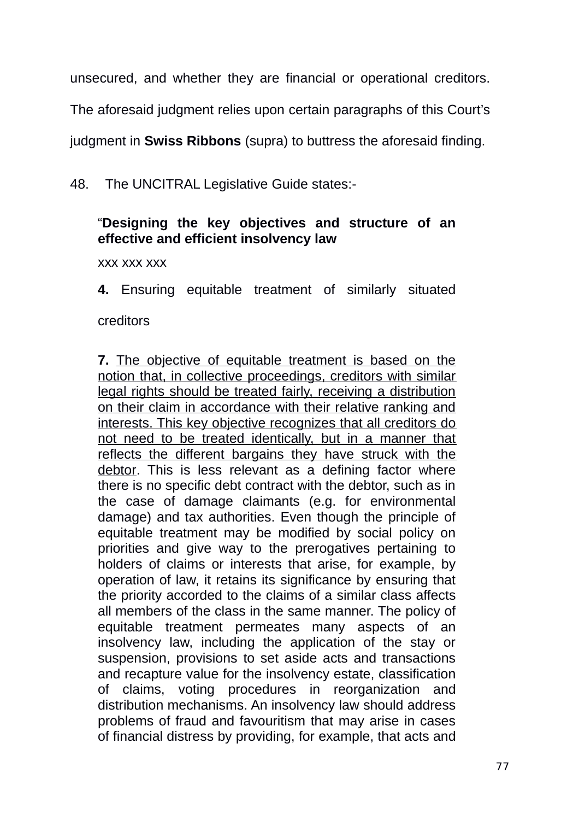unsecured, and whether they are financial or operational creditors.

The aforesaid judgment relies upon certain paragraphs of this Court's

judgment in **Swiss Ribbons** (supra) to buttress the aforesaid finding.

48. The UNCITRAL Legislative Guide states:-

## "**Designing the key objectives and structure of an effective and efficient insolvency law**

xxx xxx xxx

**4.** Ensuring equitable treatment of similarly situated

creditors

**7.** The objective of equitable treatment is based on the notion that, in collective proceedings, creditors with similar legal rights should be treated fairly, receiving a distribution on their claim in accordance with their relative ranking and interests. This key objective recognizes that all creditors do not need to be treated identically, but in a manner that reflects the different bargains they have struck with the debtor. This is less relevant as a defining factor where there is no specific debt contract with the debtor, such as in the case of damage claimants (e.g. for environmental damage) and tax authorities. Even though the principle of equitable treatment may be modified by social policy on priorities and give way to the prerogatives pertaining to holders of claims or interests that arise, for example, by operation of law, it retains its significance by ensuring that the priority accorded to the claims of a similar class affects all members of the class in the same manner. The policy of equitable treatment permeates many aspects of an insolvency law, including the application of the stay or suspension, provisions to set aside acts and transactions and recapture value for the insolvency estate, classification of claims, voting procedures in reorganization and distribution mechanisms. An insolvency law should address problems of fraud and favouritism that may arise in cases of financial distress by providing, for example, that acts and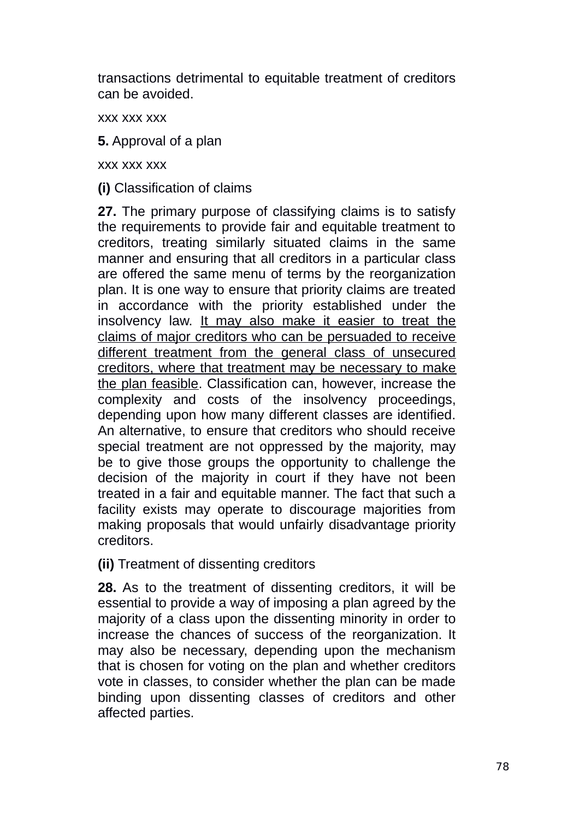transactions detrimental to equitable treatment of creditors can be avoided.

xxx xxx xxx

**5.** Approval of a plan

xxx xxx xxx

**(i)** Classification of claims

**27.** The primary purpose of classifying claims is to satisfy the requirements to provide fair and equitable treatment to creditors, treating similarly situated claims in the same manner and ensuring that all creditors in a particular class are offered the same menu of terms by the reorganization plan. It is one way to ensure that priority claims are treated in accordance with the priority established under the insolvency law. It may also make it easier to treat the claims of major creditors who can be persuaded to receive different treatment from the general class of unsecured creditors, where that treatment may be necessary to make the plan feasible. Classification can, however, increase the complexity and costs of the insolvency proceedings, depending upon how many different classes are identified. An alternative, to ensure that creditors who should receive special treatment are not oppressed by the majority, may be to give those groups the opportunity to challenge the decision of the majority in court if they have not been treated in a fair and equitable manner. The fact that such a facility exists may operate to discourage majorities from making proposals that would unfairly disadvantage priority creditors.

**(ii)** Treatment of dissenting creditors

**28.** As to the treatment of dissenting creditors, it will be essential to provide a way of imposing a plan agreed by the majority of a class upon the dissenting minority in order to increase the chances of success of the reorganization. It may also be necessary, depending upon the mechanism that is chosen for voting on the plan and whether creditors vote in classes, to consider whether the plan can be made binding upon dissenting classes of creditors and other affected parties.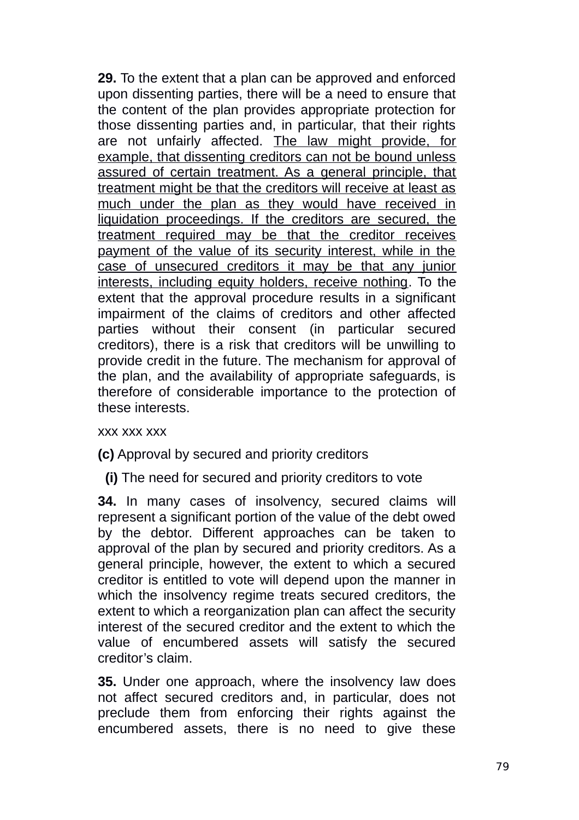**29.** To the extent that a plan can be approved and enforced upon dissenting parties, there will be a need to ensure that the content of the plan provides appropriate protection for those dissenting parties and, in particular, that their rights are not unfairly affected. The law might provide, for example, that dissenting creditors can not be bound unless assured of certain treatment. As a general principle, that treatment might be that the creditors will receive at least as much under the plan as they would have received in liquidation proceedings. If the creditors are secured, the treatment required may be that the creditor receives payment of the value of its security interest, while in the case of unsecured creditors it may be that any junior interests, including equity holders, receive nothing. To the extent that the approval procedure results in a significant impairment of the claims of creditors and other affected parties without their consent (in particular secured creditors), there is a risk that creditors will be unwilling to provide credit in the future. The mechanism for approval of the plan, and the availability of appropriate safeguards, is therefore of considerable importance to the protection of these interests.

#### xxx xxx xxx

- **(c)** Approval by secured and priority creditors
- **(i)** The need for secured and priority creditors to vote

**34.** In many cases of insolvency, secured claims will represent a significant portion of the value of the debt owed by the debtor. Different approaches can be taken to approval of the plan by secured and priority creditors. As a general principle, however, the extent to which a secured creditor is entitled to vote will depend upon the manner in which the insolvency regime treats secured creditors, the extent to which a reorganization plan can affect the security interest of the secured creditor and the extent to which the value of encumbered assets will satisfy the secured creditor's claim.

**35.** Under one approach, where the insolvency law does not affect secured creditors and, in particular, does not preclude them from enforcing their rights against the encumbered assets, there is no need to give these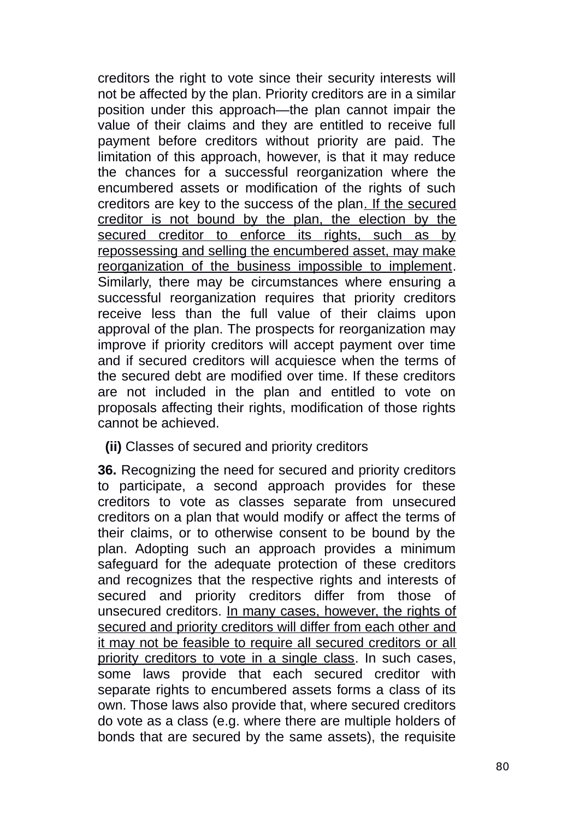creditors the right to vote since their security interests will not be affected by the plan. Priority creditors are in a similar position under this approach—the plan cannot impair the value of their claims and they are entitled to receive full payment before creditors without priority are paid. The limitation of this approach, however, is that it may reduce the chances for a successful reorganization where the encumbered assets or modification of the rights of such creditors are key to the success of the plan. If the secured creditor is not bound by the plan, the election by the secured creditor to enforce its rights, such as by repossessing and selling the encumbered asset, may make reorganization of the business impossible to implement. Similarly, there may be circumstances where ensuring a successful reorganization requires that priority creditors receive less than the full value of their claims upon approval of the plan. The prospects for reorganization may improve if priority creditors will accept payment over time and if secured creditors will acquiesce when the terms of the secured debt are modified over time. If these creditors are not included in the plan and entitled to vote on proposals affecting their rights, modification of those rights cannot be achieved.

**(ii)** Classes of secured and priority creditors

**36.** Recognizing the need for secured and priority creditors to participate, a second approach provides for these creditors to vote as classes separate from unsecured creditors on a plan that would modify or affect the terms of their claims, or to otherwise consent to be bound by the plan. Adopting such an approach provides a minimum safeguard for the adequate protection of these creditors and recognizes that the respective rights and interests of secured and priority creditors differ from those of unsecured creditors. In many cases, however, the rights of secured and priority creditors will differ from each other and it may not be feasible to require all secured creditors or all priority creditors to vote in a single class. In such cases, some laws provide that each secured creditor with separate rights to encumbered assets forms a class of its own. Those laws also provide that, where secured creditors do vote as a class (e.g. where there are multiple holders of bonds that are secured by the same assets), the requisite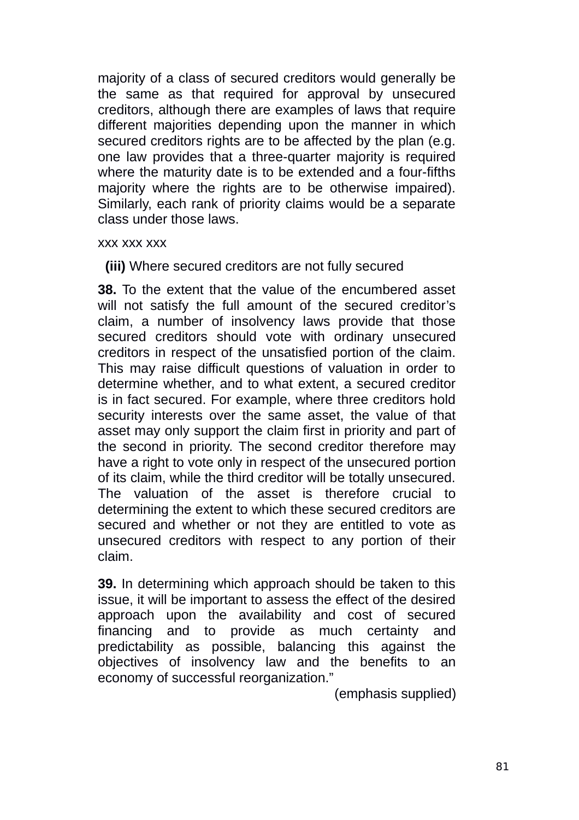majority of a class of secured creditors would generally be the same as that required for approval by unsecured creditors, although there are examples of laws that require different majorities depending upon the manner in which secured creditors rights are to be affected by the plan (e.g. one law provides that a three-quarter majority is required where the maturity date is to be extended and a four-fifths majority where the rights are to be otherwise impaired). Similarly, each rank of priority claims would be a separate class under those laws.

#### xxx xxx xxx

**(iii)** Where secured creditors are not fully secured

**38.** To the extent that the value of the encumbered asset will not satisfy the full amount of the secured creditor's claim, a number of insolvency laws provide that those secured creditors should vote with ordinary unsecured creditors in respect of the unsatisfied portion of the claim. This may raise difficult questions of valuation in order to determine whether, and to what extent, a secured creditor is in fact secured. For example, where three creditors hold security interests over the same asset, the value of that asset may only support the claim first in priority and part of the second in priority. The second creditor therefore may have a right to vote only in respect of the unsecured portion of its claim, while the third creditor will be totally unsecured. The valuation of the asset is therefore crucial to determining the extent to which these secured creditors are secured and whether or not they are entitled to vote as unsecured creditors with respect to any portion of their claim.

**39.** In determining which approach should be taken to this issue, it will be important to assess the effect of the desired approach upon the availability and cost of secured financing and to provide as much certainty and predictability as possible, balancing this against the objectives of insolvency law and the benefits to an economy of successful reorganization."

(emphasis supplied)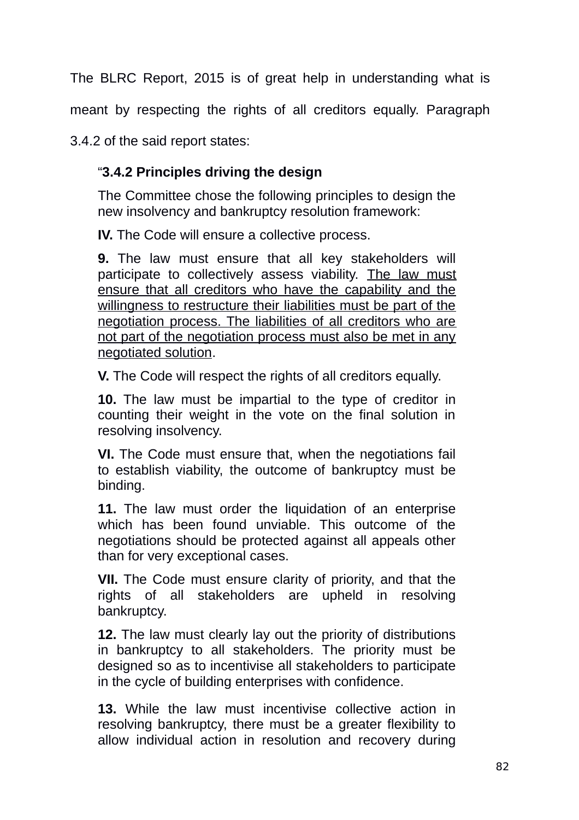The BLRC Report, 2015 is of great help in understanding what is

meant by respecting the rights of all creditors equally. Paragraph

3.4.2 of the said report states:

# "**3.4.2 Principles driving the design**

The Committee chose the following principles to design the new insolvency and bankruptcy resolution framework:

**IV.** The Code will ensure a collective process.

**9.** The law must ensure that all key stakeholders will participate to collectively assess viability. The law must ensure that all creditors who have the capability and the willingness to restructure their liabilities must be part of the negotiation process. The liabilities of all creditors who are not part of the negotiation process must also be met in any negotiated solution.

**V.** The Code will respect the rights of all creditors equally.

**10.** The law must be impartial to the type of creditor in counting their weight in the vote on the final solution in resolving insolvency.

**VI.** The Code must ensure that, when the negotiations fail to establish viability, the outcome of bankruptcy must be binding.

**11.** The law must order the liquidation of an enterprise which has been found unviable. This outcome of the negotiations should be protected against all appeals other than for very exceptional cases.

**VII.** The Code must ensure clarity of priority, and that the rights of all stakeholders are upheld in resolving bankruptcy.

**12.** The law must clearly lay out the priority of distributions in bankruptcy to all stakeholders. The priority must be designed so as to incentivise all stakeholders to participate in the cycle of building enterprises with confidence.

**13.** While the law must incentivise collective action in resolving bankruptcy, there must be a greater flexibility to allow individual action in resolution and recovery during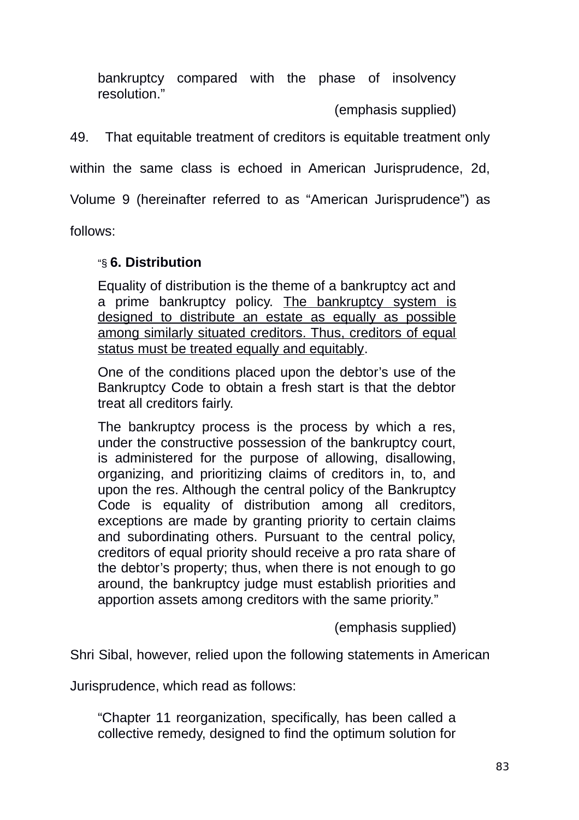bankruptcy compared with the phase of insolvency resolution."

(emphasis supplied)

49. That equitable treatment of creditors is equitable treatment only

within the same class is echoed in American Jurisprudence, 2d,

Volume 9 (hereinafter referred to as "American Jurisprudence") as

follows:

# "§ **6. Distribution**

Equality of distribution is the theme of a bankruptcy act and a prime bankruptcy policy. The bankruptcy system is designed to distribute an estate as equally as possible among similarly situated creditors. Thus, creditors of equal status must be treated equally and equitably.

One of the conditions placed upon the debtor's use of the Bankruptcy Code to obtain a fresh start is that the debtor treat all creditors fairly.

The bankruptcy process is the process by which a res, under the constructive possession of the bankruptcy court, is administered for the purpose of allowing, disallowing, organizing, and prioritizing claims of creditors in, to, and upon the res. Although the central policy of the Bankruptcy Code is equality of distribution among all creditors, exceptions are made by granting priority to certain claims and subordinating others. Pursuant to the central policy, creditors of equal priority should receive a pro rata share of the debtor's property; thus, when there is not enough to go around, the bankruptcy judge must establish priorities and apportion assets among creditors with the same priority."

(emphasis supplied)

Shri Sibal, however, relied upon the following statements in American

Jurisprudence, which read as follows:

"Chapter 11 reorganization, specifically, has been called a collective remedy, designed to find the optimum solution for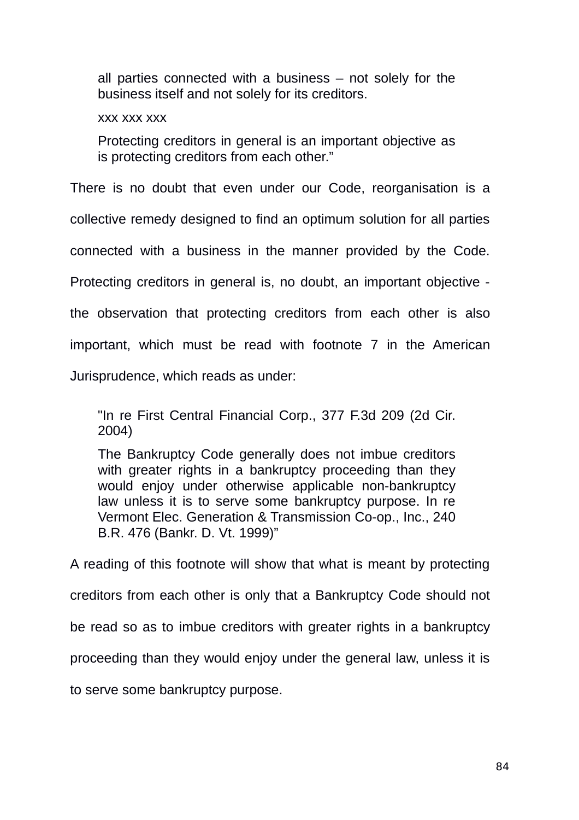all parties connected with a business – not solely for the business itself and not solely for its creditors.

xxx xxx xxx

Protecting creditors in general is an important objective as is protecting creditors from each other."

There is no doubt that even under our Code, reorganisation is a

collective remedy designed to find an optimum solution for all parties

connected with a business in the manner provided by the Code.

Protecting creditors in general is, no doubt, an important objective -

the observation that protecting creditors from each other is also

important, which must be read with footnote 7 in the American

Jurisprudence, which reads as under:

"In re First Central Financial Corp., 377 F.3d 209 (2d Cir. 2004)

The Bankruptcy Code generally does not imbue creditors with greater rights in a bankruptcy proceeding than they would enjoy under otherwise applicable non-bankruptcy law unless it is to serve some bankruptcy purpose. In re Vermont Elec. Generation & Transmission Co-op., Inc., 240 B.R. 476 (Bankr. D. Vt. 1999)"

A reading of this footnote will show that what is meant by protecting creditors from each other is only that a Bankruptcy Code should not be read so as to imbue creditors with greater rights in a bankruptcy proceeding than they would enjoy under the general law, unless it is to serve some bankruptcy purpose.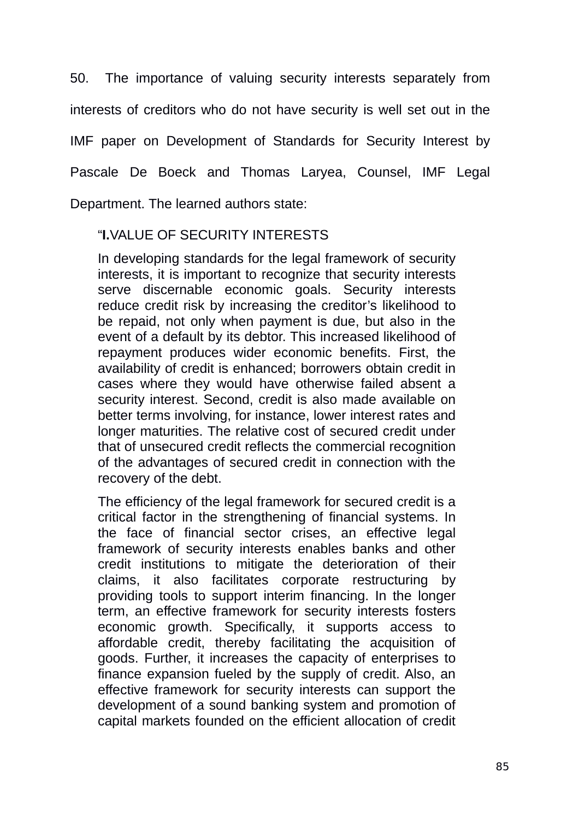50. The importance of valuing security interests separately from interests of creditors who do not have security is well set out in the IMF paper on Development of Standards for Security Interest by Pascale De Boeck and Thomas Laryea, Counsel, IMF Legal Department. The learned authors state:

#### "**I.**VALUE OF SECURITY INTERESTS

In developing standards for the legal framework of security interests, it is important to recognize that security interests serve discernable economic goals. Security interests reduce credit risk by increasing the creditor's likelihood to be repaid, not only when payment is due, but also in the event of a default by its debtor. This increased likelihood of repayment produces wider economic benefits. First, the availability of credit is enhanced; borrowers obtain credit in cases where they would have otherwise failed absent a security interest. Second, credit is also made available on better terms involving, for instance, lower interest rates and longer maturities. The relative cost of secured credit under that of unsecured credit reflects the commercial recognition of the advantages of secured credit in connection with the recovery of the debt.

The efficiency of the legal framework for secured credit is a critical factor in the strengthening of financial systems. In the face of financial sector crises, an effective legal framework of security interests enables banks and other credit institutions to mitigate the deterioration of their claims, it also facilitates corporate restructuring by providing tools to support interim financing. In the longer term, an effective framework for security interests fosters economic growth. Specifically, it supports access to affordable credit, thereby facilitating the acquisition of goods. Further, it increases the capacity of enterprises to finance expansion fueled by the supply of credit. Also, an effective framework for security interests can support the development of a sound banking system and promotion of capital markets founded on the efficient allocation of credit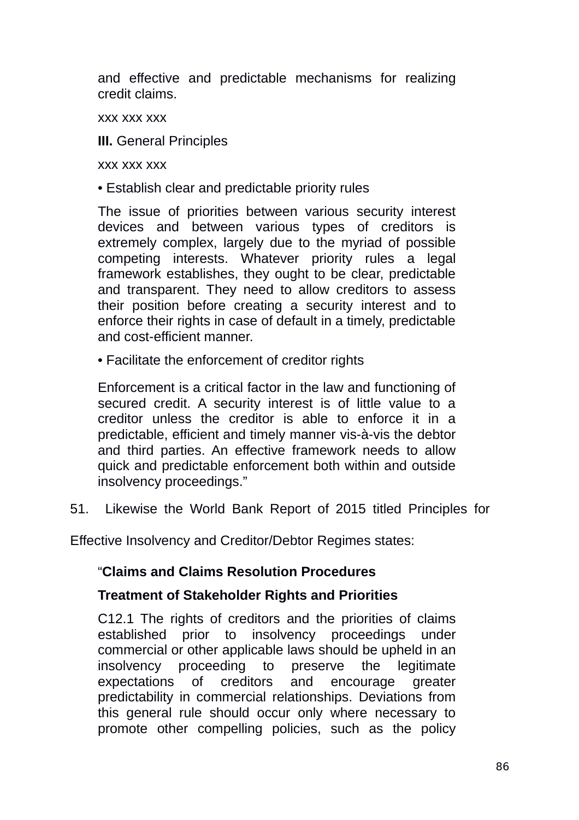and effective and predictable mechanisms for realizing credit claims.

xxx xxx xxx

**III.** General Principles

xxx xxx xxx

• Establish clear and predictable priority rules

The issue of priorities between various security interest devices and between various types of creditors is extremely complex, largely due to the myriad of possible competing interests. Whatever priority rules a legal framework establishes, they ought to be clear, predictable and transparent. They need to allow creditors to assess their position before creating a security interest and to enforce their rights in case of default in a timely, predictable and cost-efficient manner.

• Facilitate the enforcement of creditor rights

Enforcement is a critical factor in the law and functioning of secured credit. A security interest is of little value to a creditor unless the creditor is able to enforce it in a predictable, efficient and timely manner vis-à-vis the debtor and third parties. An effective framework needs to allow quick and predictable enforcement both within and outside insolvency proceedings."

51. Likewise the World Bank Report of 2015 titled Principles for

Effective Insolvency and Creditor/Debtor Regimes states:

### "**Claims and Claims Resolution Procedures**

### **Treatment of Stakeholder Rights and Priorities**

C12.1 The rights of creditors and the priorities of claims established prior to insolvency proceedings under commercial or other applicable laws should be upheld in an insolvency proceeding to preserve the legitimate expectations of creditors and encourage greater predictability in commercial relationships. Deviations from this general rule should occur only where necessary to promote other compelling policies, such as the policy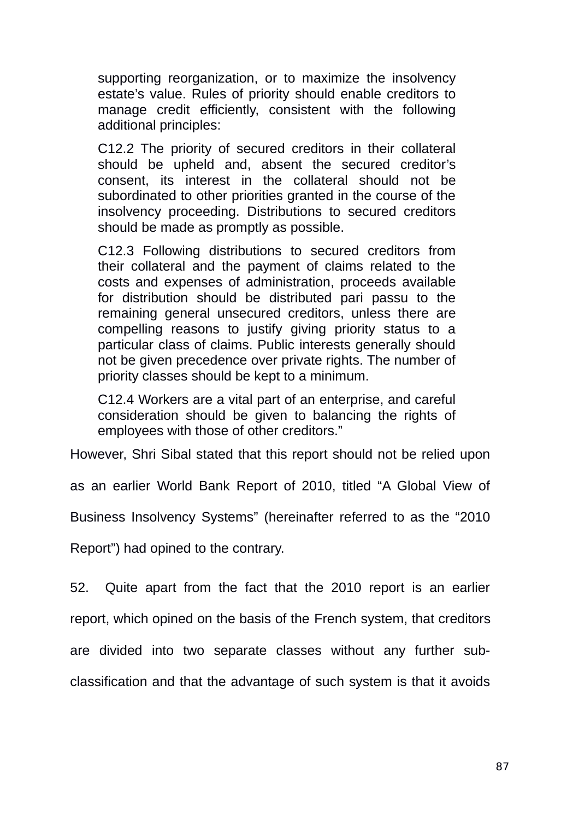supporting reorganization, or to maximize the insolvency estate's value. Rules of priority should enable creditors to manage credit efficiently, consistent with the following additional principles:

C12.2 The priority of secured creditors in their collateral should be upheld and, absent the secured creditor's consent, its interest in the collateral should not be subordinated to other priorities granted in the course of the insolvency proceeding. Distributions to secured creditors should be made as promptly as possible.

C12.3 Following distributions to secured creditors from their collateral and the payment of claims related to the costs and expenses of administration, proceeds available for distribution should be distributed pari passu to the remaining general unsecured creditors, unless there are compelling reasons to justify giving priority status to a particular class of claims. Public interests generally should not be given precedence over private rights. The number of priority classes should be kept to a minimum.

C12.4 Workers are a vital part of an enterprise, and careful consideration should be given to balancing the rights of employees with those of other creditors."

However, Shri Sibal stated that this report should not be relied upon

as an earlier World Bank Report of 2010, titled "A Global View of

Business Insolvency Systems" (hereinafter referred to as the "2010

Report") had opined to the contrary.

52. Quite apart from the fact that the 2010 report is an earlier report, which opined on the basis of the French system, that creditors are divided into two separate classes without any further subclassification and that the advantage of such system is that it avoids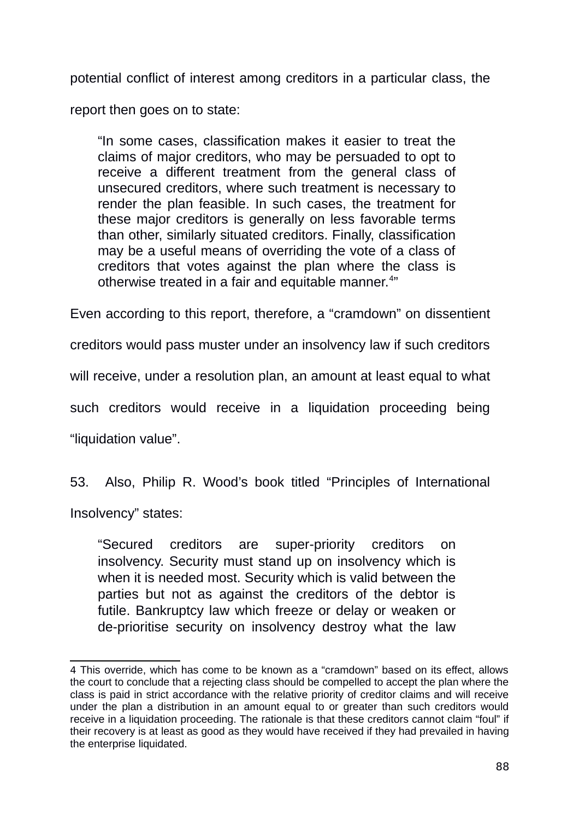potential conflict of interest among creditors in a particular class, the

report then goes on to state:

"In some cases, classification makes it easier to treat the claims of major creditors, who may be persuaded to opt to receive a different treatment from the general class of unsecured creditors, where such treatment is necessary to render the plan feasible. In such cases, the treatment for these major creditors is generally on less favorable terms than other, similarly situated creditors. Finally, classification may be a useful means of overriding the vote of a class of creditors that votes against the plan where the class is otherwise treated in a fair and equitable manner.<sup>[4](#page-87-0)</sup>"

Even according to this report, therefore, a "cramdown" on dissentient

creditors would pass muster under an insolvency law if such creditors

will receive, under a resolution plan, an amount at least equal to what

such creditors would receive in a liquidation proceeding being

"liquidation value".

53. Also, Philip R. Wood's book titled "Principles of International Insolvency" states:

"Secured creditors are super-priority creditors on insolvency. Security must stand up on insolvency which is when it is needed most. Security which is valid between the parties but not as against the creditors of the debtor is futile. Bankruptcy law which freeze or delay or weaken or de-prioritise security on insolvency destroy what the law

<span id="page-87-0"></span><sup>4</sup> This override, which has come to be known as a "cramdown" based on its effect, allows the court to conclude that a rejecting class should be compelled to accept the plan where the class is paid in strict accordance with the relative priority of creditor claims and will receive under the plan a distribution in an amount equal to or greater than such creditors would receive in a liquidation proceeding. The rationale is that these creditors cannot claim "foul" if their recovery is at least as good as they would have received if they had prevailed in having the enterprise liquidated.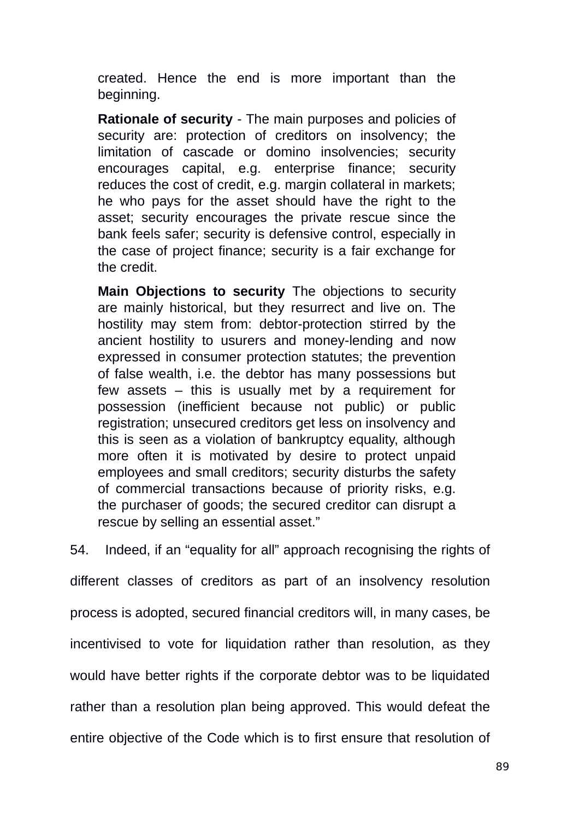created. Hence the end is more important than the beginning.

**Rationale of security** - The main purposes and policies of security are: protection of creditors on insolvency; the limitation of cascade or domino insolvencies; security encourages capital, e.g. enterprise finance; security reduces the cost of credit, e.g. margin collateral in markets; he who pays for the asset should have the right to the asset; security encourages the private rescue since the bank feels safer; security is defensive control, especially in the case of project finance; security is a fair exchange for the credit.

**Main Objections to security** The objections to security are mainly historical, but they resurrect and live on. The hostility may stem from: debtor-protection stirred by the ancient hostility to usurers and money-lending and now expressed in consumer protection statutes; the prevention of false wealth, i.e. the debtor has many possessions but few assets – this is usually met by a requirement for possession (inefficient because not public) or public registration; unsecured creditors get less on insolvency and this is seen as a violation of bankruptcy equality, although more often it is motivated by desire to protect unpaid employees and small creditors; security disturbs the safety of commercial transactions because of priority risks, e.g. the purchaser of goods; the secured creditor can disrupt a rescue by selling an essential asset."

54. Indeed, if an "equality for all" approach recognising the rights of different classes of creditors as part of an insolvency resolution process is adopted, secured financial creditors will, in many cases, be incentivised to vote for liquidation rather than resolution, as they would have better rights if the corporate debtor was to be liquidated rather than a resolution plan being approved. This would defeat the entire objective of the Code which is to first ensure that resolution of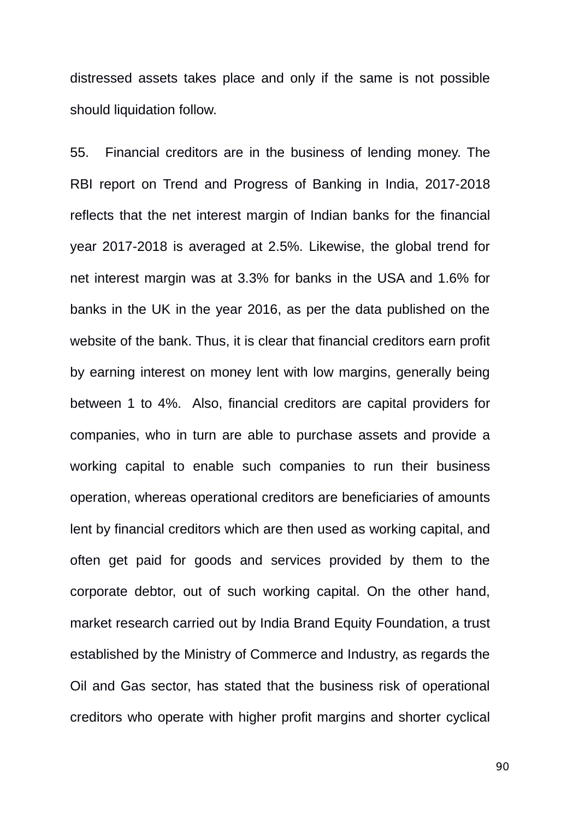distressed assets takes place and only if the same is not possible should liquidation follow.

55. Financial creditors are in the business of lending money. The RBI report on Trend and Progress of Banking in India, 2017-2018 reflects that the net interest margin of Indian banks for the financial year 2017-2018 is averaged at 2.5%. Likewise, the global trend for net interest margin was at 3.3% for banks in the USA and 1.6% for banks in the UK in the year 2016, as per the data published on the website of the bank. Thus, it is clear that financial creditors earn profit by earning interest on money lent with low margins, generally being between 1 to 4%. Also, financial creditors are capital providers for companies, who in turn are able to purchase assets and provide a working capital to enable such companies to run their business operation, whereas operational creditors are beneficiaries of amounts lent by financial creditors which are then used as working capital, and often get paid for goods and services provided by them to the corporate debtor, out of such working capital. On the other hand, market research carried out by India Brand Equity Foundation, a trust established by the Ministry of Commerce and Industry, as regards the Oil and Gas sector, has stated that the business risk of operational creditors who operate with higher profit margins and shorter cyclical

90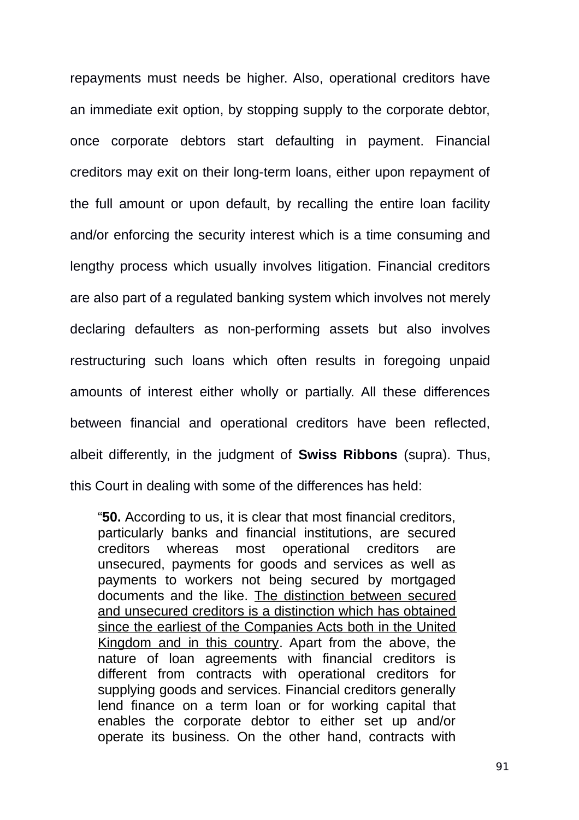repayments must needs be higher. Also, operational creditors have an immediate exit option, by stopping supply to the corporate debtor, once corporate debtors start defaulting in payment. Financial creditors may exit on their long-term loans, either upon repayment of the full amount or upon default, by recalling the entire loan facility and/or enforcing the security interest which is a time consuming and lengthy process which usually involves litigation. Financial creditors are also part of a regulated banking system which involves not merely declaring defaulters as non-performing assets but also involves restructuring such loans which often results in foregoing unpaid amounts of interest either wholly or partially. All these differences between financial and operational creditors have been reflected, albeit differently, in the judgment of **Swiss Ribbons** (supra). Thus, this Court in dealing with some of the differences has held:

"**50.** According to us, it is clear that most financial creditors, particularly banks and financial institutions, are secured creditors whereas most operational creditors are unsecured, payments for goods and services as well as payments to workers not being secured by mortgaged documents and the like. The distinction between secured and unsecured creditors is a distinction which has obtained since the earliest of the Companies Acts both in the United Kingdom and in this country. Apart from the above, the nature of loan agreements with financial creditors is different from contracts with operational creditors for supplying goods and services. Financial creditors generally lend finance on a term loan or for working capital that enables the corporate debtor to either set up and/or operate its business. On the other hand, contracts with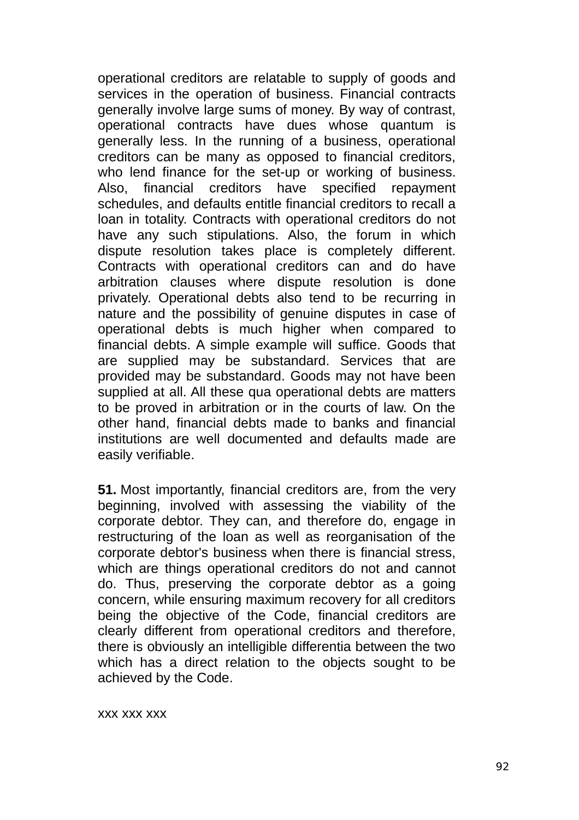operational creditors are relatable to supply of goods and services in the operation of business. Financial contracts generally involve large sums of money. By way of contrast, operational contracts have dues whose quantum is generally less. In the running of a business, operational creditors can be many as opposed to financial creditors, who lend finance for the set-up or working of business. Also, financial creditors have specified repayment schedules, and defaults entitle financial creditors to recall a loan in totality. Contracts with operational creditors do not have any such stipulations. Also, the forum in which dispute resolution takes place is completely different. Contracts with operational creditors can and do have arbitration clauses where dispute resolution is done privately. Operational debts also tend to be recurring in nature and the possibility of genuine disputes in case of operational debts is much higher when compared to financial debts. A simple example will suffice. Goods that are supplied may be substandard. Services that are provided may be substandard. Goods may not have been supplied at all. All these qua operational debts are matters to be proved in arbitration or in the courts of law. On the other hand, financial debts made to banks and financial institutions are well documented and defaults made are easily verifiable.

**51.** Most importantly, financial creditors are, from the very beginning, involved with assessing the viability of the corporate debtor. They can, and therefore do, engage in restructuring of the loan as well as reorganisation of the corporate debtor's business when there is financial stress, which are things operational creditors do not and cannot do. Thus, preserving the corporate debtor as a going concern, while ensuring maximum recovery for all creditors being the objective of the Code, financial creditors are clearly different from operational creditors and therefore, there is obviously an intelligible differentia between the two which has a direct relation to the objects sought to be achieved by the Code.

xxx xxx xxx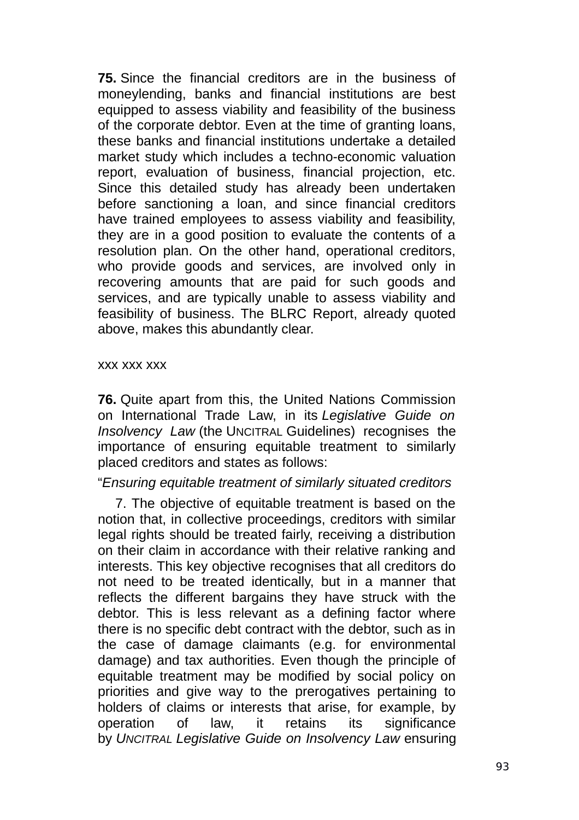**75.** Since the financial creditors are in the business of moneylending, banks and financial institutions are best equipped to assess viability and feasibility of the business of the corporate debtor. Even at the time of granting loans, these banks and financial institutions undertake a detailed market study which includes a techno-economic valuation report, evaluation of business, financial projection, etc. Since this detailed study has already been undertaken before sanctioning a loan, and since financial creditors have trained employees to assess viability and feasibility, they are in a good position to evaluate the contents of a resolution plan. On the other hand, operational creditors, who provide goods and services, are involved only in recovering amounts that are paid for such goods and services, and are typically unable to assess viability and feasibility of business. The BLRC Report, already quoted above, makes this abundantly clear.

#### xxx xxx xxx

**76.** Quite apart from this, the United Nations Commission on International Trade Law, in its *Legislative Guide on Insolvency Law (the UNCITRAL Guidelines) recognises the* importance of ensuring equitable treatment to similarly placed creditors and states as follows:

### "*Ensuring equitable treatment of similarly situated creditors*

7. The objective of equitable treatment is based on the notion that, in collective proceedings, creditors with similar legal rights should be treated fairly, receiving a distribution on their claim in accordance with their relative ranking and interests. This key objective recognises that all creditors do not need to be treated identically, but in a manner that reflects the different bargains they have struck with the debtor. This is less relevant as a defining factor where there is no specific debt contract with the debtor, such as in the case of damage claimants (e.g. for environmental damage) and tax authorities. Even though the principle of equitable treatment may be modified by social policy on priorities and give way to the prerogatives pertaining to holders of claims or interests that arise, for example, by operation of law, it retains its significance by *UNCITRAL Legislative Guide on Insolvency Law* ensuring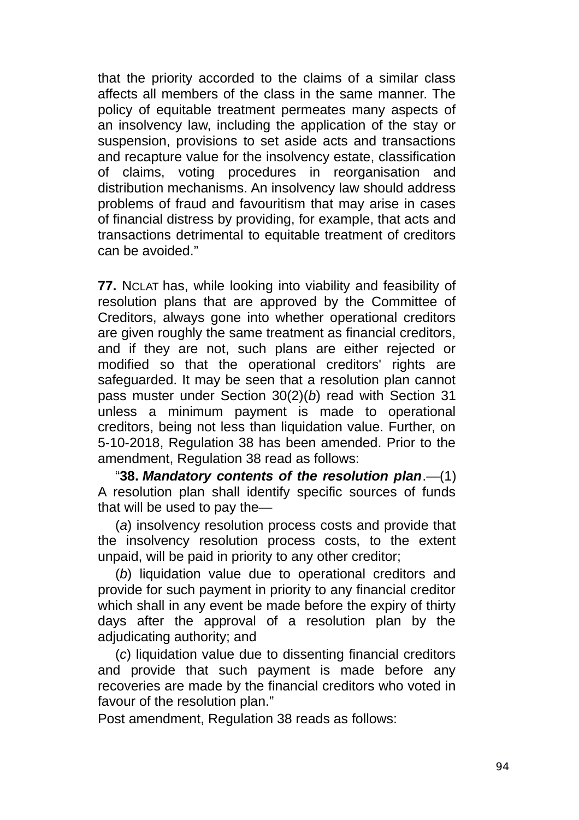that the priority accorded to the claims of a similar class affects all members of the class in the same manner. The policy of equitable treatment permeates many aspects of an insolvency law, including the application of the stay or suspension, provisions to set aside acts and transactions and recapture value for the insolvency estate, classification of claims, voting procedures in reorganisation and distribution mechanisms. An insolvency law should address problems of fraud and favouritism that may arise in cases of financial distress by providing, for example, that acts and transactions detrimental to equitable treatment of creditors can be avoided."

**77.** NCLAT has, while looking into viability and feasibility of resolution plans that are approved by the Committee of Creditors, always gone into whether operational creditors are given roughly the same treatment as financial creditors, and if they are not, such plans are either rejected or modified so that the operational creditors' rights are safeguarded. It may be seen that a resolution plan cannot pass muster under Section 30(2)(*b*) read with Section 31 unless a minimum payment is made to operational creditors, being not less than liquidation value. Further, on 5-10-2018, Regulation 38 has been amended. Prior to the amendment, Regulation 38 read as follows:

"**38.** *Mandatory contents of the resolution plan*.—(1) A resolution plan shall identify specific sources of funds that will be used to pay the—

(*a*) insolvency resolution process costs and provide that the insolvency resolution process costs, to the extent unpaid, will be paid in priority to any other creditor;

(*b*) liquidation value due to operational creditors and provide for such payment in priority to any financial creditor which shall in any event be made before the expiry of thirty days after the approval of a resolution plan by the adjudicating authority; and

(*c*) liquidation value due to dissenting financial creditors and provide that such payment is made before any recoveries are made by the financial creditors who voted in favour of the resolution plan."

Post amendment, Regulation 38 reads as follows: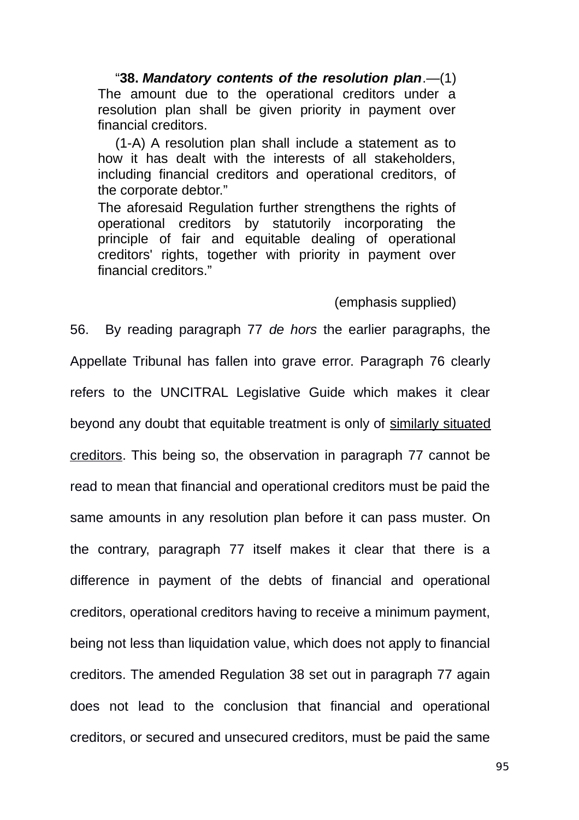"**38.** *Mandatory contents of the resolution plan*.—(1) The amount due to the operational creditors under a resolution plan shall be given priority in payment over financial creditors.

(1-A) A resolution plan shall include a statement as to how it has dealt with the interests of all stakeholders, including financial creditors and operational creditors, of the corporate debtor."

The aforesaid Regulation further strengthens the rights of operational creditors by statutorily incorporating the principle of fair and equitable dealing of operational creditors' rights, together with priority in payment over financial creditors."

(emphasis supplied)

56. By reading paragraph 77 *de hors* the earlier paragraphs, the Appellate Tribunal has fallen into grave error. Paragraph 76 clearly refers to the UNCITRAL Legislative Guide which makes it clear beyond any doubt that equitable treatment is only of similarly situated creditors. This being so, the observation in paragraph 77 cannot be read to mean that financial and operational creditors must be paid the same amounts in any resolution plan before it can pass muster. On the contrary, paragraph 77 itself makes it clear that there is a difference in payment of the debts of financial and operational creditors, operational creditors having to receive a minimum payment, being not less than liquidation value, which does not apply to financial creditors. The amended Regulation 38 set out in paragraph 77 again does not lead to the conclusion that financial and operational creditors, or secured and unsecured creditors, must be paid the same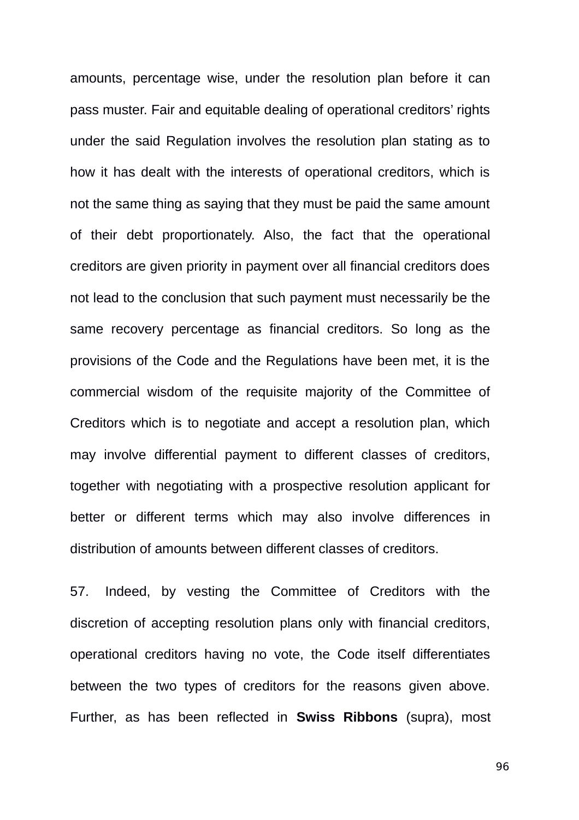amounts, percentage wise, under the resolution plan before it can pass muster. Fair and equitable dealing of operational creditors' rights under the said Regulation involves the resolution plan stating as to how it has dealt with the interests of operational creditors, which is not the same thing as saying that they must be paid the same amount of their debt proportionately. Also, the fact that the operational creditors are given priority in payment over all financial creditors does not lead to the conclusion that such payment must necessarily be the same recovery percentage as financial creditors. So long as the provisions of the Code and the Regulations have been met, it is the commercial wisdom of the requisite majority of the Committee of Creditors which is to negotiate and accept a resolution plan, which may involve differential payment to different classes of creditors, together with negotiating with a prospective resolution applicant for better or different terms which may also involve differences in distribution of amounts between different classes of creditors.

57. Indeed, by vesting the Committee of Creditors with the discretion of accepting resolution plans only with financial creditors, operational creditors having no vote, the Code itself differentiates between the two types of creditors for the reasons given above. Further, as has been reflected in **Swiss Ribbons** (supra), most

96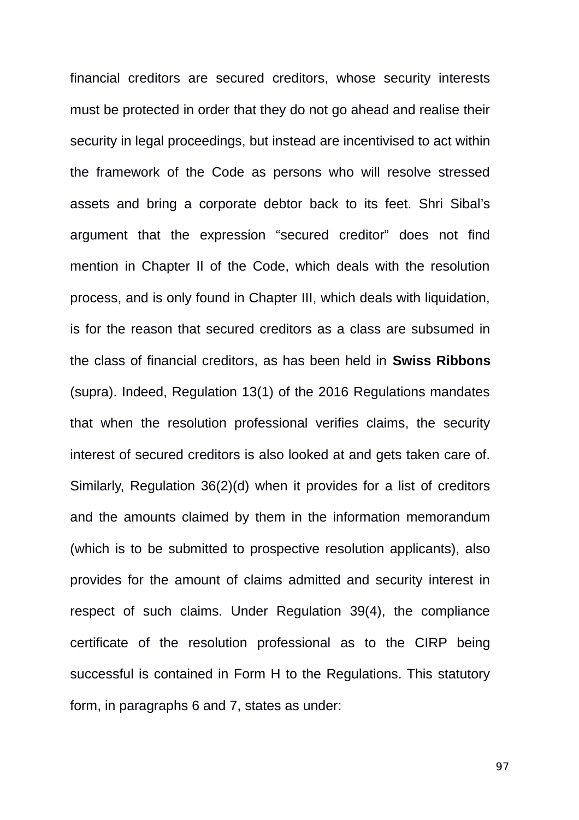financial creditors are secured creditors, whose security interests must be protected in order that they do not go ahead and realise their security in legal proceedings, but instead are incentivised to act within the framework of the Code as persons who will resolve stressed assets and bring a corporate debtor back to its feet. Shri Sibal's argument that the expression "secured creditor" does not find mention in Chapter II of the Code, which deals with the resolution process, and is only found in Chapter III, which deals with liquidation, is for the reason that secured creditors as a class are subsumed in the class of financial creditors, as has been held in **Swiss Ribbons** (supra). Indeed, Regulation 13(1) of the 2016 Regulations mandates that when the resolution professional verifies claims, the security interest of secured creditors is also looked at and gets taken care of. Similarly, Regulation 36(2)(d) when it provides for a list of creditors and the amounts claimed by them in the information memorandum (which is to be submitted to prospective resolution applicants), also provides for the amount of claims admitted and security interest in respect of such claims. Under Regulation 39(4), the compliance certificate of the resolution professional as to the CIRP being successful is contained in Form H to the Regulations. This statutory form, in paragraphs 6 and 7, states as under:

97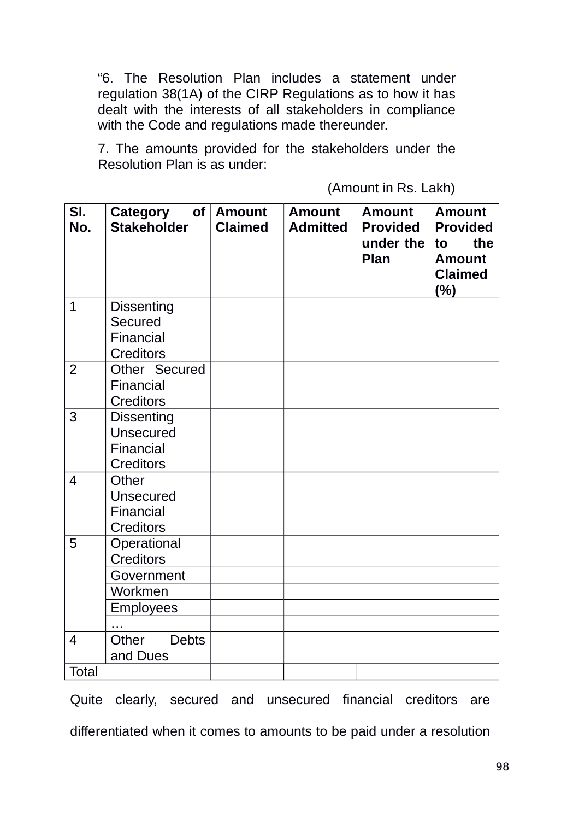"6. The Resolution Plan includes a statement under regulation 38(1A) of the CIRP Regulations as to how it has dealt with the interests of all stakeholders in compliance with the Code and regulations made thereunder.

7. The amounts provided for the stakeholders under the Resolution Plan is as under:

(Amount in Rs. Lakh)

| SI.<br>No.     | <b>of</b><br>Category<br><b>Stakeholder</b>                                 | <b>Amount</b><br><b>Claimed</b> | <b>Amount</b><br><b>Admitted</b> | <b>Amount</b><br><b>Provided</b><br>under the<br>Plan | <b>Amount</b><br><b>Provided</b><br>the<br>to<br><b>Amount</b><br><b>Claimed</b><br>(%) |
|----------------|-----------------------------------------------------------------------------|---------------------------------|----------------------------------|-------------------------------------------------------|-----------------------------------------------------------------------------------------|
| $\mathbf{1}$   | <b>Dissenting</b><br><b>Secured</b><br><b>Financial</b><br><b>Creditors</b> |                                 |                                  |                                                       |                                                                                         |
| $\overline{2}$ | Other Secured<br>Financial<br><b>Creditors</b>                              |                                 |                                  |                                                       |                                                                                         |
| 3              | <b>Dissenting</b><br>Unsecured<br><b>Financial</b><br><b>Creditors</b>      |                                 |                                  |                                                       |                                                                                         |
| $\overline{4}$ | Other<br>Unsecured<br><b>Financial</b><br><b>Creditors</b>                  |                                 |                                  |                                                       |                                                                                         |
| 5              | Operational<br><b>Creditors</b>                                             |                                 |                                  |                                                       |                                                                                         |
|                | Government                                                                  |                                 |                                  |                                                       |                                                                                         |
|                | Workmen                                                                     |                                 |                                  |                                                       |                                                                                         |
|                | <b>Employees</b>                                                            |                                 |                                  |                                                       |                                                                                         |
|                |                                                                             |                                 |                                  |                                                       |                                                                                         |
| $\overline{4}$ | Other<br><b>Debts</b><br>and Dues                                           |                                 |                                  |                                                       |                                                                                         |
| <b>Total</b>   |                                                                             |                                 |                                  |                                                       |                                                                                         |

Quite clearly, secured and unsecured financial creditors are differentiated when it comes to amounts to be paid under a resolution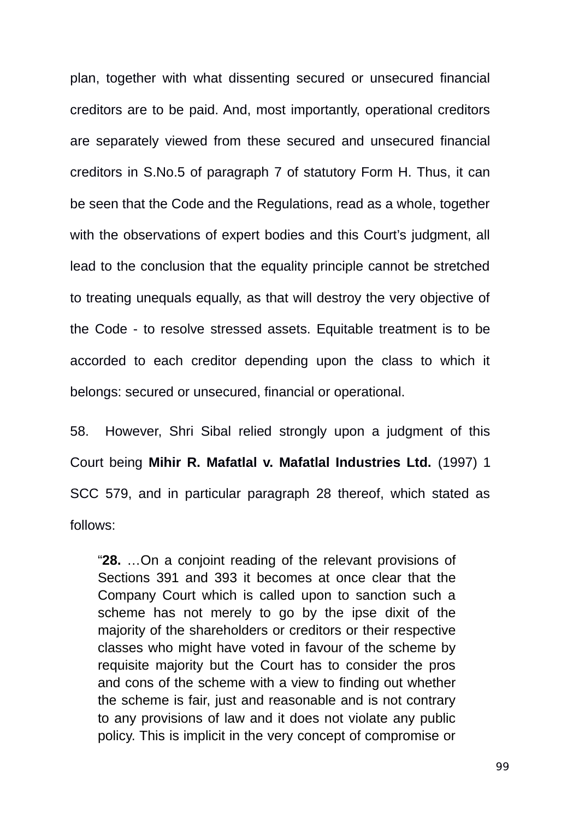plan, together with what dissenting secured or unsecured financial creditors are to be paid. And, most importantly, operational creditors are separately viewed from these secured and unsecured financial creditors in S.No.5 of paragraph 7 of statutory Form H. Thus, it can be seen that the Code and the Regulations, read as a whole, together with the observations of expert bodies and this Court's judgment, all lead to the conclusion that the equality principle cannot be stretched to treating unequals equally, as that will destroy the very objective of the Code - to resolve stressed assets. Equitable treatment is to be accorded to each creditor depending upon the class to which it belongs: secured or unsecured, financial or operational.

58. However, Shri Sibal relied strongly upon a judgment of this Court being **Mihir R. Mafatlal v. Mafatlal Industries Ltd.** (1997) 1 SCC 579, and in particular paragraph 28 thereof, which stated as follows:

"**28.** …On a conjoint reading of the relevant provisions of Sections 391 and 393 it becomes at once clear that the Company Court which is called upon to sanction such a scheme has not merely to go by the ipse dixit of the majority of the shareholders or creditors or their respective classes who might have voted in favour of the scheme by requisite majority but the Court has to consider the pros and cons of the scheme with a view to finding out whether the scheme is fair, just and reasonable and is not contrary to any provisions of law and it does not violate any public policy. This is implicit in the very concept of compromise or

99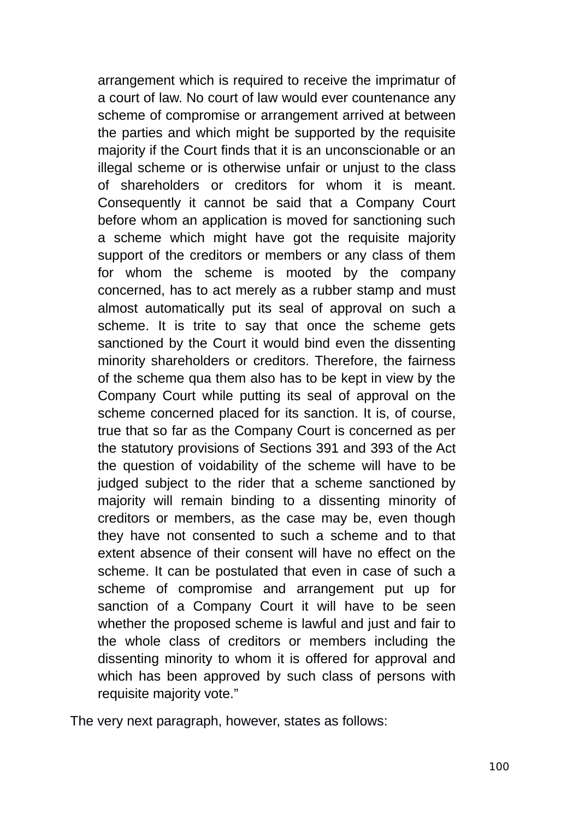arrangement which is required to receive the imprimatur of a court of law. No court of law would ever countenance any scheme of compromise or arrangement arrived at between the parties and which might be supported by the requisite majority if the Court finds that it is an unconscionable or an illegal scheme or is otherwise unfair or unjust to the class of shareholders or creditors for whom it is meant. Consequently it cannot be said that a Company Court before whom an application is moved for sanctioning such a scheme which might have got the requisite majority support of the creditors or members or any class of them for whom the scheme is mooted by the company concerned, has to act merely as a rubber stamp and must almost automatically put its seal of approval on such a scheme. It is trite to say that once the scheme gets sanctioned by the Court it would bind even the dissenting minority shareholders or creditors. Therefore, the fairness of the scheme qua them also has to be kept in view by the Company Court while putting its seal of approval on the scheme concerned placed for its sanction. It is, of course, true that so far as the Company Court is concerned as per the statutory provisions of Sections 391 and 393 of the Act the question of voidability of the scheme will have to be judged subject to the rider that a scheme sanctioned by majority will remain binding to a dissenting minority of creditors or members, as the case may be, even though they have not consented to such a scheme and to that extent absence of their consent will have no effect on the scheme. It can be postulated that even in case of such a scheme of compromise and arrangement put up for sanction of a Company Court it will have to be seen whether the proposed scheme is lawful and just and fair to the whole class of creditors or members including the dissenting minority to whom it is offered for approval and which has been approved by such class of persons with requisite majority vote."

The very next paragraph, however, states as follows: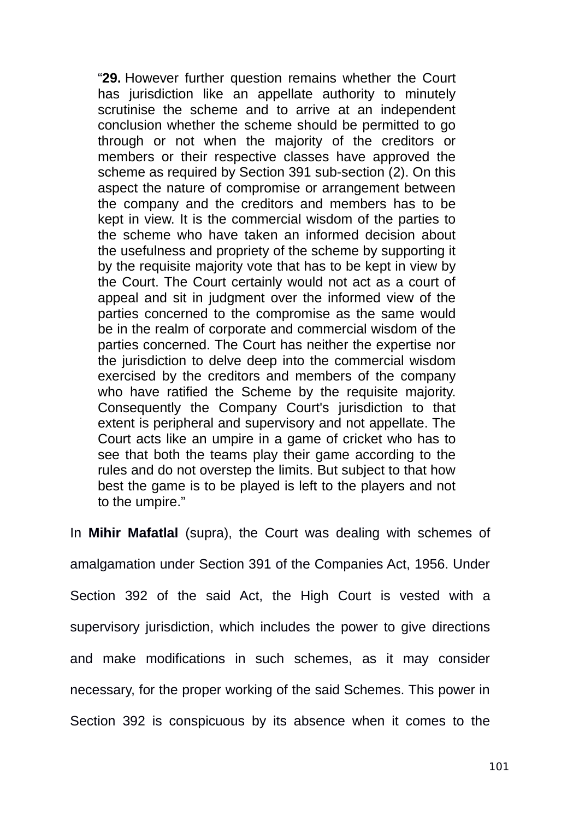"**29.** However further question remains whether the Court has jurisdiction like an appellate authority to minutely scrutinise the scheme and to arrive at an independent conclusion whether the scheme should be permitted to go through or not when the majority of the creditors or members or their respective classes have approved the scheme as required by Section 391 sub-section (2). On this aspect the nature of compromise or arrangement between the company and the creditors and members has to be kept in view. It is the commercial wisdom of the parties to the scheme who have taken an informed decision about the usefulness and propriety of the scheme by supporting it by the requisite majority vote that has to be kept in view by the Court. The Court certainly would not act as a court of appeal and sit in judgment over the informed view of the parties concerned to the compromise as the same would be in the realm of corporate and commercial wisdom of the parties concerned. The Court has neither the expertise nor the jurisdiction to delve deep into the commercial wisdom exercised by the creditors and members of the company who have ratified the Scheme by the requisite majority. Consequently the Company Court's jurisdiction to that extent is peripheral and supervisory and not appellate. The Court acts like an umpire in a game of cricket who has to see that both the teams play their game according to the rules and do not overstep the limits. But subject to that how best the game is to be played is left to the players and not to the umpire."

In **Mihir Mafatlal** (supra), the Court was dealing with schemes of amalgamation under Section 391 of the Companies Act, 1956. Under Section 392 of the said Act, the High Court is vested with a supervisory jurisdiction, which includes the power to give directions and make modifications in such schemes, as it may consider necessary, for the proper working of the said Schemes. This power in Section 392 is conspicuous by its absence when it comes to the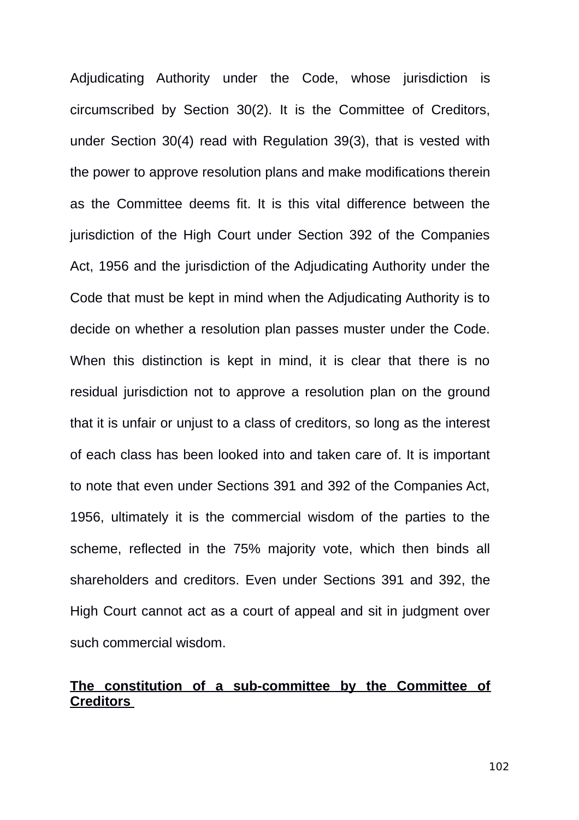Adjudicating Authority under the Code, whose jurisdiction is circumscribed by Section 30(2). It is the Committee of Creditors, under Section 30(4) read with Regulation 39(3), that is vested with the power to approve resolution plans and make modifications therein as the Committee deems fit. It is this vital difference between the jurisdiction of the High Court under Section 392 of the Companies Act, 1956 and the jurisdiction of the Adjudicating Authority under the Code that must be kept in mind when the Adjudicating Authority is to decide on whether a resolution plan passes muster under the Code. When this distinction is kept in mind, it is clear that there is no residual jurisdiction not to approve a resolution plan on the ground that it is unfair or unjust to a class of creditors, so long as the interest of each class has been looked into and taken care of. It is important to note that even under Sections 391 and 392 of the Companies Act, 1956, ultimately it is the commercial wisdom of the parties to the scheme, reflected in the 75% majority vote, which then binds all shareholders and creditors. Even under Sections 391 and 392, the High Court cannot act as a court of appeal and sit in judgment over such commercial wisdom.

## **The constitution of a sub-committee by the Committee of Creditors**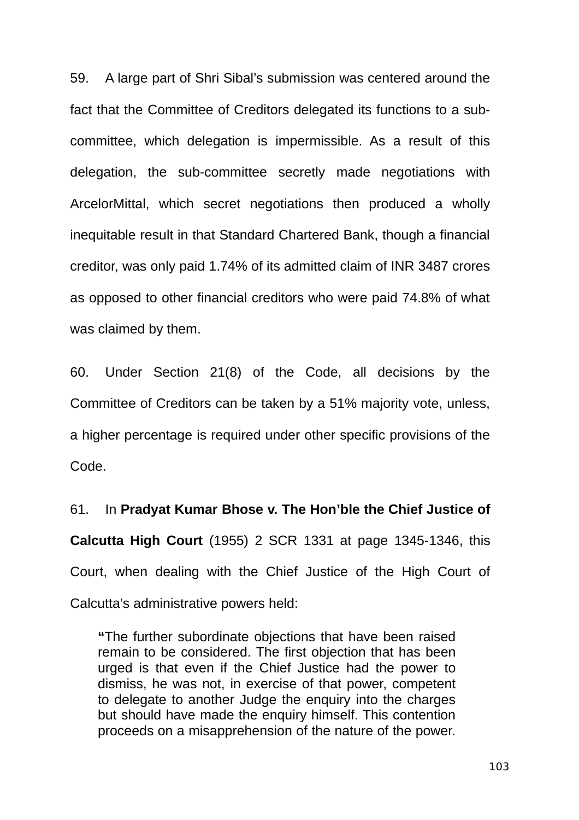59. A large part of Shri Sibal's submission was centered around the fact that the Committee of Creditors delegated its functions to a subcommittee, which delegation is impermissible. As a result of this delegation, the sub-committee secretly made negotiations with ArcelorMittal, which secret negotiations then produced a wholly inequitable result in that Standard Chartered Bank, though a financial creditor, was only paid 1.74% of its admitted claim of INR 3487 crores as opposed to other financial creditors who were paid 74.8% of what was claimed by them.

60. Under Section 21(8) of the Code, all decisions by the Committee of Creditors can be taken by a 51% majority vote, unless, a higher percentage is required under other specific provisions of the Code.

61. In **Pradyat Kumar Bhose v. The Hon'ble the Chief Justice of Calcutta High Court** (1955) 2 SCR 1331 at page 1345-1346, this Court, when dealing with the Chief Justice of the High Court of Calcutta's administrative powers held:

**"**The further subordinate objections that have been raised remain to be considered. The first objection that has been urged is that even if the Chief Justice had the power to dismiss, he was not, in exercise of that power, competent to delegate to another Judge the enquiry into the charges but should have made the enquiry himself. This contention proceeds on a misapprehension of the nature of the power.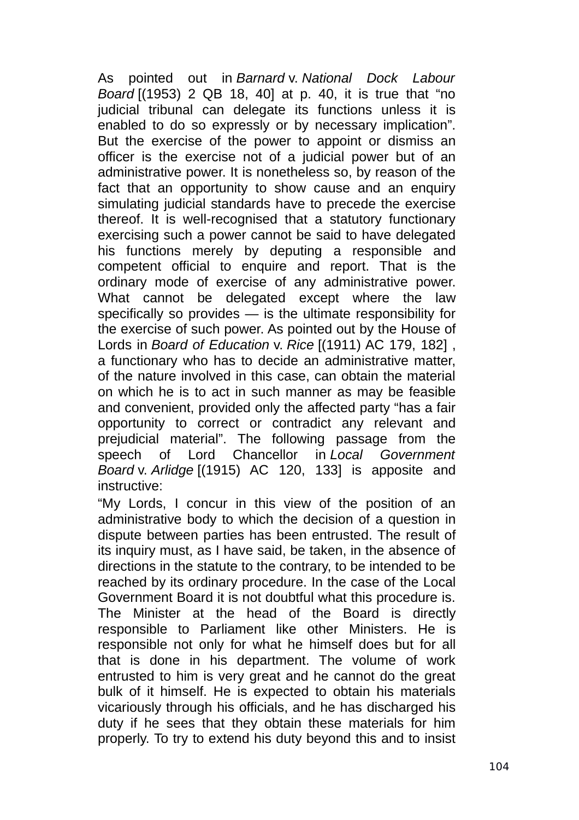As pointed out in *Barnard* v. *National Dock Labour Board* [(1953) 2 QB 18, 40] at p. 40, it is true that "no judicial tribunal can delegate its functions unless it is enabled to do so expressly or by necessary implication". But the exercise of the power to appoint or dismiss an officer is the exercise not of a judicial power but of an administrative power. It is nonetheless so, by reason of the fact that an opportunity to show cause and an enquiry simulating judicial standards have to precede the exercise thereof. It is well-recognised that a statutory functionary exercising such a power cannot be said to have delegated his functions merely by deputing a responsible and competent official to enquire and report. That is the ordinary mode of exercise of any administrative power. What cannot be delegated except where the law specifically so provides — is the ultimate responsibility for the exercise of such power. As pointed out by the House of Lords in *Board of Education* v. *Rice* [(1911) AC 179, 182] , a functionary who has to decide an administrative matter, of the nature involved in this case, can obtain the material on which he is to act in such manner as may be feasible and convenient, provided only the affected party "has a fair opportunity to correct or contradict any relevant and prejudicial material". The following passage from the speech of Lord Chancellor in *Local Government Board* v. *Arlidge* [(1915) AC 120, 133] is apposite and instructive:

"My Lords, I concur in this view of the position of an administrative body to which the decision of a question in dispute between parties has been entrusted. The result of its inquiry must, as I have said, be taken, in the absence of directions in the statute to the contrary, to be intended to be reached by its ordinary procedure. In the case of the Local Government Board it is not doubtful what this procedure is. The Minister at the head of the Board is directly responsible to Parliament like other Ministers. He is responsible not only for what he himself does but for all that is done in his department. The volume of work entrusted to him is very great and he cannot do the great bulk of it himself. He is expected to obtain his materials vicariously through his officials, and he has discharged his duty if he sees that they obtain these materials for him properly. To try to extend his duty beyond this and to insist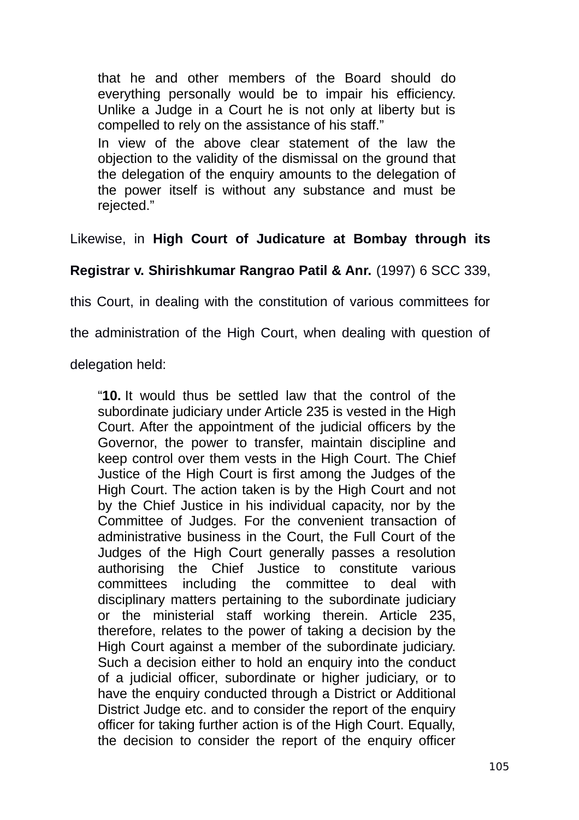that he and other members of the Board should do everything personally would be to impair his efficiency. Unlike a Judge in a Court he is not only at liberty but is compelled to rely on the assistance of his staff."

In view of the above clear statement of the law the objection to the validity of the dismissal on the ground that the delegation of the enquiry amounts to the delegation of the power itself is without any substance and must be rejected."

Likewise, in **High Court of Judicature at Bombay through its**

## **Registrar v. Shirishkumar Rangrao Patil & Anr.** (1997) 6 SCC 339,

this Court, in dealing with the constitution of various committees for

the administration of the High Court, when dealing with question of

delegation held:

"**10.** It would thus be settled law that the control of the subordinate judiciary under Article 235 is vested in the High Court. After the appointment of the judicial officers by the Governor, the power to transfer, maintain discipline and keep control over them vests in the High Court. The Chief Justice of the High Court is first among the Judges of the High Court. The action taken is by the High Court and not by the Chief Justice in his individual capacity, nor by the Committee of Judges. For the convenient transaction of administrative business in the Court, the Full Court of the Judges of the High Court generally passes a resolution authorising the Chief Justice to constitute various committees including the committee to deal with disciplinary matters pertaining to the subordinate judiciary or the ministerial staff working therein. Article 235, therefore, relates to the power of taking a decision by the High Court against a member of the subordinate judiciary. Such a decision either to hold an enquiry into the conduct of a judicial officer, subordinate or higher judiciary, or to have the enquiry conducted through a District or Additional District Judge etc. and to consider the report of the enquiry officer for taking further action is of the High Court. Equally, the decision to consider the report of the enquiry officer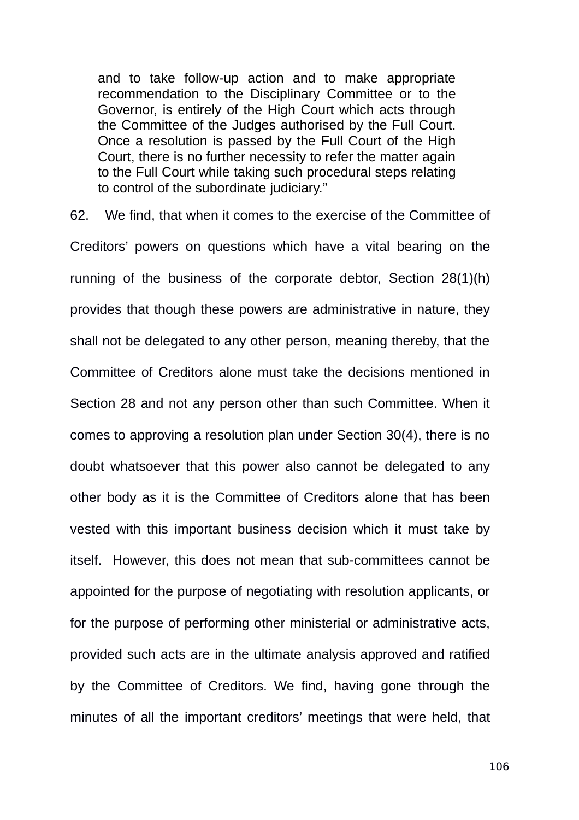and to take follow-up action and to make appropriate recommendation to the Disciplinary Committee or to the Governor, is entirely of the High Court which acts through the Committee of the Judges authorised by the Full Court. Once a resolution is passed by the Full Court of the High Court, there is no further necessity to refer the matter again to the Full Court while taking such procedural steps relating to control of the subordinate judiciary."

62. We find, that when it comes to the exercise of the Committee of Creditors' powers on questions which have a vital bearing on the running of the business of the corporate debtor, Section 28(1)(h) provides that though these powers are administrative in nature, they shall not be delegated to any other person, meaning thereby, that the Committee of Creditors alone must take the decisions mentioned in Section 28 and not any person other than such Committee. When it comes to approving a resolution plan under Section 30(4), there is no doubt whatsoever that this power also cannot be delegated to any other body as it is the Committee of Creditors alone that has been vested with this important business decision which it must take by itself. However, this does not mean that sub-committees cannot be appointed for the purpose of negotiating with resolution applicants, or for the purpose of performing other ministerial or administrative acts, provided such acts are in the ultimate analysis approved and ratified by the Committee of Creditors. We find, having gone through the minutes of all the important creditors' meetings that were held, that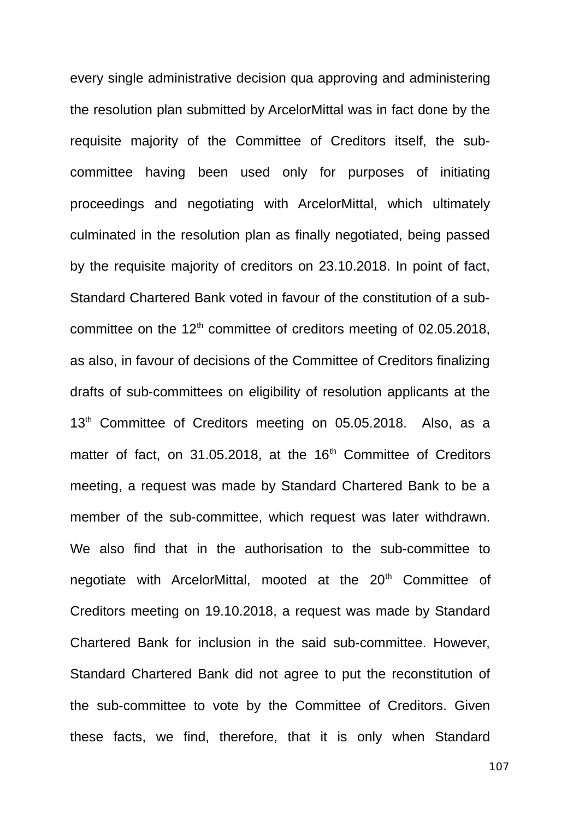every single administrative decision qua approving and administering the resolution plan submitted by ArcelorMittal was in fact done by the requisite majority of the Committee of Creditors itself, the subcommittee having been used only for purposes of initiating proceedings and negotiating with ArcelorMittal, which ultimately culminated in the resolution plan as finally negotiated, being passed by the requisite majority of creditors on 23.10.2018. In point of fact, Standard Chartered Bank voted in favour of the constitution of a subcommittee on the  $12<sup>th</sup>$  committee of creditors meeting of 02.05.2018, as also, in favour of decisions of the Committee of Creditors finalizing drafts of sub-committees on eligibility of resolution applicants at the 13<sup>th</sup> Committee of Creditors meeting on 05.05.2018. Also, as a matter of fact, on  $31.05.2018$ , at the  $16<sup>th</sup>$  Committee of Creditors meeting, a request was made by Standard Chartered Bank to be a member of the sub-committee, which request was later withdrawn. We also find that in the authorisation to the sub-committee to negotiate with ArcelorMittal, mooted at the 20<sup>th</sup> Committee of Creditors meeting on 19.10.2018, a request was made by Standard Chartered Bank for inclusion in the said sub-committee. However, Standard Chartered Bank did not agree to put the reconstitution of the sub-committee to vote by the Committee of Creditors. Given these facts, we find, therefore, that it is only when Standard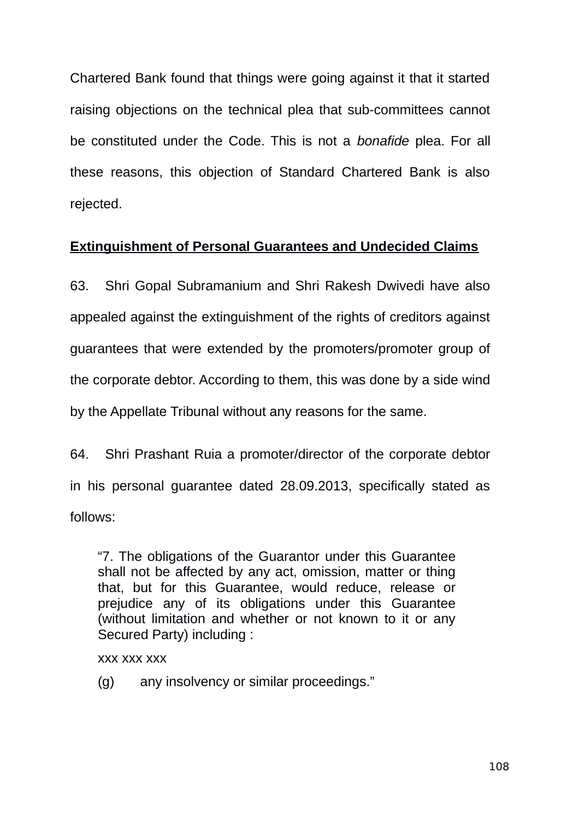Chartered Bank found that things were going against it that it started raising objections on the technical plea that sub-committees cannot be constituted under the Code. This is not a *bonafide* plea. For all these reasons, this objection of Standard Chartered Bank is also rejected.

### **Extinguishment of Personal Guarantees and Undecided Claims**

63. Shri Gopal Subramanium and Shri Rakesh Dwivedi have also appealed against the extinguishment of the rights of creditors against guarantees that were extended by the promoters/promoter group of the corporate debtor. According to them, this was done by a side wind by the Appellate Tribunal without any reasons for the same.

64. Shri Prashant Ruia a promoter/director of the corporate debtor in his personal guarantee dated 28.09.2013, specifically stated as follows:

"7. The obligations of the Guarantor under this Guarantee shall not be affected by any act, omission, matter or thing that, but for this Guarantee, would reduce, release or prejudice any of its obligations under this Guarantee (without limitation and whether or not known to it or any Secured Party) including :

#### xxx xxx xxx

(g) any insolvency or similar proceedings."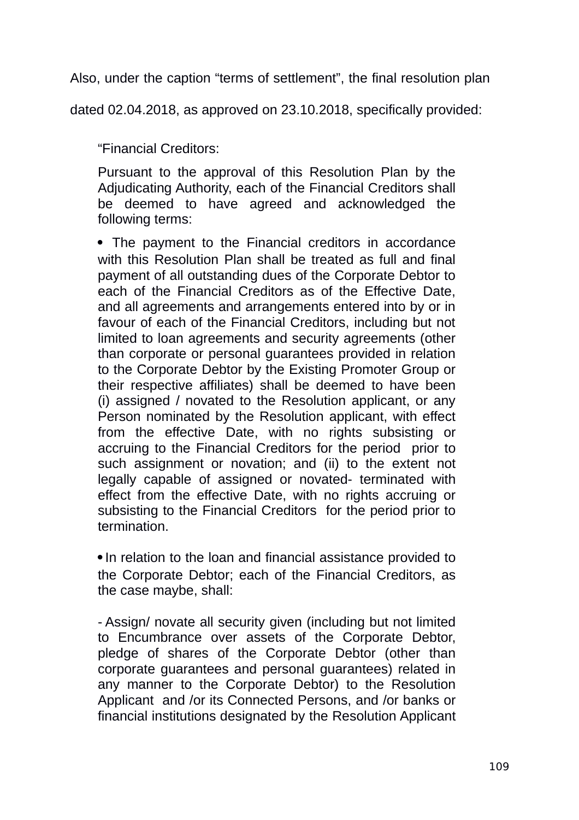Also, under the caption "terms of settlement", the final resolution plan

dated 02.04.2018, as approved on 23.10.2018, specifically provided:

"Financial Creditors:

Pursuant to the approval of this Resolution Plan by the Adjudicating Authority, each of the Financial Creditors shall be deemed to have agreed and acknowledged the following terms:

 The payment to the Financial creditors in accordance with this Resolution Plan shall be treated as full and final payment of all outstanding dues of the Corporate Debtor to each of the Financial Creditors as of the Effective Date, and all agreements and arrangements entered into by or in favour of each of the Financial Creditors, including but not limited to loan agreements and security agreements (other than corporate or personal guarantees provided in relation to the Corporate Debtor by the Existing Promoter Group or their respective affiliates) shall be deemed to have been (i) assigned / novated to the Resolution applicant, or any Person nominated by the Resolution applicant, with effect from the effective Date, with no rights subsisting or accruing to the Financial Creditors for the period prior to such assignment or novation; and (ii) to the extent not legally capable of assigned or novated- terminated with effect from the effective Date, with no rights accruing or subsisting to the Financial Creditors for the period prior to termination.

 In relation to the loan and financial assistance provided to the Corporate Debtor; each of the Financial Creditors, as the case maybe, shall:

- Assign/ novate all security given (including but not limited to Encumbrance over assets of the Corporate Debtor, pledge of shares of the Corporate Debtor (other than corporate guarantees and personal guarantees) related in any manner to the Corporate Debtor) to the Resolution Applicant and /or its Connected Persons, and /or banks or financial institutions designated by the Resolution Applicant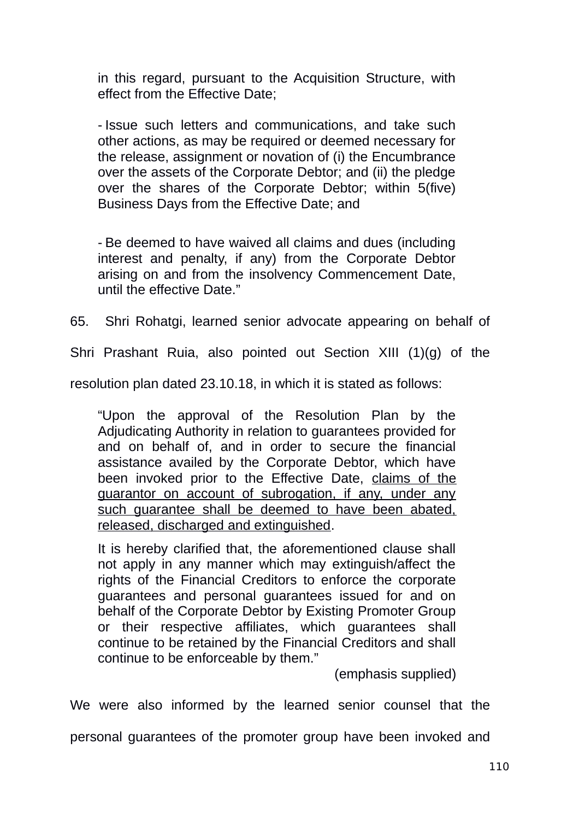in this regard, pursuant to the Acquisition Structure, with effect from the Effective Date;

- Issue such letters and communications, and take such other actions, as may be required or deemed necessary for the release, assignment or novation of (i) the Encumbrance over the assets of the Corporate Debtor; and (ii) the pledge over the shares of the Corporate Debtor; within 5(five) Business Days from the Effective Date; and

- Be deemed to have waived all claims and dues (including interest and penalty, if any) from the Corporate Debtor arising on and from the insolvency Commencement Date, until the effective Date."

65. Shri Rohatgi, learned senior advocate appearing on behalf of

Shri Prashant Ruia, also pointed out Section XIII (1)(g) of the

resolution plan dated 23.10.18, in which it is stated as follows:

"Upon the approval of the Resolution Plan by the Adjudicating Authority in relation to guarantees provided for and on behalf of, and in order to secure the financial assistance availed by the Corporate Debtor, which have been invoked prior to the Effective Date, claims of the guarantor on account of subrogation, if any, under any such guarantee shall be deemed to have been abated, released, discharged and extinguished.

It is hereby clarified that, the aforementioned clause shall not apply in any manner which may extinguish/affect the rights of the Financial Creditors to enforce the corporate guarantees and personal guarantees issued for and on behalf of the Corporate Debtor by Existing Promoter Group or their respective affiliates, which guarantees shall continue to be retained by the Financial Creditors and shall continue to be enforceable by them."

(emphasis supplied)

We were also informed by the learned senior counsel that the

personal guarantees of the promoter group have been invoked and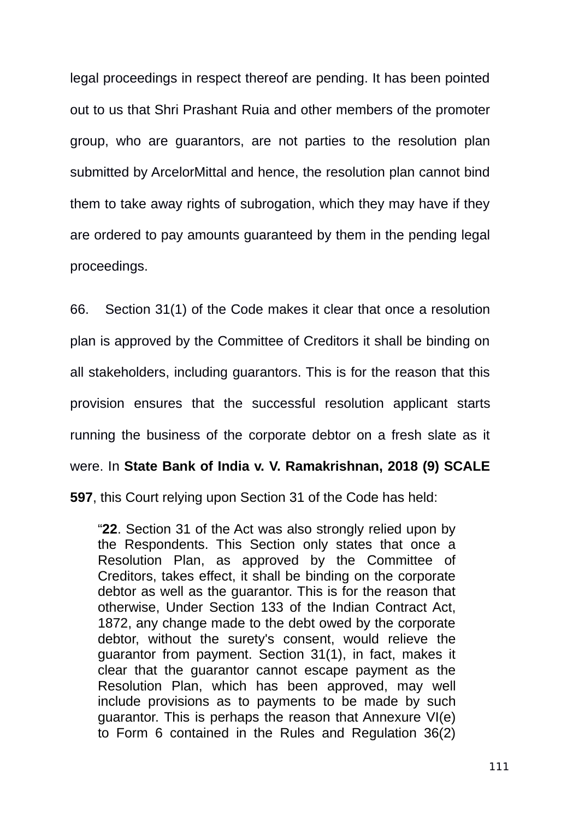legal proceedings in respect thereof are pending. It has been pointed out to us that Shri Prashant Ruia and other members of the promoter group, who are guarantors, are not parties to the resolution plan submitted by ArcelorMittal and hence, the resolution plan cannot bind them to take away rights of subrogation, which they may have if they are ordered to pay amounts guaranteed by them in the pending legal proceedings.

66. Section 31(1) of the Code makes it clear that once a resolution plan is approved by the Committee of Creditors it shall be binding on all stakeholders, including guarantors. This is for the reason that this provision ensures that the successful resolution applicant starts running the business of the corporate debtor on a fresh slate as it were. In **State Bank of India v. V. Ramakrishnan, 2018 (9) SCALE**

**597**, this Court relying upon Section 31 of the Code has held:

"**22**. Section 31 of the Act was also strongly relied upon by the Respondents. This Section only states that once a Resolution Plan, as approved by the Committee of Creditors, takes effect, it shall be binding on the corporate debtor as well as the guarantor. This is for the reason that otherwise, Under Section 133 of the Indian Contract Act, 1872, any change made to the debt owed by the corporate debtor, without the surety's consent, would relieve the guarantor from payment. Section 31(1), in fact, makes it clear that the guarantor cannot escape payment as the Resolution Plan, which has been approved, may well include provisions as to payments to be made by such guarantor. This is perhaps the reason that Annexure VI(e) to Form 6 contained in the Rules and Regulation 36(2)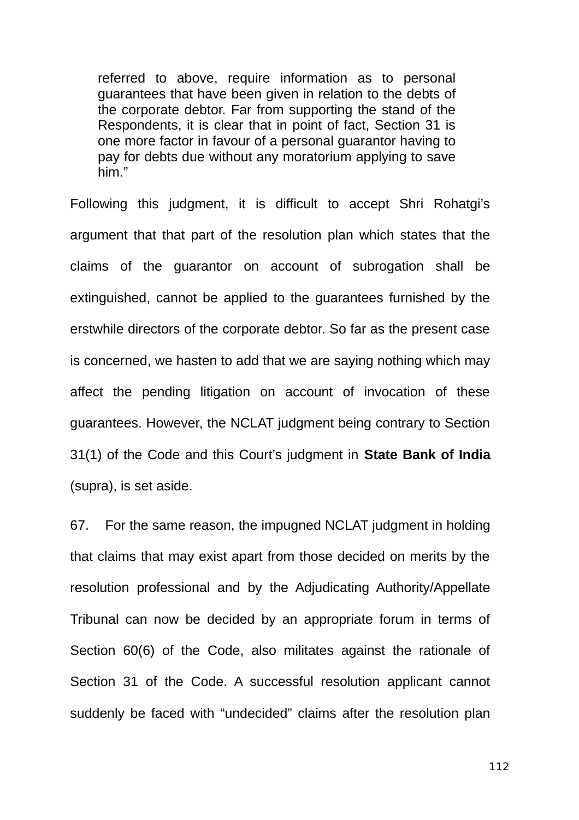referred to above, require information as to personal guarantees that have been given in relation to the debts of the corporate debtor. Far from supporting the stand of the Respondents, it is clear that in point of fact, Section 31 is one more factor in favour of a personal guarantor having to pay for debts due without any moratorium applying to save him."

Following this judgment, it is difficult to accept Shri Rohatgi's argument that that part of the resolution plan which states that the claims of the guarantor on account of subrogation shall be extinguished, cannot be applied to the guarantees furnished by the erstwhile directors of the corporate debtor. So far as the present case is concerned, we hasten to add that we are saying nothing which may affect the pending litigation on account of invocation of these guarantees. However, the NCLAT judgment being contrary to Section 31(1) of the Code and this Court's judgment in **State Bank of India** (supra), is set aside.

67. For the same reason, the impugned NCLAT judgment in holding that claims that may exist apart from those decided on merits by the resolution professional and by the Adjudicating Authority/Appellate Tribunal can now be decided by an appropriate forum in terms of Section 60(6) of the Code, also militates against the rationale of Section 31 of the Code. A successful resolution applicant cannot suddenly be faced with "undecided" claims after the resolution plan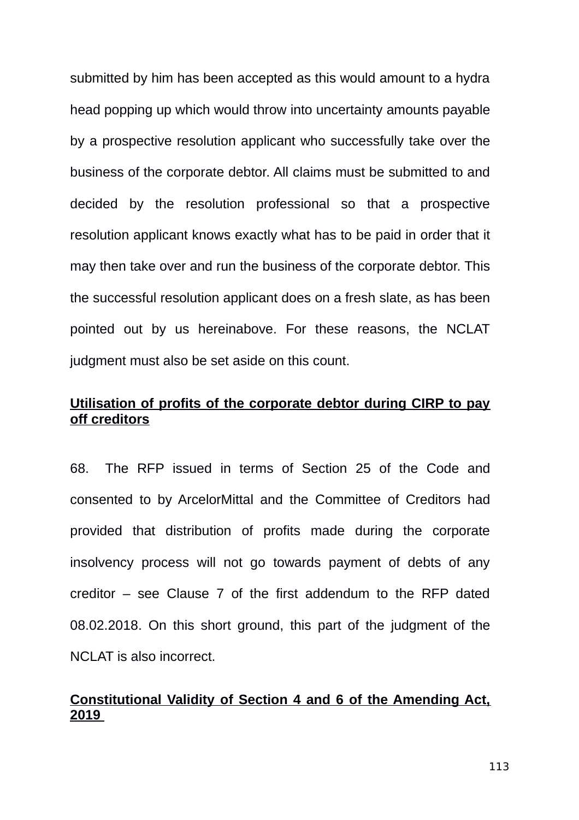submitted by him has been accepted as this would amount to a hydra head popping up which would throw into uncertainty amounts payable by a prospective resolution applicant who successfully take over the business of the corporate debtor. All claims must be submitted to and decided by the resolution professional so that a prospective resolution applicant knows exactly what has to be paid in order that it may then take over and run the business of the corporate debtor. This the successful resolution applicant does on a fresh slate, as has been pointed out by us hereinabove. For these reasons, the NCLAT judgment must also be set aside on this count.

## **Utilisation of profits of the corporate debtor during CIRP to pay off creditors**

68. The RFP issued in terms of Section 25 of the Code and consented to by ArcelorMittal and the Committee of Creditors had provided that distribution of profits made during the corporate insolvency process will not go towards payment of debts of any creditor – see Clause 7 of the first addendum to the RFP dated 08.02.2018. On this short ground, this part of the judgment of the NCLAT is also incorrect.

## **Constitutional Validity of Section 4 and 6 of the Amending Act, 2019**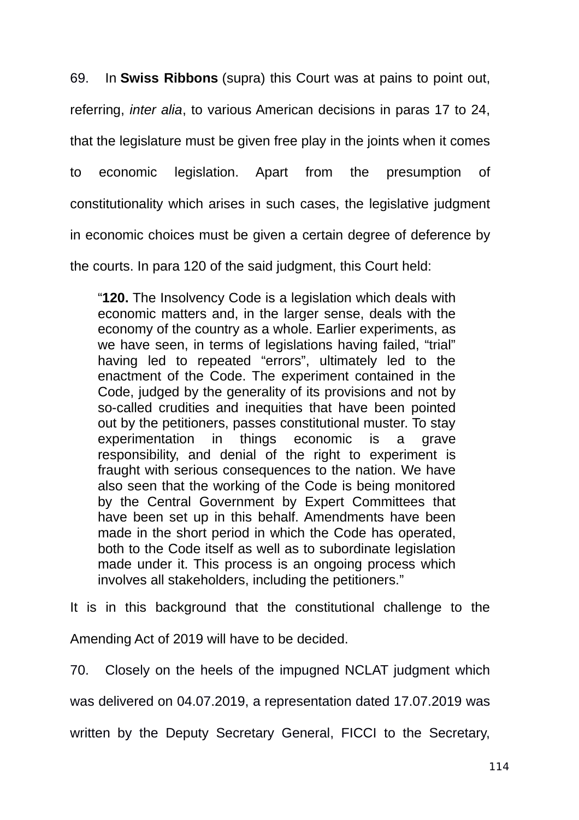69. In **Swiss Ribbons** (supra) this Court was at pains to point out, referring, *inter alia*, to various American decisions in paras 17 to 24, that the legislature must be given free play in the joints when it comes to economic legislation. Apart from the presumption of constitutionality which arises in such cases, the legislative judgment in economic choices must be given a certain degree of deference by the courts. In para 120 of the said judgment, this Court held:

"**120.** The Insolvency Code is a legislation which deals with economic matters and, in the larger sense, deals with the economy of the country as a whole. Earlier experiments, as we have seen, in terms of legislations having failed, "trial" having led to repeated "errors", ultimately led to the enactment of the Code. The experiment contained in the Code, judged by the generality of its provisions and not by so-called crudities and inequities that have been pointed out by the petitioners, passes constitutional muster. To stay experimentation in things economic is a grave responsibility, and denial of the right to experiment is fraught with serious consequences to the nation. We have also seen that the working of the Code is being monitored by the Central Government by Expert Committees that have been set up in this behalf. Amendments have been made in the short period in which the Code has operated, both to the Code itself as well as to subordinate legislation made under it. This process is an ongoing process which involves all stakeholders, including the petitioners."

It is in this background that the constitutional challenge to the

Amending Act of 2019 will have to be decided.

70. Closely on the heels of the impugned NCLAT judgment which

was delivered on 04.07.2019, a representation dated 17.07.2019 was

written by the Deputy Secretary General, FICCI to the Secretary,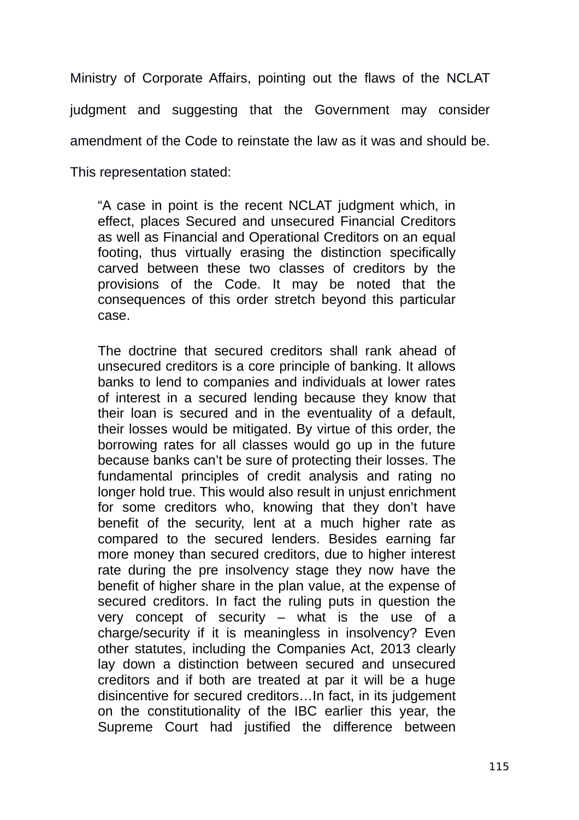Ministry of Corporate Affairs, pointing out the flaws of the NCLAT judgment and suggesting that the Government may consider amendment of the Code to reinstate the law as it was and should be. This representation stated:

"A case in point is the recent NCLAT judgment which, in effect, places Secured and unsecured Financial Creditors as well as Financial and Operational Creditors on an equal footing, thus virtually erasing the distinction specifically carved between these two classes of creditors by the provisions of the Code. It may be noted that the consequences of this order stretch beyond this particular case.

The doctrine that secured creditors shall rank ahead of unsecured creditors is a core principle of banking. It allows banks to lend to companies and individuals at lower rates of interest in a secured lending because they know that their loan is secured and in the eventuality of a default, their losses would be mitigated. By virtue of this order, the borrowing rates for all classes would go up in the future because banks can't be sure of protecting their losses. The fundamental principles of credit analysis and rating no longer hold true. This would also result in unjust enrichment for some creditors who, knowing that they don't have benefit of the security, lent at a much higher rate as compared to the secured lenders. Besides earning far more money than secured creditors, due to higher interest rate during the pre insolvency stage they now have the benefit of higher share in the plan value, at the expense of secured creditors. In fact the ruling puts in question the very concept of security – what is the use of a charge/security if it is meaningless in insolvency? Even other statutes, including the Companies Act, 2013 clearly lay down a distinction between secured and unsecured creditors and if both are treated at par it will be a huge disincentive for secured creditors…In fact, in its judgement on the constitutionality of the IBC earlier this year, the Supreme Court had justified the difference between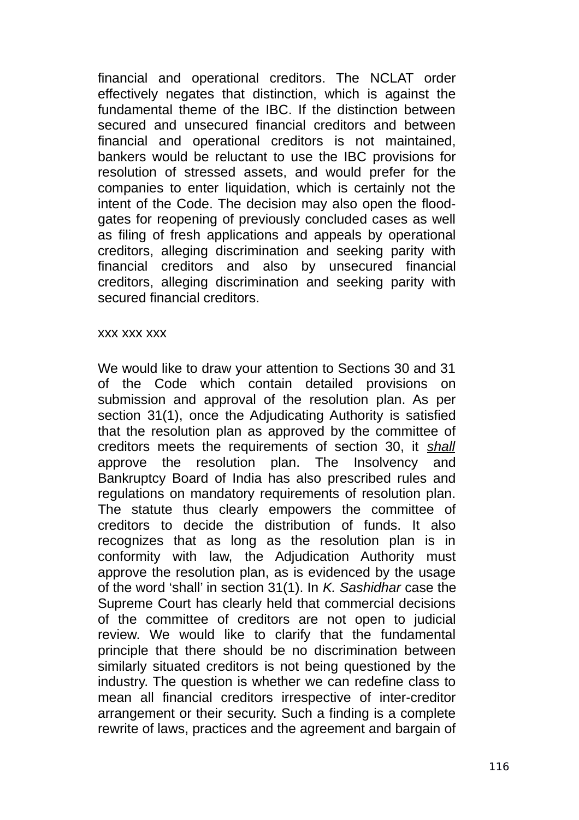financial and operational creditors. The NCLAT order effectively negates that distinction, which is against the fundamental theme of the IBC. If the distinction between secured and unsecured financial creditors and between financial and operational creditors is not maintained, bankers would be reluctant to use the IBC provisions for resolution of stressed assets, and would prefer for the companies to enter liquidation, which is certainly not the intent of the Code. The decision may also open the floodgates for reopening of previously concluded cases as well as filing of fresh applications and appeals by operational creditors, alleging discrimination and seeking parity with financial creditors and also by unsecured financial creditors, alleging discrimination and seeking parity with secured financial creditors.

#### xxx xxx xxx

We would like to draw your attention to Sections 30 and 31 of the Code which contain detailed provisions on submission and approval of the resolution plan. As per section 31(1), once the Adjudicating Authority is satisfied that the resolution plan as approved by the committee of creditors meets the requirements of section 30, it *shall* approve the resolution plan. The Insolvency and Bankruptcy Board of India has also prescribed rules and regulations on mandatory requirements of resolution plan. The statute thus clearly empowers the committee of creditors to decide the distribution of funds. It also recognizes that as long as the resolution plan is in conformity with law, the Adjudication Authority must approve the resolution plan, as is evidenced by the usage of the word 'shall' in section 31(1). In *K. Sashidhar* case the Supreme Court has clearly held that commercial decisions of the committee of creditors are not open to judicial review. We would like to clarify that the fundamental principle that there should be no discrimination between similarly situated creditors is not being questioned by the industry. The question is whether we can redefine class to mean all financial creditors irrespective of inter-creditor arrangement or their security. Such a finding is a complete rewrite of laws, practices and the agreement and bargain of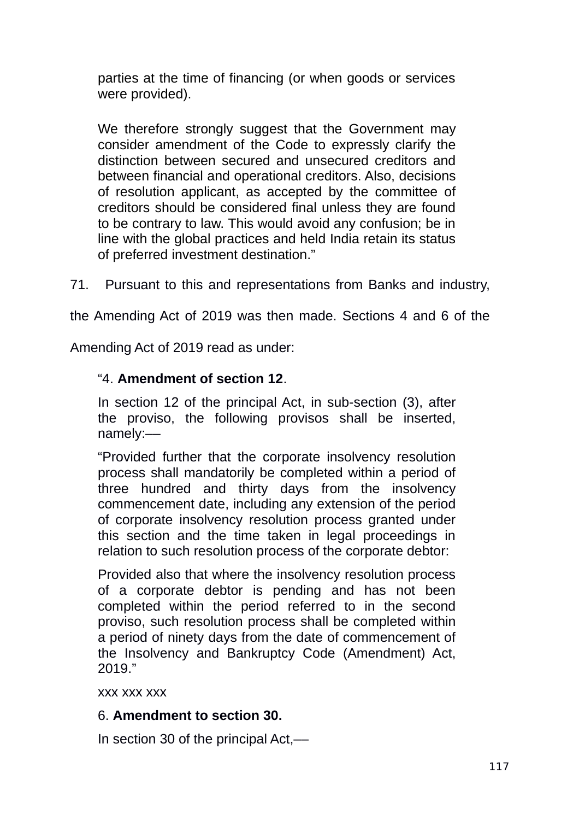parties at the time of financing (or when goods or services were provided).

We therefore strongly suggest that the Government may consider amendment of the Code to expressly clarify the distinction between secured and unsecured creditors and between financial and operational creditors. Also, decisions of resolution applicant, as accepted by the committee of creditors should be considered final unless they are found to be contrary to law. This would avoid any confusion; be in line with the global practices and held India retain its status of preferred investment destination."

71. Pursuant to this and representations from Banks and industry,

the Amending Act of 2019 was then made. Sections 4 and 6 of the

Amending Act of 2019 read as under:

# "4. **Amendment of section 12**.

In section 12 of the principal Act, in sub-section (3), after the proviso, the following provisos shall be inserted, namely:––

"Provided further that the corporate insolvency resolution process shall mandatorily be completed within a period of three hundred and thirty days from the insolvency commencement date, including any extension of the period of corporate insolvency resolution process granted under this section and the time taken in legal proceedings in relation to such resolution process of the corporate debtor:

Provided also that where the insolvency resolution process of a corporate debtor is pending and has not been completed within the period referred to in the second proviso, such resolution process shall be completed within a period of ninety days from the date of commencement of the Insolvency and Bankruptcy Code (Amendment) Act, 2019."

xxx xxx xxx

## 6. **Amendment to section 30.**

In section 30 of the principal Act,––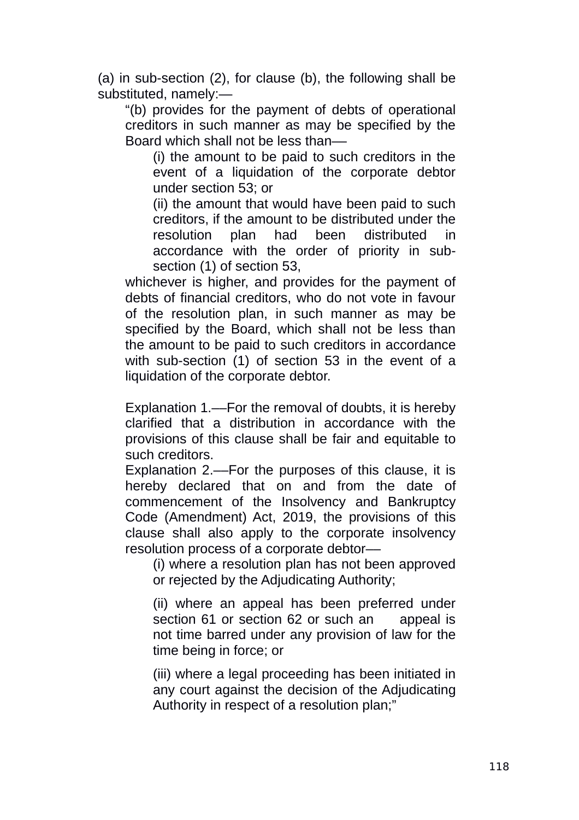(a) in sub-section (2), for clause (b), the following shall be substituted, namely:—

"(b) provides for the payment of debts of operational creditors in such manner as may be specified by the Board which shall not be less than––

(i) the amount to be paid to such creditors in the event of a liquidation of the corporate debtor under section 53; or

(ii) the amount that would have been paid to such creditors, if the amount to be distributed under the resolution plan had been distributed in accordance with the order of priority in subsection (1) of section 53,

whichever is higher, and provides for the payment of debts of financial creditors, who do not vote in favour of the resolution plan, in such manner as may be specified by the Board, which shall not be less than the amount to be paid to such creditors in accordance with sub-section (1) of section 53 in the event of a liquidation of the corporate debtor.

Explanation 1.––For the removal of doubts, it is hereby clarified that a distribution in accordance with the provisions of this clause shall be fair and equitable to such creditors.

Explanation 2.—For the purposes of this clause, it is hereby declared that on and from the date of commencement of the Insolvency and Bankruptcy Code (Amendment) Act, 2019, the provisions of this clause shall also apply to the corporate insolvency resolution process of a corporate debtor-

(i) where a resolution plan has not been approved or rejected by the Adjudicating Authority;

(ii) where an appeal has been preferred under section 61 or section 62 or such an appeal is not time barred under any provision of law for the time being in force; or

(iii) where a legal proceeding has been initiated in any court against the decision of the Adjudicating Authority in respect of a resolution plan;"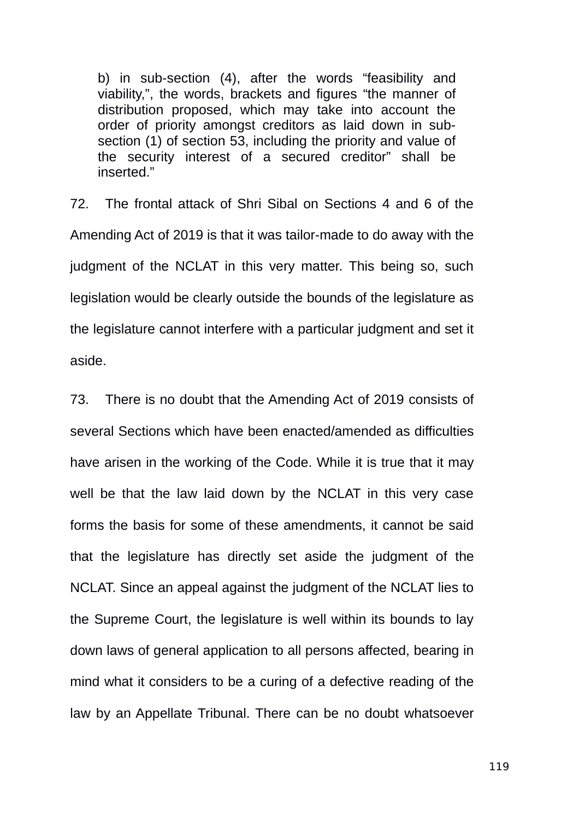b) in sub-section (4), after the words "feasibility and viability,", the words, brackets and figures "the manner of distribution proposed, which may take into account the order of priority amongst creditors as laid down in subsection (1) of section 53, including the priority and value of the security interest of a secured creditor" shall be inserted."

72. The frontal attack of Shri Sibal on Sections 4 and 6 of the Amending Act of 2019 is that it was tailor-made to do away with the judgment of the NCLAT in this very matter. This being so, such legislation would be clearly outside the bounds of the legislature as the legislature cannot interfere with a particular judgment and set it aside.

73. There is no doubt that the Amending Act of 2019 consists of several Sections which have been enacted/amended as difficulties have arisen in the working of the Code. While it is true that it may well be that the law laid down by the NCLAT in this very case forms the basis for some of these amendments, it cannot be said that the legislature has directly set aside the judgment of the NCLAT. Since an appeal against the judgment of the NCLAT lies to the Supreme Court, the legislature is well within its bounds to lay down laws of general application to all persons affected, bearing in mind what it considers to be a curing of a defective reading of the law by an Appellate Tribunal. There can be no doubt whatsoever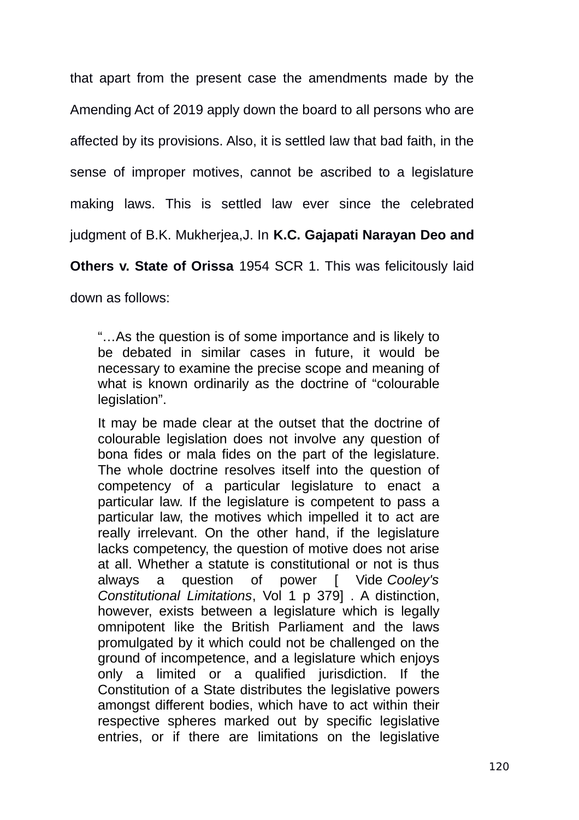that apart from the present case the amendments made by the Amending Act of 2019 apply down the board to all persons who are affected by its provisions. Also, it is settled law that bad faith, in the sense of improper motives, cannot be ascribed to a legislature making laws. This is settled law ever since the celebrated judgment of B.K. Mukherjea,J. In **K.C. Gajapati Narayan Deo and**

**Others v. State of Orissa** 1954 SCR 1. This was felicitously laid

down as follows:

"…As the question is of some importance and is likely to be debated in similar cases in future, it would be necessary to examine the precise scope and meaning of what is known ordinarily as the doctrine of "colourable legislation".

It may be made clear at the outset that the doctrine of colourable legislation does not involve any question of bona fides or mala fides on the part of the legislature. The whole doctrine resolves itself into the question of competency of a particular legislature to enact a particular law. If the legislature is competent to pass a particular law, the motives which impelled it to act are really irrelevant. On the other hand, if the legislature lacks competency, the question of motive does not arise at all. Whether a statute is constitutional or not is thus always a question of power [ Vide *Cooley's Constitutional Limitations*, Vol 1 p 379] . A distinction, however, exists between a legislature which is legally omnipotent like the British Parliament and the laws promulgated by it which could not be challenged on the ground of incompetence, and a legislature which enjoys only a limited or a qualified jurisdiction. If the Constitution of a State distributes the legislative powers amongst different bodies, which have to act within their respective spheres marked out by specific legislative entries, or if there are limitations on the legislative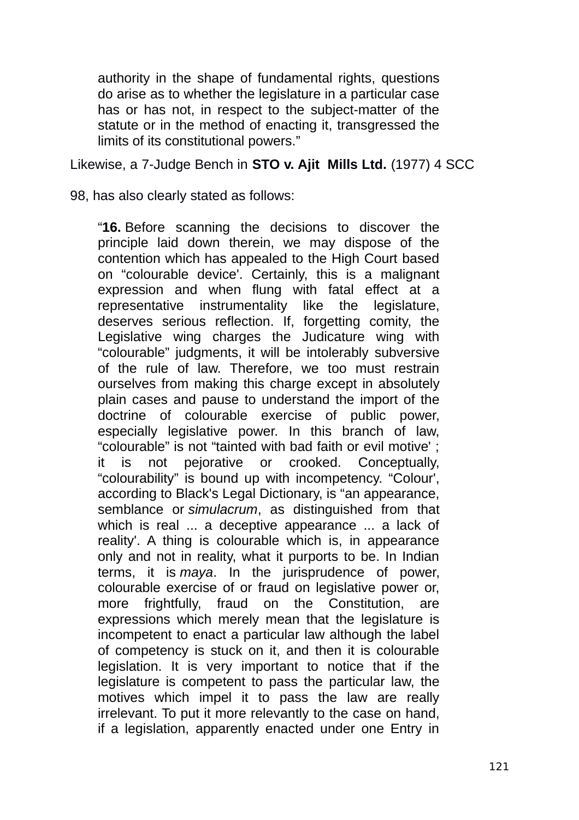authority in the shape of fundamental rights, questions do arise as to whether the legislature in a particular case has or has not, in respect to the subject-matter of the statute or in the method of enacting it, transgressed the limits of its constitutional powers."

Likewise, a 7-Judge Bench in **STO v. Ajit Mills Ltd.** (1977) 4 SCC

98, has also clearly stated as follows:

"**16.** Before scanning the decisions to discover the principle laid down therein, we may dispose of the contention which has appealed to the High Court based on "colourable device'. Certainly, this is a malignant expression and when flung with fatal effect at a representative instrumentality like the legislature, deserves serious reflection. If, forgetting comity, the Legislative wing charges the Judicature wing with "colourable" judgments, it will be intolerably subversive of the rule of law. Therefore, we too must restrain ourselves from making this charge except in absolutely plain cases and pause to understand the import of the doctrine of colourable exercise of public power, especially legislative power. In this branch of law, "colourable" is not "tainted with bad faith or evil motive' ; it is not pejorative or crooked. Conceptually, "colourability" is bound up with incompetency. "Colour', according to Black's Legal Dictionary, is "an appearance, semblance or *simulacrum*, as distinguished from that which is real ... a deceptive appearance ... a lack of reality'. A thing is colourable which is, in appearance only and not in reality, what it purports to be. In Indian terms, it is *maya*. In the jurisprudence of power, colourable exercise of or fraud on legislative power or, more frightfully, fraud on the Constitution, are expressions which merely mean that the legislature is incompetent to enact a particular law although the label of competency is stuck on it, and then it is colourable legislation. It is very important to notice that if the legislature is competent to pass the particular law, the motives which impel it to pass the law are really irrelevant. To put it more relevantly to the case on hand, if a legislation, apparently enacted under one Entry in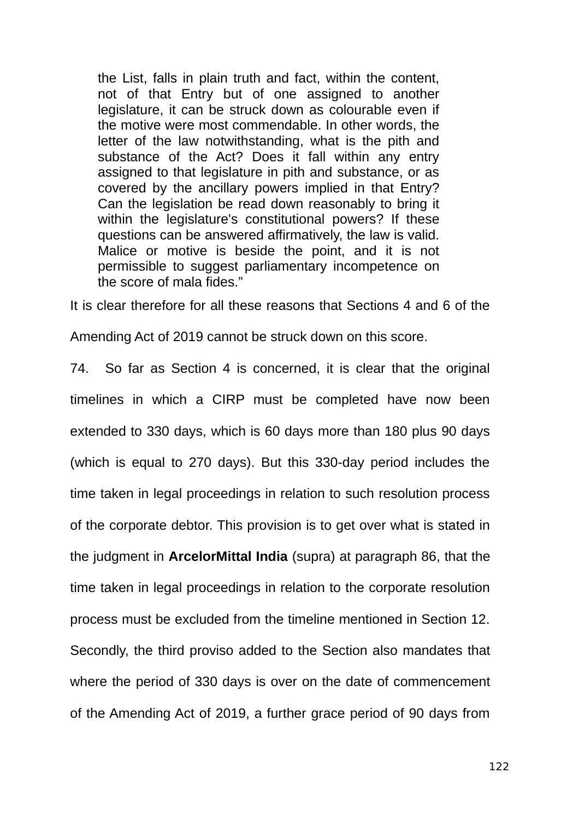the List, falls in plain truth and fact, within the content, not of that Entry but of one assigned to another legislature, it can be struck down as colourable even if the motive were most commendable. In other words, the letter of the law notwithstanding, what is the pith and substance of the Act? Does it fall within any entry assigned to that legislature in pith and substance, or as covered by the ancillary powers implied in that Entry? Can the legislation be read down reasonably to bring it within the legislature's constitutional powers? If these questions can be answered affirmatively, the law is valid. Malice or motive is beside the point, and it is not permissible to suggest parliamentary incompetence on the score of mala fides."

It is clear therefore for all these reasons that Sections 4 and 6 of the Amending Act of 2019 cannot be struck down on this score.

74. So far as Section 4 is concerned, it is clear that the original timelines in which a CIRP must be completed have now been extended to 330 days, which is 60 days more than 180 plus 90 days (which is equal to 270 days). But this 330-day period includes the time taken in legal proceedings in relation to such resolution process of the corporate debtor. This provision is to get over what is stated in the judgment in **ArcelorMittal India** (supra) at paragraph 86, that the time taken in legal proceedings in relation to the corporate resolution process must be excluded from the timeline mentioned in Section 12. Secondly, the third proviso added to the Section also mandates that where the period of 330 days is over on the date of commencement of the Amending Act of 2019, a further grace period of 90 days from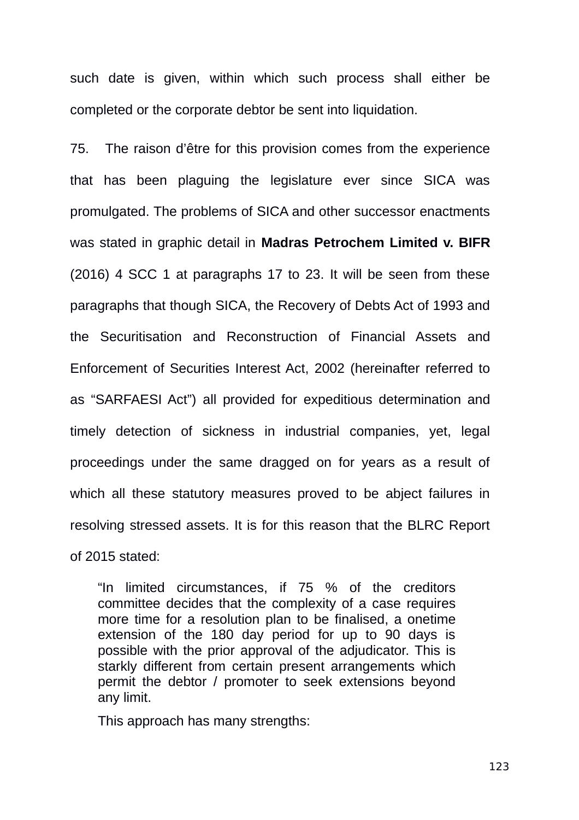such date is given, within which such process shall either be completed or the corporate debtor be sent into liquidation.

75. The raison d'être for this provision comes from the experience that has been plaguing the legislature ever since SICA was promulgated. The problems of SICA and other successor enactments was stated in graphic detail in **Madras Petrochem Limited v. BIFR** (2016) 4 SCC 1 at paragraphs 17 to 23. It will be seen from these paragraphs that though SICA, the Recovery of Debts Act of 1993 and the Securitisation and Reconstruction of Financial Assets and Enforcement of Securities Interest Act, 2002 (hereinafter referred to as "SARFAESI Act") all provided for expeditious determination and timely detection of sickness in industrial companies, yet, legal proceedings under the same dragged on for years as a result of which all these statutory measures proved to be abject failures in resolving stressed assets. It is for this reason that the BLRC Report of 2015 stated:

"In limited circumstances, if 75 % of the creditors committee decides that the complexity of a case requires more time for a resolution plan to be finalised, a onetime extension of the 180 day period for up to 90 days is possible with the prior approval of the adjudicator. This is starkly different from certain present arrangements which permit the debtor / promoter to seek extensions beyond any limit.

This approach has many strengths: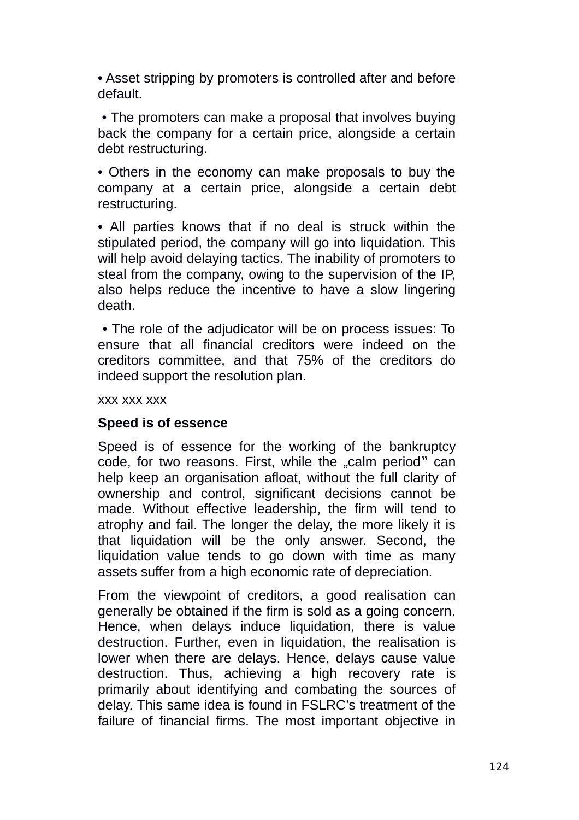• Asset stripping by promoters is controlled after and before default.

• The promoters can make a proposal that involves buying back the company for a certain price, alongside a certain debt restructuring.

• Others in the economy can make proposals to buy the company at a certain price, alongside a certain debt restructuring.

• All parties knows that if no deal is struck within the stipulated period, the company will go into liquidation. This will help avoid delaying tactics. The inability of promoters to steal from the company, owing to the supervision of the IP, also helps reduce the incentive to have a slow lingering death.

 • The role of the adjudicator will be on process issues: To ensure that all financial creditors were indeed on the creditors committee, and that 75% of the creditors do indeed support the resolution plan.

xxx xxx xxx

### **Speed is of essence**

Speed is of essence for the working of the bankruptcy code, for two reasons. First, while the "calm period" can help keep an organisation afloat, without the full clarity of ownership and control, significant decisions cannot be made. Without effective leadership, the firm will tend to atrophy and fail. The longer the delay, the more likely it is that liquidation will be the only answer. Second, the liquidation value tends to go down with time as many assets suffer from a high economic rate of depreciation.

From the viewpoint of creditors, a good realisation can generally be obtained if the firm is sold as a going concern. Hence, when delays induce liquidation, there is value destruction. Further, even in liquidation, the realisation is lower when there are delays. Hence, delays cause value destruction. Thus, achieving a high recovery rate is primarily about identifying and combating the sources of delay. This same idea is found in FSLRC's treatment of the failure of financial firms. The most important objective in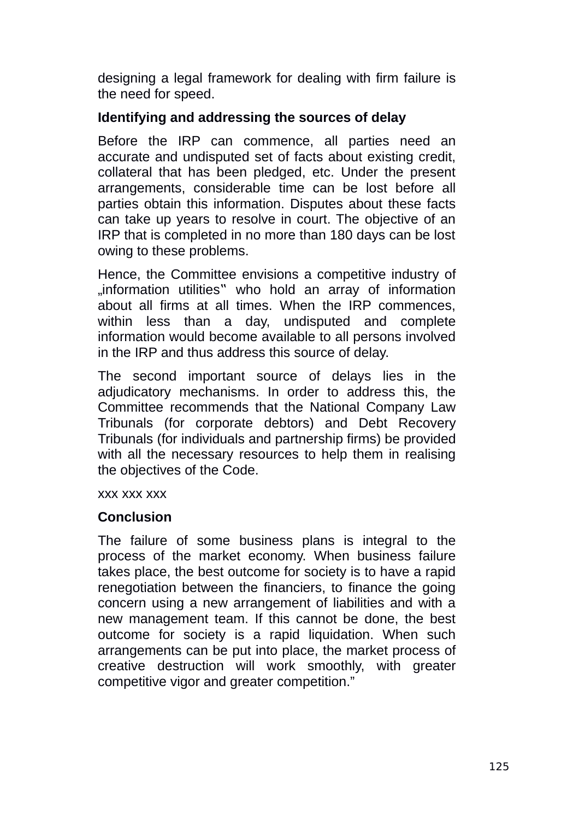designing a legal framework for dealing with firm failure is the need for speed.

## **Identifying and addressing the sources of delay**

Before the IRP can commence, all parties need an accurate and undisputed set of facts about existing credit, collateral that has been pledged, etc. Under the present arrangements, considerable time can be lost before all parties obtain this information. Disputes about these facts can take up years to resolve in court. The objective of an IRP that is completed in no more than 180 days can be lost owing to these problems.

Hence, the Committee envisions a competitive industry of "information utilities" who hold an array of information about all firms at all times. When the IRP commences, within less than a day, undisputed and complete information would become available to all persons involved in the IRP and thus address this source of delay.

The second important source of delays lies in the adjudicatory mechanisms. In order to address this, the Committee recommends that the National Company Law Tribunals (for corporate debtors) and Debt Recovery Tribunals (for individuals and partnership firms) be provided with all the necessary resources to help them in realising the objectives of the Code.

xxx xxx xxx

## **Conclusion**

The failure of some business plans is integral to the process of the market economy. When business failure takes place, the best outcome for society is to have a rapid renegotiation between the financiers, to finance the going concern using a new arrangement of liabilities and with a new management team. If this cannot be done, the best outcome for society is a rapid liquidation. When such arrangements can be put into place, the market process of creative destruction will work smoothly, with greater competitive vigor and greater competition."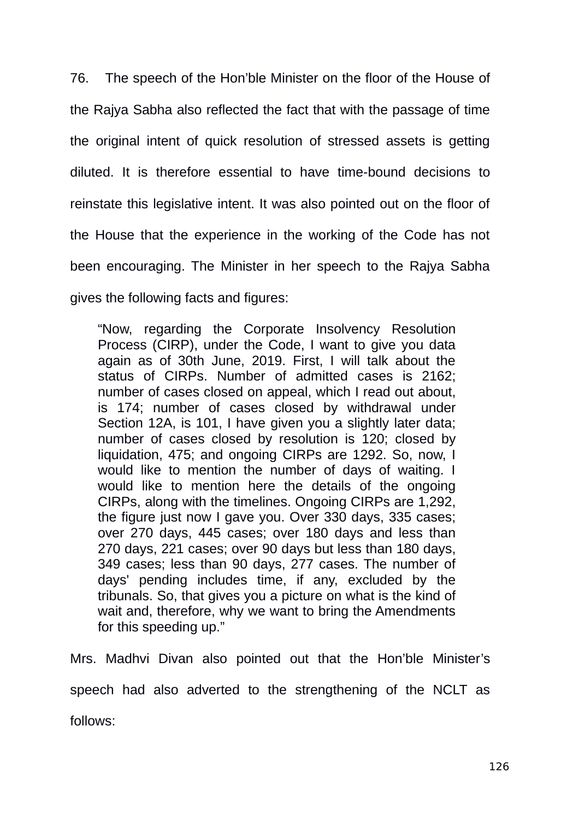76. The speech of the Hon'ble Minister on the floor of the House of the Rajya Sabha also reflected the fact that with the passage of time the original intent of quick resolution of stressed assets is getting diluted. It is therefore essential to have time-bound decisions to reinstate this legislative intent. It was also pointed out on the floor of the House that the experience in the working of the Code has not been encouraging. The Minister in her speech to the Rajya Sabha gives the following facts and figures:

"Now, regarding the Corporate Insolvency Resolution Process (CIRP), under the Code, I want to give you data again as of 30th June, 2019. First, I will talk about the status of CIRPs. Number of admitted cases is 2162; number of cases closed on appeal, which I read out about, is 174; number of cases closed by withdrawal under Section 12A, is 101, I have given you a slightly later data; number of cases closed by resolution is 120; closed by liquidation, 475; and ongoing CIRPs are 1292. So, now, I would like to mention the number of days of waiting. I would like to mention here the details of the ongoing CIRPs, along with the timelines. Ongoing CIRPs are 1,292, the figure just now I gave you. Over 330 days, 335 cases; over 270 days, 445 cases; over 180 days and less than 270 days, 221 cases; over 90 days but less than 180 days, 349 cases; less than 90 days, 277 cases. The number of days' pending includes time, if any, excluded by the tribunals. So, that gives you a picture on what is the kind of wait and, therefore, why we want to bring the Amendments for this speeding up."

Mrs. Madhvi Divan also pointed out that the Hon'ble Minister's speech had also adverted to the strengthening of the NCLT as follows: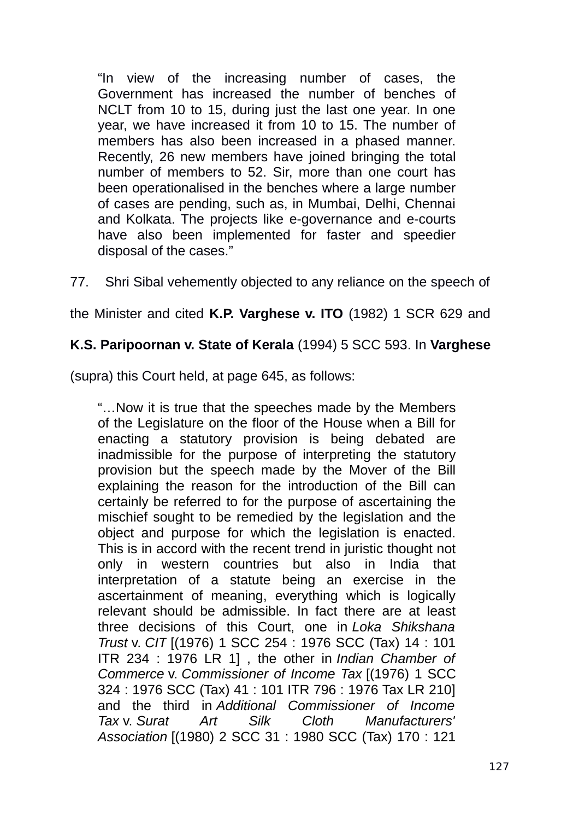"In view of the increasing number of cases, the Government has increased the number of benches of NCLT from 10 to 15, during just the last one year. In one year, we have increased it from 10 to 15. The number of members has also been increased in a phased manner. Recently, 26 new members have joined bringing the total number of members to 52. Sir, more than one court has been operationalised in the benches where a large number of cases are pending, such as, in Mumbai, Delhi, Chennai and Kolkata. The projects like e-governance and e-courts have also been implemented for faster and speedier disposal of the cases."

77. Shri Sibal vehemently objected to any reliance on the speech of

the Minister and cited **K.P. Varghese v. ITO** (1982) 1 SCR 629 and

## **K.S. Paripoornan v. State of Kerala** (1994) 5 SCC 593. In **Varghese**

(supra) this Court held, at page 645, as follows:

"…Now it is true that the speeches made by the Members of the Legislature on the floor of the House when a Bill for enacting a statutory provision is being debated are inadmissible for the purpose of interpreting the statutory provision but the speech made by the Mover of the Bill explaining the reason for the introduction of the Bill can certainly be referred to for the purpose of ascertaining the mischief sought to be remedied by the legislation and the object and purpose for which the legislation is enacted. This is in accord with the recent trend in juristic thought not only in western countries but also in India that interpretation of a statute being an exercise in the ascertainment of meaning, everything which is logically relevant should be admissible. In fact there are at least three decisions of this Court, one in *Loka Shikshana Trust* v. *CIT* [(1976) 1 SCC 254 : 1976 SCC (Tax) 14 : 101 ITR 234 : 1976 LR 1] , the other in *Indian Chamber of Commerce* v. *Commissioner of Income Tax* [(1976) 1 SCC 324 : 1976 SCC (Tax) 41 : 101 ITR 796 : 1976 Tax LR 210] and the third in *Additional Commissioner of Income Tax* v. *Surat Art Silk Cloth Manufacturers' Association* [(1980) 2 SCC 31 : 1980 SCC (Tax) 170 : 121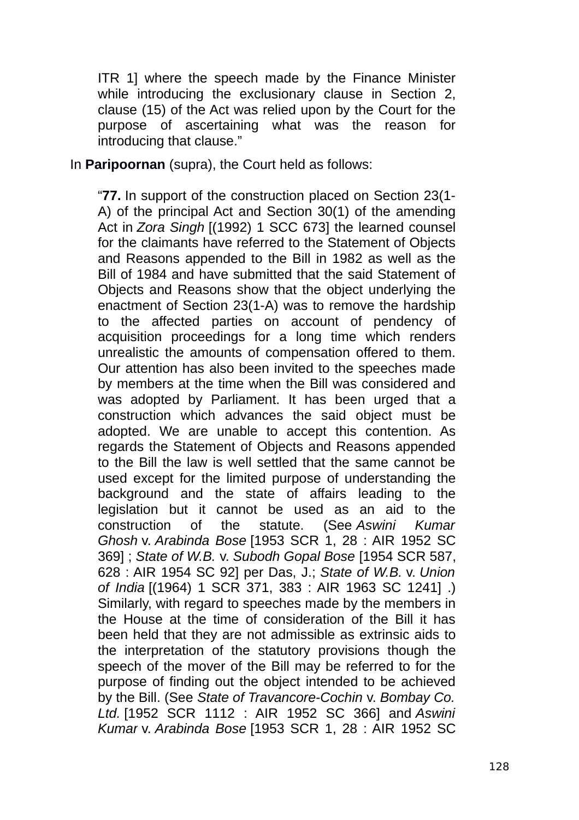ITR 1] where the speech made by the Finance Minister while introducing the exclusionary clause in Section 2, clause (15) of the Act was relied upon by the Court for the purpose of ascertaining what was the reason for introducing that clause."

In **Paripoornan** (supra), the Court held as follows:

"**77.** In support of the construction placed on Section 23(1- A) of the principal Act and Section 30(1) of the amending Act in *Zora Singh* [(1992) 1 SCC 673] the learned counsel for the claimants have referred to the Statement of Objects and Reasons appended to the Bill in 1982 as well as the Bill of 1984 and have submitted that the said Statement of Objects and Reasons show that the object underlying the enactment of Section 23(1-A) was to remove the hardship to the affected parties on account of pendency of acquisition proceedings for a long time which renders unrealistic the amounts of compensation offered to them. Our attention has also been invited to the speeches made by members at the time when the Bill was considered and was adopted by Parliament. It has been urged that a construction which advances the said object must be adopted. We are unable to accept this contention. As regards the Statement of Objects and Reasons appended to the Bill the law is well settled that the same cannot be used except for the limited purpose of understanding the background and the state of affairs leading to the legislation but it cannot be used as an aid to the construction of the statute. (See *Aswini Kumar Ghosh* v. *Arabinda Bose* [1953 SCR 1, 28 : AIR 1952 SC 369] ; *State of W.B.* v. *Subodh Gopal Bose* [1954 SCR 587, 628 : AIR 1954 SC 92] per Das, J.; *State of W.B.* v. *Union of India* [(1964) 1 SCR 371, 383 : AIR 1963 SC 1241] .) Similarly, with regard to speeches made by the members in the House at the time of consideration of the Bill it has been held that they are not admissible as extrinsic aids to the interpretation of the statutory provisions though the speech of the mover of the Bill may be referred to for the purpose of finding out the object intended to be achieved by the Bill. (See *State of Travancore-Cochin* v. *Bombay Co. Ltd.* [1952 SCR 1112 : AIR 1952 SC 366] and *Aswini Kumar* v. *Arabinda Bose* [1953 SCR 1, 28 : AIR 1952 SC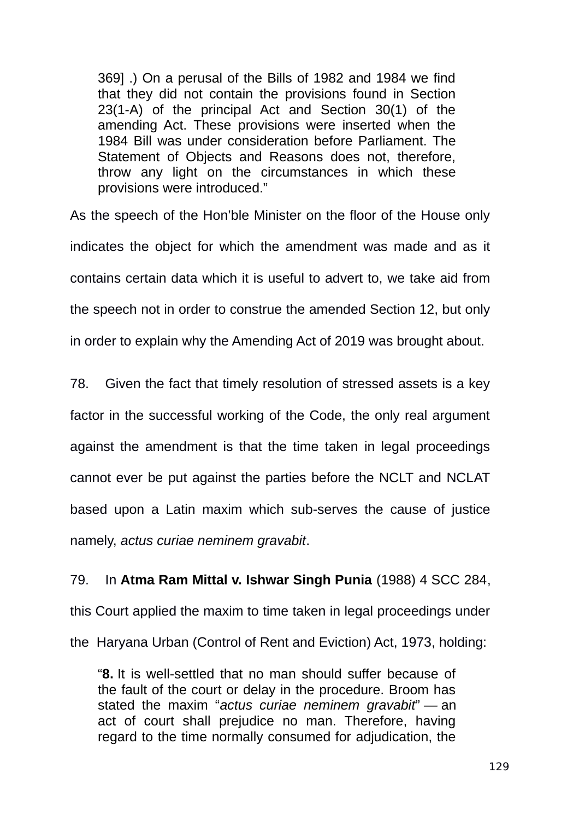369] .) On a perusal of the Bills of 1982 and 1984 we find that they did not contain the provisions found in Section 23(1-A) of the principal Act and Section 30(1) of the amending Act. These provisions were inserted when the 1984 Bill was under consideration before Parliament. The Statement of Objects and Reasons does not, therefore, throw any light on the circumstances in which these provisions were introduced."

As the speech of the Hon'ble Minister on the floor of the House only indicates the object for which the amendment was made and as it contains certain data which it is useful to advert to, we take aid from the speech not in order to construe the amended Section 12, but only in order to explain why the Amending Act of 2019 was brought about.

78. Given the fact that timely resolution of stressed assets is a key factor in the successful working of the Code, the only real argument against the amendment is that the time taken in legal proceedings cannot ever be put against the parties before the NCLT and NCLAT based upon a Latin maxim which sub-serves the cause of justice namely, *actus curiae neminem gravabit*.

79. In **Atma Ram Mittal v. Ishwar Singh Punia** (1988) 4 SCC 284, this Court applied the maxim to time taken in legal proceedings under the Haryana Urban (Control of Rent and Eviction) Act, 1973, holding:

"**8.** It is well-settled that no man should suffer because of the fault of the court or delay in the procedure. Broom has stated the maxim "*actus curiae neminem gravabit*" *—* an act of court shall prejudice no man. Therefore, having regard to the time normally consumed for adjudication, the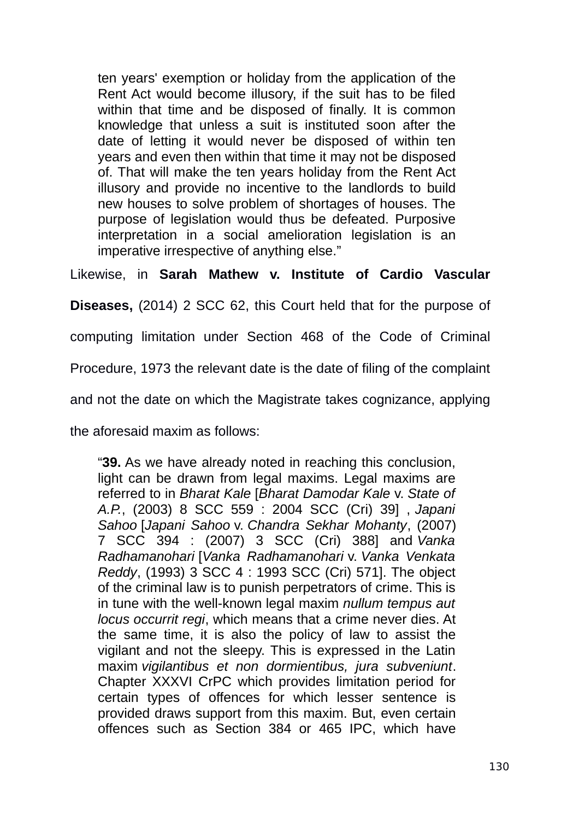ten years' exemption or holiday from the application of the Rent Act would become illusory, if the suit has to be filed within that time and be disposed of finally. It is common knowledge that unless a suit is instituted soon after the date of letting it would never be disposed of within ten years and even then within that time it may not be disposed of. That will make the ten years holiday from the Rent Act illusory and provide no incentive to the landlords to build new houses to solve problem of shortages of houses. The purpose of legislation would thus be defeated. Purposive interpretation in a social amelioration legislation is an imperative irrespective of anything else."

Likewise, in **Sarah Mathew v. Institute of Cardio Vascular**

**Diseases,** (2014) 2 SCC 62, this Court held that for the purpose of

computing limitation under Section 468 of the Code of Criminal

Procedure, 1973 the relevant date is the date of filing of the complaint

and not the date on which the Magistrate takes cognizance, applying

the aforesaid maxim as follows:

"**39.** As we have already noted in reaching this conclusion, light can be drawn from legal maxims. Legal maxims are referred to in *Bharat Kale* [*Bharat Damodar Kale* v. *State of A.P.*, (2003) 8 SCC 559 : 2004 SCC (Cri) 39] , *Japani Sahoo* [*Japani Sahoo* v. *Chandra Sekhar Mohanty*, (2007) 7 SCC 394 : (2007) 3 SCC (Cri) 388] and *Vanka Radhamanohari* [*Vanka Radhamanohari* v. *Vanka Venkata Reddy*, (1993) 3 SCC 4 : 1993 SCC (Cri) 571]. The object of the criminal law is to punish perpetrators of crime. This is in tune with the well-known legal maxim *nullum tempus aut locus occurrit regi*, which means that a crime never dies. At the same time, it is also the policy of law to assist the vigilant and not the sleepy. This is expressed in the Latin maxim *vigilantibus et non dormientibus, jura subveniunt*. Chapter XXXVI CrPC which provides limitation period for certain types of offences for which lesser sentence is provided draws support from this maxim. But, even certain offences such as Section 384 or 465 IPC, which have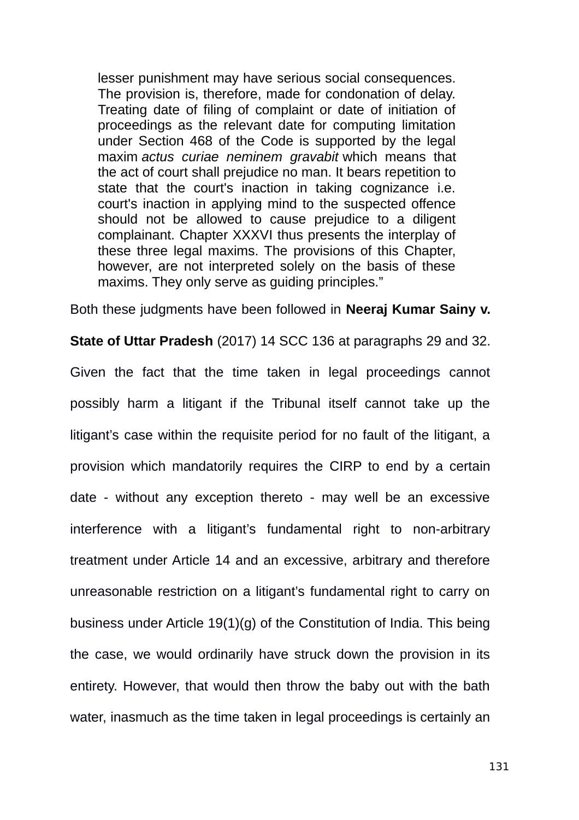lesser punishment may have serious social consequences. The provision is, therefore, made for condonation of delay. Treating date of filing of complaint or date of initiation of proceedings as the relevant date for computing limitation under Section 468 of the Code is supported by the legal maxim *actus curiae neminem gravabit* which means that the act of court shall prejudice no man. It bears repetition to state that the court's inaction in taking cognizance i.e. court's inaction in applying mind to the suspected offence should not be allowed to cause prejudice to a diligent complainant. Chapter XXXVI thus presents the interplay of these three legal maxims. The provisions of this Chapter, however, are not interpreted solely on the basis of these maxims. They only serve as guiding principles."

Both these judgments have been followed in **Neeraj Kumar Sainy v.**

**State of Uttar Pradesh** (2017) 14 SCC 136 at paragraphs 29 and 32.

Given the fact that the time taken in legal proceedings cannot possibly harm a litigant if the Tribunal itself cannot take up the litigant's case within the requisite period for no fault of the litigant, a provision which mandatorily requires the CIRP to end by a certain date - without any exception thereto - may well be an excessive interference with a litigant's fundamental right to non-arbitrary treatment under Article 14 and an excessive, arbitrary and therefore unreasonable restriction on a litigant's fundamental right to carry on business under Article 19(1)(g) of the Constitution of India. This being the case, we would ordinarily have struck down the provision in its entirety. However, that would then throw the baby out with the bath water, inasmuch as the time taken in legal proceedings is certainly an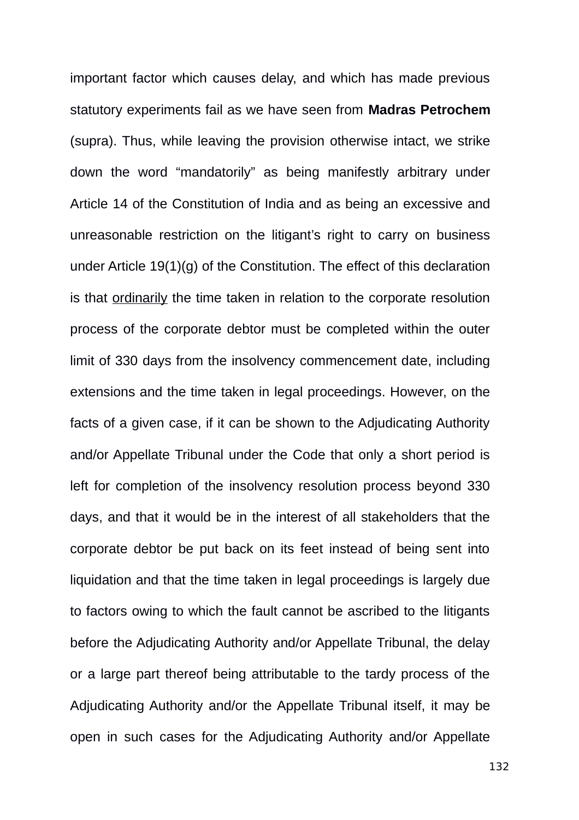important factor which causes delay, and which has made previous statutory experiments fail as we have seen from **Madras Petrochem** (supra). Thus, while leaving the provision otherwise intact, we strike down the word "mandatorily" as being manifestly arbitrary under Article 14 of the Constitution of India and as being an excessive and unreasonable restriction on the litigant's right to carry on business under Article 19(1)(g) of the Constitution. The effect of this declaration is that ordinarily the time taken in relation to the corporate resolution process of the corporate debtor must be completed within the outer limit of 330 days from the insolvency commencement date, including extensions and the time taken in legal proceedings. However, on the facts of a given case, if it can be shown to the Adjudicating Authority and/or Appellate Tribunal under the Code that only a short period is left for completion of the insolvency resolution process beyond 330 days, and that it would be in the interest of all stakeholders that the corporate debtor be put back on its feet instead of being sent into liquidation and that the time taken in legal proceedings is largely due to factors owing to which the fault cannot be ascribed to the litigants before the Adjudicating Authority and/or Appellate Tribunal, the delay or a large part thereof being attributable to the tardy process of the Adjudicating Authority and/or the Appellate Tribunal itself, it may be open in such cases for the Adjudicating Authority and/or Appellate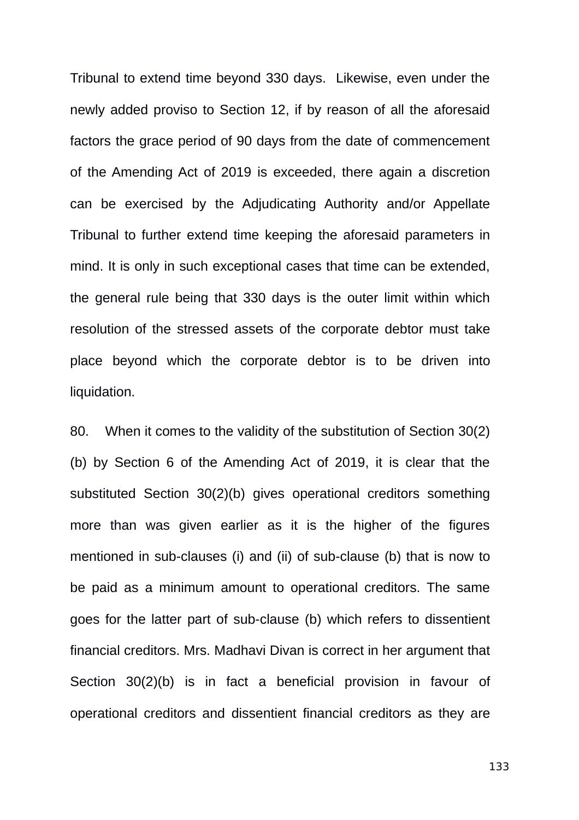Tribunal to extend time beyond 330 days. Likewise, even under the newly added proviso to Section 12, if by reason of all the aforesaid factors the grace period of 90 days from the date of commencement of the Amending Act of 2019 is exceeded, there again a discretion can be exercised by the Adjudicating Authority and/or Appellate Tribunal to further extend time keeping the aforesaid parameters in mind. It is only in such exceptional cases that time can be extended, the general rule being that 330 days is the outer limit within which resolution of the stressed assets of the corporate debtor must take place beyond which the corporate debtor is to be driven into liquidation.

80. When it comes to the validity of the substitution of Section 30(2) (b) by Section 6 of the Amending Act of 2019, it is clear that the substituted Section 30(2)(b) gives operational creditors something more than was given earlier as it is the higher of the figures mentioned in sub-clauses (i) and (ii) of sub-clause (b) that is now to be paid as a minimum amount to operational creditors. The same goes for the latter part of sub-clause (b) which refers to dissentient financial creditors. Mrs. Madhavi Divan is correct in her argument that Section 30(2)(b) is in fact a beneficial provision in favour of operational creditors and dissentient financial creditors as they are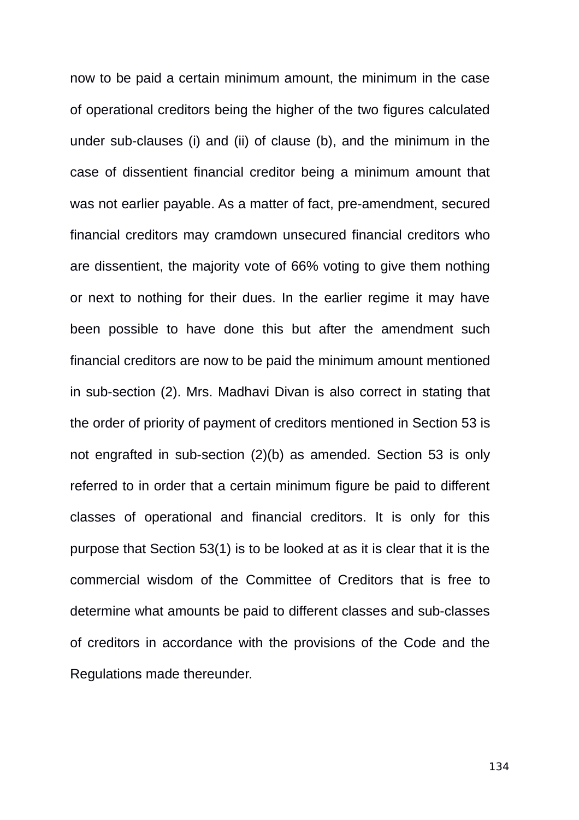now to be paid a certain minimum amount, the minimum in the case of operational creditors being the higher of the two figures calculated under sub-clauses (i) and (ii) of clause (b), and the minimum in the case of dissentient financial creditor being a minimum amount that was not earlier payable. As a matter of fact, pre-amendment, secured financial creditors may cramdown unsecured financial creditors who are dissentient, the majority vote of 66% voting to give them nothing or next to nothing for their dues. In the earlier regime it may have been possible to have done this but after the amendment such financial creditors are now to be paid the minimum amount mentioned in sub-section (2). Mrs. Madhavi Divan is also correct in stating that the order of priority of payment of creditors mentioned in Section 53 is not engrafted in sub-section (2)(b) as amended. Section 53 is only referred to in order that a certain minimum figure be paid to different classes of operational and financial creditors. It is only for this purpose that Section 53(1) is to be looked at as it is clear that it is the commercial wisdom of the Committee of Creditors that is free to determine what amounts be paid to different classes and sub-classes of creditors in accordance with the provisions of the Code and the Regulations made thereunder.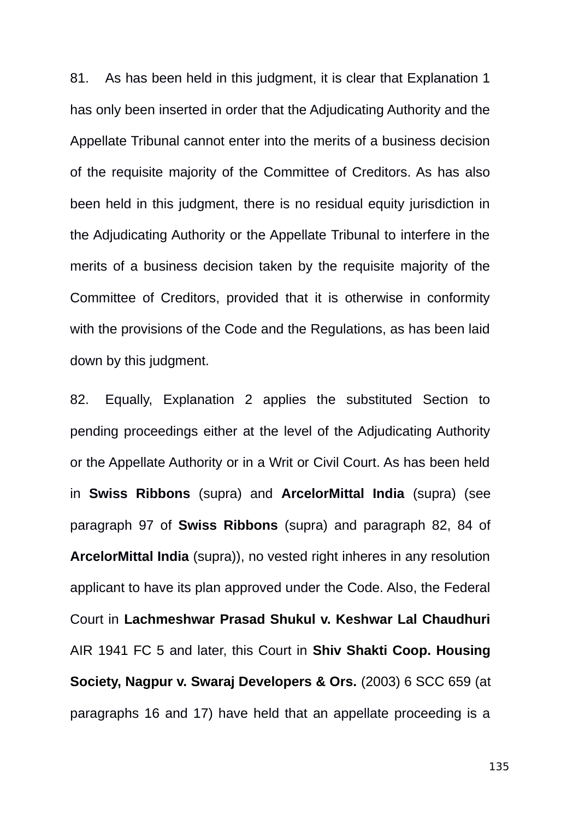81. As has been held in this judgment, it is clear that Explanation 1 has only been inserted in order that the Adjudicating Authority and the Appellate Tribunal cannot enter into the merits of a business decision of the requisite majority of the Committee of Creditors. As has also been held in this judgment, there is no residual equity jurisdiction in the Adjudicating Authority or the Appellate Tribunal to interfere in the merits of a business decision taken by the requisite majority of the Committee of Creditors, provided that it is otherwise in conformity with the provisions of the Code and the Regulations, as has been laid down by this judgment.

82. Equally, Explanation 2 applies the substituted Section to pending proceedings either at the level of the Adjudicating Authority or the Appellate Authority or in a Writ or Civil Court. As has been held in **Swiss Ribbons** (supra) and **ArcelorMittal India** (supra) (see paragraph 97 of **Swiss Ribbons** (supra) and paragraph 82, 84 of **ArcelorMittal India** (supra)), no vested right inheres in any resolution applicant to have its plan approved under the Code. Also, the Federal Court in **Lachmeshwar Prasad Shukul v. Keshwar Lal Chaudhuri** AIR 1941 FC 5 and later, this Court in **Shiv Shakti Coop. Housing Society, Nagpur v. Swaraj Developers & Ors.** (2003) 6 SCC 659 (at paragraphs 16 and 17) have held that an appellate proceeding is a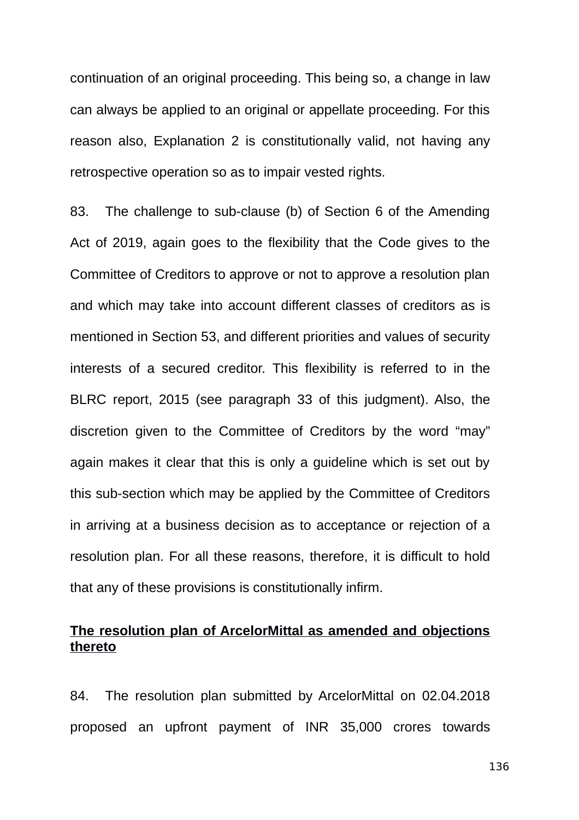continuation of an original proceeding. This being so, a change in law can always be applied to an original or appellate proceeding. For this reason also, Explanation 2 is constitutionally valid, not having any retrospective operation so as to impair vested rights.

83. The challenge to sub-clause (b) of Section 6 of the Amending Act of 2019, again goes to the flexibility that the Code gives to the Committee of Creditors to approve or not to approve a resolution plan and which may take into account different classes of creditors as is mentioned in Section 53, and different priorities and values of security interests of a secured creditor. This flexibility is referred to in the BLRC report, 2015 (see paragraph 33 of this judgment). Also, the discretion given to the Committee of Creditors by the word "may" again makes it clear that this is only a guideline which is set out by this sub-section which may be applied by the Committee of Creditors in arriving at a business decision as to acceptance or rejection of a resolution plan. For all these reasons, therefore, it is difficult to hold that any of these provisions is constitutionally infirm.

## **The resolution plan of ArcelorMittal as amended and objections thereto**

84. The resolution plan submitted by ArcelorMittal on 02.04.2018 proposed an upfront payment of INR 35,000 crores towards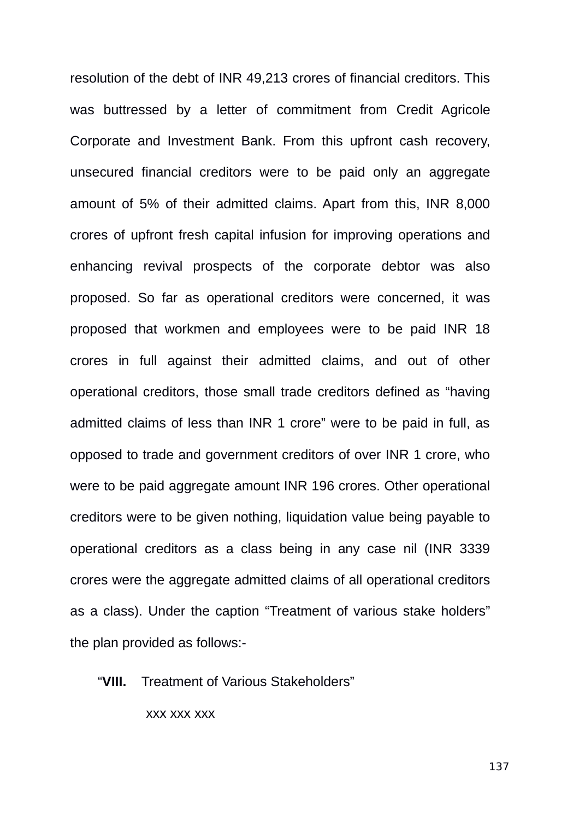resolution of the debt of INR 49,213 crores of financial creditors. This was buttressed by a letter of commitment from Credit Agricole Corporate and Investment Bank. From this upfront cash recovery, unsecured financial creditors were to be paid only an aggregate amount of 5% of their admitted claims. Apart from this, INR 8,000 crores of upfront fresh capital infusion for improving operations and enhancing revival prospects of the corporate debtor was also proposed. So far as operational creditors were concerned, it was proposed that workmen and employees were to be paid INR 18 crores in full against their admitted claims, and out of other operational creditors, those small trade creditors defined as "having admitted claims of less than INR 1 crore" were to be paid in full, as opposed to trade and government creditors of over INR 1 crore, who were to be paid aggregate amount INR 196 crores. Other operational creditors were to be given nothing, liquidation value being payable to operational creditors as a class being in any case nil (INR 3339 crores were the aggregate admitted claims of all operational creditors as a class). Under the caption "Treatment of various stake holders" the plan provided as follows:-

"**VIII.** Treatment of Various Stakeholders"

xxx xxx xxx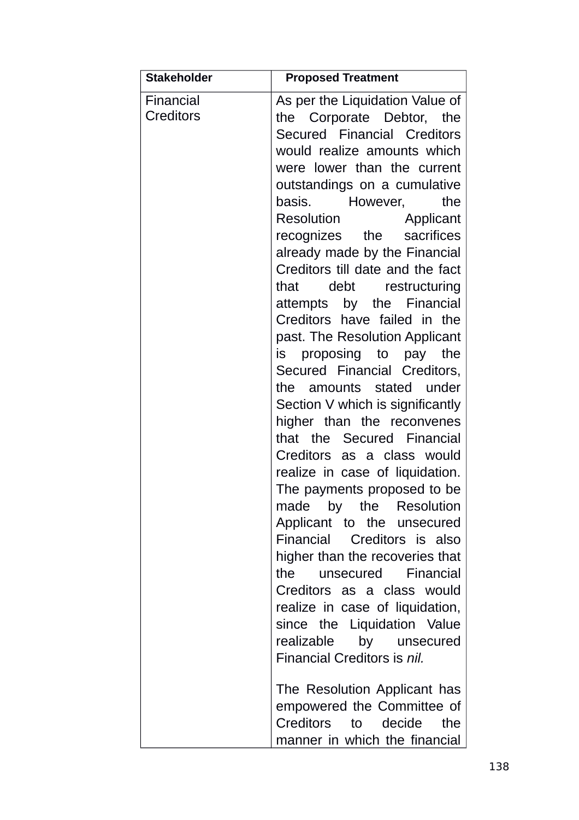| <b>Stakeholder</b>     | <b>Proposed Treatment</b>                                                                                                                                                                                                                                                                                                                                                                                                                                                                                                                                                                                                                                                                                                                                                                                                                                                                                                                                                                                                                                                                                                                                                    |
|------------------------|------------------------------------------------------------------------------------------------------------------------------------------------------------------------------------------------------------------------------------------------------------------------------------------------------------------------------------------------------------------------------------------------------------------------------------------------------------------------------------------------------------------------------------------------------------------------------------------------------------------------------------------------------------------------------------------------------------------------------------------------------------------------------------------------------------------------------------------------------------------------------------------------------------------------------------------------------------------------------------------------------------------------------------------------------------------------------------------------------------------------------------------------------------------------------|
| Financial<br>Creditors | As per the Liquidation Value of<br>the Corporate Debtor, the<br>Secured Financial Creditors<br>would realize amounts which<br>were lower than the current<br>outstandings on a cumulative<br>basis. However,<br>the<br>Resolution<br>Applicant<br>recognizes the sacrifices<br>already made by the Financial<br>Creditors till date and the fact<br>that debt restructuring<br>attempts by the Financial<br>Creditors have failed in the<br>past. The Resolution Applicant<br>is proposing to pay the<br>Secured Financial Creditors,<br>the amounts stated under<br>Section V which is significantly<br>higher than the reconvenes<br>that the Secured Financial<br>Creditors as a class would<br>realize in case of liquidation.<br>The payments proposed to be<br>made by the Resolution<br>Applicant to the unsecured<br>Financial Creditors is also<br>higher than the recoveries that<br>the unsecured Financial<br>Creditors as a class would<br>realize in case of liquidation,<br>since the Liquidation Value<br>realizable by unsecured<br>Financial Creditors is nil.<br>The Resolution Applicant has<br>empowered the Committee of<br>Creditors to decide<br>the |
|                        | manner in which the financial                                                                                                                                                                                                                                                                                                                                                                                                                                                                                                                                                                                                                                                                                                                                                                                                                                                                                                                                                                                                                                                                                                                                                |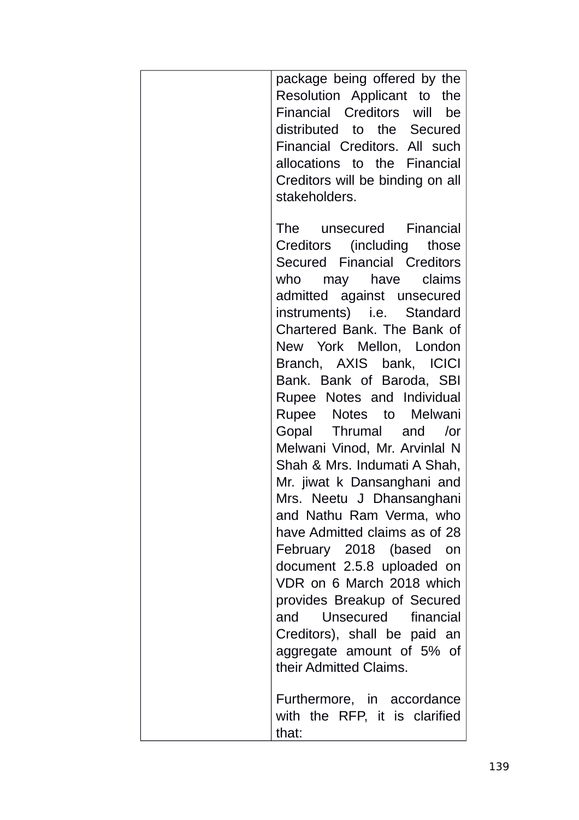| package being offered by the<br>Resolution Applicant to the<br>Financial Creditors will be<br>distributed to the Secured<br>Financial Creditors. All such<br>allocations to the Financial<br>Creditors will be binding on all<br>stakeholders.                                                                                                                                                                                                                                                                                                                                                                                                                                                                                                                                                                        |
|-----------------------------------------------------------------------------------------------------------------------------------------------------------------------------------------------------------------------------------------------------------------------------------------------------------------------------------------------------------------------------------------------------------------------------------------------------------------------------------------------------------------------------------------------------------------------------------------------------------------------------------------------------------------------------------------------------------------------------------------------------------------------------------------------------------------------|
| The unsecured Financial<br>Creditors (including<br>those<br>Secured Financial Creditors<br>may have claims<br>who<br>admitted against unsecured<br>instruments) i.e. Standard<br>Chartered Bank. The Bank of<br>New York Mellon, London<br>Branch, AXIS bank, ICICI<br>Bank. Bank of Baroda, SBI<br>Rupee Notes and Individual<br>Rupee Notes to Melwani<br>Gopal Thrumal and /or<br>Melwani Vinod, Mr. Arvinlal N<br>Shah & Mrs. Indumati A Shah,<br>Mr. jiwat k Dansanghani and<br>Mrs. Neetu J Dhansanghani<br>and Nathu Ram Verma, who<br>have Admitted claims as of 28<br>February 2018 (based<br>on<br>document 2.5.8 uploaded on<br>VDR on 6 March 2018 which<br>provides Breakup of Secured<br>and Unsecured financial<br>Creditors), shall be paid an<br>aggregate amount of 5% of<br>their Admitted Claims. |
| Furthermore, in accordance<br>with the RFP, it is clarified<br>that:                                                                                                                                                                                                                                                                                                                                                                                                                                                                                                                                                                                                                                                                                                                                                  |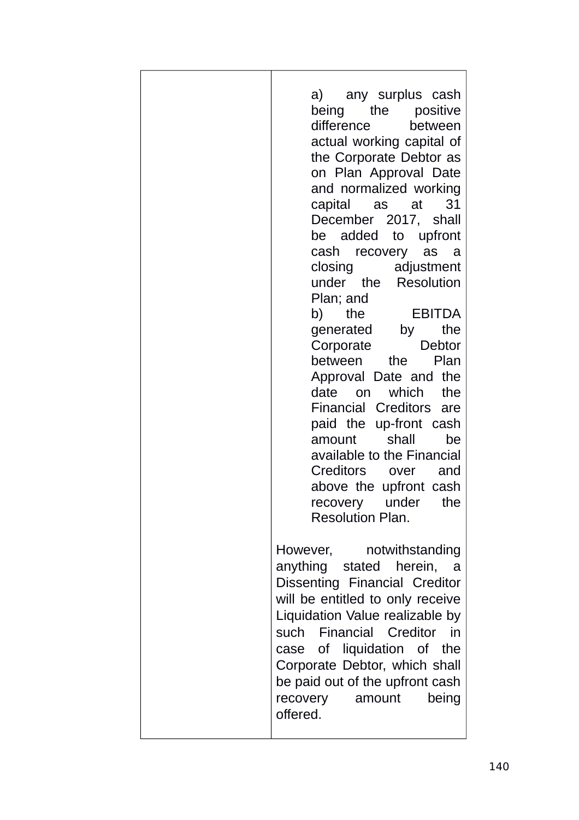| a) any surplus cash<br>being the positive<br>difference between<br>actual working capital of<br>the Corporate Debtor as<br>on Plan Approval Date<br>and normalized working<br>capital as<br>31<br>at<br>December 2017, shall<br>be added to upfront<br>cash recovery as a<br>closing adjustment<br>under the Resolution<br>Plan; and<br>b) the<br><b>EBITDA</b><br>generated<br>the<br>by<br>Corporate<br><b>Debtor</b><br>between the Plan<br>Approval Date and the<br>which<br>date on<br>the<br>Financial Creditors are<br>paid the up-front cash<br>shall<br>amount<br>be<br>available to the Financial<br>Creditors over<br>and<br>above the upfront cash<br>under<br>the<br>recovery<br><b>Resolution Plan.</b> |
|-----------------------------------------------------------------------------------------------------------------------------------------------------------------------------------------------------------------------------------------------------------------------------------------------------------------------------------------------------------------------------------------------------------------------------------------------------------------------------------------------------------------------------------------------------------------------------------------------------------------------------------------------------------------------------------------------------------------------|
| However, notwithstanding<br>anything stated herein, a<br>Dissenting Financial Creditor<br>will be entitled to only receive<br>Liquidation Value realizable by<br>such Financial Creditor in<br>liquidation of the<br>case of<br>Corporate Debtor, which shall<br>be paid out of the upfront cash<br>recovery amount<br>being<br>offered.                                                                                                                                                                                                                                                                                                                                                                              |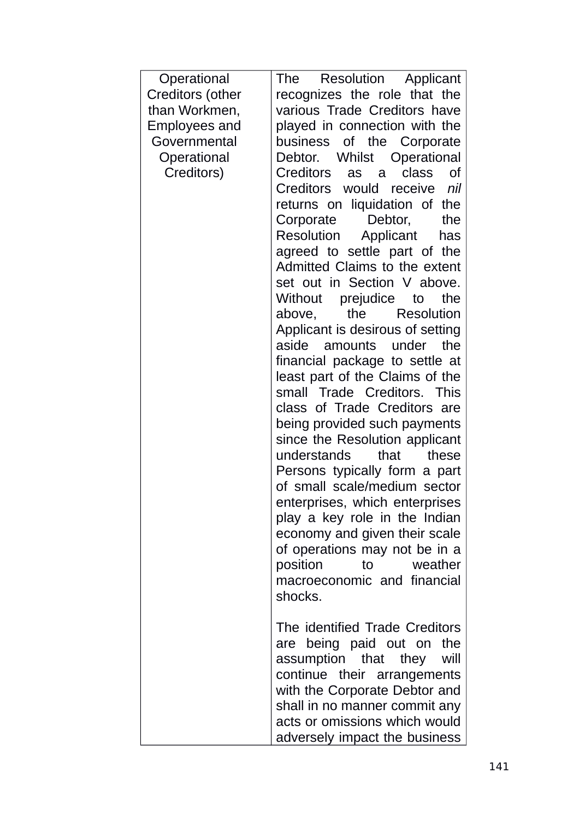| Operational             | Resolution Applicant<br>The             |
|-------------------------|-----------------------------------------|
| <b>Creditors (other</b> | recognizes the role that the            |
| than Workmen,           | various Trade Creditors have            |
| <b>Employees and</b>    | played in connection with the           |
| Governmental            | of the Corporate<br>business            |
| Operational             | Debtor. Whilst Operational              |
| Creditors)              | <b>Creditors</b><br>class<br>as a<br>Οf |
|                         | Creditors would receive<br>nil          |
|                         | returns on liquidation of the           |
|                         | Debtor,<br>Corporate<br>the             |
|                         | Resolution<br>Applicant<br>has          |
|                         | agreed to settle part of the            |
|                         | Admitted Claims to the extent           |
|                         | set out in Section V above.             |
|                         | prejudice to<br>Without<br>the          |
|                         | the<br>above,<br>Resolution             |
|                         | Applicant is desirous of setting        |
|                         | aside amounts under the                 |
|                         | financial package to settle at          |
|                         | least part of the Claims of the         |
|                         | small Trade Creditors. This             |
|                         | class of Trade Creditors are            |
|                         | being provided such payments            |
|                         | since the Resolution applicant          |
|                         | that<br>understands<br>these            |
|                         | Persons typically form a part           |
|                         | of small scale/medium sector            |
|                         |                                         |
|                         | enterprises, which enterprises          |
|                         | play a key role in the Indian           |
|                         | economy and given their scale           |
|                         | of operations may not be in a           |
|                         | position<br>to weather                  |
|                         | macroeconomic and financial             |
|                         | shocks.                                 |
|                         |                                         |
|                         | The identified Trade Creditors          |
|                         | are being paid out on the               |
|                         | assumption that they<br>will            |
|                         | continue their arrangements             |
|                         | with the Corporate Debtor and           |
|                         | shall in no manner commit any           |
|                         | acts or omissions which would           |
|                         | adversely impact the business           |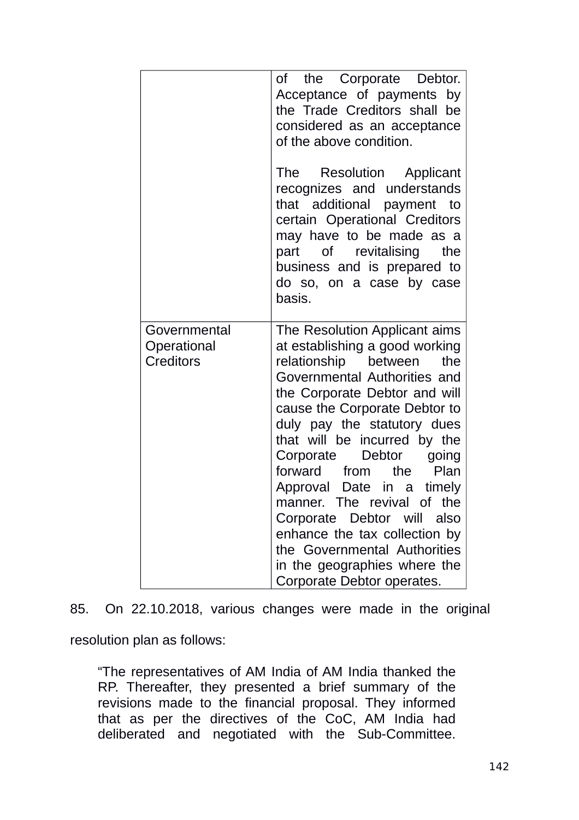|                                                 | of the Corporate Debtor.<br>Acceptance of payments by<br>the Trade Creditors shall be<br>considered as an acceptance<br>of the above condition.                                                                                                                                                                                                                                                                                                                                                                                               |
|-------------------------------------------------|-----------------------------------------------------------------------------------------------------------------------------------------------------------------------------------------------------------------------------------------------------------------------------------------------------------------------------------------------------------------------------------------------------------------------------------------------------------------------------------------------------------------------------------------------|
|                                                 | The Resolution Applicant<br>recognizes and understands<br>that additional payment to<br>certain Operational Creditors<br>may have to be made as a<br>part of revitalising the<br>business and is prepared to<br>do so, on a case by case<br>basis.                                                                                                                                                                                                                                                                                            |
| Governmental<br>Operational<br><b>Creditors</b> | The Resolution Applicant aims<br>at establishing a good working<br>relationship between<br>the<br>Governmental Authorities and<br>the Corporate Debtor and will<br>cause the Corporate Debtor to<br>duly pay the statutory dues<br>that will be incurred by the<br>Corporate Debtor<br>going<br>forward from the Plan<br>Approval Date in a timely<br>manner. The revival of the<br>Corporate Debtor will also<br>enhance the tax collection by<br>the Governmental Authorities<br>in the geographies where the<br>Corporate Debtor operates. |

85. On 22.10.2018, various changes were made in the original

resolution plan as follows:

"The representatives of AM India of AM India thanked the RP. Thereafter, they presented a brief summary of the revisions made to the financial proposal. They informed that as per the directives of the CoC, AM India had deliberated and negotiated with the Sub-Committee.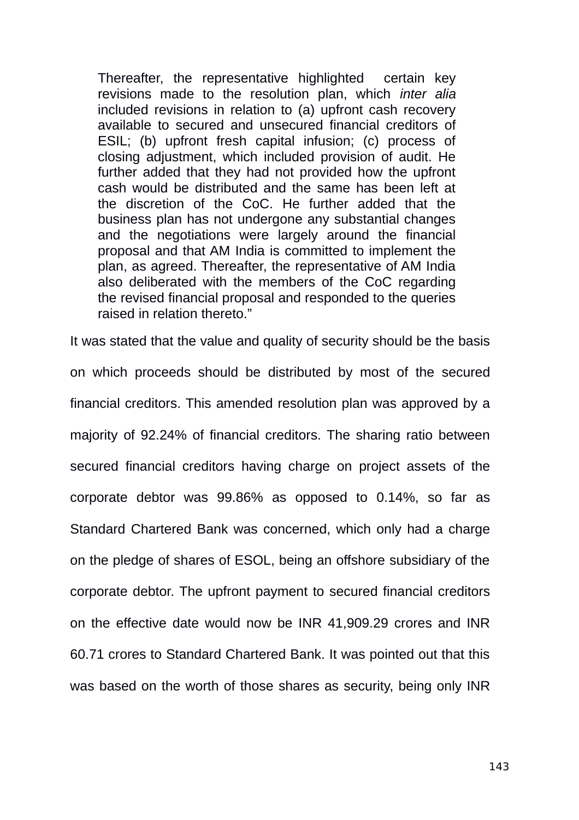Thereafter, the representative highlighted certain key revisions made to the resolution plan, which *inter alia* included revisions in relation to (a) upfront cash recovery available to secured and unsecured financial creditors of ESIL; (b) upfront fresh capital infusion; (c) process of closing adjustment, which included provision of audit. He further added that they had not provided how the upfront cash would be distributed and the same has been left at the discretion of the CoC. He further added that the business plan has not undergone any substantial changes and the negotiations were largely around the financial proposal and that AM India is committed to implement the plan, as agreed. Thereafter, the representative of AM India also deliberated with the members of the CoC regarding the revised financial proposal and responded to the queries raised in relation thereto."

It was stated that the value and quality of security should be the basis on which proceeds should be distributed by most of the secured financial creditors. This amended resolution plan was approved by a majority of 92.24% of financial creditors. The sharing ratio between secured financial creditors having charge on project assets of the corporate debtor was 99.86% as opposed to 0.14%, so far as Standard Chartered Bank was concerned, which only had a charge on the pledge of shares of ESOL, being an offshore subsidiary of the corporate debtor. The upfront payment to secured financial creditors on the effective date would now be INR 41,909.29 crores and INR 60.71 crores to Standard Chartered Bank. It was pointed out that this was based on the worth of those shares as security, being only INR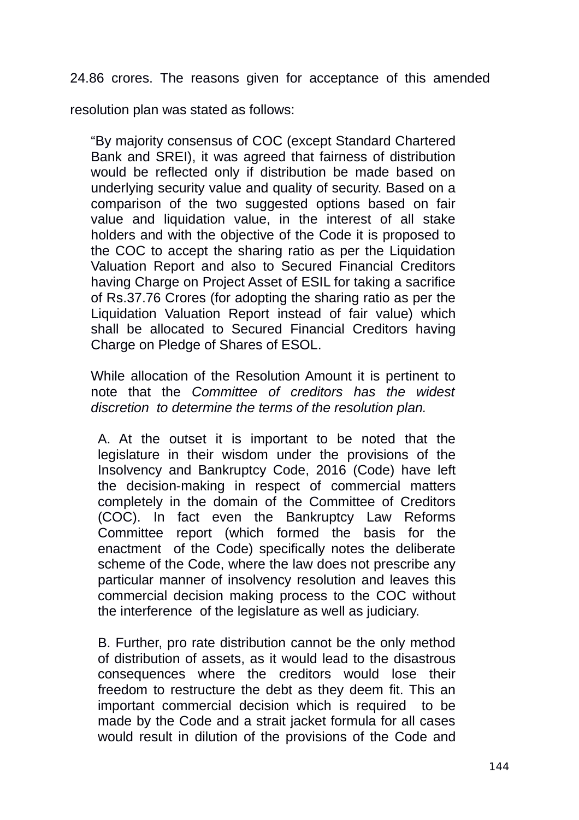24.86 crores. The reasons given for acceptance of this amended

resolution plan was stated as follows:

"By majority consensus of COC (except Standard Chartered Bank and SREI), it was agreed that fairness of distribution would be reflected only if distribution be made based on underlying security value and quality of security. Based on a comparison of the two suggested options based on fair value and liquidation value, in the interest of all stake holders and with the objective of the Code it is proposed to the COC to accept the sharing ratio as per the Liquidation Valuation Report and also to Secured Financial Creditors having Charge on Project Asset of ESIL for taking a sacrifice of Rs.37.76 Crores (for adopting the sharing ratio as per the Liquidation Valuation Report instead of fair value) which shall be allocated to Secured Financial Creditors having Charge on Pledge of Shares of ESOL.

While allocation of the Resolution Amount it is pertinent to note that the *Committee of creditors has the widest discretion to determine the terms of the resolution plan.*

A. At the outset it is important to be noted that the legislature in their wisdom under the provisions of the Insolvency and Bankruptcy Code, 2016 (Code) have left the decision-making in respect of commercial matters completely in the domain of the Committee of Creditors (COC). In fact even the Bankruptcy Law Reforms Committee report (which formed the basis for the enactment of the Code) specifically notes the deliberate scheme of the Code, where the law does not prescribe any particular manner of insolvency resolution and leaves this commercial decision making process to the COC without the interference of the legislature as well as judiciary.

B. Further, pro rate distribution cannot be the only method of distribution of assets, as it would lead to the disastrous consequences where the creditors would lose their freedom to restructure the debt as they deem fit. This an important commercial decision which is required to be made by the Code and a strait jacket formula for all cases would result in dilution of the provisions of the Code and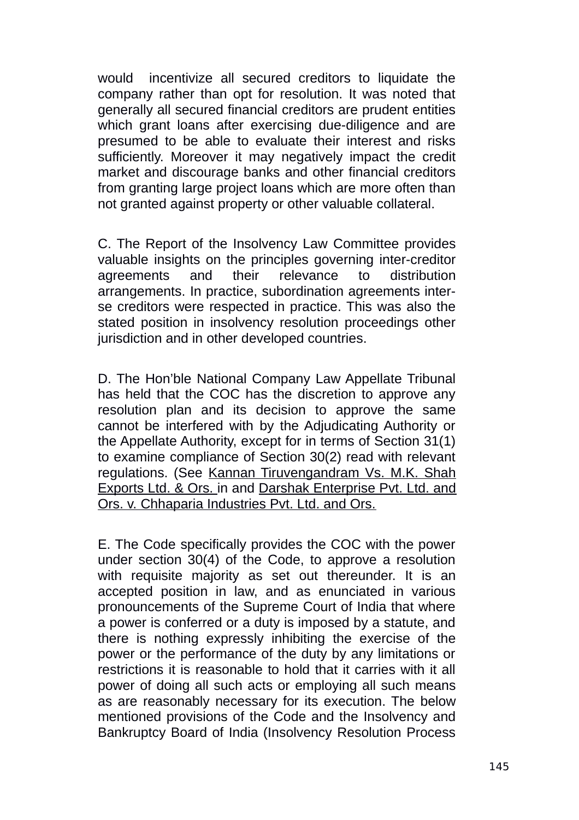would incentivize all secured creditors to liquidate the company rather than opt for resolution. It was noted that generally all secured financial creditors are prudent entities which grant loans after exercising due-diligence and are presumed to be able to evaluate their interest and risks sufficiently. Moreover it may negatively impact the credit market and discourage banks and other financial creditors from granting large project loans which are more often than not granted against property or other valuable collateral.

C. The Report of the Insolvency Law Committee provides valuable insights on the principles governing inter-creditor agreements and their relevance to distribution arrangements. In practice, subordination agreements interse creditors were respected in practice. This was also the stated position in insolvency resolution proceedings other jurisdiction and in other developed countries.

D. The Hon'ble National Company Law Appellate Tribunal has held that the COC has the discretion to approve any resolution plan and its decision to approve the same cannot be interfered with by the Adjudicating Authority or the Appellate Authority, except for in terms of Section 31(1) to examine compliance of Section 30(2) read with relevant regulations. (See Kannan Tiruvengandram Vs. M.K. Shah Exports Ltd. & Ors. in and Darshak Enterprise Pvt. Ltd. and Ors. v. Chhaparia Industries Pvt. Ltd. and Ors.

E. The Code specifically provides the COC with the power under section 30(4) of the Code, to approve a resolution with requisite majority as set out thereunder. It is an accepted position in law, and as enunciated in various pronouncements of the Supreme Court of India that where a power is conferred or a duty is imposed by a statute, and there is nothing expressly inhibiting the exercise of the power or the performance of the duty by any limitations or restrictions it is reasonable to hold that it carries with it all power of doing all such acts or employing all such means as are reasonably necessary for its execution. The below mentioned provisions of the Code and the Insolvency and Bankruptcy Board of India (Insolvency Resolution Process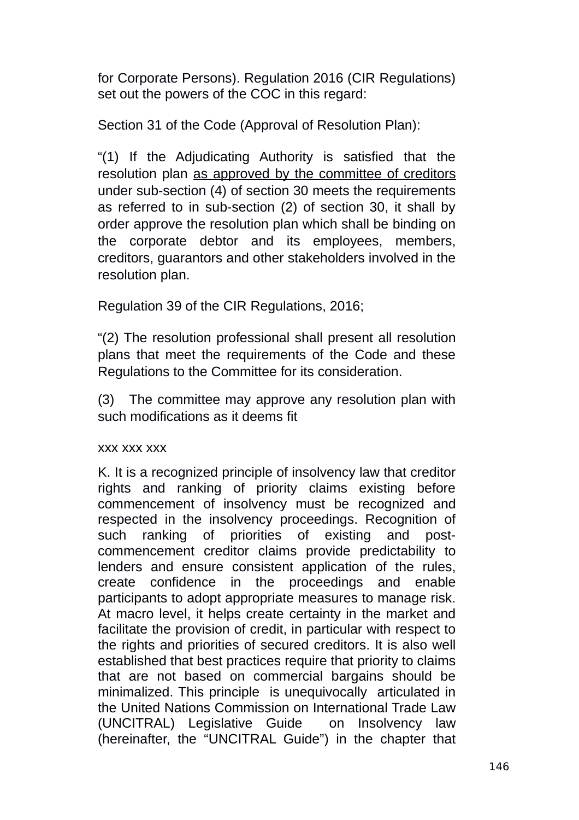for Corporate Persons). Regulation 2016 (CIR Regulations) set out the powers of the COC in this regard:

Section 31 of the Code (Approval of Resolution Plan):

"(1) If the Adjudicating Authority is satisfied that the resolution plan as approved by the committee of creditors under sub-section (4) of section 30 meets the requirements as referred to in sub-section (2) of section 30, it shall by order approve the resolution plan which shall be binding on the corporate debtor and its employees, members, creditors, guarantors and other stakeholders involved in the resolution plan.

Regulation 39 of the CIR Regulations, 2016;

"(2) The resolution professional shall present all resolution plans that meet the requirements of the Code and these Regulations to the Committee for its consideration.

(3) The committee may approve any resolution plan with such modifications as it deems fit

xxx xxx xxx

K. It is a recognized principle of insolvency law that creditor rights and ranking of priority claims existing before commencement of insolvency must be recognized and respected in the insolvency proceedings. Recognition of such ranking of priorities of existing and postcommencement creditor claims provide predictability to lenders and ensure consistent application of the rules, create confidence in the proceedings and enable participants to adopt appropriate measures to manage risk. At macro level, it helps create certainty in the market and facilitate the provision of credit, in particular with respect to the rights and priorities of secured creditors. It is also well established that best practices require that priority to claims that are not based on commercial bargains should be minimalized. This principle is unequivocally articulated in the United Nations Commission on International Trade Law (UNCITRAL) Legislative Guide on Insolvency law (hereinafter, the "UNCITRAL Guide") in the chapter that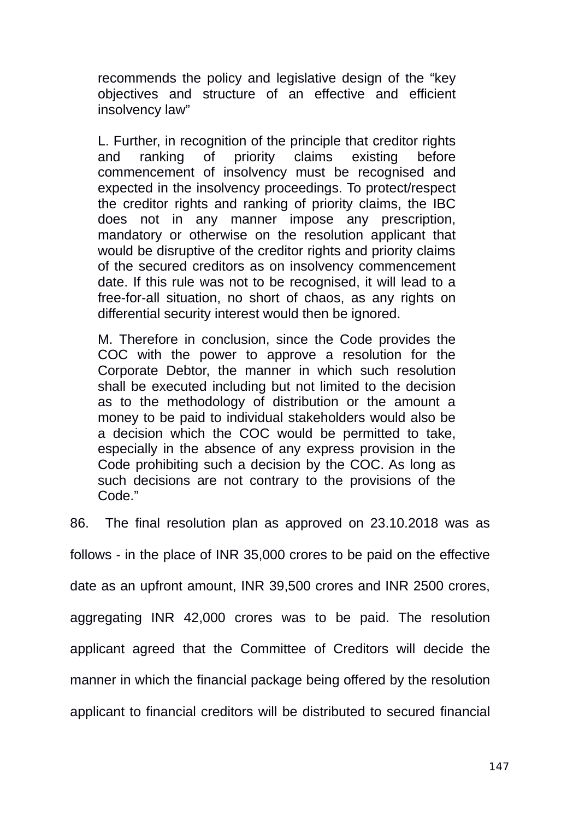recommends the policy and legislative design of the "key objectives and structure of an effective and efficient insolvency law"

L. Further, in recognition of the principle that creditor rights and ranking of priority claims existing before commencement of insolvency must be recognised and expected in the insolvency proceedings. To protect/respect the creditor rights and ranking of priority claims, the IBC does not in any manner impose any prescription, mandatory or otherwise on the resolution applicant that would be disruptive of the creditor rights and priority claims of the secured creditors as on insolvency commencement date. If this rule was not to be recognised, it will lead to a free-for-all situation, no short of chaos, as any rights on differential security interest would then be ignored.

M. Therefore in conclusion, since the Code provides the COC with the power to approve a resolution for the Corporate Debtor, the manner in which such resolution shall be executed including but not limited to the decision as to the methodology of distribution or the amount a money to be paid to individual stakeholders would also be a decision which the COC would be permitted to take, especially in the absence of any express provision in the Code prohibiting such a decision by the COC. As long as such decisions are not contrary to the provisions of the Code."

86. The final resolution plan as approved on 23.10.2018 was as

follows - in the place of INR 35,000 crores to be paid on the effective

date as an upfront amount, INR 39,500 crores and INR 2500 crores,

aggregating INR 42,000 crores was to be paid. The resolution

applicant agreed that the Committee of Creditors will decide the

manner in which the financial package being offered by the resolution

applicant to financial creditors will be distributed to secured financial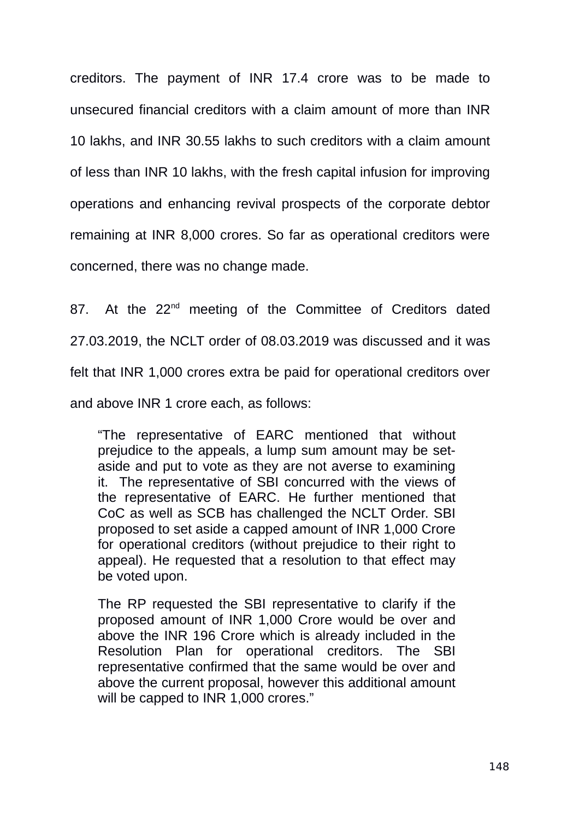creditors. The payment of INR 17.4 crore was to be made to unsecured financial creditors with a claim amount of more than INR 10 lakhs, and INR 30.55 lakhs to such creditors with a claim amount of less than INR 10 lakhs, with the fresh capital infusion for improving operations and enhancing revival prospects of the corporate debtor remaining at INR 8,000 crores. So far as operational creditors were concerned, there was no change made.

87. At the 22<sup>nd</sup> meeting of the Committee of Creditors dated 27.03.2019, the NCLT order of 08.03.2019 was discussed and it was felt that INR 1,000 crores extra be paid for operational creditors over and above INR 1 crore each, as follows:

"The representative of EARC mentioned that without prejudice to the appeals, a lump sum amount may be setaside and put to vote as they are not averse to examining it. The representative of SBI concurred with the views of the representative of EARC. He further mentioned that CoC as well as SCB has challenged the NCLT Order. SBI proposed to set aside a capped amount of INR 1,000 Crore for operational creditors (without prejudice to their right to appeal). He requested that a resolution to that effect may be voted upon.

The RP requested the SBI representative to clarify if the proposed amount of INR 1,000 Crore would be over and above the INR 196 Crore which is already included in the Resolution Plan for operational creditors. The SBI representative confirmed that the same would be over and above the current proposal, however this additional amount will be capped to INR 1,000 crores."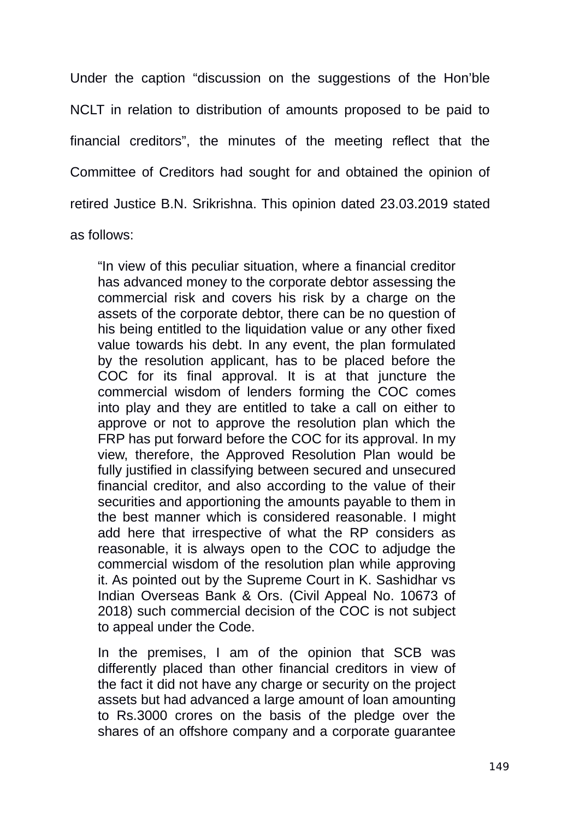Under the caption "discussion on the suggestions of the Hon'ble NCLT in relation to distribution of amounts proposed to be paid to financial creditors", the minutes of the meeting reflect that the Committee of Creditors had sought for and obtained the opinion of retired Justice B.N. Srikrishna. This opinion dated 23.03.2019 stated as follows:

"In view of this peculiar situation, where a financial creditor has advanced money to the corporate debtor assessing the commercial risk and covers his risk by a charge on the assets of the corporate debtor, there can be no question of his being entitled to the liquidation value or any other fixed value towards his debt. In any event, the plan formulated by the resolution applicant, has to be placed before the COC for its final approval. It is at that juncture the commercial wisdom of lenders forming the COC comes into play and they are entitled to take a call on either to approve or not to approve the resolution plan which the FRP has put forward before the COC for its approval. In my view, therefore, the Approved Resolution Plan would be fully justified in classifying between secured and unsecured financial creditor, and also according to the value of their securities and apportioning the amounts payable to them in the best manner which is considered reasonable. I might add here that irrespective of what the RP considers as reasonable, it is always open to the COC to adjudge the commercial wisdom of the resolution plan while approving it. As pointed out by the Supreme Court in K. Sashidhar vs Indian Overseas Bank & Ors. (Civil Appeal No. 10673 of 2018) such commercial decision of the COC is not subject to appeal under the Code.

In the premises, I am of the opinion that SCB was differently placed than other financial creditors in view of the fact it did not have any charge or security on the project assets but had advanced a large amount of loan amounting to Rs.3000 crores on the basis of the pledge over the shares of an offshore company and a corporate guarantee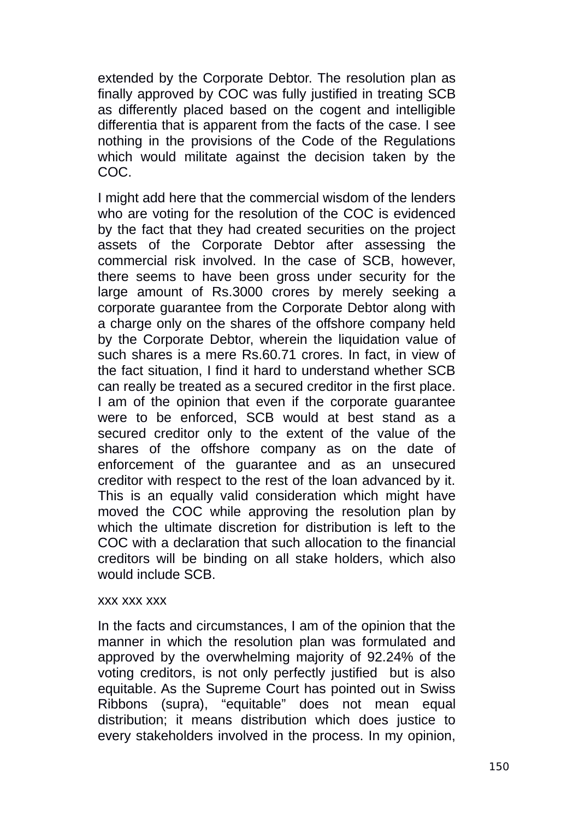extended by the Corporate Debtor. The resolution plan as finally approved by COC was fully justified in treating SCB as differently placed based on the cogent and intelligible differentia that is apparent from the facts of the case. I see nothing in the provisions of the Code of the Regulations which would militate against the decision taken by the COC.

I might add here that the commercial wisdom of the lenders who are voting for the resolution of the COC is evidenced by the fact that they had created securities on the project assets of the Corporate Debtor after assessing the commercial risk involved. In the case of SCB, however, there seems to have been gross under security for the large amount of Rs.3000 crores by merely seeking a corporate guarantee from the Corporate Debtor along with a charge only on the shares of the offshore company held by the Corporate Debtor, wherein the liquidation value of such shares is a mere Rs.60.71 crores. In fact, in view of the fact situation, I find it hard to understand whether SCB can really be treated as a secured creditor in the first place. I am of the opinion that even if the corporate guarantee were to be enforced, SCB would at best stand as a secured creditor only to the extent of the value of the shares of the offshore company as on the date of enforcement of the guarantee and as an unsecured creditor with respect to the rest of the loan advanced by it. This is an equally valid consideration which might have moved the COC while approving the resolution plan by which the ultimate discretion for distribution is left to the COC with a declaration that such allocation to the financial creditors will be binding on all stake holders, which also would include SCB.

## xxx xxx xxx

In the facts and circumstances, I am of the opinion that the manner in which the resolution plan was formulated and approved by the overwhelming majority of 92.24% of the voting creditors, is not only perfectly justified but is also equitable. As the Supreme Court has pointed out in Swiss Ribbons (supra), "equitable" does not mean equal distribution; it means distribution which does justice to every stakeholders involved in the process. In my opinion,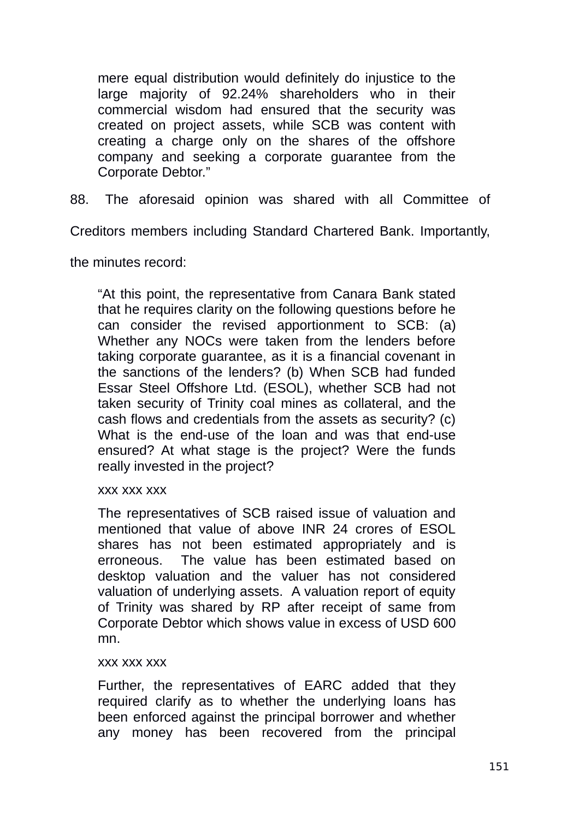mere equal distribution would definitely do injustice to the large majority of 92.24% shareholders who in their commercial wisdom had ensured that the security was created on project assets, while SCB was content with creating a charge only on the shares of the offshore company and seeking a corporate guarantee from the Corporate Debtor."

88. The aforesaid opinion was shared with all Committee of

Creditors members including Standard Chartered Bank. Importantly,

the minutes record:

"At this point, the representative from Canara Bank stated that he requires clarity on the following questions before he can consider the revised apportionment to SCB: (a) Whether any NOCs were taken from the lenders before taking corporate guarantee, as it is a financial covenant in the sanctions of the lenders? (b) When SCB had funded Essar Steel Offshore Ltd. (ESOL), whether SCB had not taken security of Trinity coal mines as collateral, and the cash flows and credentials from the assets as security? (c) What is the end-use of the loan and was that end-use ensured? At what stage is the project? Were the funds really invested in the project?

# xxx xxx xxx

The representatives of SCB raised issue of valuation and mentioned that value of above INR 24 crores of ESOL shares has not been estimated appropriately and is erroneous. The value has been estimated based on desktop valuation and the valuer has not considered valuation of underlying assets. A valuation report of equity of Trinity was shared by RP after receipt of same from Corporate Debtor which shows value in excess of USD 600 mn.

# xxx xxx xxx

Further, the representatives of EARC added that they required clarify as to whether the underlying loans has been enforced against the principal borrower and whether any money has been recovered from the principal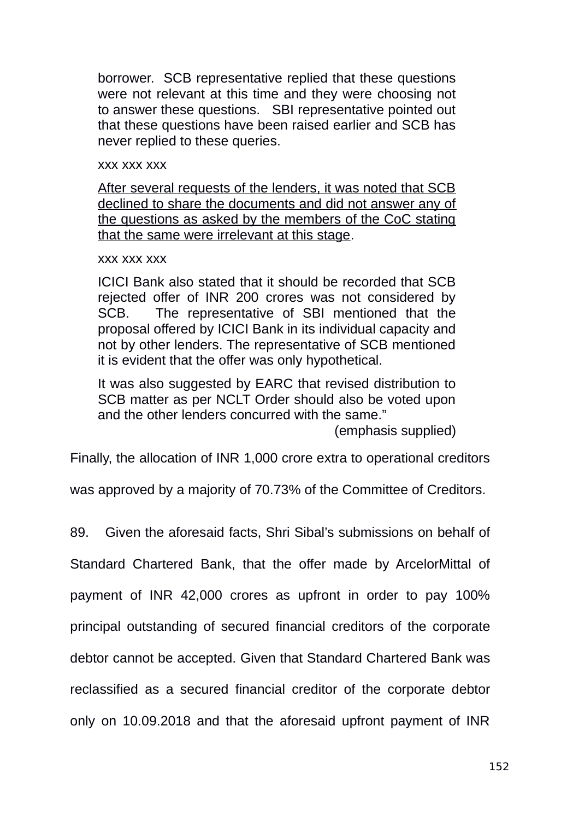borrower. SCB representative replied that these questions were not relevant at this time and they were choosing not to answer these questions. SBI representative pointed out that these questions have been raised earlier and SCB has never replied to these queries.

## xxx xxx xxx

After several requests of the lenders, it was noted that SCB declined to share the documents and did not answer any of the questions as asked by the members of the CoC stating that the same were irrelevant at this stage.

## xxx xxx xxx

ICICI Bank also stated that it should be recorded that SCB rejected offer of INR 200 crores was not considered by SCB. The representative of SBI mentioned that the proposal offered by ICICI Bank in its individual capacity and not by other lenders. The representative of SCB mentioned it is evident that the offer was only hypothetical.

It was also suggested by EARC that revised distribution to SCB matter as per NCLT Order should also be voted upon and the other lenders concurred with the same."

(emphasis supplied)

Finally, the allocation of INR 1,000 crore extra to operational creditors

was approved by a majority of 70.73% of the Committee of Creditors.

89. Given the aforesaid facts, Shri Sibal's submissions on behalf of

Standard Chartered Bank, that the offer made by ArcelorMittal of

payment of INR 42,000 crores as upfront in order to pay 100%

principal outstanding of secured financial creditors of the corporate

debtor cannot be accepted. Given that Standard Chartered Bank was

reclassified as a secured financial creditor of the corporate debtor

only on 10.09.2018 and that the aforesaid upfront payment of INR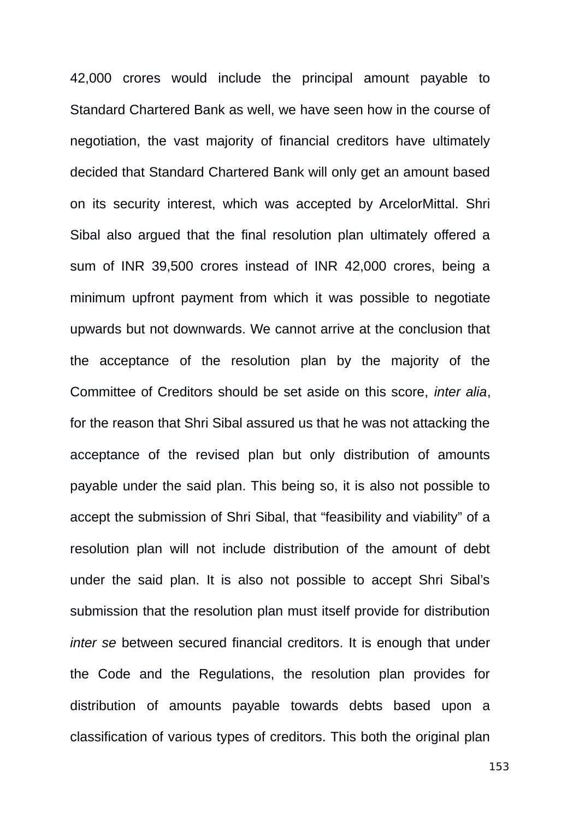42,000 crores would include the principal amount payable to Standard Chartered Bank as well, we have seen how in the course of negotiation, the vast majority of financial creditors have ultimately decided that Standard Chartered Bank will only get an amount based on its security interest, which was accepted by ArcelorMittal. Shri Sibal also argued that the final resolution plan ultimately offered a sum of INR 39,500 crores instead of INR 42,000 crores, being a minimum upfront payment from which it was possible to negotiate upwards but not downwards. We cannot arrive at the conclusion that the acceptance of the resolution plan by the majority of the Committee of Creditors should be set aside on this score, *inter alia*, for the reason that Shri Sibal assured us that he was not attacking the acceptance of the revised plan but only distribution of amounts payable under the said plan. This being so, it is also not possible to accept the submission of Shri Sibal, that "feasibility and viability" of a resolution plan will not include distribution of the amount of debt under the said plan. It is also not possible to accept Shri Sibal's submission that the resolution plan must itself provide for distribution *inter se* between secured financial creditors. It is enough that under the Code and the Regulations, the resolution plan provides for distribution of amounts payable towards debts based upon a classification of various types of creditors. This both the original plan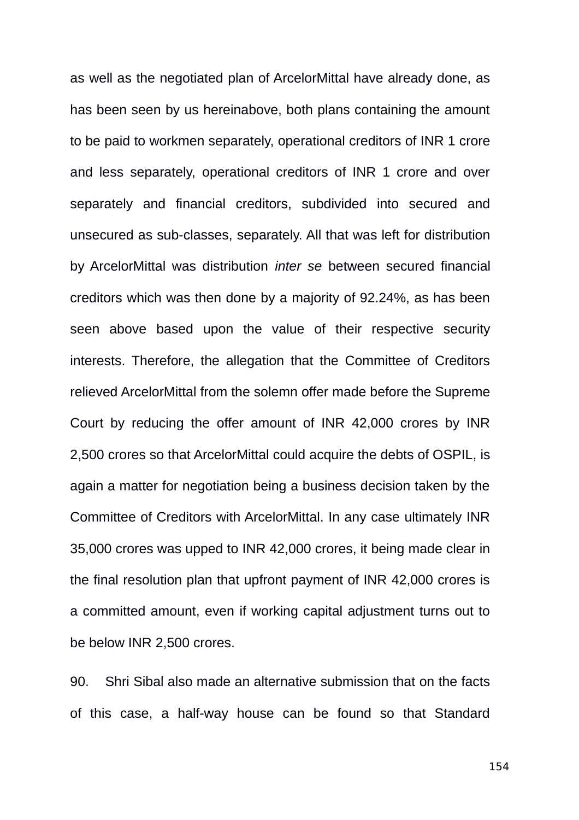as well as the negotiated plan of ArcelorMittal have already done, as has been seen by us hereinabove, both plans containing the amount to be paid to workmen separately, operational creditors of INR 1 crore and less separately, operational creditors of INR 1 crore and over separately and financial creditors, subdivided into secured and unsecured as sub-classes, separately. All that was left for distribution by ArcelorMittal was distribution *inter se* between secured financial creditors which was then done by a majority of 92.24%, as has been seen above based upon the value of their respective security interests. Therefore, the allegation that the Committee of Creditors relieved ArcelorMittal from the solemn offer made before the Supreme Court by reducing the offer amount of INR 42,000 crores by INR 2,500 crores so that ArcelorMittal could acquire the debts of OSPIL, is again a matter for negotiation being a business decision taken by the Committee of Creditors with ArcelorMittal. In any case ultimately INR 35,000 crores was upped to INR 42,000 crores, it being made clear in the final resolution plan that upfront payment of INR 42,000 crores is a committed amount, even if working capital adjustment turns out to be below INR 2,500 crores.

90. Shri Sibal also made an alternative submission that on the facts of this case, a half-way house can be found so that Standard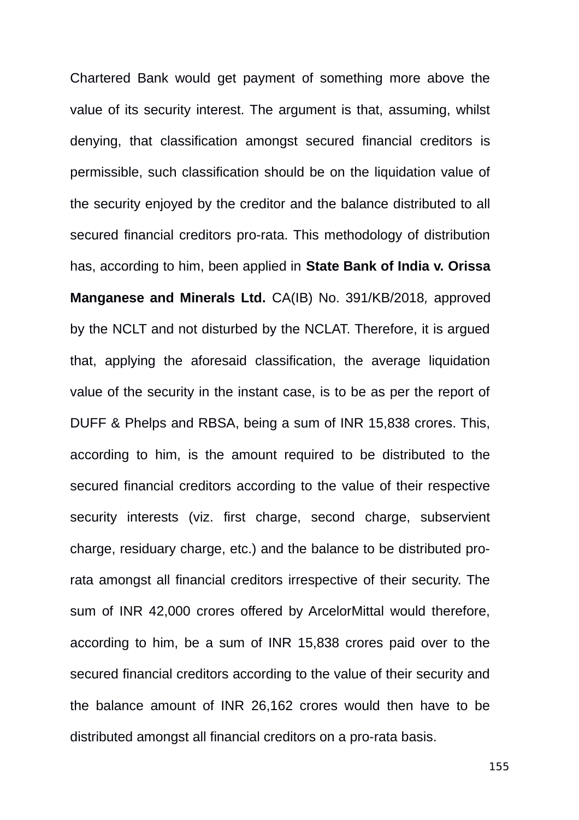Chartered Bank would get payment of something more above the value of its security interest. The argument is that, assuming, whilst denying, that classification amongst secured financial creditors is permissible, such classification should be on the liquidation value of the security enjoyed by the creditor and the balance distributed to all secured financial creditors pro-rata. This methodology of distribution has, according to him, been applied in **State Bank of India v. Orissa Manganese and Minerals Ltd.** CA(IB) No. 391/KB/2018*,* approved by the NCLT and not disturbed by the NCLAT. Therefore, it is argued that, applying the aforesaid classification, the average liquidation value of the security in the instant case, is to be as per the report of DUFF & Phelps and RBSA, being a sum of INR 15,838 crores. This, according to him, is the amount required to be distributed to the secured financial creditors according to the value of their respective security interests (viz. first charge, second charge, subservient charge, residuary charge, etc.) and the balance to be distributed prorata amongst all financial creditors irrespective of their security. The sum of INR 42,000 crores offered by ArcelorMittal would therefore, according to him, be a sum of INR 15,838 crores paid over to the secured financial creditors according to the value of their security and the balance amount of INR 26,162 crores would then have to be distributed amongst all financial creditors on a pro-rata basis.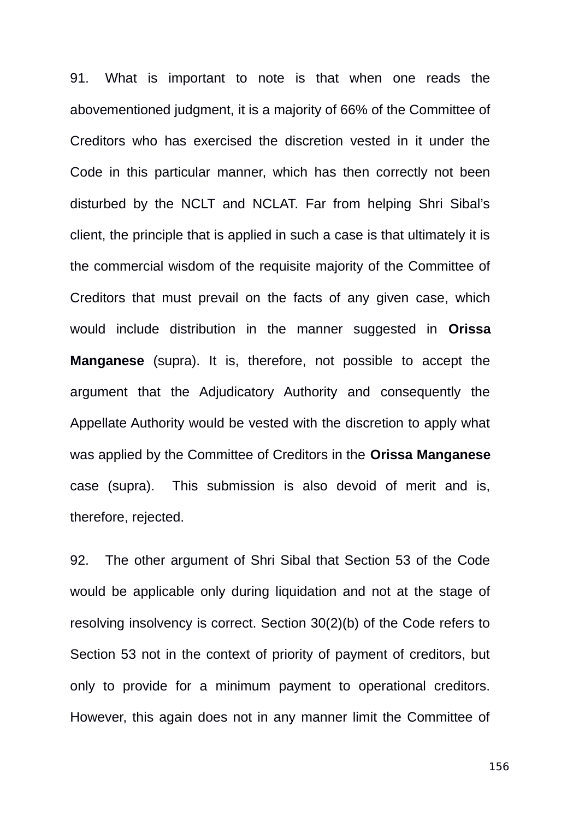91. What is important to note is that when one reads the abovementioned judgment, it is a majority of 66% of the Committee of Creditors who has exercised the discretion vested in it under the Code in this particular manner, which has then correctly not been disturbed by the NCLT and NCLAT. Far from helping Shri Sibal's client, the principle that is applied in such a case is that ultimately it is the commercial wisdom of the requisite majority of the Committee of Creditors that must prevail on the facts of any given case, which would include distribution in the manner suggested in **Orissa Manganese** (supra). It is, therefore, not possible to accept the argument that the Adjudicatory Authority and consequently the Appellate Authority would be vested with the discretion to apply what was applied by the Committee of Creditors in the **Orissa Manganese** case (supra). This submission is also devoid of merit and is, therefore, rejected.

92. The other argument of Shri Sibal that Section 53 of the Code would be applicable only during liquidation and not at the stage of resolving insolvency is correct. Section 30(2)(b) of the Code refers to Section 53 not in the context of priority of payment of creditors, but only to provide for a minimum payment to operational creditors. However, this again does not in any manner limit the Committee of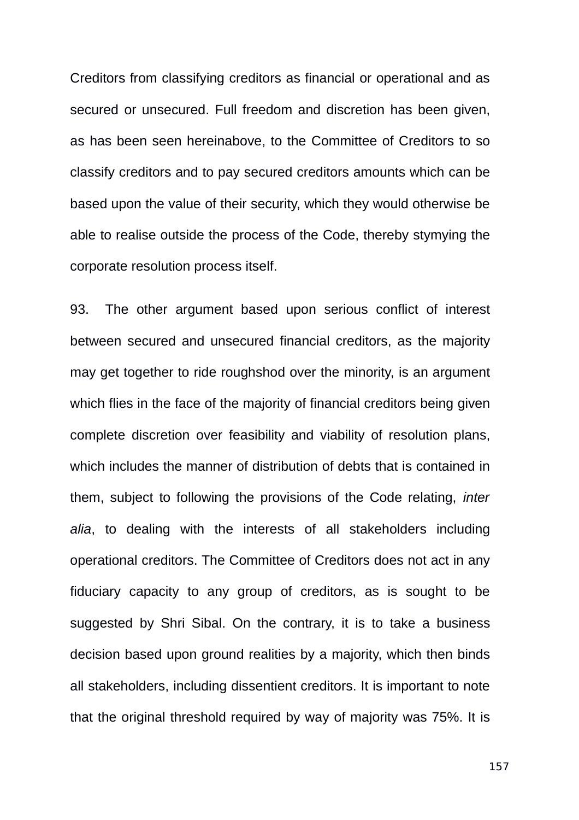Creditors from classifying creditors as financial or operational and as secured or unsecured. Full freedom and discretion has been given, as has been seen hereinabove, to the Committee of Creditors to so classify creditors and to pay secured creditors amounts which can be based upon the value of their security, which they would otherwise be able to realise outside the process of the Code, thereby stymying the corporate resolution process itself.

93. The other argument based upon serious conflict of interest between secured and unsecured financial creditors, as the majority may get together to ride roughshod over the minority, is an argument which flies in the face of the majority of financial creditors being given complete discretion over feasibility and viability of resolution plans, which includes the manner of distribution of debts that is contained in them, subject to following the provisions of the Code relating, *inter alia*, to dealing with the interests of all stakeholders including operational creditors. The Committee of Creditors does not act in any fiduciary capacity to any group of creditors, as is sought to be suggested by Shri Sibal. On the contrary, it is to take a business decision based upon ground realities by a majority, which then binds all stakeholders, including dissentient creditors. It is important to note that the original threshold required by way of majority was 75%. It is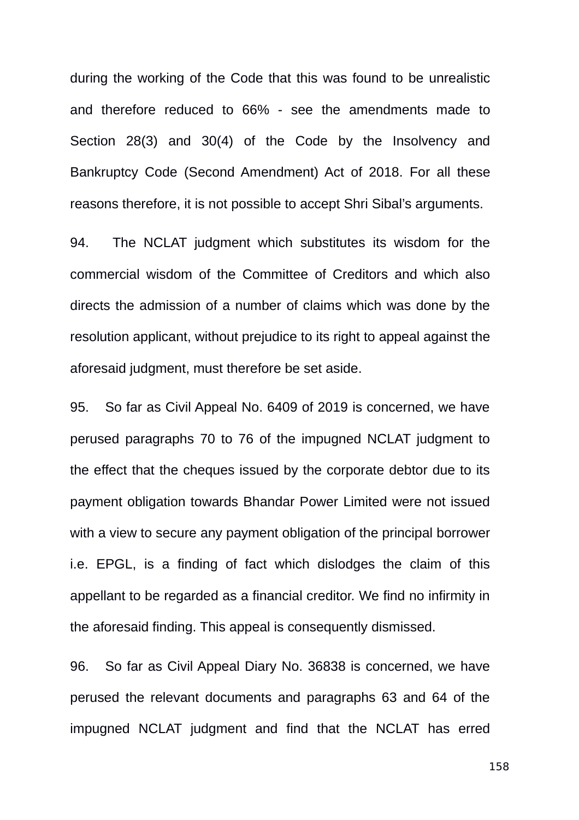during the working of the Code that this was found to be unrealistic and therefore reduced to 66% - see the amendments made to Section 28(3) and 30(4) of the Code by the Insolvency and Bankruptcy Code (Second Amendment) Act of 2018. For all these reasons therefore, it is not possible to accept Shri Sibal's arguments.

94. The NCLAT judgment which substitutes its wisdom for the commercial wisdom of the Committee of Creditors and which also directs the admission of a number of claims which was done by the resolution applicant, without prejudice to its right to appeal against the aforesaid judgment, must therefore be set aside.

95. So far as Civil Appeal No. 6409 of 2019 is concerned, we have perused paragraphs 70 to 76 of the impugned NCLAT judgment to the effect that the cheques issued by the corporate debtor due to its payment obligation towards Bhandar Power Limited were not issued with a view to secure any payment obligation of the principal borrower i.e. EPGL, is a finding of fact which dislodges the claim of this appellant to be regarded as a financial creditor. We find no infirmity in the aforesaid finding. This appeal is consequently dismissed.

96. So far as Civil Appeal Diary No. 36838 is concerned, we have perused the relevant documents and paragraphs 63 and 64 of the impugned NCLAT judgment and find that the NCLAT has erred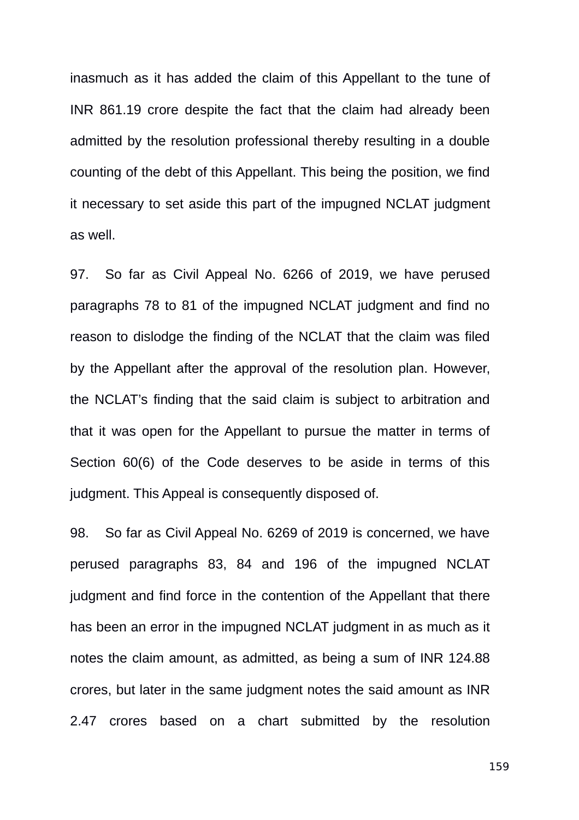inasmuch as it has added the claim of this Appellant to the tune of INR 861.19 crore despite the fact that the claim had already been admitted by the resolution professional thereby resulting in a double counting of the debt of this Appellant. This being the position, we find it necessary to set aside this part of the impugned NCLAT judgment as well.

97. So far as Civil Appeal No. 6266 of 2019, we have perused paragraphs 78 to 81 of the impugned NCLAT judgment and find no reason to dislodge the finding of the NCLAT that the claim was filed by the Appellant after the approval of the resolution plan. However, the NCLAT's finding that the said claim is subject to arbitration and that it was open for the Appellant to pursue the matter in terms of Section 60(6) of the Code deserves to be aside in terms of this judgment. This Appeal is consequently disposed of.

98. So far as Civil Appeal No. 6269 of 2019 is concerned, we have perused paragraphs 83, 84 and 196 of the impugned NCLAT judgment and find force in the contention of the Appellant that there has been an error in the impugned NCLAT judgment in as much as it notes the claim amount, as admitted, as being a sum of INR 124.88 crores, but later in the same judgment notes the said amount as INR 2.47 crores based on a chart submitted by the resolution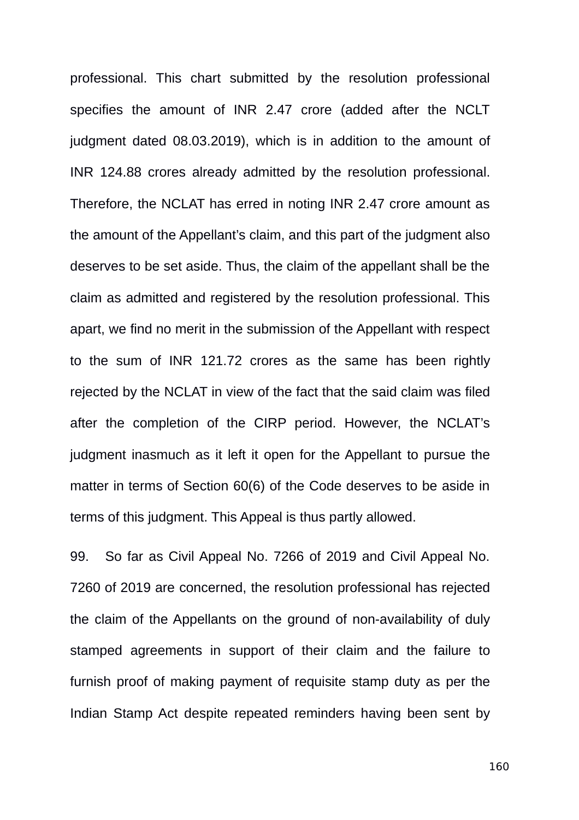professional. This chart submitted by the resolution professional specifies the amount of INR 2.47 crore (added after the NCLT judgment dated 08.03.2019), which is in addition to the amount of INR 124.88 crores already admitted by the resolution professional. Therefore, the NCLAT has erred in noting INR 2.47 crore amount as the amount of the Appellant's claim, and this part of the judgment also deserves to be set aside. Thus, the claim of the appellant shall be the claim as admitted and registered by the resolution professional. This apart, we find no merit in the submission of the Appellant with respect to the sum of INR 121.72 crores as the same has been rightly rejected by the NCLAT in view of the fact that the said claim was filed after the completion of the CIRP period. However, the NCLAT's judgment inasmuch as it left it open for the Appellant to pursue the matter in terms of Section 60(6) of the Code deserves to be aside in terms of this judgment. This Appeal is thus partly allowed.

99. So far as Civil Appeal No. 7266 of 2019 and Civil Appeal No. 7260 of 2019 are concerned, the resolution professional has rejected the claim of the Appellants on the ground of non-availability of duly stamped agreements in support of their claim and the failure to furnish proof of making payment of requisite stamp duty as per the Indian Stamp Act despite repeated reminders having been sent by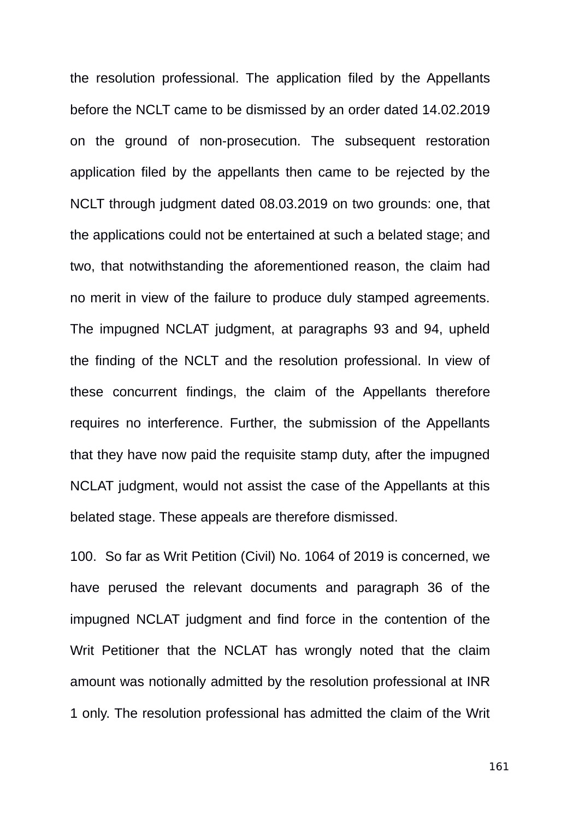the resolution professional. The application filed by the Appellants before the NCLT came to be dismissed by an order dated 14.02.2019 on the ground of non-prosecution. The subsequent restoration application filed by the appellants then came to be rejected by the NCLT through judgment dated 08.03.2019 on two grounds: one, that the applications could not be entertained at such a belated stage; and two, that notwithstanding the aforementioned reason, the claim had no merit in view of the failure to produce duly stamped agreements. The impugned NCLAT judgment, at paragraphs 93 and 94, upheld the finding of the NCLT and the resolution professional. In view of these concurrent findings, the claim of the Appellants therefore requires no interference. Further, the submission of the Appellants that they have now paid the requisite stamp duty, after the impugned NCLAT judgment, would not assist the case of the Appellants at this belated stage. These appeals are therefore dismissed.

100. So far as Writ Petition (Civil) No. 1064 of 2019 is concerned, we have perused the relevant documents and paragraph 36 of the impugned NCLAT judgment and find force in the contention of the Writ Petitioner that the NCLAT has wrongly noted that the claim amount was notionally admitted by the resolution professional at INR 1 only. The resolution professional has admitted the claim of the Writ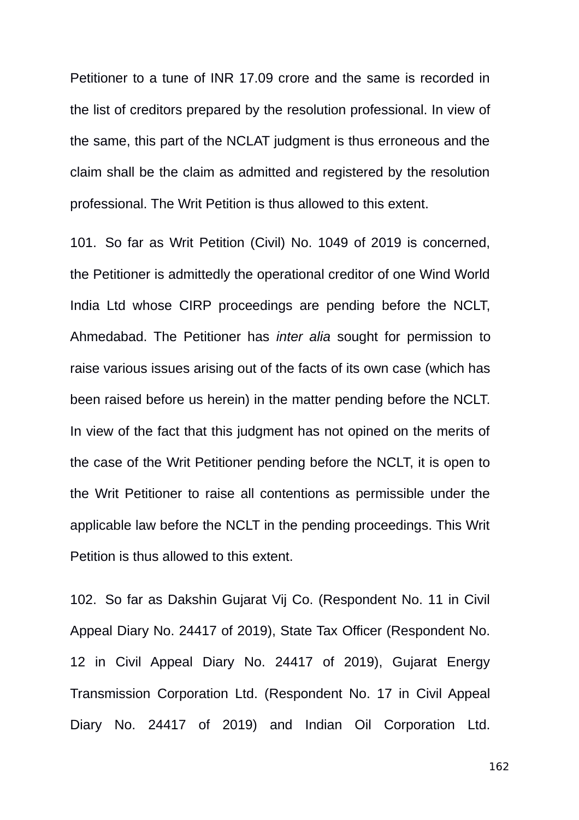Petitioner to a tune of INR 17.09 crore and the same is recorded in the list of creditors prepared by the resolution professional. In view of the same, this part of the NCLAT judgment is thus erroneous and the claim shall be the claim as admitted and registered by the resolution professional. The Writ Petition is thus allowed to this extent.

101. So far as Writ Petition (Civil) No. 1049 of 2019 is concerned, the Petitioner is admittedly the operational creditor of one Wind World India Ltd whose CIRP proceedings are pending before the NCLT, Ahmedabad. The Petitioner has *inter alia* sought for permission to raise various issues arising out of the facts of its own case (which has been raised before us herein) in the matter pending before the NCLT. In view of the fact that this judgment has not opined on the merits of the case of the Writ Petitioner pending before the NCLT, it is open to the Writ Petitioner to raise all contentions as permissible under the applicable law before the NCLT in the pending proceedings. This Writ Petition is thus allowed to this extent.

102. So far as Dakshin Gujarat Vij Co. (Respondent No. 11 in Civil Appeal Diary No. 24417 of 2019), State Tax Officer (Respondent No. 12 in Civil Appeal Diary No. 24417 of 2019), Gujarat Energy Transmission Corporation Ltd. (Respondent No. 17 in Civil Appeal Diary No. 24417 of 2019) and Indian Oil Corporation Ltd.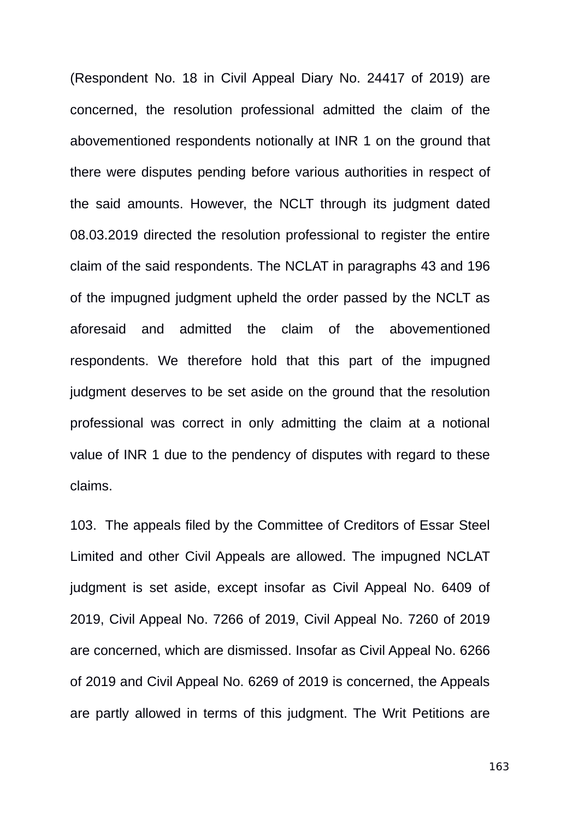(Respondent No. 18 in Civil Appeal Diary No. 24417 of 2019) are concerned, the resolution professional admitted the claim of the abovementioned respondents notionally at INR 1 on the ground that there were disputes pending before various authorities in respect of the said amounts. However, the NCLT through its judgment dated 08.03.2019 directed the resolution professional to register the entire claim of the said respondents. The NCLAT in paragraphs 43 and 196 of the impugned judgment upheld the order passed by the NCLT as aforesaid and admitted the claim of the abovementioned respondents. We therefore hold that this part of the impugned judgment deserves to be set aside on the ground that the resolution professional was correct in only admitting the claim at a notional value of INR 1 due to the pendency of disputes with regard to these claims.

103. The appeals filed by the Committee of Creditors of Essar Steel Limited and other Civil Appeals are allowed. The impugned NCLAT judgment is set aside, except insofar as Civil Appeal No. 6409 of 2019, Civil Appeal No. 7266 of 2019, Civil Appeal No. 7260 of 2019 are concerned, which are dismissed. Insofar as Civil Appeal No. 6266 of 2019 and Civil Appeal No. 6269 of 2019 is concerned, the Appeals are partly allowed in terms of this judgment. The Writ Petitions are